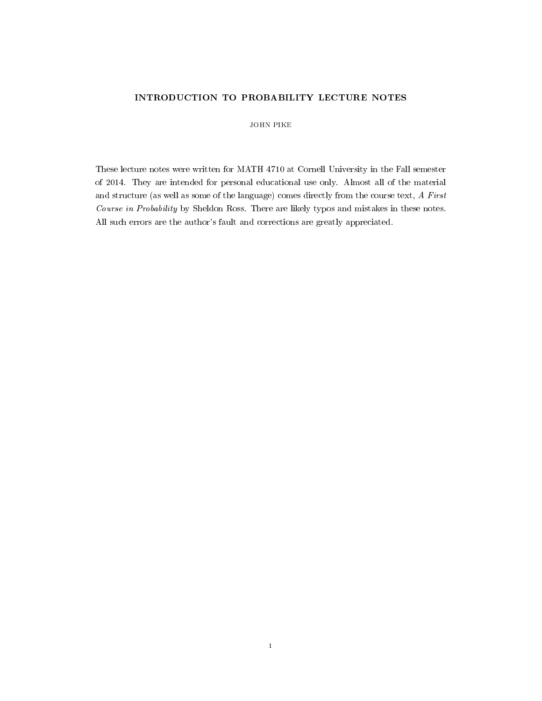# INTRODUCTION TO PROBABILITY LECTURE NOTES

# JOHN PIKE

These lecture notes were written for MATH 4710 at Cornell University in the Fall semester of 2014. They are intended for personal educational use only. Almost all of the material and structure (as well as some of the language) comes directly from the course text, A First Course in Probability by Sheldon Ross. There are likely typos and mistakes in these notes. All such errors are the author's fault and corrections are greatly appreciated.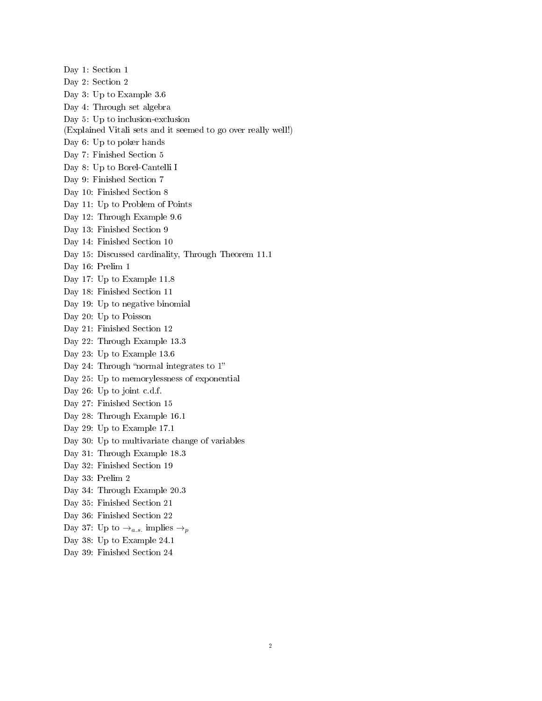Day 1: Section 1 Day 2: Section 2 Day 3: Up to Example 3.6 Day 4: Through set algebra Day 5: Up to inclusion-exclusion (Explained Vitali sets and it seemed to go over really well!) Day 6: Up to poker hands Day 7: Finished Section 5 Day 8: Up to Borel-Cantelli I Day 9: Finished Section 7 Day 10: Finished Section 8 Day 11: Up to Problem of Points Day 12: Through Example 9.6 Day 13: Finished Section 9 Day 14: Finished Section 10 Day 15: Discussed cardinality, Through Theorem 11.1 Day 16: Prelim 1 Day 17: Up to Example 11.8 Day 18: Finished Section 11 Day 19: Up to negative binomial Day 20: Up to Poisson Day 21: Finished Section 12 Day 22: Through Example 13.3 Day 23: Up to Example 13.6 Day 24: Through "normal integrates to  $1$ " Day 25: Up to memorylessness of exponential Day 26: Up to joint c.d.f. Day 27: Finished Section 15 Day 28: Through Example 16.1 Day 29: Up to Example 17.1 Day 30: Up to multivariate change of variables Day 31: Through Example 18.3 Day 32: Finished Section 19 Day 33: Prelim 2 Day 34: Through Example 20.3 Day 35: Finished Section 21 Day 36: Finished Section 22 Day 37: Up to  $\rightarrow_{a.s.}$  implies  $\rightarrow_{p}$ Day 38: Up to Example 24.1 Day 39: Finished Section 24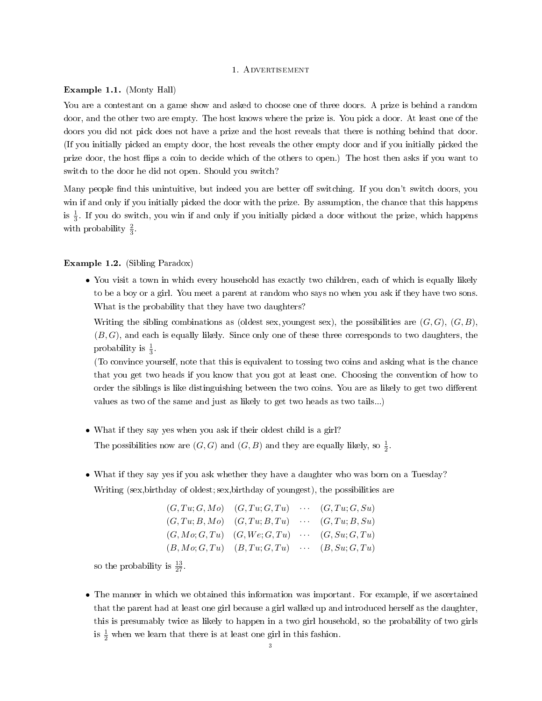### 1. Advertisement

# Example 1.1. (Monty Hall)

You are a contestant on a game show and asked to choose one of three doors. A prize is behind a random door, and the other two are empty. The host knows where the prize is. You pick a door. At least one of the doors you did not pick does not have a prize and the host reveals that there is nothing behind that door. (If you initially picked an empty door, the host reveals the other empty door and if you initially picked the prize door, the host flips a coin to decide which of the others to open.) The host then asks if you want to switch to the door he did not open. Should you switch?

Many people find this unintuitive, but indeed you are better off switching. If you don't switch doors, you win if and only if you initially picked the door with the prize. By assumption, the chance that this happens is  $\frac{1}{3}$ . If you do switch, you win if and only if you initially picked a door without the prize, which happens with probability  $\frac{2}{3}$ .

# Example 1.2. (Sibling Paradox)

• You visit a town in which every household has exactly two children, each of which is equally likely to be a boy or a girl. You meet a parent at random who says no when you ask if they have two sons. What is the probability that they have two daughters?

Writing the sibling combinations as (oldest sex, youngest sex), the possibilities are  $(G, G)$ ,  $(G, B)$ ,  $(B, G)$ , and each is equally likely. Since only one of these three corresponds to two daughters, the probability is  $\frac{1}{3}$ .

(To convince yourself, note that this is equivalent to tossing two coins and asking what is the chance that you get two heads if you know that you got at least one. Choosing the convention of how to order the siblings is like distinguishing between the two coins. You are as likely to get two different values as two of the same and just as likely to get two heads as two tails...)

• What if they say yes when you ask if their oldest child is a girl?

The possibilities now are  $(G, G)$  and  $(G, B)$  and they are equally likely, so  $\frac{1}{2}$ .

• What if they say yes if you ask whether they have a daughter who was born on a Tuesday? Writing (sex,birthday of oldest; sex, birthday of youngest), the possibilities are

| $(G, Tu; G, Mo)$ $(G, Tu; G, Tu)$ $\cdots$ $(G, Tu; G, Su)$ |  |
|-------------------------------------------------------------|--|
| $(G, Tu; B, Mo)$ $(G, Tu; B, Tu)$ $\cdots$ $(G, Tu; B, Su)$ |  |
| $(G, Mo; G, Tu)$ $(G, We; G, Tu)$ $\cdots$ $(G, Su; G, Tu)$ |  |
| $(B, Mo; G, Tu)$ $(B, Tu; G, Tu)$ $\cdots$ $(B, Su; G, Tu)$ |  |

so the probability is  $\frac{13}{27}$ .

• The manner in which we obtained this information was important. For example, if we ascertained that the parent had at least one girl because a girl walked up and introduced herself as the daughter, this is presumably twice as likely to happen in a two girl household, so the probability of two girls is  $\frac{1}{2}$  when we learn that there is at least one girl in this fashion.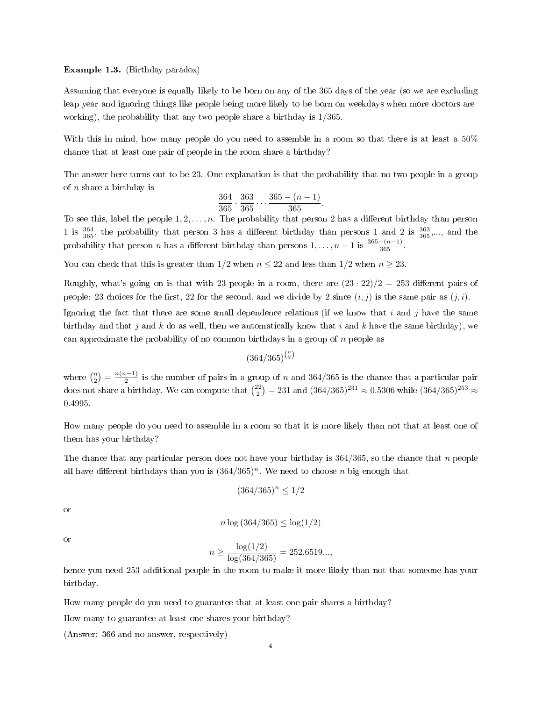## Example 1.3. (Birthday paradox)

Assuming that everyone is equally likely to be born on any of the 365 days of the year (so we are excluding leap year and ignoring things like people being more likely to be born on weekdays when more doctors are working), the probability that any two people share a birthday is 1/365.

With this in mind, how many people do you need to assemble in a room so that there is at least a  $50\%$ chance that at least one pair of people in the room share a birthday?

The answer here turns out to be 23. One explanation is that the probability that no two people in a group of  $n$  share a birthday is

$$
\frac{364}{365} \cdot \frac{363}{365} \cdots \frac{365 - (n-1)}{365}.
$$

To see this, label the people  $1, 2, \ldots, n$ . The probability that person 2 has a different birthday than person 1 is  $\frac{364}{365}$ , the probability that person 3 has a different birthday than persons 1 and 2 is  $\frac{363}{365}$ ,..., and the probability that person *n* has a different birthday than persons  $1, \ldots, n-1$  is  $\frac{365-(n-1)}{365}$ .

You can check that this is greater than  $1/2$  when  $n \leq 22$  and less than  $1/2$  when  $n \geq 23$ .

Roughly, what's going on is that with 23 people in a room, there are  $(23 \cdot 22)/2 = 253$  different pairs of people: 23 choices for the first, 22 for the second, and we divide by 2 since  $(i, j)$  is the same pair as  $(j, i)$ .

Ignoring the fact that there are some small dependence relations (if we know that i and j have the same birthday and that j and k do as well, then we automatically know that i and k have the same birthday), we can approximate the probability of no common birthdays in a group of  $n$  people as

 $(364/365)^{\binom{n}{2}}$ 

where  $\binom{n}{2} = \frac{n(n-1)}{2}$  $\frac{2^{n-1}}{2}$  is the number of pairs in a group of n and 364/365 is the chance that a particular pair does not share a birthday. We can compute that  $\binom{22}{2}=231$  and  $(364/365)^{231}\approx 0.5306$  while  $(364/365)^{253}\approx$ 0.4995.

How many people do you need to assemble in a room so that it is more likely than not that at least one of them has your birthday?

The chance that any particular person does not have your birthday is  $364/365$ , so the chance that n people all have different birthdays than you is  $(364/365)^n$ . We need to choose n big enough that

$$
(364/365)^n \le 1/2
$$

or

$$
n \log (364/365) \le \log(1/2)
$$

or

$$
n \ge \frac{\log(1/2)}{\log(364/365)} = 252.6519...,
$$

hence you need 253 additional people in the room to make it more likely than not that someone has your birthday.

How many people do you need to guarantee that at least one pair shares a birthday?

How many to guarantee at least one shares your birthday?

(Answer: 366 and no answer, respectively)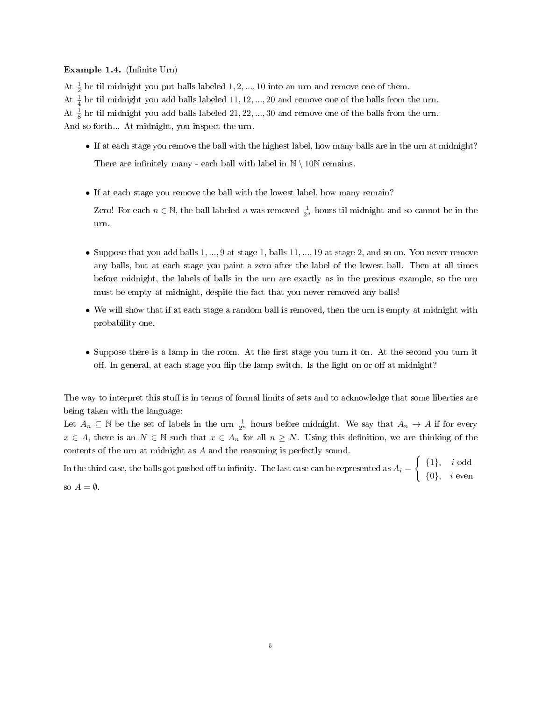# Example 1.4. (Infinite  $Urn$ )

At  $\frac{1}{2}$  hr til midnight you put balls labeled 1, 2, ..., 10 into an urn and remove one of them. At  $\frac{1}{4}$  hr til midnight you add balls labeled 11, 12, ..., 20 and remove one of the balls from the urn. At  $\frac{1}{8}$  hr til midnight you add balls labeled 21, 22, ..., 30 and remove one of the balls from the urn. And so forth... At midnight, you inspect the urn.

- If at each stage you remove the ball with the highest label, how many balls are in the urn at midnight? There are infinitely many - each ball with label in  $\mathbb{N} \setminus 10\mathbb{N}$  remains.
- If at each stage you remove the ball with the lowest label, how many remain?

Zero! For each  $n \in \mathbb{N}$ , the ball labeled n was removed  $\frac{1}{2^n}$  hours til midnight and so cannot be in the urn.

- Suppose that you add balls 1, ..., 9 at stage 1, balls 11, ..., 19 at stage 2, and so on. You never remove any balls, but at each stage you paint a zero after the label of the lowest ball. Then at all times before midnight, the labels of balls in the urn are exactly as in the previous example, so the urn must be empty at midnight, despite the fact that you never removed any balls!
- We will show that if at each stage a random ball is removed, then the urn is empty at midnight with probability one.
- Suppose there is a lamp in the room. At the first stage you turn it on. At the second you turn it off. In general, at each stage you flip the lamp switch. Is the light on or off at midnight?

The way to interpret this stuff is in terms of formal limits of sets and to acknowledge that some liberties are being taken with the language:

Let  $A_n \subseteq \mathbb{N}$  be the set of labels in the urn  $\frac{1}{2^n}$  hours before midnight. We say that  $A_n \to A$  if for every  $x \in A$ , there is an  $N \in \mathbb{N}$  such that  $x \in A_n$  for all  $n \geq N$ . Using this definition, we are thinking of the contents of the urn at midnight as A and the reasoning is perfectly sound.

In the third case, the balls got pushed off to infinity. The last case can be represented as  $A_i = \emptyset$  $\int \{1\}$ , *i* odd  $\{0\}, i$  even so  $A = \emptyset$ .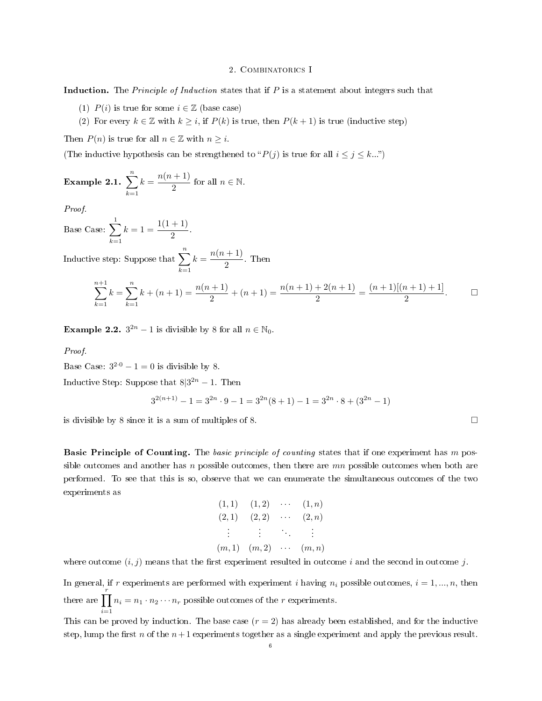# 2. Combinatorics I

Induction. The *Principle of Induction* states that if P is a statement about integers such that

- (1)  $P(i)$  is true for some  $i \in \mathbb{Z}$  (base case)
- (2) For every  $k \in \mathbb{Z}$  with  $k \geq i$ , if  $P(k)$  is true, then  $P(k+1)$  is true (inductive step)

Then  $P(n)$  is true for all  $n \in \mathbb{Z}$  with  $n \geq i$ .

(The inductive hypothesis can be strengthened to " $P(j)$  is true for all  $i \leq j \leq k...$ ")

**Example 2.1.** 
$$
\sum_{k=1}^{n} k = \frac{n(n+1)}{2}
$$
 for all  $n \in \mathbb{N}$ .

Proof.

Base Case:  $\sum_{n=1}^{\infty}$  $k=1$  $k=1=\frac{1(1+1)}{2}$  $\frac{1}{2}$ .

Inductive step: Suppose that  $\sum_{n=1}^{n}$  $k=1$  $k = \frac{n(n+1)}{2}$  $\frac{1}{2}$ . Then

$$
\sum_{k=1}^{n+1} k = \sum_{k=1}^{n} k + (n+1) = \frac{n(n+1)}{2} + (n+1) = \frac{n(n+1) + 2(n+1)}{2} = \frac{(n+1)[(n+1) + 1]}{2}.
$$

**Example 2.2.**  $3^{2n} - 1$  is divisible by 8 for all  $n \in \mathbb{N}_0$ .

Proof.

Base Case:  $3^{2 \cdot 0} - 1 = 0$  is divisible by 8.

Inductive Step: Suppose that  $8|3^{2n} - 1$ . Then

$$
3^{2(n+1)} - 1 = 3^{2n} \cdot 9 - 1 = 3^{2n}(8+1) - 1 = 3^{2n} \cdot 8 + (3^{2n} - 1)
$$

is divisible by  $8$  since it is a sum of multiples of  $8$ .

Basic Principle of Counting. The basic principle of counting states that if one experiment has  $m$  possible outcomes and another has  $n$  possible outcomes, then there are  $mn$  possible outcomes when both are performed. To see that this is so, observe that we can enumerate the simultaneous outcomes of the two experiments as

$$
(1,1) (1,2) \cdots (1,n)
$$
  
\n
$$
(2,1) (2,2) \cdots (2,n)
$$
  
\n
$$
\vdots
$$
  
\n
$$
(m,1) (m,2) \cdots (m,n)
$$

where outcome  $(i, j)$  means that the first experiment resulted in outcome i and the second in outcome j.

In general, if r experiments are performed with experiment i having  $n_i$  possible outcomes,  $i = 1, ..., n$ , then there are  $\prod_{i=1}^{r} n_i = n_1 \cdot n_2 \cdots n_r$  possible outcomes of the r experiments.  $i=1$ 

This can be proved by induction. The base case  $(r = 2)$  has already been established, and for the inductive step, lump the first n of the  $n+1$  experiments together as a single experiment and apply the previous result.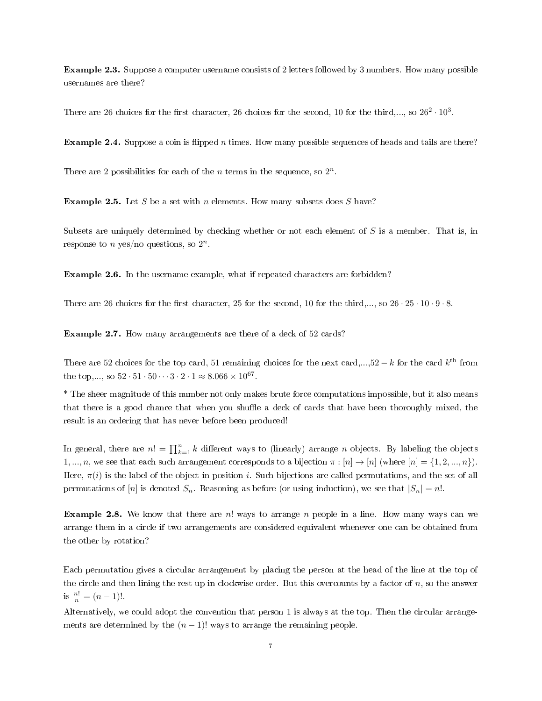Example 2.3. Suppose a computer username consists of 2 letters followed by 3 numbers. How many possible usernames are there?

There are 26 choices for the first character, 26 choices for the second, 10 for the third,..., so  $26^2 \cdot 10^3$ .

**Example 2.4.** Suppose a coin is flipped n times. How many possible sequences of heads and tails are there?

There are 2 possibilities for each of the  $n$  terms in the sequence, so  $2^n$ .

**Example 2.5.** Let S be a set with n elements. How many subsets does S have?

Subsets are uniquely determined by checking whether or not each element of S is a member. That is, in response to *n* yes/no questions, so  $2^n$ .

Example 2.6. In the username example, what if repeated characters are forbidden?

There are 26 choices for the first character, 25 for the second, 10 for the third,..., so  $26 \cdot 25 \cdot 10 \cdot 9 \cdot 8$ .

Example 2.7. How many arrangements are there of a deck of 52 cards?

There are 52 choices for the top card, 51 remaining choices for the next card,...,52 – k for the card  $k^{\text{th}}$  from the top,..., so  $52 \cdot 51 \cdot 50 \cdot \cdot \cdot 3 \cdot 2 \cdot 1 \approx 8.066 \times 10^{67}$ .

\* The sheer magnitude of this number not only makes brute force computations impossible, but it also means that there is a good chance that when you shuffle a deck of cards that have been thoroughly mixed, the result is an ordering that has never before been produced!

In general, there are  $n! = \prod_{k=1}^{n} k$  different ways to (linearly) arrange n objects. By labeling the objects 1, ..., n, we see that each such arrangement corresponds to a bijection  $\pi : [n] \to [n]$  (where  $[n] = \{1, 2, ..., n\}$ ). Here,  $\pi(i)$  is the label of the object in position i. Such bijections are called permutations, and the set of all permutations of [n] is denoted  $S_n$ . Reasoning as before (or using induction), we see that  $|S_n| = n!$ .

**Example 2.8.** We know that there are n! ways to arrange n people in a line. How many ways can we arrange them in a circle if two arrangements are considered equivalent whenever one can be obtained from the other by rotation?

Each permutation gives a circular arrangement by placing the person at the head of the line at the top of the circle and then lining the rest up in clockwise order. But this overcounts by a factor of  $n$ , so the answer is  $\frac{n!}{n} = (n-1)!$ .

Alternatively, we could adopt the convention that person 1 is always at the top. Then the circular arrangements are determined by the  $(n - 1)!$  ways to arrange the remaining people.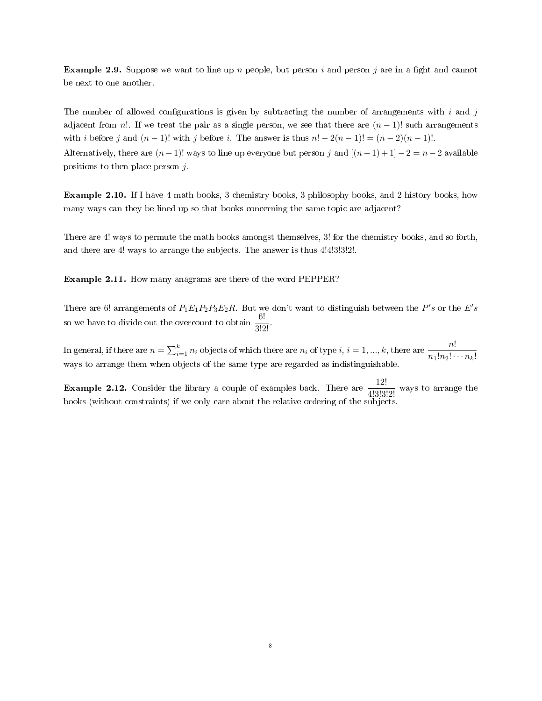**Example 2.9.** Suppose we want to line up n people, but person i and person j are in a fight and cannot be next to one another.

The number of allowed configurations is given by subtracting the number of arrangements with  $i$  and  $j$ adjacent from n!. If we treat the pair as a single person, we see that there are  $(n-1)!$  such arrangements with i before j and  $(n-1)!$  with j before i. The answer is thus  $n! - 2(n-1)! = (n-2)(n-1)!$ .

Alternatively, there are  $(n-1)!$  ways to line up everyone but person j and  $[(n-1)+1]-2=n-2$  available positions to then place person  $i$ .

Example 2.10. If I have 4 math books, 3 chemistry books, 3 philosophy books, and 2 history books, how many ways can they be lined up so that books concerning the same topic are adjacent?

There are 4! ways to permute the math books amongst themselves, 3! for the chemistry books, and so forth, and there are 4! ways to arrange the subjects. The answer is thus 4!4!3!3!2!.

Example 2.11. How many anagrams are there of the word PEPPER?

There are 6! arrangements of  $P_1E_1P_2P_3E_2R$ . But we don't want to distinguish between the  $P's$  or the  $E's$ so we have to divide out the overcount to obtain  $\frac{6!}{3!2!}$ .

In general, if there are  $n = \sum_{i=1}^{k} n_i$  objects of which there are  $n_i$  of type  $i, i = 1, ..., k$ , there are  $\frac{n!}{n_1! n_2! \cdots n_k!}$ ways to arrange them when objects of the same type are regarded as indistinguishable.

**Example 2.12.** Consider the library a couple of examples back. There are  $\frac{12!}{4!3!3!2!}$  ways to arrange the books (without constraints) if we only care about the relative ordering of the subjects.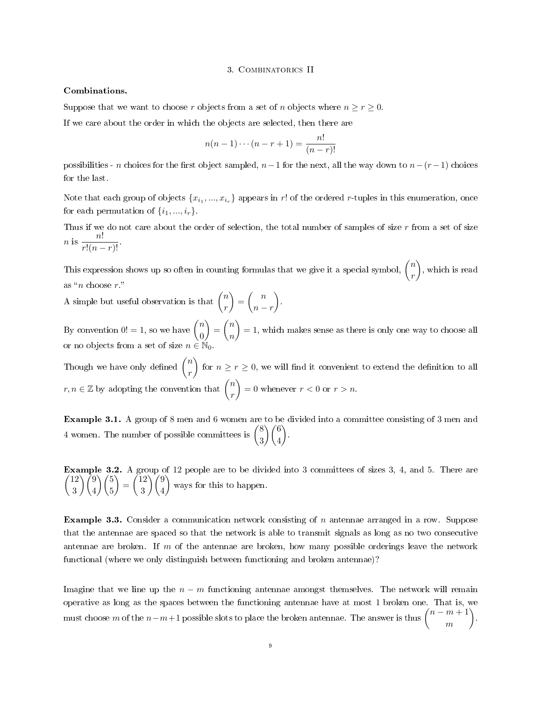#### 3. Combinatorics II

# Combinations.

Suppose that we want to choose r objects from a set of n objects where  $n \ge r \ge 0$ . If we care about the order in which the objects are selected, then there are

$$
n(n-1)\cdots(n-r+1) = \frac{n!}{(n-r)!}
$$

possibilities - n choices for the first object sampled,  $n-1$  for the next, all the way down to  $n-(r-1)$  choices for the last.

Note that each group of objects  $\{x_{i_1},...,x_{i_r}\}$  appears in  $r!$  of the ordered  $r$ -tuples in this enumeration, once for each permutation of  $\{i_1, ..., i_r\}$ .

Thus if we do not care about the order of selection, the total number of samples of size  $r$  from a set of size *n* is  $\frac{n!}{r!(n-r)!}$ .

This expression shows up so often in counting formulas that we give it a special symbol,  ${n \choose k}$ r , which is read as " $n$  choose  $r$ ."

A simple but useful observation is that  $\binom{n}{n}$ r  $=\begin{pmatrix} n \end{pmatrix}$  $n - r$ .

By convention  $0! = 1$ , so we have  $\binom{n}{0}$ 0  $\bigg) = \bigg( \begin{matrix} n \\ n \end{matrix} \bigg)$ n  $= 1$ , which makes sense as there is only one way to choose all or no objects from a set of size  $n \in \mathbb{N}_0$ .

Though we have only defined  $\binom{n}{k}$ r for  $n \ge r \ge 0$ , we will find it convenient to extend the definition to all  $r,n\in\mathbb{Z}$  by adopting the convention that  $\binom{n}{k}$ r  $= 0$  whenever  $r < 0$  or  $r > n$ .

Example 3.1. A group of 8 men and 6 women are to be divided into a committee consisting of 3 men and 4 women. The number of possible committees is  $\binom{8}{3}$ 3  $\setminus$  6 4 .

 $(12)$ Example 3.2. A group of 12 people are to be divided into 3 committees of sizes 3, 4, and 5. There are 3  $\setminus$  (9) 4  $\frac{5}{5}$ 5  $\bigg) = \bigg( \frac{12}{2} \bigg)$ 3  $\setminus$  (9) 4 ways for this to happen.

**Example 3.3.** Consider a communication network consisting of  $n$  antennae arranged in a row. Suppose that the antennae are spaced so that the network is able to transmit signals as long as no two consecutive antennae are broken. If m of the antennae are broken, how many possible orderings leave the network functional (where we only distinguish between functioning and broken antennae)?

Imagine that we line up the  $n - m$  functioning antennae amongst themselves. The network will remain operative as long as the spaces between the functioning antennae have at most 1 broken one. That is, we must choose  $m$  of the  $n-m+1$  possible slots to place the broken antennae. The answer is thus  $\binom{n-m+1}{n}$ m .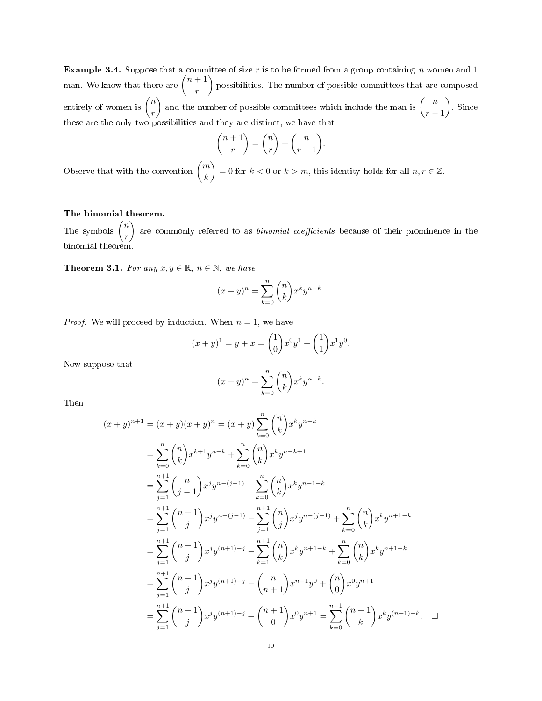**Example 3.4.** Suppose that a committee of size r is to be formed from a group containing n women and 1 man. We know that there are  $\binom{n+1}{n+1}$ r possibilities. The number of possible committees that are composed entirely of women is  $\binom{n}{n}$ r ) and the number of possible committees which include the man is  $\begin{pmatrix} n \end{pmatrix}$  $r-1$  . Since these are the only two possibilities and they are distinct, we have that

$$
\binom{n+1}{r} = \binom{n}{r} + \binom{n}{r-1}.
$$

Observe that with the convention  $\binom{m}{k}$ k  $= 0$  for  $k < 0$  or  $k > m$ , this identity holds for all  $n, r \in \mathbb{Z}$ .

# The binomial theorem.

The symbols  $\binom{n}{n}$ r are commonly referred to as *binomial coefficients* because of their prominence in the binomial theorem.

**Theorem 3.1.** For any  $x, y \in \mathbb{R}$ ,  $n \in \mathbb{N}$ , we have

$$
(x+y)^n = \sum_{k=0}^n \binom{n}{k} x^k y^{n-k}.
$$

*Proof.* We will proceed by induction. When  $n = 1$ , we have

$$
(x+y)^{1} = y + x = {1 \choose 0} x^{0} y^{1} + {1 \choose 1} x^{1} y^{0}.
$$

Now suppose that

$$
(x+y)^n = \sum_{k=0}^n \binom{n}{k} x^k y^{n-k}.
$$

Then

$$
(x + y)^{n+1} = (x + y)(x + y)^n = (x + y) \sum_{k=0}^n {n \choose k} x^k y^{n-k}
$$
  
\n
$$
= \sum_{k=0}^n {n \choose k} x^{k+1} y^{n-k} + \sum_{k=0}^n {n \choose k} x^k y^{n-k+1}
$$
  
\n
$$
= \sum_{j=1}^{n+1} {n \choose j-1} x^j y^{n-(j-1)} + \sum_{k=0}^n {n \choose k} x^k y^{n+1-k}
$$
  
\n
$$
= \sum_{j=1}^{n+1} {n+1 \choose j} x^j y^{n-(j-1)} - \sum_{j=1}^{n+1} {n \choose j} x^j y^{n-(j-1)} + \sum_{k=0}^n {n \choose k} x^k y^{n+1-k}
$$
  
\n
$$
= \sum_{j=1}^{n+1} {n+1 \choose j} x^j y^{(n+1)-j} - \sum_{k=1}^{n+1} {n \choose k} x^k y^{n+1-k} + \sum_{k=0}^n {n \choose k} x^k y^{n+1-k}
$$
  
\n
$$
= \sum_{j=1}^{n+1} {n+1 \choose j} x^j y^{(n+1)-j} - {n \choose n+1} x^{n+1} y^0 + {n \choose 0} x^0 y^{n+1}
$$
  
\n
$$
= \sum_{j=1}^{n+1} {n+1 \choose j} x^j y^{(n+1)-j} + {n+1 \choose 0} x^0 y^{n+1} = \sum_{k=0}^{n+1} {n+1 \choose k} x^k y^{(n+1)-k}.
$$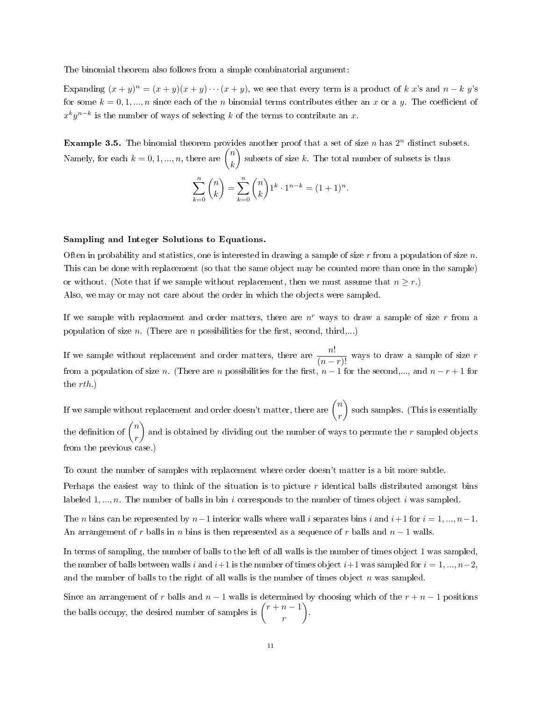The binomial theorem also follows from a simple combinatorial argument:

Expanding  $(x + y)^n = (x + y)(x + y) \cdots (x + y)$ , we see that every term is a product of k x's and  $n - k$  y's for some  $k = 0, 1, ..., n$  since each of the n binomial terms contributes either an x or a y. The coefficient of  $x^k y^{n-k}$  is the number of ways of selecting k of the terms to contribute an x.

**Example 3.5.** The binomial theorem provides another proof that a set of size n has  $2^n$  distinct subsets. Namely, for each  $k = 0, 1, ..., n$ , there are  $\binom{n}{k}$ k subsets of size k. The total number of subsets is thus

$$
\sum_{k=0}^{n} \binom{n}{k} = \sum_{k=0}^{n} \binom{n}{k} 1^k \cdot 1^{n-k} = (1+1)^n.
$$

## Sampling and Integer Solutions to Equations.

Often in probability and statistics, one is interested in drawing a sample of size  $r$  from a population of size  $n$ . This can be done with replacement (so that the same object may be counted more than once in the sample) or without. (Note that if we sample without replacement, then we must assume that  $n \geq r$ .) Also, we may or may not care about the order in which the objects were sampled.

If we sample with replacement and order matters, there are  $n<sup>r</sup>$  ways to draw a sample of size  $r$  from a population of size n. (There are n possibilities for the first, second, third,...)

If we sample without replacement and order matters, there are  $\frac{n!}{(n-r)!}$  ways to draw a sample of size r from a population of size n. (There are n possibilities for the first,  $n-1$  for the second,..., and  $n-r+1$  for the rth.)

If we sample without replacement and order doesn't matter, there are  ${n\choose k}$ r such samples. (This is essentially the definition of  $\binom{n}{n}$ r ) and is obtained by dividing out the number of ways to permute the  $r$  sampled objects from the previous case.)

To count the number of samples with replacement where order doesn't matter is a bit more subtle.

Perhaps the easiest way to think of the situation is to picture  $r$  identical balls distributed amongst bins labeled  $1, ..., n$ . The number of balls in bin i corresponds to the number of times object i was sampled.

The n bins can be represented by  $n-1$  interior walls where wall i separates bins i and  $i+1$  for  $i=1,...,n-1$ . An arrangement of r balls in n bins is then represented as a sequence of r balls and  $n-1$  walls.

In terms of sampling, the number of balls to the left of all walls is the number of times object 1 was sampled, the number of balls between walls i and  $i+1$  is the number of times object  $i+1$  was sampled for  $i = 1, ..., n-2$ . and the number of balls to the right of all walls is the number of times object  $n$  was sampled.

Since an arrangement of r balls and  $n-1$  walls is determined by choosing which of the  $r + n - 1$  positions the balls occupy, the desired number of samples is  $\int_0^1 r + n - 1$ r .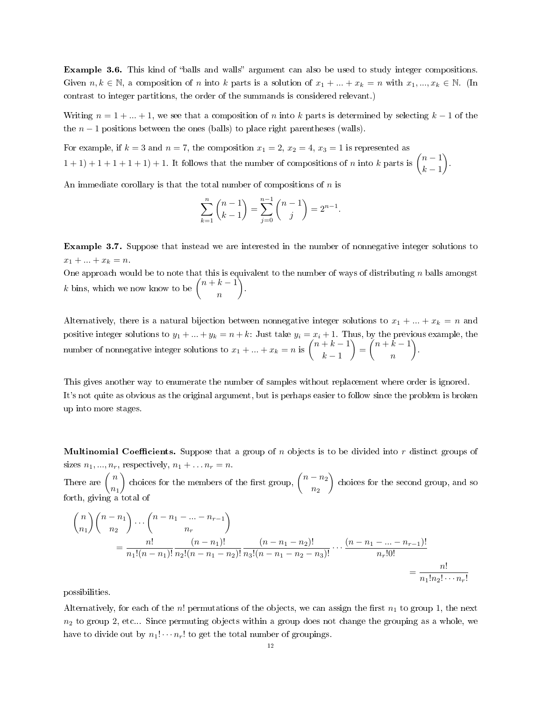**Example 3.6.** This kind of "balls and walls" argument can also be used to study integer compositions. Given  $n, k \in \mathbb{N}$ , a composition of n into k parts is a solution of  $x_1 + ... + x_k = n$  with  $x_1, ..., x_k \in \mathbb{N}$ . (In contrast to integer partitions, the order of the summands is considered relevant.)

Writing  $n = 1 + ... + 1$ , we see that a composition of n into k parts is determined by selecting  $k - 1$  of the the  $n-1$  positions between the ones (balls) to place right parentheses (walls).

For example, if  $k = 3$  and  $n = 7$ , the composition  $x_1 = 2$ ,  $x_2 = 4$ ,  $x_3 = 1$  is represented as  $(1+1)+1+1+1+1$ ) + 1. It follows that the number of compositions of n into k parts is  $\binom{n-1}{n-1}$  $k-1$ .

An immediate corollary is that the total number of compositions of  $n$  is

$$
\sum_{k=1}^{n} {n-1 \choose k-1} = \sum_{j=0}^{n-1} {n-1 \choose j} = 2^{n-1}.
$$

Example 3.7. Suppose that instead we are interested in the number of nonnegative integer solutions to  $x_1 + ... + x_k = n.$ 

One approach would be to note that this is equivalent to the number of ways of distributing  $n$  balls amongst k bins, which we now know to be  $\binom{n+k-1}{k}$ n .

Alternatively, there is a natural bijection between nonnegative integer solutions to  $x_1 + ... + x_k = n$  and positive integer solutions to  $y_1 + ... + y_k = n + k$ : Just take  $y_i = x_i + 1$ . Thus, by the previous example, the number of nonnegative integer solutions to  $x_1 + ... + x_k = n$  is  $\binom{n+k-1}{k-1}$  $k-1$  $= (n + k - 1)$ n .

This gives another way to enumerate the number of samples without replacement where order is ignored. It's not quite as obvious as the original argument, but is perhaps easier to follow since the problem is broken up into more stages.

**Multinomial Coefficients.** Suppose that a group of  $n$  objects is to be divided into  $r$  distinct groups of sizes  $n_1, ..., n_r$ , respectively,  $n_1 + ... n_r = n$ .

There are  $\int_{}^{\infty}$  $n_1$ ) choices for the members of the first group,  $\binom{n-n_2}{n}$  $n<sub>2</sub>$  choices for the second group, and so forth, giving a total of

$$
\binom{n}{n_1}\binom{n-n_1}{n_2}\cdots\binom{n-n_1-\ldots-n_{r-1}}{n_r}
$$
\n
$$
=\frac{n!}{n_1!(n-n_1)!}\frac{(n-n_1)!}{n_2!(n-n_1-n_2)!}\frac{(n-n_1-n_2)!}{n_3!(n-n_1-n_2-n_3)!}\cdots\frac{(n-n_1-\ldots-n_{r-1})!}{n_r!0!}
$$
\n
$$
=\frac{n!}{n_1!n_2!\cdots n_r!}
$$

possibilities.

Alternatively, for each of the n! permutations of the objects, we can assign the first  $n_1$  to group 1, the next  $n_2$  to group 2, etc... Since permuting objects within a group does not change the grouping as a whole, we have to divide out by  $n_1! \cdots n_r!$  to get the total number of groupings.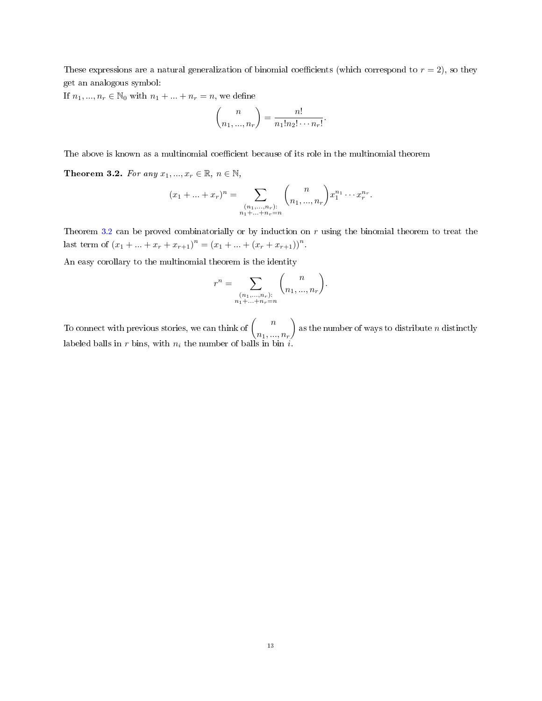These expressions are a natural generalization of binomial coefficients (which correspond to  $r = 2$ ), so they get an analogous symbol:

If  $n_1, ..., n_r \in \mathbb{N}_0$  with  $n_1 + ... + n_r = n$ , we define

$$
\binom{n}{n_1,\ldots,n_r} = \frac{n!}{n_1!n_2!\cdots n_r!}.
$$

The above is known as a multinomial coefficient because of its role in the multinomial theorem

<span id="page-12-0"></span>Theorem 3.2. For any  $x_1, ..., x_r \in \mathbb{R}, n \in \mathbb{N}$ ,

$$
(x_1 + \ldots + x_r)^n = \sum_{\substack{(n_1, \ldots, n_r):\\n_1 + \ldots + n_r = n}} {n \choose n_1, \ldots, n_r} x_1^{n_1} \cdots x_r^{n_r}.
$$

Theorem [3.2](#page-12-0) can be proved combinatorially or by induction on  $r$  using the binomial theorem to treat the last term of  $(x_1 + ... + x_r + x_{r+1})^n = (x_1 + ... + (x_r + x_{r+1}))^n$ .

An easy corollary to the multinomial theorem is the identity

$$
r^{n} = \sum_{\substack{(n_1, ..., n_r):\\n_1 + ... + n_r = n}} {n \choose n_1, ..., n_r}.
$$

To connect with previous stories, we can think of  $\begin{pmatrix} & n \end{pmatrix}$  $n_1, ..., n_r$ as the number of ways to distribute n distinctly labeled balls in r bins, with  $n_i$  the number of balls in bin  $i$ .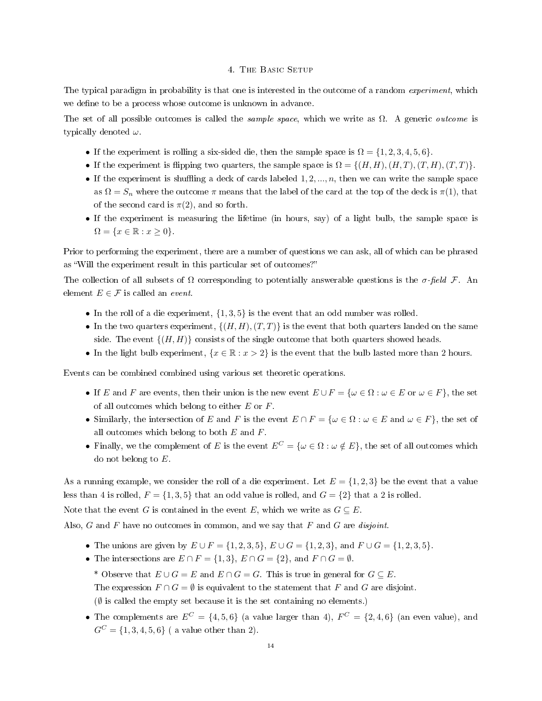### 4. THE BASIC SETUP

The typical paradigm in probability is that one is interested in the outcome of a random *experiment*, which we define to be a process whose outcome is unknown in advance.

The set of all possible outcomes is called the *sample space*, which we write as  $\Omega$ . A generic *outcome* is typically denoted  $\omega$ .

- If the experiment is rolling a six-sided die, then the sample space is  $\Omega = \{1, 2, 3, 4, 5, 6\}$ .
- If the experiment is flipping two quarters, the sample space is  $\Omega = \{(H, H), (H, T), (T, H), (T, T)\}.$
- If the experiment is shuffling a deck of cards labeled  $1, 2, ..., n$ , then we can write the sample space as  $\Omega = S_n$  where the outcome  $\pi$  means that the label of the card at the top of the deck is  $\pi(1)$ , that of the second card is  $\pi(2)$ , and so forth.
- If the experiment is measuring the lifetime (in hours, say) of a light bulb, the sample space is  $\Omega = \{x \in \mathbb{R} : x \geq 0\}.$

Prior to performing the experiment, there are a number of questions we can ask, all of which can be phrased as "Will the experiment result in this particular set of outcomes?"

The collection of all subsets of  $\Omega$  corresponding to potentially answerable questions is the  $\sigma$ -field F. An element  $E \in \mathcal{F}$  is called an *event*.

- In the roll of a die experiment,  $\{1, 3, 5\}$  is the event that an odd number was rolled.
- In the two quarters experiment,  $\{(H, H), (T, T)\}$  is the event that both quarters landed on the same side. The event  $\{(H, H)\}\)$  consists of the single outcome that both quarters showed heads.
- In the light bulb experiment,  $\{x \in \mathbb{R} : x > 2\}$  is the event that the bulb lasted more than 2 hours.

Events can be combined combined using various set theoretic operations.

- If E and F are events, then their union is the new event  $E \cup F = \{ \omega \in \Omega : \omega \in E \text{ or } \omega \in F \}$ , the set of all outcomes which belong to either E or F.
- Similarly, the intersection of E and F is the event  $E \cap F = \{ \omega \in \Omega : \omega \in E \text{ and } \omega \in F \}$ , the set of all outcomes which belong to both  $E$  and  $F$ .
- Finally, we the complement of E is the event  $E^C = {\omega \in \Omega : \omega \notin E}$ , the set of all outcomes which do not belong to E.

As a running example, we consider the roll of a die experiment. Let  $E = \{1, 2, 3\}$  be the event that a value less than 4 is rolled,  $F = \{1, 3, 5\}$  that an odd value is rolled, and  $G = \{2\}$  that a 2 is rolled.

Note that the event G is contained in the event E, which we write as  $G \subseteq E$ .

Also,  $G$  and  $F$  have no outcomes in common, and we say that  $F$  and  $G$  are disjoint.

- The unions are given by  $E \cup F = \{1, 2, 3, 5\}$ ,  $E \cup G = \{1, 2, 3\}$ , and  $F \cup G = \{1, 2, 3, 5\}$ .
- The intersections are  $E \cap F = \{1,3\}$ ,  $E \cap G = \{2\}$ , and  $F \cap G = \emptyset$ .

\* Observe that  $E \cup G = E$  and  $E \cap G = G$ . This is true in general for  $G \subseteq E$ .

The expression  $F \cap G = \emptyset$  is equivalent to the statement that F and G are disjoint.

 $(\emptyset$  is called the empty set because it is the set containing no elements.)

• The complements are  $E^C = \{4, 5, 6\}$  (a value larger than 4),  $F^C = \{2, 4, 6\}$  (an even value), and  $G^C = \{1, 3, 4, 5, 6\}$  ( a value other than 2).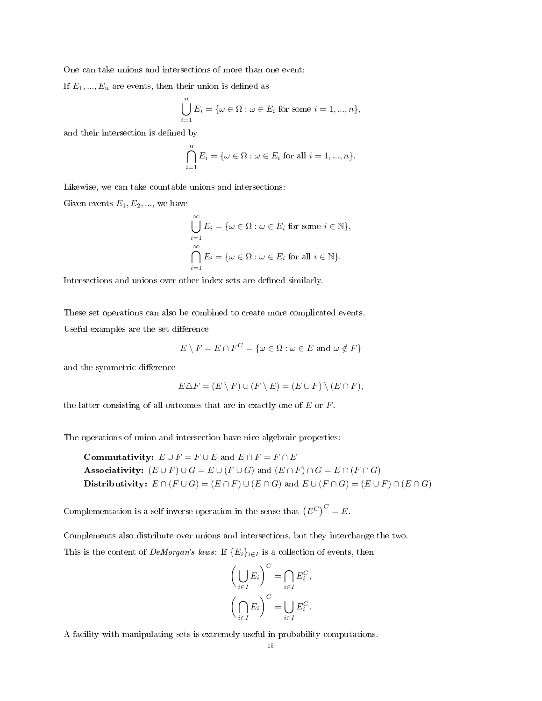One can take unions and intersections of more than one event:

If  $E_1, ..., E_n$  are events, then their union is defined as

$$
\bigcup_{i=1}^{n} E_i = \{ \omega \in \Omega : \omega \in E_i \text{ for some } i = 1, ..., n \},\
$$

and their intersection is defined by

$$
\bigcap_{i=1}^{n} E_i = \{ \omega \in \Omega : \omega \in E_i \text{ for all } i = 1, ..., n \}.
$$

Likewise, we can take countable unions and intersections:

Given events  $E_1, E_2, \dots$ , we have

$$
\bigcup_{i=1}^{\infty} E_i = \{ \omega \in \Omega : \omega \in E_i \text{ for some } i \in \mathbb{N} \},
$$
  

$$
\bigcap_{i=1}^{\infty} E_i = \{ \omega \in \Omega : \omega \in E_i \text{ for all } i \in \mathbb{N} \}.
$$

Intersections and unions over other index sets are dened similarly.

These set operations can also be combined to create more complicated events. Useful examples are the set difference

$$
E \setminus F = E \cap F^C = \{ \omega \in \Omega : \omega \in E \text{ and } \omega \notin F \}
$$

and the symmetric difference

$$
E \triangle F = (E \setminus F) \cup (F \setminus E) = (E \cup F) \setminus (E \cap F),
$$

the latter consisting of all outcomes that are in exactly one of  $E$  or  $F$ .

The operations of union and intersection have nice algebraic properties:

Commutativity:  $E \cup F = F \cup E$  and  $E \cap F = F \cap E$ Associativity:  $(E \cup F) \cup G = E \cup (F \cup G)$  and  $(E \cap F) \cap G = E \cap (F \cap G)$ Distributivity:  $E \cap (F \cup G) = (E \cap F) \cup (E \cap G)$  and  $E \cup (F \cap G) = (E \cup F) \cap (E \cap G)$ 

Complementation is a self-inverse operation in the sense that  $(E^C)^C = E$ .

Complements also distribute over unions and intersections, but they interchange the two. This is the content of DeMorgan's laws: If  ${E_i}_{i\in I}$  is a collection of events, then

$$
\left(\bigcup_{i \in I} E_i\right)^C = \bigcap_{i \in I} E_i^C,
$$

$$
\left(\bigcap_{i \in I} E_i\right)^C = \bigcup_{i \in I} E_i^C.
$$

A facility with manipulating sets is extremely useful in probability computations.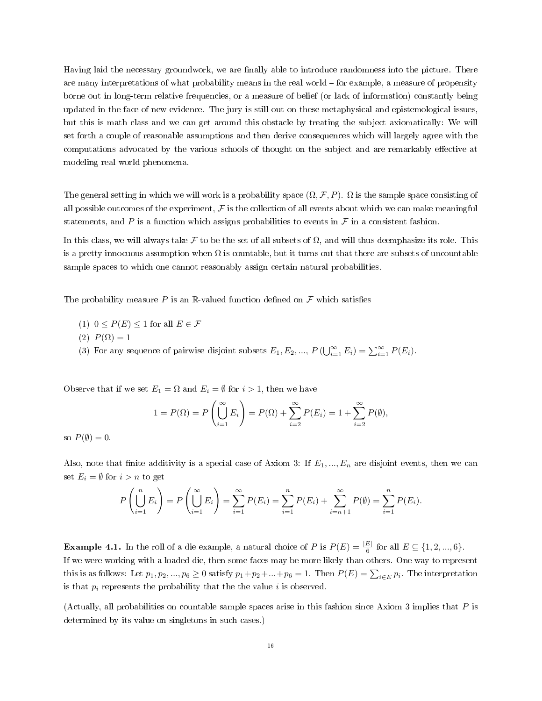Having laid the necessary groundwork, we are finally able to introduce randomness into the picture. There are many interpretations of what probability means in the real world  $-$  for example, a measure of propensity borne out in long-term relative frequencies, or a measure of belief (or lack of information) constantly being updated in the face of new evidence. The jury is still out on these metaphysical and epistemological issues, but this is math class and we can get around this obstacle by treating the subject axiomatically: We will set forth a couple of reasonable assumptions and then derive consequences which will largely agree with the computations advocated by the various schools of thought on the subject and are remarkably effective at modeling real world phenomena.

The general setting in which we will work is a probability space  $(\Omega, \mathcal{F}, P)$ .  $\Omega$  is the sample space consisting of all possible outcomes of the experiment,  $\mathcal F$  is the collection of all events about which we can make meaningful statements, and P is a function which assigns probabilities to events in  $\mathcal F$  in a consistent fashion.

In this class, we will always take F to be the set of all subsets of  $\Omega$ , and will thus deemphasize its role. This is a pretty innocuous assumption when  $\Omega$  is countable, but it turns out that there are subsets of uncountable sample spaces to which one cannot reasonably assign certain natural probabilities.

The probability measure P is an R-valued function defined on  $\mathcal F$  which satisfies

- (1)  $0 \leq P(E) \leq 1$  for all  $E \in \mathcal{F}$
- $(2)$   $P(\Omega) = 1$
- (3) For any sequence of pairwise disjoint subsets  $E_1, E_2, ..., P(\bigcup_{i=1}^{\infty} E_i) = \sum_{i=1}^{\infty} P(E_i)$ .

Observe that if we set  $E_1 = \Omega$  and  $E_i = \emptyset$  for  $i > 1$ , then we have

$$
1 = P(\Omega) = P\left(\bigcup_{i=1}^{\infty} E_i\right) = P(\Omega) + \sum_{i=2}^{\infty} P(E_i) = 1 + \sum_{i=2}^{\infty} P(\emptyset),
$$

so  $P(\emptyset) = 0$ .

Also, note that finite additivity is a special case of Axiom 3: If  $E_1, ..., E_n$  are disjoint events, then we can set  $E_i = \emptyset$  for  $i > n$  to get

$$
P\left(\bigcup_{i=1}^{n} E_i\right) = P\left(\bigcup_{i=1}^{\infty} E_i\right) = \sum_{i=1}^{\infty} P(E_i) = \sum_{i=1}^{n} P(E_i) + \sum_{i=n+1}^{\infty} P(\emptyset) = \sum_{i=1}^{n} P(E_i).
$$

**Example 4.1.** In the roll of a die example, a natural choice of P is  $P(E) = \frac{|E|}{6}$  for all  $E \subseteq \{1, 2, ..., 6\}$ . If we were working with a loaded die, then some faces may be more likely than others. One way to represent this is as follows: Let  $p_1, p_2, ..., p_6 \ge 0$  satisfy  $p_1 + p_2 + ... + p_6 = 1$ . Then  $P(E) = \sum_{i \in E} p_i$ . The interpretation is that  $p_i$  represents the probability that the the value  $i$  is observed.

(Actually, all probabilities on countable sample spaces arise in this fashion since Axiom 3 implies that P is determined by its value on singletons in such cases.)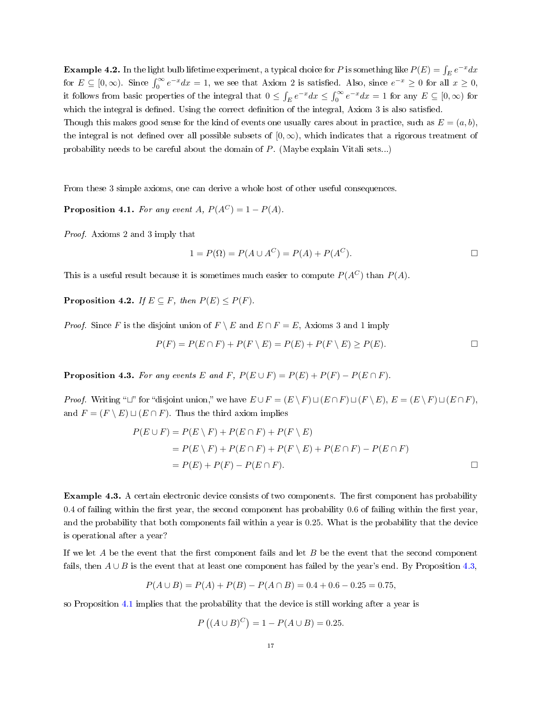**Example 4.2.** In the light bulb lifetime experiment, a typical choice for  $P$  is something like  $P(E) = \int_{E} e^{-x} dx$ for  $E \subseteq [0, \infty)$ . Since  $\int_0^\infty e^{-x} dx = 1$ , we see that Axiom 2 is satisfied. Also, since  $e^{-x} \ge 0$  for all  $x \ge 0$ , it follows from basic properties of the integral that  $0 \leq \int_E e^{-x} dx \leq \int_0^\infty e^{-x} dx = 1$  for any  $E \subseteq [0, \infty)$  for which the integral is defined. Using the correct definition of the integral, Axiom 3 is also satisfied.

Though this makes good sense for the kind of events one usually cares about in practice, such as  $E = (a, b)$ , the integral is not defined over all possible subsets of  $[0, \infty)$ , which indicates that a rigorous treatment of probability needs to be careful about the domain of P. (Maybe explain Vitali sets...)

From these 3 simple axioms, one can derive a whole host of other useful consequences.

<span id="page-16-1"></span>**Proposition 4.1.** For any event A,  $P(A^C) = 1 - P(A)$ .

Proof. Axioms 2 and 3 imply that

$$
1 = P(\Omega) = P(A \cup A^C) = P(A) + P(A^C).
$$

This is a useful result because it is sometimes much easier to compute  $P(A^C)$  than  $P(A)$ .

<span id="page-16-2"></span>**Proposition 4.2.** If  $E \subseteq F$ , then  $P(E) \leq P(F)$ .

*Proof.* Since F is the disjoint union of  $F \setminus E$  and  $E \cap F = E$ , Axioms 3 and 1 imply

$$
P(F) = P(E \cap F) + P(F \setminus E) = P(E) + P(F \setminus E) \ge P(E).
$$

<span id="page-16-0"></span>**Proposition 4.3.** For any events E and F,  $P(E \cup F) = P(E) + P(F) - P(E \cap F)$ .

*Proof.* Writing " $\sqcup$ " for "disjoint union," we have  $E \cup F = (E \setminus F) \sqcup (E \cap F) \sqcup (F \setminus E)$ ,  $E = (E \setminus F) \sqcup (E \cap F)$ , and  $F = (F \setminus E) \sqcup (E \cap F)$ . Thus the third axiom implies

$$
P(E \cup F) = P(E \setminus F) + P(E \cap F) + P(F \setminus E)
$$
  
= 
$$
P(E \setminus F) + P(E \cap F) + P(F \setminus E) + P(E \cap F) - P(E \cap F)
$$
  
= 
$$
P(E) + P(F) - P(E \cap F).
$$

**Example 4.3.** A certain electronic device consists of two components. The first component has probability  $0.4$  of failing within the first year, the second component has probability  $0.6$  of failing within the first year, and the probability that both components fail within a year is 0.25. What is the probability that the device is operational after a year?

If we let A be the event that the first component fails and let B be the event that the second component fails, then  $A \cup B$  is the event that at least one component has failed by the year's end. By Proposition [4.3,](#page-16-0)

$$
P(A \cup B) = P(A) + P(B) - P(A \cap B) = 0.4 + 0.6 - 0.25 = 0.75,
$$

so Proposition [4.1](#page-16-1) implies that the probability that the device is still working after a year is

$$
P((A \cup B)^{C}) = 1 - P(A \cup B) = 0.25.
$$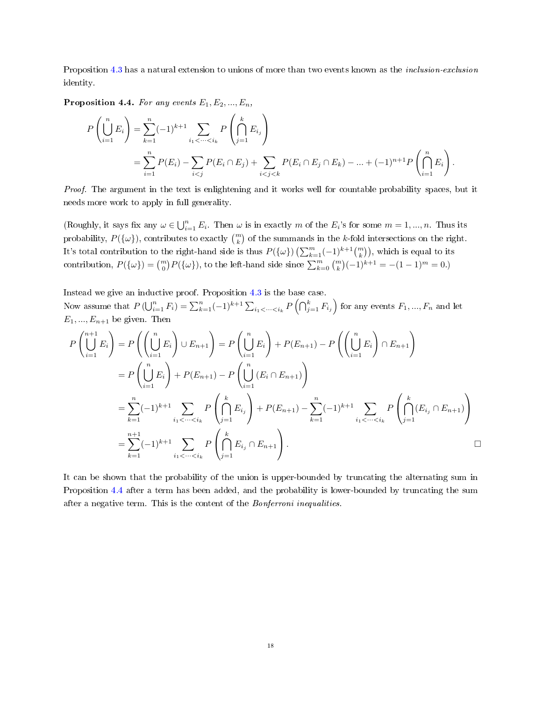Proposition [4.3](#page-16-0) has a natural extension to unions of more than two events known as the inclusion-exclusion identity.

<span id="page-17-0"></span>**Proposition 4.4.** For any events  $E_1, E_2, ..., E_n$ ,

$$
P\left(\bigcup_{i=1}^{n} E_i\right) = \sum_{k=1}^{n} (-1)^{k+1} \sum_{i_1 < \dots < i_k} P\left(\bigcap_{j=1}^{k} E_{i_j}\right)
$$
  
= 
$$
\sum_{i=1}^{n} P(E_i) - \sum_{i < j} P(E_i \cap E_j) + \sum_{i < j < k} P(E_i \cap E_j \cap E_k) - \dots + (-1)^{n+1} P\left(\bigcap_{i=1}^{n} E_i\right).
$$

Proof. The argument in the text is enlightening and it works well for countable probability spaces, but it needs more work to apply in full generality.

(Roughly, it says fix any  $\omega \in \bigcup_{i=1}^n E_i$ . Then  $\omega$  is in exactly m of the  $E_i$ 's for some  $m = 1, ..., n$ . Thus its probability,  $P(\{\omega\})$ , contributes to exactly  $\binom{m}{k}$  of the summands in the k-fold intersections on the right. It's total contribution to the right-hand side is thus  $P(\{\omega\}) \left(\sum_{k=1}^m (-1)^{k+1} {m \choose k}\right)$ , which is equal to its contribution,  $P(\{\omega\}) = {m \choose 0} P(\{\omega\})$ , to the left-hand side since  $\sum_{k=0}^{m} {m \choose k} (-1)^{k+1} = -(1-1)^m = 0$ .)

Instead we give an inductive proof. Proposition [4.3](#page-16-0) is the base case. Now assume that  $P\left(\bigcup_{i=1}^n F_i\right) = \sum_{k=1}^n (-1)^{k+1} \sum_{i_1 < \cdots < i_k} P\left(\bigcap_{j=1}^k F_{i_j}\right)$  for any events  $F_1, ..., F_n$  and let  $E_1, ..., E_{n+1}$  be given. Then

$$
P\left(\bigcup_{i=1}^{n+1} E_i\right) = P\left(\left(\bigcup_{i=1}^{n} E_i\right) \cup E_{n+1}\right) = P\left(\bigcup_{i=1}^{n} E_i\right) + P(E_{n+1}) - P\left(\left(\bigcup_{i=1}^{n} E_i\right) \cap E_{n+1}\right)
$$
  
\n
$$
= P\left(\bigcup_{i=1}^{n} E_i\right) + P(E_{n+1}) - P\left(\bigcup_{i=1}^{n} (E_i \cap E_{n+1})\right)
$$
  
\n
$$
= \sum_{k=1}^{n} (-1)^{k+1} \sum_{i_1 < \dots < i_k} P\left(\bigcap_{j=1}^{k} E_{i_j}\right) + P(E_{n+1}) - \sum_{k=1}^{n} (-1)^{k+1} \sum_{i_1 < \dots < i_k} P\left(\bigcap_{j=1}^{k} (E_{i_j} \cap E_{n+1})\right)
$$
  
\n
$$
= \sum_{k=1}^{n+1} (-1)^{k+1} \sum_{i_1 < \dots < i_k} P\left(\bigcap_{j=1}^{k} E_{i_j} \cap E_{n+1}\right).
$$

It can be shown that the probability of the union is upper-bounded by truncating the alternating sum in Proposition [4.4](#page-17-0) after a term has been added, and the probability is lower-bounded by truncating the sum after a negative term. This is the content of the Bonferroni inequalities.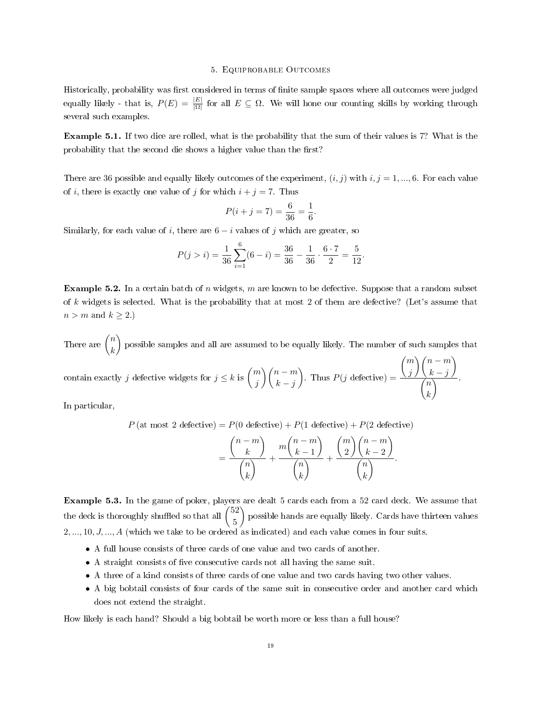#### 5. Equiprobable Outcomes

Historically, probability was first considered in terms of finite sample spaces where all outcomes were judged equally likely - that is,  $P(E) = \frac{|E|}{|\Omega|}$  for all  $E \subseteq \Omega$ . We will hone our counting skills by working through several such examples.

Example 5.1. If two dice are rolled, what is the probability that the sum of their values is 7? What is the probability that the second die shows a higher value than the first?

There are 36 possible and equally likely outcomes of the experiment,  $(i, j)$  with  $i, j = 1, ..., 6$ . For each value of *i*, there is exactly one value of *j* for which  $i + j = 7$ . Thus

$$
P(i + j = 7) = \frac{6}{36} = \frac{1}{6}.
$$

Similarly, for each value of i, there are  $6-i$  values of j which are greater, so

$$
P(j > i) = \frac{1}{36} \sum_{i=1}^{6} (6 - i) = \frac{36}{36} - \frac{1}{36} \cdot \frac{6 \cdot 7}{2} = \frac{5}{12}.
$$

**Example 5.2.** In a certain batch of n widgets, m are known to be defective. Suppose that a random subset of  $k$  widgets is selected. What is the probability that at most 2 of them are defective? (Let's assume that  $n > m$  and  $k \geq 2$ .)

There are  $\binom{n}{k}$ k possible samples and all are assumed to be equally likely. The number of such samples that

contain exactly  $j$  defective widgets for  $j \leq k$  is  $\binom{m}{k}$ j  $\binom{n-m}{m}$  $k - j$ ). Thus  $P(j \text{ defective}) =$  $\sqrt{m}$ j  $\binom{n-m}{n}$  $k - j$  $\setminus$  $\sqrt{n}$ k  $\frac{1}{\sqrt{1-\frac{1}{\sqrt{1-\frac{1}{\sqrt{1-\frac{1}{\sqrt{1-\frac{1}{\sqrt{1-\frac{1}{\sqrt{1-\frac{1}{\sqrt{1-\frac{1}{\sqrt{1-\frac{1}{\sqrt{1-\frac{1}{\sqrt{1-\frac{1}{\sqrt{1-\frac{1}{\sqrt{1-\frac{1}{\sqrt{1-\frac{1}{\sqrt{1-\frac{1}{\sqrt{1-\frac{1}{\sqrt{1-\frac{1}{\sqrt{1-\frac{1}{\sqrt{1-\frac{1}{\sqrt{1-\frac{1}{\sqrt{1-\frac{1}{\sqrt{1-\frac{1}{\sqrt{1-\frac{1}{\sqrt{1-\frac{1}{\sqrt{1-\frac{1$ 

In particular,

$$
P(\text{at most 2 defective}) = P(0 \text{ defective}) + P(1 \text{ defective}) + P(2 \text{ defective})
$$

$$
= \frac{\binom{n-m}{k}}{\binom{n}{k}} + \frac{m\binom{n-m}{k-1}}{\binom{n}{k}} + \frac{\binom{m}{2}\binom{n-m}{k-2}}{\binom{n}{k}}.
$$

Example 5.3. In the game of poker, players are dealt 5 cards each from a 52 card deck. We assume that the deck is thoroughly shuffled so that all  $\binom{52}{5}$ 5 possible hands are equally likely. Cards have thirteen values  $2, ..., 10, J, ..., A$  (which we take to be ordered as indicated) and each value comes in four suits.

- A full house consists of three cards of one value and two cards of another.
- $\bullet$  A straight consists of five consecutive cards not all having the same suit.
- A three of a kind consists of three cards of one value and two cards having two other values.
- A big bobtail consists of four cards of the same suit in consecutive order and another card which does not extend the straight.

How likely is each hand? Should a big bobtail be worth more or less than a full house?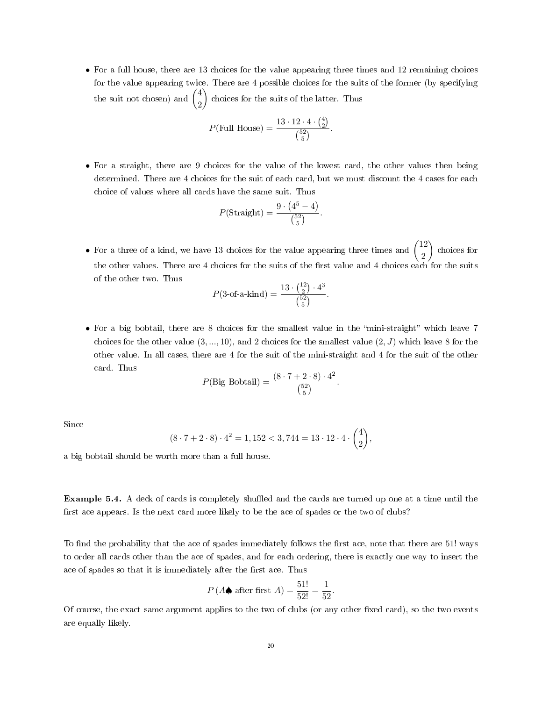• For a full house, there are 13 choices for the value appearing three times and 12 remaining choices for the value appearing twice. There are 4 possible choices for the suits of the former (by specifying the suit not chosen) and  $\binom{4}{9}$ 2 choices for the suits of the latter. Thus

$$
P(\text{Full House}) = \frac{13 \cdot 12 \cdot 4 \cdot {\binom{4}{2}}}{\binom{52}{5}}.
$$

• For a straight, there are 9 choices for the value of the lowest card, the other values then being determined. There are 4 choices for the suit of each card, but we must discount the 4 cases for each choice of values where all cards have the same suit. Thus

$$
P(\text{Straight}) = \frac{9 \cdot (4^5 - 4)}{\binom{5^2}{5}}.
$$

• For a three of a kind, we have 13 choices for the value appearing three times and  $\binom{12}{2}$ 2 choices for the other values. There are 4 choices for the suits of the first value and 4 choices each for the suits of the other two. Thus

$$
P(\text{3-of-a-kind}) = \frac{13 \cdot \binom{12}{2} \cdot 4^3}{\binom{52}{5}}.
$$

• For a big bobtail, there are 8 choices for the smallest value in the "mini-straight" which leave 7 choices for the other value  $(3, ..., 10)$ , and 2 choices for the smallest value  $(2, J)$  which leave 8 for the other value. In all cases, there are 4 for the suit of the mini-straight and 4 for the suit of the other card. Thus

$$
P(\text{Big Bothail}) = \frac{(8 \cdot 7 + 2 \cdot 8) \cdot 4^2}{\binom{52}{5}}.
$$

Since

$$
(8 \cdot 7 + 2 \cdot 8) \cdot 4^2 = 1,152 < 3,744 = 13 \cdot 12 \cdot 4 \cdot \binom{4}{2},
$$

a big bobtail should be worth more than a full house.

Example 5.4. A deck of cards is completely shuffled and the cards are turned up one at a time until the first ace appears. Is the next card more likely to be the ace of spades or the two of clubs?

To find the probability that the ace of spades immediately follows the first ace, note that there are 51! ways to order all cards other than the ace of spades, and for each ordering, there is exactly one way to insert the ace of spades so that it is immediately after the first ace. Thus

$$
P(A\spadesuit \text{ after first } A) = \frac{51!}{52!} = \frac{1}{52}.
$$

Of course, the exact same argument applies to the two of clubs (or any other fixed card), so the two events are equally likely.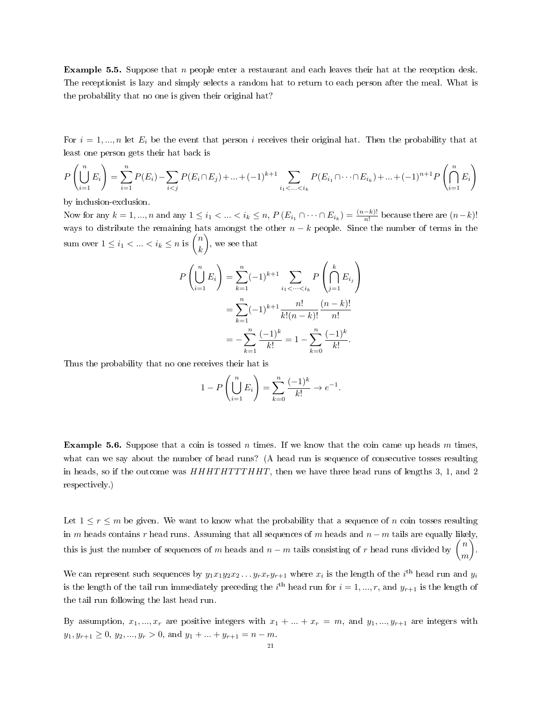**Example 5.5.** Suppose that n people enter a restaurant and each leaves their hat at the reception desk. The receptionist is lazy and simply selects a random hat to return to each person after the meal. What is the probability that no one is given their original hat?

For  $i = 1, ..., n$  let  $E_i$  be the event that person i receives their original hat. Then the probability that at least one person gets their hat back is

$$
P\left(\bigcup_{i=1}^{n} E_i\right) = \sum_{i=1}^{n} P(E_i) - \sum_{i < j} P(E_i \cap E_j) + \dots + (-1)^{k+1} \sum_{i_1 < \dots < i_k} P(E_{i_1} \cap \dots \cap E_{i_k}) + \dots + (-1)^{n+1} P\left(\bigcap_{i=1}^{n} E_i\right)
$$

by inclusion-exclusion.

Now for any  $k = 1, ..., n$  and any  $1 \leq i_1 < ... < i_k \leq n$ ,  $P(E_{i_1} \cap \cdots \cap E_{i_k}) = \frac{(n-k)!}{n!}$  because there are  $(n-k)!$ ways to distribute the remaining hats amongst the other  $n - k$  people. Since the number of terms in the sum over  $1 \leq i_1 < ... < i_k \leq n$  is  $\binom{n}{k}$ k , we see that

$$
P\left(\bigcup_{i=1}^{n} E_i\right) = \sum_{k=1}^{n} (-1)^{k+1} \sum_{i_1 < \dots < i_k} P\left(\bigcap_{j=1}^{k} E_{i_j}\right)
$$
  
= 
$$
\sum_{k=1}^{n} (-1)^{k+1} \frac{n!}{k!(n-k)!} \frac{(n-k)!}{n!}
$$
  
= 
$$
-\sum_{k=1}^{n} \frac{(-1)^k}{k!} = 1 - \sum_{k=0}^{n} \frac{(-1)^k}{k!}.
$$

Thus the probability that no one receives their hat is

$$
1 - P\left(\bigcup_{i=1}^{n} E_i\right) = \sum_{k=0}^{n} \frac{(-1)^k}{k!} \to e^{-1}.
$$

**Example 5.6.** Suppose that a coin is tossed n times. If we know that the coin came up heads m times, what can we say about the number of head runs? (A head run is sequence of consecutive tosses resulting in heads, so if the outcome was  $HHHTHTTHHT$ , then we have three head runs of lengths 3, 1, and 2 respectively.)

Let  $1 \le r \le m$  be given. We want to know what the probability that a sequence of n coin tosses resulting in m heads contains r head runs. Assuming that all sequences of m heads and  $n - m$  tails are equally likely, this is just the number of sequences of  $m$  heads and  $n-m$  tails consisting of  $r$  head runs divided by  $\left( \frac{n}{r} \right)$ m .

We can represent such sequences by  $y_1x_1y_2x_2...y_rx_ry_{r+1}$  where  $x_i$  is the length of the  $i^{\text{th}}$  head run and  $y_i$ is the length of the tail run immediately preceding the  $i^{\text{th}}$  head run for  $i = 1, ..., r$ , and  $y_{r+1}$  is the length of the tail run following the last head run.

By assumption,  $x_1, ..., x_r$  are positive integers with  $x_1 + ... + x_r = m$ , and  $y_1, ..., y_{r+1}$  are integers with  $y_1, y_{r+1} \ge 0, y_2, ..., y_r > 0$ , and  $y_1 + ... + y_{r+1} = n - m$ .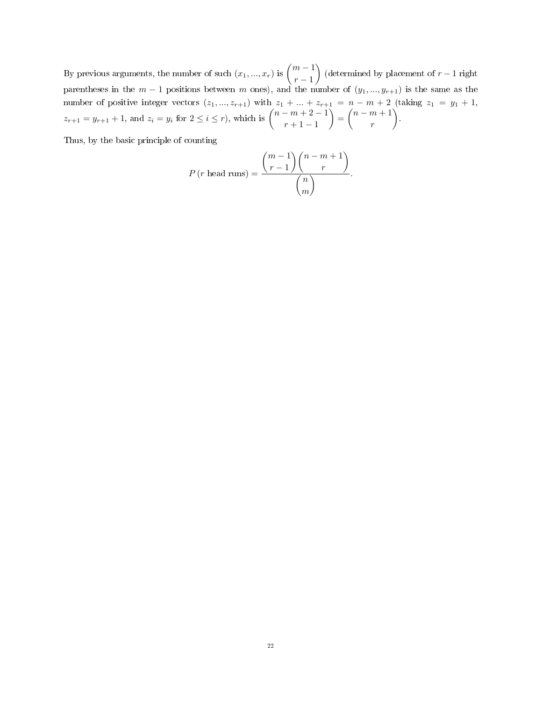By previous arguments, the number of such  $(x_1, ..., x_r)$  is  $\binom{m-1}{r}$  $r-1$ (determined by placement of  $r-1$  right) parentheses in the  $m-1$  positions between  $m$  ones), and the number of  $(y_1, ..., y_{r+1})$  is the same as the number of positive integer vectors  $(z_1, ..., z_{r+1})$  with  $z_1 + ... + z_{r+1} = n - m + 2$  (taking  $z_1 = y_1 + 1$ ,  $z_{r+1} = y_{r+1} + 1$ , and  $z_i = y_i$  for  $2 \le i \le r$ ), which is  $\binom{n-m+2-1}{n+1}$  $r + 1 - 1$  $=\binom{n-m+1}{n}$ r .

Thus, by the basic principle of counting

$$
P(r \text{ head runs}) = \frac{\binom{m-1}{r-1}\binom{n-m+1}{r}}{\binom{n}{m}}.
$$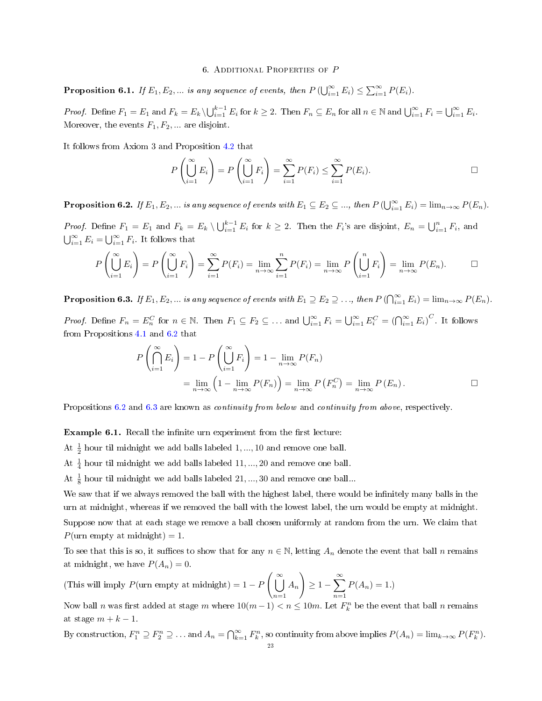### 6. Additional Properties of P

<span id="page-22-2"></span>**Proposition 6.1.** If  $E_1, E_2, ...$  is any sequence of events, then  $P(\bigcup_{i=1}^{\infty} E_i) \leq \sum_{i=1}^{\infty} P(E_i)$ .

*Proof.* Define  $F_1 = E_1$  and  $F_k = E_k \setminus \bigcup_{i=1}^{k-1} E_i$  for  $k \geq 2$ . Then  $F_n \subseteq E_n$  for all  $n \in \mathbb{N}$  and  $\bigcup_{i=1}^{\infty} F_i = \bigcup_{i=1}^{\infty} E_i$ . Moreover, the events  $F_1, F_2, \dots$  are disjoint.

It follows from Axiom 3 and Proposition [4.2](#page-16-2) that

$$
P\left(\bigcup_{i=1}^{\infty} E_i\right) = P\left(\bigcup_{i=1}^{\infty} F_i\right) = \sum_{i=1}^{\infty} P(F_i) \le \sum_{i=1}^{\infty} P(E_i).
$$

<span id="page-22-0"></span>**Proposition 6.2.** If  $E_1, E_2, ...$  is any sequence of events with  $E_1 \subseteq E_2 \subseteq ...$ , then  $P(\bigcup_{i=1}^{\infty} E_i) = \lim_{n \to \infty} P(E_n)$ .

*Proof.* Define  $F_1 = E_1$  and  $F_k = E_k \setminus \bigcup_{i=1}^{k-1} E_i$  for  $k \geq 2$ . Then the  $F_i$ 's are disjoint,  $E_n = \bigcup_{i=1}^n F_i$ , and  $\bigcup_{i=1}^{\infty} E_i = \bigcup_{i=1}^{\infty} F_i$ . It follows that

$$
P\left(\bigcup_{i=1}^{\infty} E_i\right) = P\left(\bigcup_{i=1}^{\infty} F_i\right) = \sum_{i=1}^{\infty} P(F_i) = \lim_{n \to \infty} \sum_{i=1}^{n} P(F_i) = \lim_{n \to \infty} P\left(\bigcup_{i=1}^{n} F_i\right) = \lim_{n \to \infty} P(E_n).
$$

<span id="page-22-1"></span>**Proposition 6.3.** If  $E_1, E_2, ...$  is any sequence of events with  $E_1 \supseteq E_2 \supseteq ...$ , then  $P(\bigcap_{i=1}^{\infty} E_i) = \lim_{n \to \infty} P(E_n)$ .

*Proof.* Define  $F_n = E_n^C$  for  $n \in \mathbb{N}$ . Then  $F_1 \subseteq F_2 \subseteq \ldots$  and  $\bigcup_{i=1}^{\infty} F_i = \bigcup_{i=1}^{\infty} E_i^C = \left(\bigcap_{i=1}^{\infty} E_i\right)^C$ . It follows from Propositions [4.1](#page-16-1) and [6.2](#page-22-0) that

$$
P\left(\bigcap_{i=1}^{\infty} E_i\right) = 1 - P\left(\bigcup_{i=1}^{\infty} F_i\right) = 1 - \lim_{n \to \infty} P(F_n)
$$
  
= 
$$
\lim_{n \to \infty} \left(1 - \lim_{n \to \infty} P(F_n)\right) = \lim_{n \to \infty} P\left(F_n^C\right) = \lim_{n \to \infty} P\left(E_n\right).
$$

Propositions [6.2](#page-22-0) and [6.3](#page-22-1) are known as *continuity from below* and *continuity from above*, respectively.

Example 6.1. Recall the infinite urn experiment from the first lecture:

At  $\frac{1}{2}$  hour til midnight we add balls labeled 1, ..., 10 and remove one ball.

At  $\frac{1}{4}$  hour til midnight we add balls labeled 11, ..., 20 and remove one ball.

At  $\frac{1}{8}$  hour til midnight we add balls labeled  $21, ..., 30$  and remove one ball...

We saw that if we always removed the ball with the highest label, there would be infinitely many balls in the urn at midnight, whereas if we removed the ball with the lowest label, the urn would be empty at midnight. Suppose now that at each stage we remove a ball chosen uniformly at random from the urn. We claim that  $P($ urn empty at midnight) = 1.

To see that this is so, it suffices to show that for any  $n \in \mathbb{N}$ , letting  $A_n$  denote the event that ball n remains at midnight, we have  $P(A_n) = 0$ .

(This will imply  $P(\text{urn empty at midnight}) = 1 - P \begin{pmatrix} \infty \\ \infty \end{pmatrix}$  $n=1$  $A_n$  $\setminus$  $\geq 1-\sum_{n=1}^{\infty}$  $n=1$  $P(A_n) = 1.$ 

Now ball n was first added at stage m where  $10(m-1) < n \le 10m$ . Let  $F_k^n$  be the event that ball n remains at stage  $m + k - 1$ .

By construction,  $F_1^n \supseteq F_2^n \supseteq \ldots$  and  $A_n = \bigcap_{k=1}^{\infty} F_k^n$ , so continuity from above implies  $P(A_n) = \lim_{k \to \infty} P(F_k^n)$ .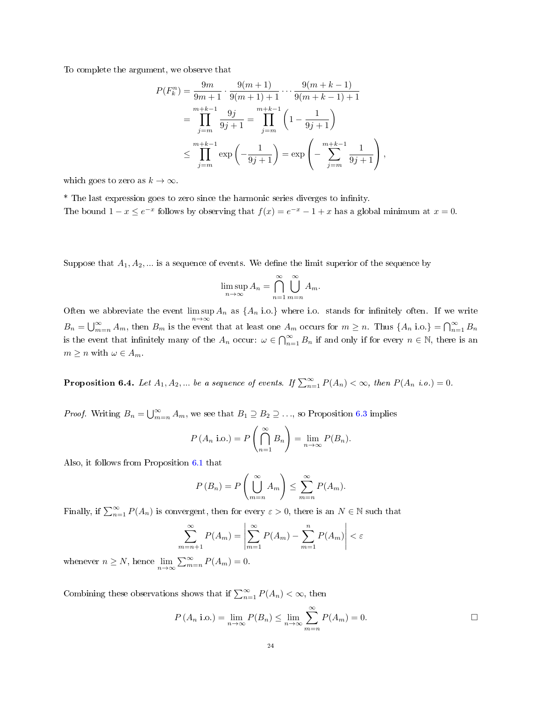To complete the argument, we observe that

$$
P(F_k^n) = \frac{9m}{9m+1} \cdot \frac{9(m+1)}{9(m+1)+1} \cdots \frac{9(m+k-1)}{9(m+k-1)+1}
$$
  
= 
$$
\prod_{j=m}^{m+k-1} \frac{9j}{9j+1} = \prod_{j=m}^{m+k-1} \left(1 - \frac{1}{9j+1}\right)
$$
  

$$
\leq \prod_{j=m}^{m+k-1} \exp\left(-\frac{1}{9j+1}\right) = \exp\left(-\sum_{j=m}^{m+k-1} \frac{1}{9j+1}\right),
$$

which goes to zero as  $k \to \infty$ .

\* The last expression goes to zero since the harmonic series diverges to infinity. The bound  $1 - x \le e^{-x}$  follows by observing that  $f(x) = e^{-x} - 1 + x$  has a global minimum at  $x = 0$ .

Suppose that  $A_1, A_2, \ldots$  is a sequence of events. We define the limit superior of the sequence by

$$
\limsup_{n \to \infty} A_n = \bigcap_{n=1}^{\infty} \bigcup_{m=n}^{\infty} A_m.
$$

Often we abbreviate the event  $\limsup A_n$  as  $\{A_n \text{ i.o.}\}$  where i.o. stands for infinitely often. If we write  $n\rightarrow\infty$  $B_n = \bigcup_{m=n}^{\infty} A_m$ , then  $B_m$  is the event that at least one  $A_m$  occurs for  $m \geq n$ . Thus  $\{A_n \text{ i.o.}\} = \bigcap_{n=1}^{\infty} B_n$ is the event that infinitely many of the  $A_n$  occur:  $\omega \in \bigcap_{n=1}^{\infty} B_n$  if and only if for every  $n \in \mathbb{N}$ , there is an  $m \geq n$  with  $\omega \in A_m$ .

**Proposition 6.4.** Let  $A_1, A_2, ...$  be a sequence of events. If  $\sum_{n=1}^{\infty} P(A_n) < \infty$ , then  $P(A_n \text{ i.o.}) = 0$ .

*Proof.* Writing  $B_n = \bigcup_{m=n}^{\infty} A_m$ , we see that  $B_1 \supseteq B_2 \supseteq \ldots$ , so Proposition [6.3](#page-22-1) implies

$$
P(A_n \text{ i.o.}) = P\left(\bigcap_{n=1}^{\infty} B_n\right) = \lim_{n \to \infty} P(B_n).
$$

Also, it follows from Proposition [6.1](#page-22-2) that

$$
P(B_n) = P\left(\bigcup_{m=n}^{\infty} A_m\right) \le \sum_{m=n}^{\infty} P(A_m).
$$

Finally, if  $\sum_{n=1}^{\infty} P(A_n)$  is convergent, then for every  $\varepsilon > 0$ , there is an  $N \in \mathbb{N}$  such that

$$
\sum_{m=n+1}^{\infty} P(A_m) = \left| \sum_{m=1}^{\infty} P(A_m) - \sum_{m=1}^{n} P(A_m) \right| < \varepsilon
$$

whenever  $n \ge N$ , hence  $\lim_{n \to \infty} \sum_{m=n}^{\infty} P(A_m) = 0$ .

Combining these observations shows that if  $\sum_{n=1}^{\infty} P(A_n) < \infty$ , then

$$
P(A_n \text{ i.o.}) = \lim_{n \to \infty} P(B_n) \le \lim_{n \to \infty} \sum_{m=n}^{\infty} P(A_m) = 0.
$$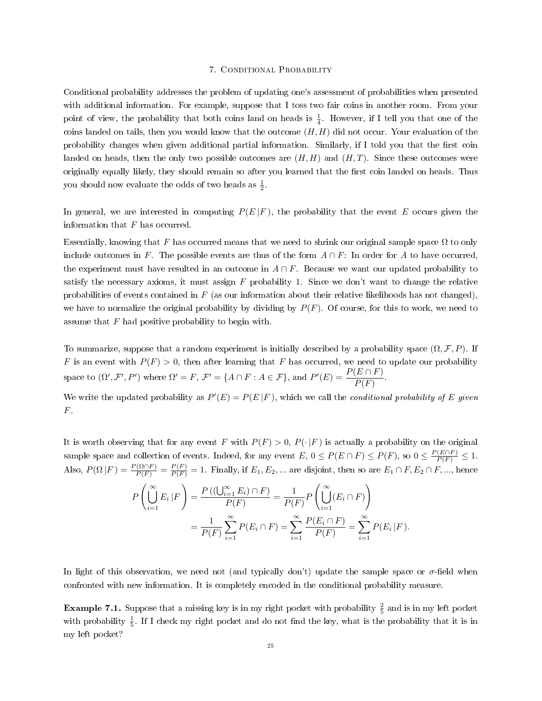### 7. Conditional Probability

Conditional probability addresses the problem of updating one's assessment of probabilities when presented with additional information. For example, suppose that I toss two fair coins in another room. From your point of view, the probability that both coins land on heads is  $\frac{1}{4}$ . However, if I tell you that one of the coins landed on tails, then you would know that the outcome  $(H, H)$  did not occur. Your evaluation of the probability changes when given additional partial information. Similarly, if I told you that the first coin landed on heads, then the only two possible outcomes are  $(H, H)$  and  $(H, T)$ . Since these outcomes were originally equally likely, they should remain so after you learned that the first coin landed on heads. Thus you should now evaluate the odds of two heads as  $\frac{1}{2}$ .

In general, we are interested in computing  $P(E|F)$ , the probability that the event E occurs given the information that  $F$  has occurred.

Essentially, knowing that F has occurred means that we need to shrink our original sample space  $\Omega$  to only include outcomes in F. The possible events are thus of the form  $A \cap F$ : In order for A to have occurred, the experiment must have resulted in an outcome in  $A \cap F$ . Because we want our updated probability to satisfy the necessary axioms, it must assign  $F$  probability 1. Since we don't want to change the relative probabilities of events contained in  $F$  (as our information about their relative likelihoods has not changed). we have to normalize the original probability by dividing by  $P(F)$ . Of course, for this to work, we need to assume that  $F$  had positive probability to begin with.

To summarize, suppose that a random experiment is initially described by a probability space  $(\Omega, \mathcal{F}, P)$ . If F is an event with  $P(F) > 0$ , then after learning that F has occurred, we need to update our probability space to  $(\Omega', \mathcal{F}', P')$  where  $\Omega' = F$ ,  $\mathcal{F}' = \{A \cap F : A \in \mathcal{F}\}$ , and  $P'(E) = \frac{P(E \cap F)}{P(F)}$ .

We write the updated probability as  $P'(E) = P(E|F)$ , which we call the *conditional probability of E given* F.

It is worth observing that for any event F with  $P(F) > 0$ ,  $P(\cdot | F)$  is actually a probability on the original sample space and collection of events. Indeed, for any event  $E, 0 \le P(E \cap F) \le P(F)$ , so  $0 \le \frac{P(E \cap F)}{P(F)} \le 1$ . Also,  $P(\Omega|F) = \frac{P(\Omega \cap F)}{P(F)} = \frac{P(F)}{P(F)} = 1$ . Finally, if  $E_1, E_2, \dots$  are disjoint, then so are  $E_1 \cap F, E_2 \cap F, \dots$ , hence

$$
P\left(\bigcup_{i=1}^{\infty} E_i | F\right) = \frac{P\left((\bigcup_{i=1}^{\infty} E_i) \cap F\right)}{P(F)} = \frac{1}{P(F)} P\left(\bigcup_{i=1}^{\infty} (E_i \cap F)\right)
$$
  
= 
$$
\frac{1}{P(F)} \sum_{i=1}^{\infty} P(E_i \cap F) = \sum_{i=1}^{\infty} \frac{P(E_i \cap F)}{P(F)} = \sum_{i=1}^{\infty} P(E_i | F).
$$

In light of this observation, we need not (and typically don't) update the sample space or  $\sigma$ -field when confronted with new information. It is completely encoded in the conditional probability measure.

**Example 7.1.** Suppose that a missing key is in my right pocket with probability  $\frac{2}{5}$  and is in my left pocket with probability  $\frac{1}{5}$ . If I check my right pocket and do not find the key, what is the probability that it is in my left pocket?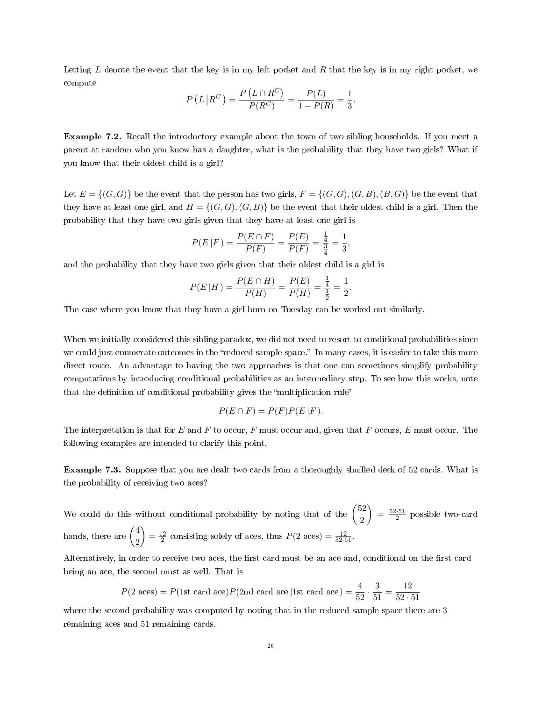Letting  $L$  denote the event that the key is in my left pocket and  $R$  that the key is in my right pocket, we compute

$$
P(L | R^{C}) = \frac{P(L \cap R^{C})}{P(R^{C})} = \frac{P(L)}{1 - P(R)} = \frac{1}{3}.
$$

Example 7.2. Recall the introductory example about the town of two sibling households. If you meet a parent at random who you know has a daughter, what is the probability that they have two girls? What if you know that their oldest child is a girl?

Let  $E = \{(G, G)\}\$  be the event that the person has two girls,  $F = \{(G, G), (G, B), (B, G)\}\$  be the event that they have at least one girl, and  $H = \{(G, G), (G, B)\}\$ be the event that their oldest child is a girl. Then the probability that they have two girls given that they have at least one girl is

$$
P(E|F) = \frac{P(E \cap F)}{P(F)} = \frac{P(E)}{P(F)} = \frac{\frac{1}{4}}{\frac{3}{4}} = \frac{1}{3},
$$

and the probability that they have two girls given that their oldest child is a girl is

$$
P(E | H) = \frac{P(E \cap H)}{P(H)} = \frac{P(E)}{P(H)} = \frac{\frac{1}{4}}{\frac{1}{2}} = \frac{1}{2}.
$$

The case where you know that they have a girl born on Tuesday can be worked out similarly.

When we initially considered this sibling paradox, we did not need to resort to conditional probabilities since we could just enumerate outcomes in the "reduced sample space." In many cases, it is easier to take this more direct route. An advantage to having the two approaches is that one can sometimes simplify probability computations by introducing conditional probabilities as an intermediary step. To see how this works, note that the definition of conditional probability gives the "multiplication rule"

$$
P(E \cap F) = P(F)P(E|F).
$$

The interpretation is that for  $E$  and  $F$  to occur,  $F$  must occur and, given that  $F$  occurs,  $E$  must occur. The following examples are intended to clarify this point.

**Example 7.3.** Suppose that you are dealt two cards from a thoroughly shuffled deck of 52 cards. What is the probability of receiving two aces?

We could do this without conditional probability by noting that of the 
$$
\binom{52}{2} = \frac{52 \cdot 51}{2}
$$
 possible two-card hands, there are  $\binom{4}{2} = \frac{12}{2}$  consisting solely of aces, thus  $P(2 \text{ aces}) = \frac{12}{52 \cdot 51}$ .

Alternatively, in order to receive two aces, the first card must be an ace and, conditional on the first card being an ace, the second must as well. That is

$$
P(2 \text{ aces}) = P(1 \text{st card ace})P(2 \text{nd card ace} | 1 \text{st card ace}) = \frac{4}{52} \cdot \frac{3}{51} = \frac{12}{52 \cdot 51}
$$

where the second probability was computed by noting that in the reduced sample space there are 3 remaining aces and 51 remaining cards.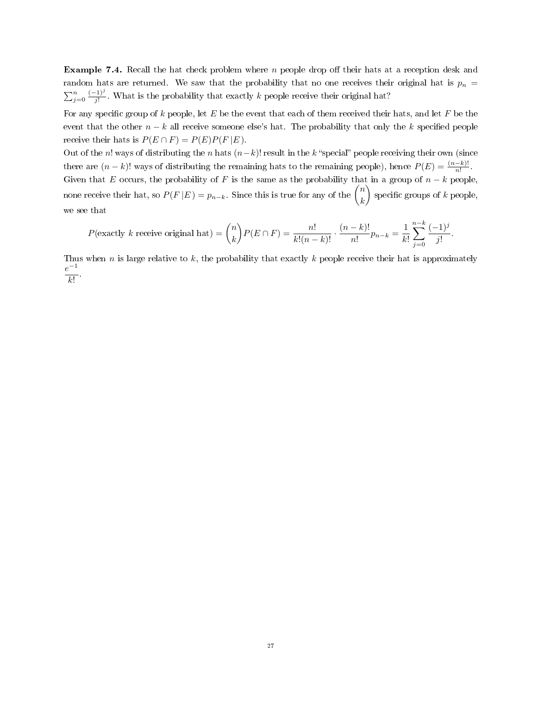**Example 7.4.** Recall the hat check problem where  $n$  people drop off their hats at a reception desk and random hats are returned. We saw that the probability that no one receives their original hat is  $p_n =$  $\sum_{j=0}^{n} \frac{(-1)^j}{j!}$  $\frac{f(1)^2}{j!}$ . What is the probability that exactly k people receive their original hat?

For any specific group of k people, let E be the event that each of them received their hats, and let F be the event that the other  $n - k$  all receive someone else's hat. The probability that only the k specified people receive their hats is  $P(E \cap F) = P(E)P(F|E)$ .

Out of the n! ways of distributing the n hats  $(n-k)!$  result in the k "special" people receiving their own (since there are  $(n - k)!$  ways of distributing the remaining hats to the remaining people), hence  $P(E) = \frac{(n-k)!}{n!}$ . Given that E occurs, the probability of F is the same as the probability that in a group of  $n - k$  people, none receive their hat, so  $P(F|E) = p_{n-k}$ . Since this is true for any of the  $\binom{n}{k}$ k  $\big)$  specific groups of k people, we see that

$$
P(\text{exactly } k \text{ receive original hat}) = {n \choose k} P(E \cap F) = \frac{n!}{k!(n-k)!} \cdot \frac{(n-k)!}{n!} p_{n-k} = \frac{1}{k!} \sum_{j=0}^{n-k} \frac{(-1)^j}{j!}.
$$

Thus when n is large relative to k, the probability that exactly k people receive their hat is approximately  $e^{-1}$  $\frac{k!}{k!}$ .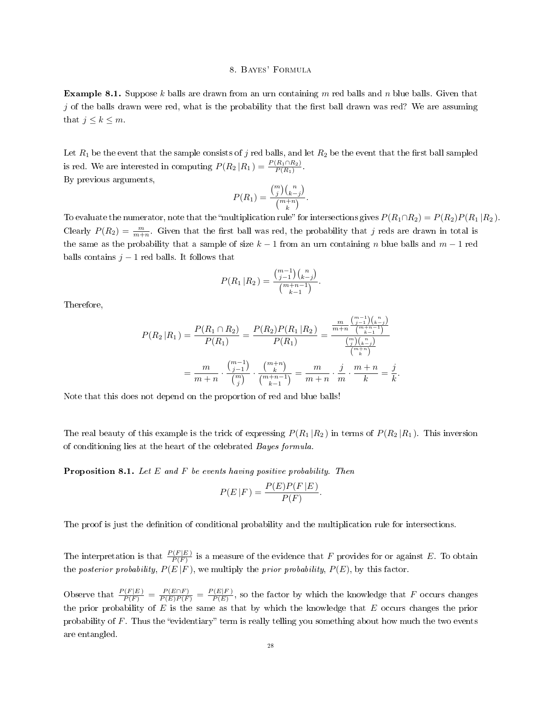## 8. Bayes' Formula

**Example 8.1.** Suppose k balls are drawn from an urn containing m red balls and n blue balls. Given that j of the balls drawn were red, what is the probability that the first ball drawn was red? We are assuming that  $j \leq k \leq m$ .

Let  $R_1$  be the event that the sample consists of j red balls, and let  $R_2$  be the event that the first ball sampled is red. We are interested in computing  $P(R_2|R_1) = \frac{P(R_1 \cap R_2)}{P(R_1)}$ . By previous arguments,

$$
P(R_1) = \frac{\binom{m}{j}\binom{n}{k-j}}{\binom{m+n}{k}}.
$$

To evaluate the numerator, note that the "multiplication rule" for intersections gives  $P(R_1 \cap R_2) = P(R_2)P(R_1 | R_2)$ . Clearly  $P(R_2) = \frac{m}{m+n}$ . Given that the first ball was red, the probability that j reds are drawn in total is the same as the probability that a sample of size  $k-1$  from an urn containing n blue balls and  $m-1$  red balls contains  $j-1$  red balls. It follows that

$$
P(R_1|R_2) = \frac{\binom{m-1}{j-1}\binom{n}{k-j}}{\binom{m+n-1}{k-1}}.
$$

Therefore,

$$
P(R_2|R_1) = \frac{P(R_1 \cap R_2)}{P(R_1)} = \frac{P(R_2)P(R_1|R_2)}{P(R_1)} = \frac{\frac{m}{m+n} \frac{\binom{m-1}{j-1} \binom{k}{k-j}}{\binom{m}{k-j}}}{\frac{\binom{m}{j} \binom{n}{k-j}}{\binom{m}{k-j}}}
$$

$$
= \frac{m}{m+n} \cdot \frac{\binom{m-1}{j-1}}{\binom{m}{j}} \cdot \frac{\binom{m+n}{k}}{\binom{m+n-1}{k-1}} = \frac{m}{m+n} \cdot \frac{j}{m} \cdot \frac{m+n}{k} = \frac{j}{k}.
$$

Note that this does not depend on the proportion of red and blue balls!

The real beauty of this example is the trick of expressing  $P(R_1 | R_2)$  in terms of  $P(R_2 | R_1)$ . This inversion of conditioning lies at the heart of the celebrated Bayes formula.

Proposition 8.1. Let E and F be events having positive probability. Then

$$
P(E|F) = \frac{P(E)P(F|E)}{P(F)}.
$$

The proof is just the definition of conditional probability and the multiplication rule for intersections.

The interpretation is that  $\frac{P(F|E)}{P(F)}$  is a measure of the evidence that F provides for or against E. To obtain the posterior probability,  $P(E|F)$ , we multiply the prior probability,  $P(E)$ , by this factor.

Observe that  $\frac{P(F|E)}{P(F)} = \frac{P(E \cap F)}{P(E)P(F)} = \frac{P(E|F)}{P(E)}$  $\frac{P(E|F)}{P(E)}$ , so the factor by which the knowledge that F occurs changes the prior probability of  $E$  is the same as that by which the knowledge that  $E$  occurs changes the prior probability of  $F$ . Thus the "evidentiary" term is really telling you something about how much the two events are entangled.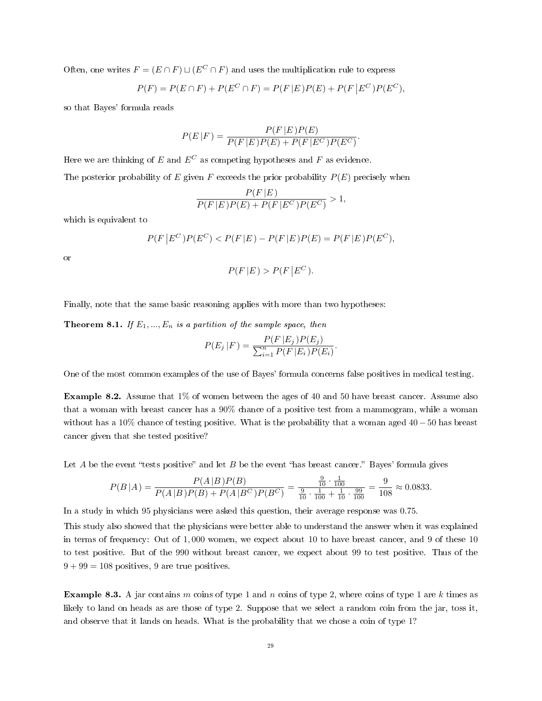Often, one writes  $F = (E \cap F) \sqcup (E^C \cap F)$  and uses the multiplication rule to express

$$
P(F) = P(E \cap F) + P(E^C \cap F) = P(F | E)P(E) + P(F | E^C)P(E^C),
$$

so that Bayes' formula reads

$$
P(E|F) = \frac{P(F|E)P(E)}{P(F|E)P(E) + P(F|E^C)P(E^C)}.
$$

Here we are thinking of  $E$  and  $E^C$  as competing hypotheses and  $F$  as evidence. The posterior probability of E given F exceeds the prior probability  $P(E)$  precisely when

$$
\frac{P(F \mid E)}{P(F \mid E)P(E) + P(F \mid E^C)P(E^C)} > 1,
$$

which is equivalent to

$$
P(F | E^{C}) P(E^{C}) < P(F | E) - P(F | E) P(E) = P(F | E) P(E^{C}),
$$

or

$$
P(F|E) > P(F|E^C).
$$

Finally, note that the same basic reasoning applies with more than two hypotheses:

**Theorem 8.1.** If  $E_1, ..., E_n$  is a partition of the sample space, then

$$
P(E_j | F) = \frac{P(F | E_j) P(E_j)}{\sum_{i=1}^{n} P(F | E_i) P(E_i)}.
$$

One of the most common examples of the use of Bayes' formula concerns false positives in medical testing.

Example 8.2. Assume that 1% of women between the ages of 40 and 50 have breast cancer. Assume also that a woman with breast cancer has a 90% chance of a positive test from a mammogram, while a woman without has a 10% chance of testing positive. What is the probability that a woman aged 40 − 50 has breast cancer given that she tested positive?

Let A be the event "tests positive" and let B be the event "has breast cancer." Bayes' formula gives

$$
P(B|A) = \frac{P(A|B)P(B)}{P(A|B)P(B) + P(A|B^C)P(B^C)} = \frac{\frac{9}{10} \cdot \frac{1}{100}}{\frac{9}{10} \cdot \frac{1}{100} + \frac{1}{10} \cdot \frac{99}{100}} = \frac{9}{108} \approx 0.0833.
$$

In a study in which 95 physicians were asked this question, their average response was 0.75.

This study also showed that the physicians were better able to understand the answer when it was explained in terms of frequency: Out of 1, 000 women, we expect about 10 to have breast cancer, and 9 of these 10 to test positive. But of the 990 without breast cancer, we expect about 99 to test positive. Thus of the  $9 + 99 = 108$  positives, 9 are true positives.

**Example 8.3.** A jar contains m coins of type 1 and n coins of type 2, where coins of type 1 are k times as likely to land on heads as are those of type 2. Suppose that we select a random coin from the jar, toss it, and observe that it lands on heads. What is the probability that we chose a coin of type 1?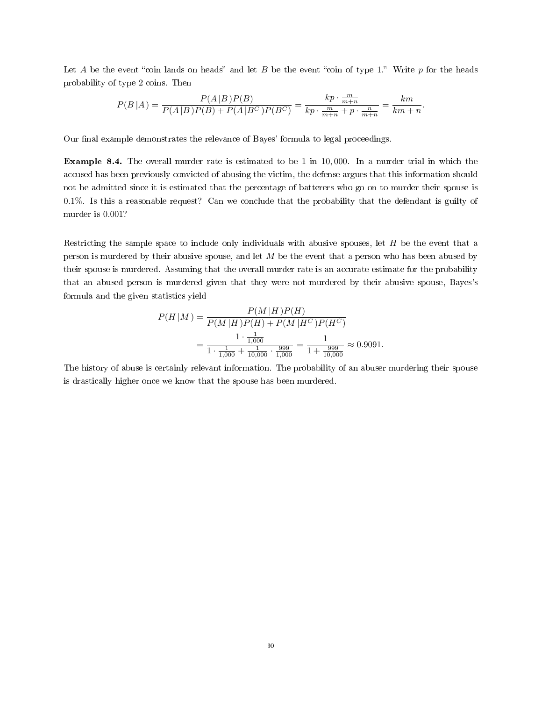Let A be the event "coin lands on heads" and let B be the event "coin of type 1." Write  $p$  for the heads probability of type 2 coins. Then

$$
P(B\,|A) = \frac{P(A\,|B)\,P(B)}{P(A\,|B)\,P(B) + P(A\,|B^C)\,P(B^C)} = \frac{kp\cdot\frac{m}{m+n}}{kp\cdot\frac{m}{m+n} + p\cdot\frac{n}{m+n}} = \frac{km}{km+n}.
$$

Our final example demonstrates the relevance of Bayes' formula to legal proceedings.

Example 8.4. The overall murder rate is estimated to be 1 in 10, 000. In a murder trial in which the accused has been previously convicted of abusing the victim, the defense argues that this information should not be admitted since it is estimated that the percentage of batterers who go on to murder their spouse is 0.1%. Is this a reasonable request? Can we conclude that the probability that the defendant is guilty of murder is 0.001?

Restricting the sample space to include only individuals with abusive spouses, let  $H$  be the event that a person is murdered by their abusive spouse, and let  $M$  be the event that a person who has been abused by their spouse is murdered. Assuming that the overall murder rate is an accurate estimate for the probability that an abused person is murdered given that they were not murdered by their abusive spouse, Bayes's formula and the given statistics yield

$$
P(H \mid M) = \frac{P(M \mid H)P(H)}{P(M \mid H)P(H) + P(M \mid H^C)P(H^C)}
$$
  
= 
$$
\frac{1 \cdot \frac{1}{1,000}}{1 \cdot \frac{1}{1,000} + \frac{1}{10,000} \cdot \frac{999}{1,000}} = \frac{1}{1 + \frac{999}{10,000}} \approx 0.9091.
$$

The history of abuse is certainly relevant information. The probability of an abuser murdering their spouse is drastically higher once we know that the spouse has been murdered.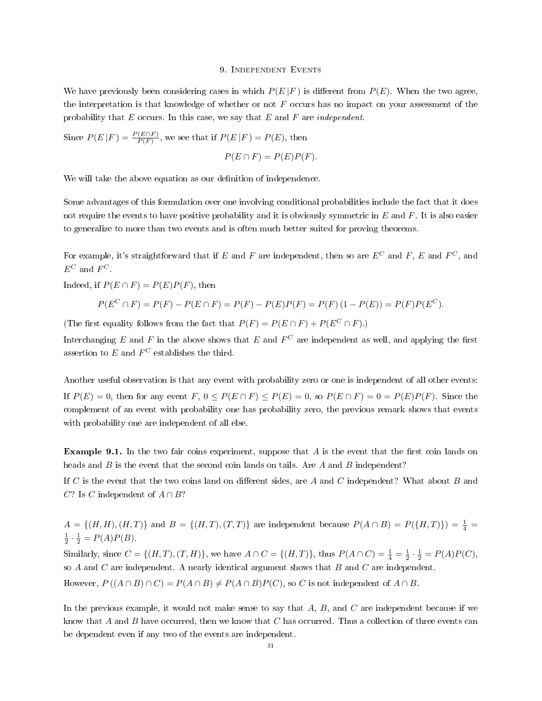### 9. Independent Events

We have previously been considering cases in which  $P(E|F)$  is different from  $P(E)$ . When the two agree, the interpretation is that knowledge of whether or not  $F$  occurs has no impact on your assessment of the probability that  $E$  occurs. In this case, we say that  $E$  and  $F$  are *independent*.

Since  $P(E|F) = \frac{P(E \cap F)}{P(F)}$ , we see that if  $P(E|F) = P(E)$ , then

$$
P(E \cap F) = P(E)P(F).
$$

We will take the above equation as our definition of independence.

Some advantages of this formulation over one involving conditional probabilities include the fact that it does not require the events to have positive probability and it is obviously symmetric in  $E$  and  $F$ . It is also easier to generalize to more than two events and is often much better suited for proving theorems.

For example, it's straightforward that if E and F are independent, then so are  $E^C$  and F, E and  $F^C$ , and  $E^C$  and  $F^C$ .

Indeed, if  $P(E \cap F) = P(E)P(F)$ , then

$$
P(E^C \cap F) = P(F) - P(E \cap F) = P(F) - P(E)P(F) = P(F)(1 - P(E)) = P(F)P(E^C).
$$

(The first equality follows from the fact that  $P(F) = P(E \cap F) + P(E^C \cap F)$ .)

Interchanging E and F in the above shows that E and  $F^C$  are independent as well, and applying the first assertion to  $E$  and  $F^C$  establishes the third.

Another useful observation is that any event with probability zero or one is independent of all other events: If  $P(E) = 0$ , then for any event  $F, 0 \le P(E \cap F) \le P(E) = 0$ , so  $P(E \cap F) = 0 = P(E)P(F)$ . Since the complement of an event with probability one has probability zero, the previous remark shows that events with probability one are independent of all else.

**Example 9.1.** In the two fair coins experiment, suppose that  $A$  is the event that the first coin lands on heads and  $B$  is the event that the second coin lands on tails. Are  $A$  and  $B$  independent?

If C is the event that the two coins land on different sides, are A and C independent? What about B and C? Is C independent of  $A \cap B$ ?

 $A = \{(H, H), (H, T)\}\$ and  $B = \{(H, T), (T, T)\}\$ are independent because  $P(A \cap B) = P(\{H, T)\}) = \frac{1}{4}$  $\frac{1}{2} \cdot \frac{1}{2} = P(A)P(B).$ Similarly, since  $C = \{(H, T), (T, H)\}\$ , we have  $A \cap C = \{(H, T)\}\$ , thus  $P(A \cap C) = \frac{1}{4} = \frac{1}{2} \cdot \frac{1}{2} = P(A)P(C)$ , so  $A$  and  $C$  are independent. A nearly identical argument shows that  $B$  and  $C$  are independent.

However,  $P((A \cap B) \cap C) = P(A \cap B) \neq P(A \cap B)P(C)$ , so C is not independent of  $A \cap B$ .

In the previous example, it would not make sense to say that  $A, B$ , and  $C$  are independent because if we know that A and B have occurred, then we know that C has occurred. Thus a collection of three events can be dependent even if any two of the events are independent.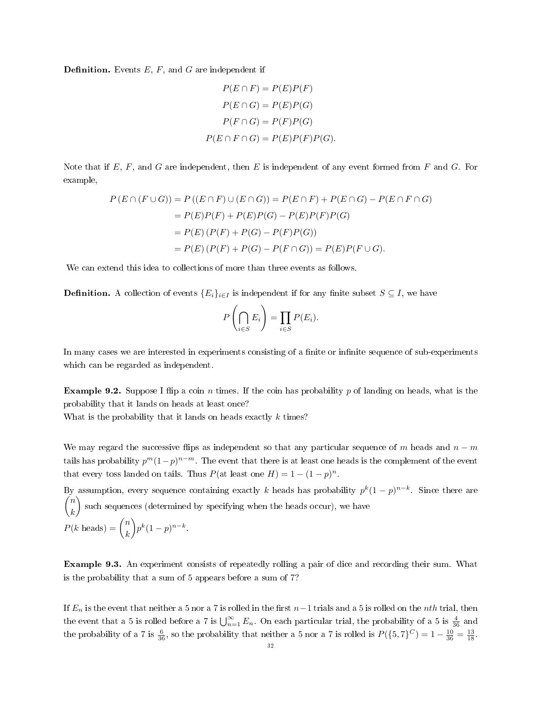**Definition.** Events  $E$ ,  $F$ , and  $G$  are independent if

$$
P(E \cap F) = P(E)P(F)
$$

$$
P(E \cap G) = P(E)P(G)
$$

$$
P(F \cap G) = P(F)P(G)
$$

$$
P(E \cap F \cap G) = P(E)P(F)P(G).
$$

Note that if  $E, F$ , and  $G$  are independent, then  $E$  is independent of any event formed from  $F$  and  $G$ . For example,

$$
P(E \cap (F \cup G)) = P((E \cap F) \cup (E \cap G)) = P(E \cap F) + P(E \cap G) - P(E \cap F \cap G)
$$
  
=  $P(E)P(F) + P(E)P(G) - P(E)P(F)P(G)$   
=  $P(E) (P(F) + P(G) - P(F)P(G))$   
=  $P(E) (P(F) + P(G) - P(F \cap G)) = P(E)P(F \cup G).$ 

We can extend this idea to collections of more than three events as follows.

**Definition.** A collection of events  ${E_i}_{i \in I}$  is independent if for any finite subset  $S \subseteq I$ , we have

$$
P\left(\bigcap_{i\in S} E_i\right) = \prod_{i\in S} P(E_i).
$$

In many cases we are interested in experiments consisting of a finite or infinite sequence of sub-experiments which can be regarded as independent.

**Example 9.2.** Suppose I flip a coin n times. If the coin has probability p of landing on heads, what is the probability that it lands on heads at least once?

What is the probability that it lands on heads exactly  $k$  times?

We may regard the successive flips as independent so that any particular sequence of m heads and  $n - m$ tails has probability  $p^m(1-p)^{n-m}$ . The event that there is at least one heads is the complement of the event that every toss landed on tails. Thus  $P(\text{at least one } H) = 1 - (1 - p)^n$ .

By assumption, every sequence containing exactly k heads has probability  $p^k(1-p)^{n-k}$ . Since there are  $\sqrt{n}$ k ) such sequences (determined by specifying when the heads occur), we have  $P(k \text{ heads}) = \binom{n}{k}$ k  $\bigg\} p^k (1-p)^{n-k}.$ 

Example 9.3. An experiment consists of repeatedly rolling a pair of dice and recording their sum. What is the probability that a sum of 5 appears before a sum of 7?

If  $E_n$  is the event that neither a 5 nor a 7 is rolled in the first  $n-1$  trials and a 5 is rolled on the nth trial, then the event that a 5 is rolled before a 7 is  $\bigcup_{n=1}^{\infty} E_n$ . On each particular trial, the probability of a 5 is  $\frac{4}{36}$  and the probability of a 7 is  $\frac{6}{36}$ , so the probability that neither a 5 nor a 7 is rolled is  $P({5,7})^C = 1 - \frac{10}{36} = \frac{13}{18}$ .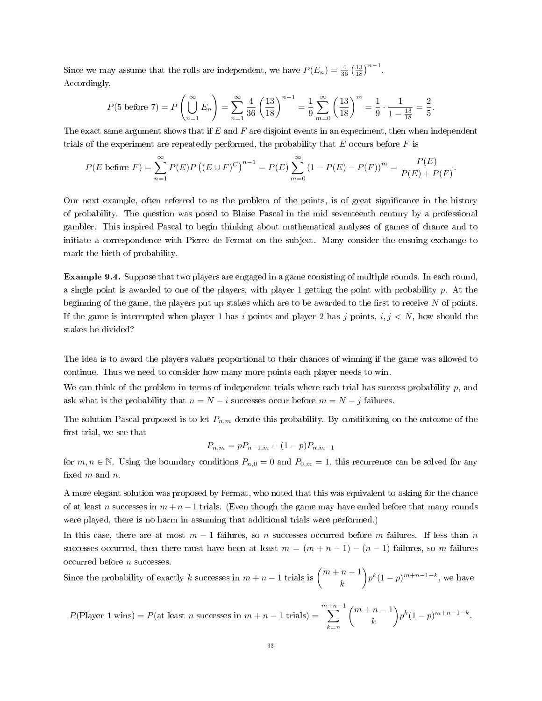Since we may assume that the rolls are independent, we have  $P(E_n) = \frac{4}{36} \left(\frac{13}{18}\right)^{n-1}$ . Accordingly,

$$
P(5 \text{ before } 7) = P\left(\bigcup_{n=1}^{\infty} E_n\right) = \sum_{n=1}^{\infty} \frac{4}{36} \left(\frac{13}{18}\right)^{n-1} = \frac{1}{9} \sum_{m=0}^{\infty} \left(\frac{13}{18}\right)^m = \frac{1}{9} \cdot \frac{1}{1 - \frac{13}{18}} = \frac{2}{5}
$$

.

The exact same argument shows that if  $E$  and  $F$  are disjoint events in an experiment, then when independent trials of the experiment are repeatedly performed, the probability that  $E$  occurs before  $F$  is

$$
P(E \text{ before } F) = \sum_{n=1}^{\infty} P(E) P((E \cup F)^C)^{n-1} = P(E) \sum_{m=0}^{\infty} (1 - P(E) - P(F))^m = \frac{P(E)}{P(E) + P(F)}.
$$

Our next example, often referred to as the problem of the points, is of great signicance in the history of probability. The question was posed to Blaise Pascal in the mid seventeenth century by a professional gambler. This inspired Pascal to begin thinking about mathematical analyses of games of chance and to initiate a correspondence with Pierre de Fermat on the subject. Many consider the ensuing exchange to mark the birth of probability.

Example 9.4. Suppose that two players are engaged in a game consisting of multiple rounds. In each round, a single point is awarded to one of the players, with player 1 getting the point with probability  $p$ . At the beginning of the game, the players put up stakes which are to be awarded to the first to receive  $N$  of points. If the game is interrupted when player 1 has i points and player 2 has j points,  $i, j \lt N$ , how should the stakes be divided?

The idea is to award the players values proportional to their chances of winning if the game was allowed to continue. Thus we need to consider how many more points each player needs to win.

We can think of the problem in terms of independent trials where each trial has success probability  $p$ , and ask what is the probability that  $n = N - i$  successes occur before  $m = N - j$  failures.

The solution Pascal proposed is to let  $P_{n,m}$  denote this probability. By conditioning on the outcome of the first trial, we see that

$$
P_{n,m} = pP_{n-1,m} + (1-p)P_{n,m-1}
$$

for  $m, n \in \mathbb{N}$ . Using the boundary conditions  $P_{n,0} = 0$  and  $P_{0,m} = 1$ , this recurrence can be solved for any fixed  $m$  and  $n$ .

A more elegant solution was proposed by Fermat, who noted that this was equivalent to asking for the chance of at least n successes in  $m + n - 1$  trials. (Even though the game may have ended before that many rounds were played, there is no harm in assuming that additional trials were performed.)

In this case, there are at most  $m-1$  failures, so n successes occurred before m failures. If less than n successes occurred, then there must have been at least  $m = (m + n - 1) - (n - 1)$  failures, so m failures occurred before n successes.

Since the probability of exactly k successes in 
$$
m + n - 1
$$
 trials is  $\binom{m+n-1}{k} p^k (1-p)^{m+n-1-k}$ , we have

$$
P(\text{Player 1 wins}) = P(\text{at least } n \text{ successes in } m + n - 1 \text{ trials}) = \sum_{k=n}^{m+n-1} \binom{m+n-1}{k} p^k (1-p)^{m+n-1-k}.
$$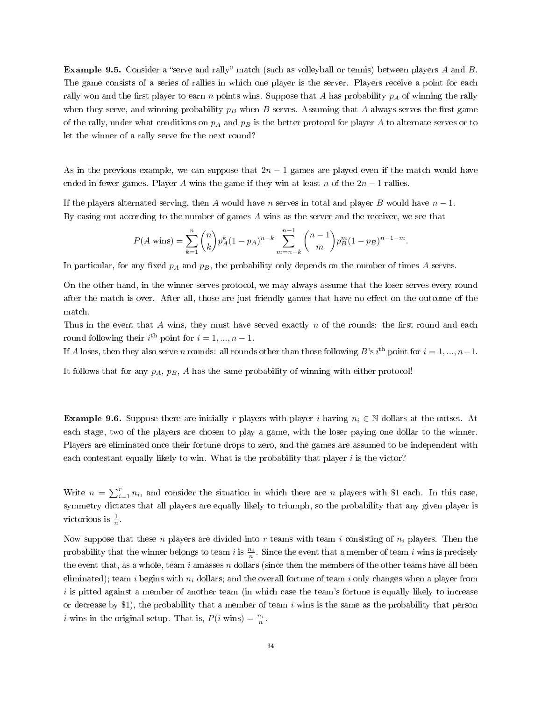**Example 9.5.** Consider a "serve and rally" match (such as volleyball or tennis) between players A and B. The game consists of a series of rallies in which one player is the server. Players receive a point for each rally won and the first player to earn n points wins. Suppose that A has probability  $p<sub>A</sub>$  of winning the rally when they serve, and winning probability  $p_B$  when B serves. Assuming that A always serves the first game of the rally, under what conditions on  $p_A$  and  $p_B$  is the better protocol for player A to alternate serves or to let the winner of a rally serve for the next round?

As in the previous example, we can suppose that  $2n - 1$  games are played even if the match would have ended in fewer games. Player A wins the game if they win at least n of the  $2n-1$  rallies.

If the players alternated serving, then A would have n serves in total and player B would have  $n-1$ . By casing out according to the number of games A wins as the server and the receiver, we see that

$$
P(A \text{ wins}) = \sum_{k=1}^{n} {n \choose k} p_A^k (1 - p_A)^{n-k} \sum_{m=n-k}^{n-1} {n-1 \choose m} p_B^m (1 - p_B)^{n-1-m}.
$$

In particular, for any fixed  $p_A$  and  $p_B$ , the probability only depends on the number of times A serves.

On the other hand, in the winner serves protocol, we may always assume that the loser serves every round after the match is over. After all, those are just friendly games that have no effect on the outcome of the match.

Thus in the event that A wins, they must have served exactly  $n$  of the rounds: the first round and each round following their  $i^{\text{th}}$  point for  $i = 1, ..., n - 1$ .

If A loses, then they also serve n rounds: all rounds other than those following B's i<sup>th</sup> point for  $i = 1, ..., n-1$ .

It follows that for any  $p_A$ ,  $p_B$ , A has the same probability of winning with either protocol!

**Example 9.6.** Suppose there are initially r players with player i having  $n_i \in \mathbb{N}$  dollars at the outset. At each stage, two of the players are chosen to play a game, with the loser paying one dollar to the winner. Players are eliminated once their fortune drops to zero, and the games are assumed to be independent with each contestant equally likely to win. What is the probability that player  $i$  is the victor?

Write  $n = \sum_{i=1}^{r} n_i$ , and consider the situation in which there are *n* players with \$1 each. In this case, symmetry dictates that all players are equally likely to triumph, so the probability that any given player is victorious is  $\frac{1}{n}$ .

Now suppose that these n players are divided into r teams with team i consisting of  $n_i$  players. Then the probability that the winner belongs to team  $i$  is  $\frac{n_i}{n}$ . Since the event that a member of team  $i$  wins is precisely the event that, as a whole, team  $i$  amasses  $n$  dollars (since then the members of the other teams have all been eliminated); team i begins with  $n_i$  dollars; and the overall fortune of team i only changes when a player from  $i$  is pitted against a member of another team (in which case the team's fortune is equally likely to increase or decrease by \$1), the probability that a member of team  $i$  wins is the same as the probability that person i wins in the original setup. That is,  $P(i \text{ wins}) = \frac{n_i}{n}$ .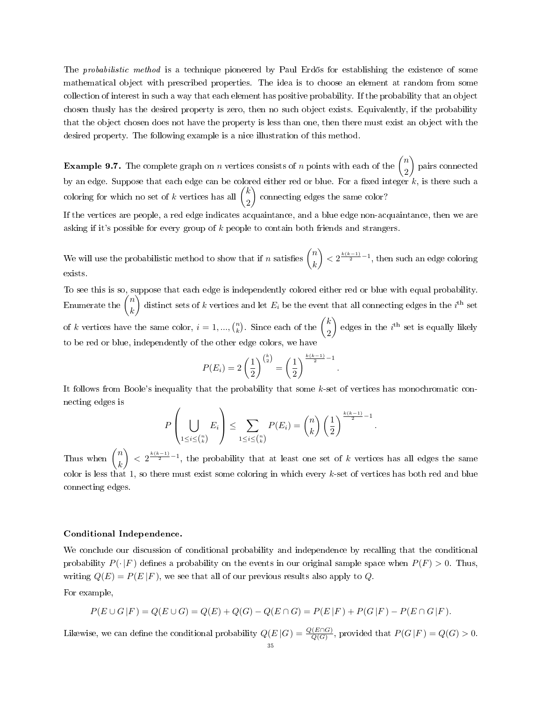The probabilistic method is a technique pioneered by Paul Erdős for establishing the existence of some mathematical object with prescribed properties. The idea is to choose an element at random from some collection of interest in such a way that each element has positive probability. If the probability that an object chosen thusly has the desired property is zero, then no such object exists. Equivalently, if the probability that the object chosen does not have the property is less than one, then there must exist an object with the desired property. The following example is a nice illustration of this method.

**Example 9.7.** The complete graph on *n* vertices consists of *n* points with each of the  $\binom{n}{0}$ 2 pairs connected by an edge. Suppose that each edge can be colored either red or blue. For a fixed integer  $k$ , is there such a coloring for which no set of k vertices has all  $\binom{k}{0}$ 2 connecting edges the same color?

If the vertices are people, a red edge indicates acquaintance, and a blue edge non-acquaintance, then we are asking if it's possible for every group of k people to contain both friends and strangers.

We will use the probabilistic method to show that if n satisfies  $\binom{n}{k}$ k  $\left\{ \frac{1}{2} \right\} < 2^{\frac{k(k-1)}{2} - 1}$ , then such an edge coloring exists.

To see this is so, suppose that each edge is independently colored either red or blue with equal probability. Enumerate the  $\binom{n}{k}$ k distinct sets of k vertices and let  $E_i$  be the event that all connecting edges in the  $i^{\text{th}}$  set of k vertices have the same color,  $i = 1, ..., {n \choose k}$ . Since each of the  $\binom{k}{2}$ 2 dges in the  $i^{\text{th}}$  set is equally likely to be red or blue, independently of the other edge colors, we have

$$
P(E_i) = 2\left(\frac{1}{2}\right)^{\binom{k}{2}} = \left(\frac{1}{2}\right)^{\frac{k(k-1)}{2}-1}.
$$

It follows from Boole's inequality that the probability that some k-set of vertices has monochromatic connecting edges is

$$
P\left(\bigcup_{1\leq i\leq {n\choose k}} E_i\right)\leq \sum_{1\leq i\leq {n\choose k}} P(E_i)={n\choose k}\left(\frac{1}{2}\right)^{\frac{k(k-1)}{2}-1}
$$

.

Thus when  $\binom{n}{k}$ k  $\left( \frac{k(k-1)}{2} - 1 \right)$ , the probability that at least one set of k vertices has all edges the same color is less that 1, so there must exist some coloring in which every  $k$ -set of vertices has both red and blue connecting edges.

## Conditional Independence.

We conclude our discussion of conditional probability and independence by recalling that the conditional probability  $P(\cdot | F)$  defines a probability on the events in our original sample space when  $P(F) > 0$ . Thus, writing  $Q(E) = P(E|F)$ , we see that all of our previous results also apply to Q.

For example,

$$
P(E \cup G \mid F) = Q(E \cup G) = Q(E) + Q(G) - Q(E \cap G) = P(E \mid F) + P(G \mid F) - P(E \cap G \mid F).
$$

Likewise, we can define the conditional probability  $Q(E|G) = \frac{Q(E \cap G)}{Q(G)}$ , provided that  $P(G|F) = Q(G) > 0$ .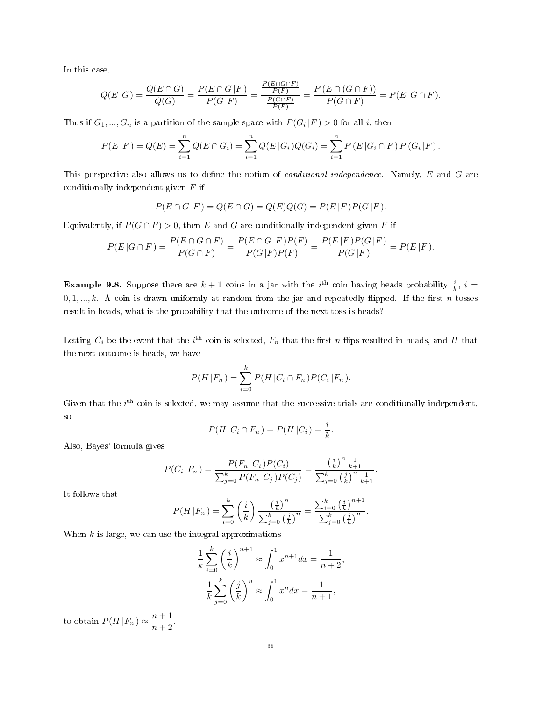In this case,

$$
Q(E|G) = \frac{Q(E \cap G)}{Q(G)} = \frac{P(E \cap G|F)}{P(G|F)} = \frac{\frac{P(E \cap G \cap F)}{P(F)}}{\frac{P(G \cap F)}{P(F)}} = \frac{P(E \cap (G \cap F))}{P(G \cap F)} = P(E|G \cap F).
$$

Thus if  $G_1, ..., G_n$  is a partition of the sample space with  $P(G_i | F) > 0$  for all i, then

$$
P(E|F) = Q(E) = \sum_{i=1}^{n} Q(E \cap G_i) = \sum_{i=1}^{n} Q(E|G_i)Q(G_i) = \sum_{i=1}^{n} P(E|G_i \cap F) P(G_i|F).
$$

This perspective also allows us to define the notion of *conditional independence*. Namely, E and G are conditionally independent given  $F$  if

$$
P(E \cap G | F) = Q(E \cap G) = Q(E)Q(G) = P(E | F)P(G | F).
$$

Equivalently, if  $P(G \cap F) > 0$ , then E and G are conditionally independent given F if

$$
P(E|G \cap F) = \frac{P(E \cap G \cap F)}{P(G \cap F)} = \frac{P(E \cap G|F)P(F)}{P(G|F)P(F)} = \frac{P(E|F)P(G|F)}{P(G|F)} = P(E|F).
$$

**Example 9.8.** Suppose there are  $k + 1$  coins in a jar with the i<sup>th</sup> coin having heads probability  $\frac{i}{k}$ , i =  $0, 1, \ldots, k$ . A coin is drawn uniformly at random from the jar and repeatedly flipped. If the first n tosses result in heads, what is the probability that the outcome of the next toss is heads?

Letting  $C_i$  be the event that the i<sup>th</sup> coin is selected,  $F_n$  that the first n flips resulted in heads, and H that the next outcome is heads, we have

$$
P(H | F_n) = \sum_{i=0}^{k} P(H | C_i \cap F_n) P(C_i | F_n).
$$

Given that the  $i<sup>th</sup>$  coin is selected, we may assume that the successive trials are conditionally independent, so

$$
P(H | C_i \cap F_n) = P(H | C_i) = \frac{i}{k}
$$

.

Also, Bayes' formula gives

$$
P(C_i | F_n) = \frac{P(F_n | C_i) P(C_i)}{\sum_{j=0}^k P(F_n | C_j) P(C_j)} = \frac{\left(\frac{i}{k}\right)^n \frac{1}{k+1}}{\sum_{j=0}^k \left(\frac{j}{k}\right)^n \frac{1}{k+1}}.
$$

It follows that

$$
P(H|F_n) = \sum_{i=0}^{k} {i \choose k} \frac{{i \choose k}^n}{\sum_{j=0}^{k} {j \choose k}^n} = \frac{\sum_{i=0}^{k} {j \choose k}^{n+1}}{\sum_{j=0}^{k} {j \choose k}^n}.
$$

When  $k$  is large, we can use the integral approximations

$$
\frac{1}{k} \sum_{i=0}^{k} \left(\frac{i}{k}\right)^{n+1} \approx \int_{0}^{1} x^{n+1} dx = \frac{1}{n+2},
$$

$$
\frac{1}{k} \sum_{j=0}^{k} \left(\frac{j}{k}\right)^{n} \approx \int_{0}^{1} x^{n} dx = \frac{1}{n+1},
$$

to obtain  $P(H|F_n) \approx \frac{n+1}{n+2}$  $\frac{n+1}{n+2}$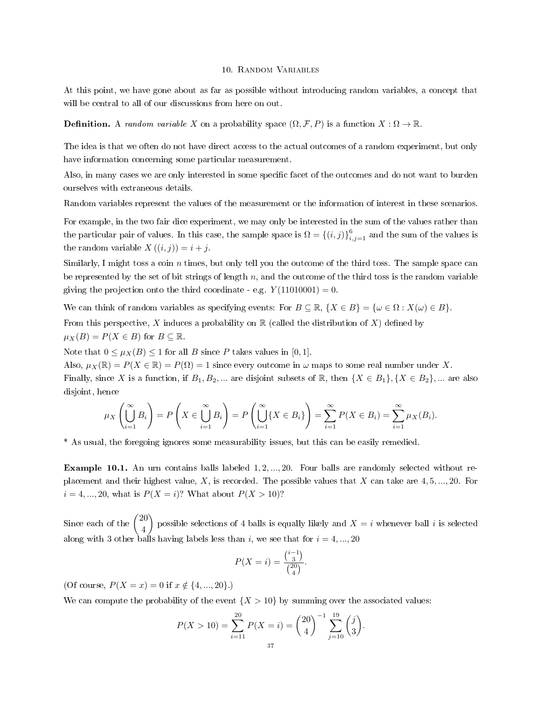#### 10. Random Variables

At this point, we have gone about as far as possible without introducing random variables, a concept that will be central to all of our discussions from here on out.

**Definition.** A random variable X on a probability space  $(\Omega, \mathcal{F}, P)$  is a function  $X : \Omega \to \mathbb{R}$ .

The idea is that we often do not have direct access to the actual outcomes of a random experiment, but only have information concerning some particular measurement.

Also, in many cases we are only interested in some specific facet of the outcomes and do not want to burden ourselves with extraneous details.

Random variables represent the values of the measurement or the information of interest in these scenarios.

For example, in the two fair dice experiment, we may only be interested in the sum of the values rather than the particular pair of values. In this case, the sample space is  $\Omega = \{(i,j)\}_{i,j=1}^6$  and the sum of the values is the random variable  $X((i, j)) = i + j$ .

Similarly, I might toss a coin  $n$  times, but only tell you the outcome of the third toss. The sample space can be represented by the set of bit strings of length  $n$ , and the outcome of the third toss is the random variable giving the projection onto the third coordinate - e.g.  $Y(11010001) = 0$ .

We can think of random variables as specifying events: For  $B \subseteq \mathbb{R}$ ,  $\{X \in B\} = \{\omega \in \Omega : X(\omega) \in B\}$ . From this perspective, X induces a probability on  $\mathbb R$  (called the distribution of X) defined by  $\mu_X(B) = P(X \in B)$  for  $B \subseteq \mathbb{R}$ .

Note that  $0 \leq \mu_X(B) \leq 1$  for all B since P takes values in [0, 1].

Also,  $\mu_X(\mathbb{R}) = P(X \in \mathbb{R}) = P(\Omega) = 1$  since every outcome in  $\omega$  maps to some real number under X. Finally, since X is a function, if  $B_1, B_2, ...$  are disjoint subsets of R, then  $\{X \in B_1\}, \{X \in B_2\}, ...$  are also disjoint, hence

$$
\mu_X\left(\bigcup_{i=1}^{\infty} B_i\right) = P\left(X \in \bigcup_{i=1}^{\infty} B_i\right) = P\left(\bigcup_{i=1}^{\infty} \{X \in B_i\}\right) = \sum_{i=1}^{\infty} P(X \in B_i) = \sum_{i=1}^{\infty} \mu_X(B_i).
$$

\* As usual, the foregoing ignores some measurability issues, but this can be easily remedied.

**Example 10.1.** An urn contains balls labeled  $1, 2, ..., 20$ . Four balls are randomly selected without replacement and their highest value,  $X$ , is recorded. The possible values that  $X$  can take are  $4, 5, ..., 20$ . For  $i = 4, ..., 20$ , what is  $P(X = i)$ ? What about  $P(X > 10)$ ?

Since each of the  $\binom{20}{4}$ 4 possible selections of 4 balls is equally likely and  $X = i$  whenever ball i is selected along with 3 other balls having labels less than i, we see that for  $i = 4, ..., 20$ 

$$
P(X = i) = \frac{\binom{i-1}{3}}{\binom{20}{4}}.
$$

(Of course,  $P(X = x) = 0$  if  $x \notin \{4, ..., 20\}$ .)

We can compute the probability of the event  $\{X > 10\}$  by summing over the associated values:

$$
P(X > 10) = \sum_{i=11}^{20} P(X = i) = {20 \choose 4}^{-1} \sum_{j=10}^{19} {j \choose 3}.
$$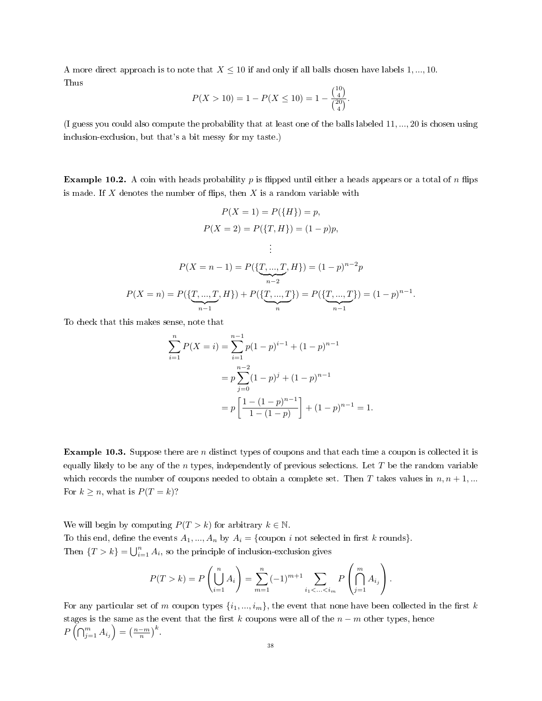A more direct approach is to note that  $X \leq 10$  if and only if all balls chosen have labels 1, ..., 10. Thus

$$
P(X > 10) = 1 - P(X \le 10) = 1 - \frac{\binom{10}{4}}{\binom{20}{4}}.
$$

(I guess you could also compute the probability that at least one of the balls labeled 11, ..., 20 is chosen using inclusion-exclusion, but that's a bit messy for my taste.)

**Example 10.2.** A coin with heads probability p is flipped until either a heads appears or a total of n flips is made. If  $X$  denotes the number of flips, then  $X$  is a random variable with

$$
P(X = 1) = P(\{H\}) = p,
$$
  
\n
$$
P(X = 2) = P(\{T, H\}) = (1 - p)p,
$$
  
\n
$$
\vdots
$$
  
\n
$$
P(X = n - 1) = P(\{\underbrace{T, ..., T}_{n-2}, H\}) = (1 - p)^{n-2}p
$$
  
\n
$$
P(X = n) = P(\{\underbrace{T, ..., T}_{n-1}, H\}) + P(\{\underbrace{T, ..., T}_{n}\}) = P(\{\underbrace{T, ..., T}_{n-1}\}) = (1 - p)^{n-1}.
$$

To check that this makes sense, note that

$$
\sum_{i=1}^{n} P(X = i) = \sum_{i=1}^{n-1} p(1-p)^{i-1} + (1-p)^{n-1}
$$

$$
= p \sum_{j=0}^{n-2} (1-p)^{j} + (1-p)^{n-1}
$$

$$
= p \left[ \frac{1 - (1-p)^{n-1}}{1 - (1-p)} \right] + (1-p)^{n-1} = 1.
$$

**Example 10.3.** Suppose there are *n* distinct types of coupons and that each time a coupon is collected it is equally likely to be any of the n types, independently of previous selections. Let  $T$  be the random variable which records the number of coupons needed to obtain a complete set. Then T takes values in  $n, n + 1, ...$ For  $k \geq n$ , what is  $P(T = k)$ ?

We will begin by computing  $P(T > k)$  for arbitrary  $k \in \mathbb{N}$ .

To this end, define the events  $A_1, ..., A_n$  by  $A_i = \{\text{coupon } i \text{ not selected in first } k \text{ rounds}\}.$ Then  $\{T > k\} = \bigcup_{i=1}^{n} A_i$ , so the principle of inclusion-exclusion gives

$$
P(T > k) = P\left(\bigcup_{i=1}^{n} A_i\right) = \sum_{m=1}^{n} (-1)^{m+1} \sum_{i_1 < \dots < i_m} P\left(\bigcap_{j=1}^{m} A_{i_j}\right).
$$

For any particular set of m coupon types  $\{i_1, ..., i_m\}$ , the event that none have been collected in the first k stages is the same as the event that the first k coupons were all of the  $n - m$  other types, hence  $P\left(\bigcap_{j=1}^m A_{i_j}\right) = \left(\frac{n-m}{n}\right)^k.$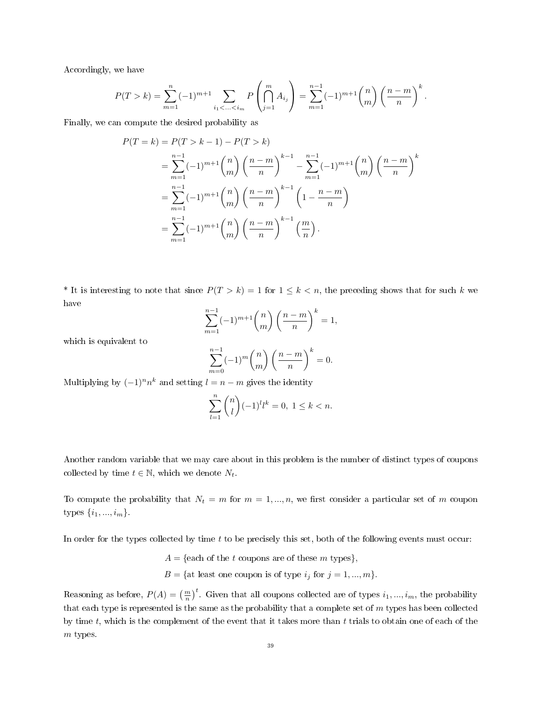Accordingly, we have

$$
P(T > k) = \sum_{m=1}^{n} (-1)^{m+1} \sum_{i_1 < ... < i_m} P\left(\bigcap_{j=1}^{m} A_{i_j}\right) = \sum_{m=1}^{n-1} (-1)^{m+1} {n \choose m} \left(\frac{n-m}{n}\right)^k.
$$

Finally, we can compute the desired probability as

$$
P(T = k) = P(T > k - 1) - P(T > k)
$$
  
=  $\sum_{m=1}^{n-1} (-1)^{m+1} {n \choose m} \left(\frac{n-m}{n}\right)^{k-1} - \sum_{m=1}^{n-1} (-1)^{m+1} {n \choose m} \left(\frac{n-m}{n}\right)^{k}$   
=  $\sum_{m=1}^{n-1} (-1)^{m+1} {n \choose m} \left(\frac{n-m}{n}\right)^{k-1} \left(1 - \frac{n-m}{n}\right)$   
=  $\sum_{m=1}^{n-1} (-1)^{m+1} {n \choose m} \left(\frac{n-m}{n}\right)^{k-1} \left(\frac{m}{n}\right).$ 

<sup>\*</sup> It is interesting to note that since  $P(T > k) = 1$  for  $1 \leq k < n$ , the preceding shows that for such k we have

$$
\sum_{m=1}^{n-1} (-1)^{m+1} {n \choose m} \left(\frac{n-m}{n}\right)^k = 1,
$$

which is equivalent to

$$
\sum_{m=0}^{n-1} (-1)^m {n \choose m} \left(\frac{n-m}{n}\right)^k = 0.
$$

Multiplying by  $(-1)^n n^k$  and setting  $l = n - m$  gives the identity

$$
\sum_{l=1}^{n} \binom{n}{l} (-1)^{l} l^{k} = 0, \ 1 \leq k < n.
$$

Another random variable that we may care about in this problem is the number of distinct types of coupons collected by time  $t \in \mathbb{N}$ , which we denote  $N_t$ .

To compute the probability that  $N_t = m$  for  $m = 1, ..., n$ , we first consider a particular set of m coupon types  $\{i_1, ..., i_m\}$ .

In order for the types collected by time  $t$  to be precisely this set, both of the following events must occur:

 $A = \{$ each of the t coupons are of these m types $\},\$  $B = \{$ at least one coupon is of type  $i_j$  for  $j = 1, ..., m\}.$ 

Reasoning as before,  $P(A) = \left(\frac{m}{n}\right)^t$ . Given that all coupons collected are of types  $i_1, ..., i_m$ , the probability that each type is represented is the same as the probability that a complete set of  $m$  types has been collected by time t, which is the complement of the event that it takes more than t trials to obtain one of each of the  $m$  types.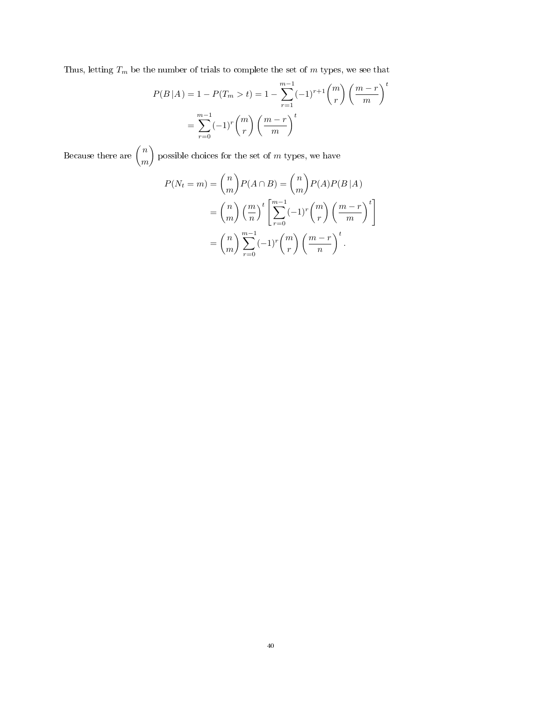Thus, letting  $T_m$  be the number of trials to complete the set of  $m$  types, we see that

$$
P(B|A) = 1 - P(T_m > t) = 1 - \sum_{r=1}^{m-1} (-1)^{r+1} {m \choose r} \left(\frac{m-r}{m}\right)^t
$$

$$
= \sum_{r=0}^{m-1} (-1)^r {m \choose r} \left(\frac{m-r}{m}\right)^t
$$

Because there are  $\Big(\frac{n}{2}\Big)^n$ m possible choices for the set of  $m$  types, we have

$$
P(N_t = m) = \binom{n}{m} P(A \cap B) = \binom{n}{m} P(A) P(B | A)
$$

$$
= \binom{n}{m} \left(\frac{m}{n}\right)^t \left[\sum_{r=0}^{m-1} (-1)^r \binom{m}{r} \left(\frac{m-r}{m}\right)^t\right]
$$

$$
= \binom{n}{m} \sum_{r=0}^{m-1} (-1)^r \binom{m}{r} \left(\frac{m-r}{n}\right)^t.
$$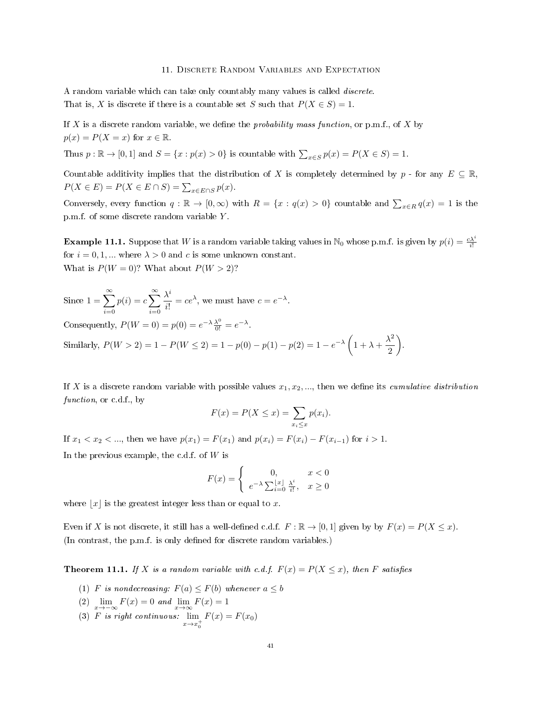### 11. Discrete Random Variables and Expectation

A random variable which can take only countably many values is called discrete. That is, X is discrete if there is a countable set S such that  $P(X \in S) = 1$ .

If X is a discrete random variable, we define the *probability mass function*, or p.m.f., of X by  $p(x) = P(X = x)$  for  $x \in \mathbb{R}$ .

Thus  $p : \mathbb{R} \to [0,1]$  and  $S = \{x : p(x) > 0\}$  is countable with  $\sum_{x \in S} p(x) = P(X \in S) = 1$ .

Countable additivity implies that the distribution of X is completely determined by p - for any  $E \subseteq \mathbb{R}$ ,  $P(X \in E) = P(X \in E \cap S) = \sum_{x \in E \cap S} p(x).$ 

Conversely, every function  $q : \mathbb{R} \to [0, \infty)$  with  $R = \{x : q(x) > 0\}$  countable and  $\sum_{x \in R} q(x) = 1$  is the p.m.f. of some discrete random variable Y .

**Example 11.1.** Suppose that W is a random variable taking values in N<sub>0</sub> whose p.m.f. is given by  $p(i) = \frac{c\lambda^i}{i!}$ for  $i = 0, 1, ...$  where  $\lambda > 0$  and c is some unknown constant. What is  $P(W = 0)$ ? What about  $P(W > 2)$ ?

Since 
$$
1 = \sum_{i=0}^{\infty} p(i) = c \sum_{i=0}^{\infty} \frac{\lambda^i}{i!} = ce^{\lambda}
$$
, we must have  $c = e^{-\lambda}$ .  
Consequently,  $P(W = 0) = p(0) = e^{-\lambda} \frac{\lambda^0}{0!} = e^{-\lambda}$ .

Similarly,  $P(W > 2) = 1 - P(W \le 2) = 1 - p(0) - p(1) - p(2) = 1 - e^{-\lambda} \left(1 + \lambda + \frac{\lambda^2}{2}\right)$ 2 .

If X is a discrete random variable with possible values  $x_1, x_2, \ldots$ , then we define its *cumulative distribution* function, or c.d.f., by

$$
F(x) = P(X \le x) = \sum_{x_i \le x} p(x_i).
$$

If  $x_1 < x_2 < ...$ , then we have  $p(x_1) = F(x_1)$  and  $p(x_i) = F(x_i) - F(x_{i-1})$  for  $i > 1$ . In the previous example, the c.d.f. of  $W$  is

$$
F(x) = \begin{cases} 0, & x < 0\\ e^{-\lambda} \sum_{i=0}^{\lfloor x \rfloor} \frac{\lambda^i}{i!}, & x \ge 0 \end{cases}
$$

where  $|x|$  is the greatest integer less than or equal to x.

Even if X is not discrete, it still has a well-defined c.d.f.  $F : \mathbb{R} \to [0,1]$  given by by  $F(x) = P(X \leq x)$ . (In contrast, the p.m.f. is only defined for discrete random variables.)

**Theorem 11.1.** If X is a random variable with c.d.f.  $F(x) = P(X \leq x)$ , then F satisfies

(1) F is nondecreasing:  $F(a) \leq F(b)$  whenever  $a \leq b$ (2)  $\lim_{x \to -\infty} F(x) = 0$  and  $\lim_{x \to \infty} F(x) = 1$ (3) F is right continuous:  $\lim_{x \to x_0^+}$  $F(x) = F(x_0)$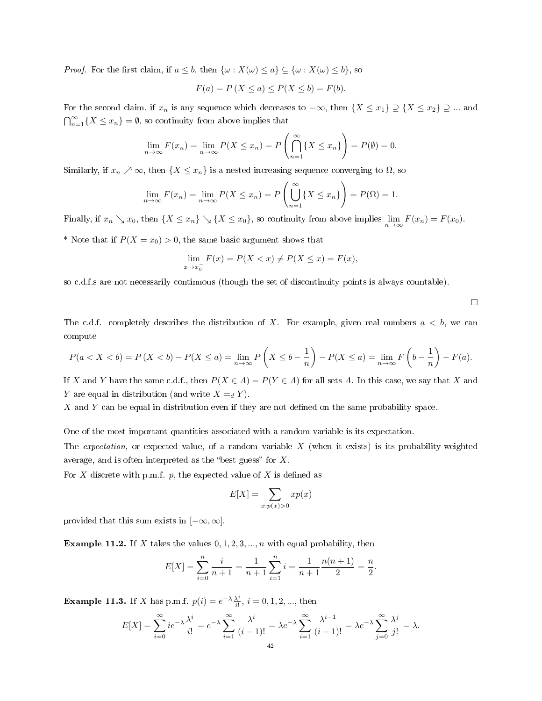*Proof.* For the first claim, if  $a \leq b$ , then  $\{\omega : X(\omega) \leq a\} \subseteq \{\omega : X(\omega) \leq b\}$ , so

$$
F(a) = P(X \le a) \le P(X \le b) = F(b).
$$

For the second claim, if  $x_n$  is any sequence which decreases to  $-\infty$ , then  $\{X \leq x_1\} \supseteq \{X \leq x_2\} \supseteq ...$  and  $\bigcap_{n=1}^{\infty} \{X \leq x_n\} = \emptyset$ , so continuity from above implies that

$$
\lim_{n \to \infty} F(x_n) = \lim_{n \to \infty} P(X \le x_n) = P\left(\bigcap_{n=1}^{\infty} \{X \le x_n\}\right) = P(\emptyset) = 0.
$$

Similarly, if  $x_n \nearrow \infty$ , then  $\{X \leq x_n\}$  is a nested increasing sequence converging to  $\Omega$ , so

$$
\lim_{n \to \infty} F(x_n) = \lim_{n \to \infty} P(X \le x_n) = P\left(\bigcup_{n=1}^{\infty} \{X \le x_n\}\right) = P(\Omega) = 1.
$$

Finally, if  $x_n \searrow x_0$ , then  $\{X \le x_n\} \searrow \{X \le x_0\}$ , so continuity from above implies  $\lim_{n \to \infty} F(x_n) = F(x_0)$ . \* Note that if  $P(X = x_0) > 0$ , the same basic argument shows that

$$
\lim_{x \to x_0^-} F(x) = P(X < x) \neq P(X \le x) = F(x),
$$

so c.d.f.s are not necessarily continuous (though the set of discontinuity points is always countable).

□

The c.d.f. completely describes the distribution of X. For example, given real numbers  $a < b$ , we can compute

$$
P(a < X < b) = P(X < b) - P(X \le a) = \lim_{n \to \infty} P\left(X \le b - \frac{1}{n}\right) - P(X \le a) = \lim_{n \to \infty} F\left(b - \frac{1}{n}\right) - F(a).
$$

If X and Y have the same c.d.f., then  $P(X \in A) = P(Y \in A)$  for all sets A. In this case, we say that X and Y are equal in distribution (and write  $X =_d Y$ ).

 $X$  and  $Y$  can be equal in distribution even if they are not defined on the same probability space.

One of the most important quantities associated with a random variable is its expectation.

The *expectation*, or expected value, of a random variable  $X$  (when it exists) is its probability-weighted average, and is often interpreted as the "best guess" for  $X$ .

For X discrete with p.m.f.  $p$ , the expected value of X is defined as

$$
E[X] = \sum_{x:p(x)>0} xp(x)
$$

provided that this sum exists in  $[-\infty, \infty]$ .

**Example 11.2.** If X takes the values  $0, 1, 2, 3, \ldots, n$  with equal probability, then

$$
E[X] = \sum_{i=0}^{n} \frac{i}{n+1} = \frac{1}{n+1} \sum_{i=1}^{n} i = \frac{1}{n+1} \frac{n(n+1)}{2} = \frac{n}{2}.
$$

**Example 11.3.** If X has p.m.f.  $p(i) = e^{-\lambda} \frac{\lambda^{i}}{i!}$  $\frac{\lambda^*}{i!}, i = 0, 1, 2, ...,$  then

$$
E[X] = \sum_{i=0}^{\infty} i e^{-\lambda} \frac{\lambda^i}{i!} = e^{-\lambda} \sum_{i=1}^{\infty} \frac{\lambda^i}{(i-1)!} = \lambda e^{-\lambda} \sum_{i=1}^{\infty} \frac{\lambda^{i-1}}{(i-1)!} = \lambda e^{-\lambda} \sum_{j=0}^{\infty} \frac{\lambda^j}{j!} = \lambda.
$$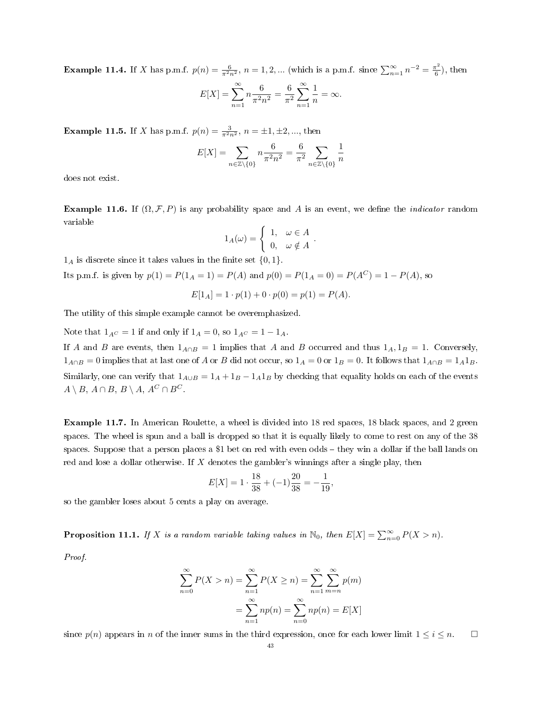**Example 11.4.** If X has p.m.f.  $p(n) = \frac{6}{\pi^2 n^2}$ ,  $n = 1, 2, ...$  (which is a p.m.f. since  $\sum_{n=1}^{\infty} n^{-2} = \frac{\pi^2}{6}$  $(\frac{r^2}{6}),$  then

$$
E[X] = \sum_{n=1}^{\infty} n \frac{6}{\pi^2 n^2} = \frac{6}{\pi^2} \sum_{n=1}^{\infty} \frac{1}{n} = \infty.
$$

**Example 11.5.** If X has p.m.f.  $p(n) = \frac{3}{\pi^2 n^2}$ ,  $n = \pm 1, \pm 2, ...$ , then

$$
E[X] = \sum_{n \in \mathbb{Z} \setminus \{0\}} n \frac{6}{\pi^2 n^2} = \frac{6}{\pi^2} \sum_{n \in \mathbb{Z} \setminus \{0\}} \frac{1}{n}
$$

does not exist.

**Example 11.6.** If  $(\Omega, \mathcal{F}, P)$  is any probability space and A is an event, we define the *indicator* random variable

$$
1_A(\omega) = \begin{cases} 1, & \omega \in A \\ 0, & \omega \notin A \end{cases}
$$

.

 $1_A$  is discrete since it takes values in the finite set  $\{0, 1\}.$ 

Its p.m.f. is given by  $p(1) = P(1_A = 1) = P(A)$  and  $p(0) = P(1_A = 0) = P(A^C) = 1 - P(A)$ , so

$$
E[1_A] = 1 \cdot p(1) + 0 \cdot p(0) = p(1) = P(A).
$$

The utility of this simple example cannot be overemphasized.

Note that  $1_{A^C} = 1$  if and only if  $1_A = 0$ , so  $1_{A^C} = 1 - 1_A$ .

If A and B are events, then  $1_{A\cap B} = 1$  implies that A and B occurred and thus  $1_A, 1_B = 1$ . Conversely,  $1_{A\cap B} = 0$  implies that at last one of A or B did not occur, so  $1_A = 0$  or  $1_B = 0$ . It follows that  $1_{A\cap B} = 1_A1_B$ . Similarly, one can verify that  $1_{A\cup B} = 1_A + 1_B - 1_A1_B$  by checking that equality holds on each of the events  $A \setminus B$ ,  $A \cap B$ ,  $B \setminus A$ ,  $A^C \cap B^C$ .

Example 11.7. In American Roulette, a wheel is divided into 18 red spaces, 18 black spaces, and 2 green spaces. The wheel is spun and a ball is dropped so that it is equally likely to come to rest on any of the 38 spaces. Suppose that a person places a  $$1$  bet on red with even odds  $-$  they win a dollar if the ball lands on red and lose a dollar otherwise. If  $X$  denotes the gambler's winnings after a single play, then

$$
E[X] = 1 \cdot \frac{18}{38} + (-1)\frac{20}{38} = -\frac{1}{19},
$$

so the gambler loses about 5 cents a play on average.

**Proposition 11.1.** If X is a random variable taking values in  $\mathbb{N}_0$ , then  $E[X] = \sum_{n=0}^{\infty} P(X > n)$ .

Proof.

$$
\sum_{n=0}^{\infty} P(X > n) = \sum_{n=1}^{\infty} P(X \ge n) = \sum_{n=1}^{\infty} \sum_{m=n}^{\infty} p(m)
$$

$$
= \sum_{n=1}^{\infty} np(n) = \sum_{n=0}^{\infty} np(n) = E[X]
$$

since  $p(n)$  appears in n of the inner sums in the third expression, once for each lower limit  $1 \le i \le n$ .  $\Box$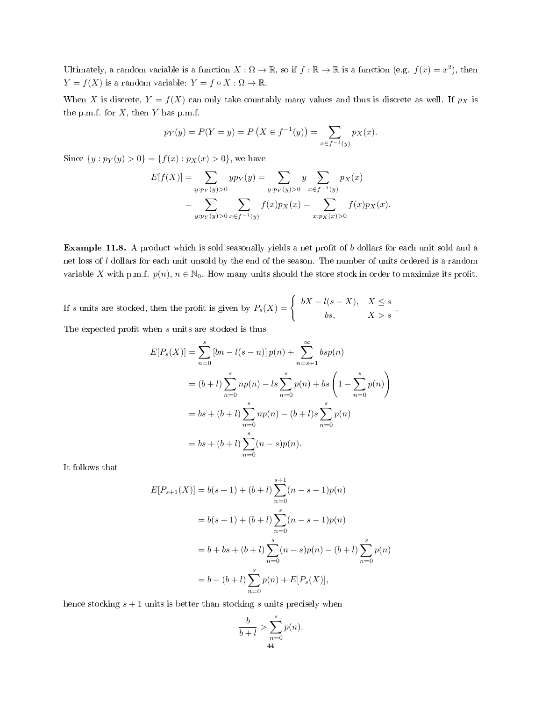Ultimately, a random variable is a function  $X:\Omega\to\mathbb{R}$ , so if  $f:\mathbb{R}\to\mathbb{R}$  is a function (e.g.  $f(x)=x^2$ ), then  $Y = f(X)$  is a random variable:  $Y = f \circ X : \Omega \to \mathbb{R}$ .

When X is discrete,  $Y = f(X)$  can only take countably many values and thus is discrete as well. If  $p_X$  is the p.m.f. for  $X$ , then  $Y$  has p.m.f.

$$
p_Y(y) = P(Y = y) = P\left(X \in f^{-1}(y)\right) = \sum_{x \in f^{-1}(y)} p_X(x).
$$

Since  $\{y : p_Y(y) > 0\} = \{f(x) : p_X(x) > 0\}$ , we have

$$
E[f(X)] = \sum_{y: p_Y(y)>0} yp_Y(y) = \sum_{y: p_Y(y)>0} y \sum_{x \in f^{-1}(y)} p_X(x)
$$
  
= 
$$
\sum_{y: p_Y(y)>0} \sum_{x \in f^{-1}(y)} f(x)p_X(x) = \sum_{x: p_X(x)>0} f(x)p_X(x).
$$

Example 11.8. A product which is sold seasonally yields a net profit of b dollars for each unit sold and a net loss of l dollars for each unit unsold by the end of the season. The number of units ordered is a random variable X with p.m.f.  $p(n)$ ,  $n \in \mathbb{N}_0$ . How many units should the store stock in order to maximize its profit.

If s units are stocked, then the profit is given by  $P_s(X) = \begin{cases} bX - l(s - X), & X \leq s \\ 0 & X > s \end{cases}$  $\begin{array}{lll} \textit{bs}, & \textit{11} & \textit{12} & \textit{s} \ \textit{bs}, & \textit{11} & \textit{12} & \textit{s} \end{array}.$ 

The expected profit when  $s$  units are stocked is thus

$$
E[P_s(X)] = \sum_{n=0}^{s} [bn - l(s - n)] p(n) + \sum_{n=s+1}^{\infty} bsp(n)
$$
  
=  $(b + l) \sum_{n=0}^{s} np(n) - ls \sum_{n=0}^{s} p(n) + bs \left(1 - \sum_{n=0}^{s} p(n)\right)$   
=  $bs + (b + l) \sum_{n=0}^{s} np(n) - (b + l)s \sum_{n=0}^{s} p(n)$   
=  $bs + (b + l) \sum_{n=0}^{s} (n - s)p(n).$ 

It follows that

$$
E[P_{s+1}(X)] = b(s+1) + (b+l) \sum_{n=0}^{s+1} (n-s-1)p(n)
$$
  
= b(s+1) + (b+l)  $\sum_{n=0}^{s} (n-s-1)p(n)$   
= b + bs + (b+l)  $\sum_{n=0}^{s} (n-s)p(n) - (b+l) \sum_{n=0}^{s} p(n)$   
= b - (b+l)  $\sum_{n=0}^{s} p(n) + E[P_s(X)],$ 

hence stocking  $s + 1$  units is better than stocking s units precisely when

$$
\frac{b}{b+l} > \sum_{n=0}^{s} p(n).
$$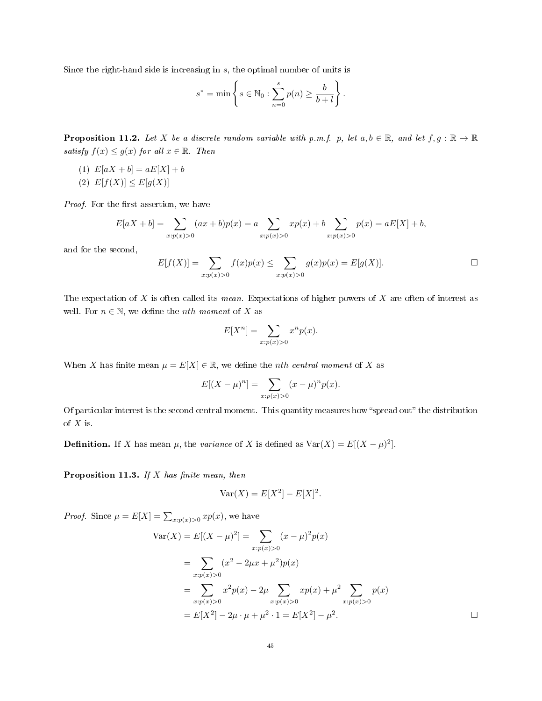Since the right-hand side is increasing in  $s$ , the optimal number of units is

$$
s^* = \min\left\{ s \in \mathbb{N}_0 : \sum_{n=0}^s p(n) \ge \frac{b}{b+l} \right\}.
$$

<span id="page-44-0"></span>**Proposition 11.2.** Let X be a discrete random variable with p.m.f. p, let  $a, b \in \mathbb{R}$ , and let  $f, g : \mathbb{R} \to \mathbb{R}$ satisfy  $f(x) \leq g(x)$  for all  $x \in \mathbb{R}$ . Then

- (1)  $E[aX + b] = aE[X] + b$
- (2)  $E[f(X)] \leq E[g(X)]$

Proof. For the first assertion, we have

$$
E[aX + b] = \sum_{x:p(x)>0} (ax+b)p(x) = a \sum_{x:p(x)>0} xp(x) + b \sum_{x:p(x)>0} p(x) = aE[X] + b,
$$

and for the second,

$$
E[f(X)] = \sum_{x:p(x)>0} f(x)p(x) \le \sum_{x:p(x)>0} g(x)p(x) = E[g(X)].
$$

The expectation of X is often called its *mean*. Expectations of higher powers of X are often of interest as well. For  $n \in \mathbb{N}$ , we define the *nth moment* of X as

$$
E[X^n] = \sum_{x:p(x)>0} x^n p(x).
$$

When X has finite mean  $\mu = E[X] \in \mathbb{R}$ , we define the *nth central moment* of X as

$$
E[(X - \mu)^n] = \sum_{x:p(x)>0} (x - \mu)^n p(x).
$$

Of particular interest is the second central moment. This quantity measures how "spread out" the distribution of  $X$  is.

**Definition.** If X has mean  $\mu$ , the variance of X is defined as  $\text{Var}(X) = E[(X - \mu)^2]$ .

Proposition 11.3. If  $X$  has finite mean, then

$$
\text{Var}(X) = E[X^2] - E[X]^2.
$$

*Proof.* Since  $\mu = E[X] = \sum_{x:p(x)>0} x p(x)$ , we have

$$
\begin{aligned}\n\text{Var}(X) &= E[(X - \mu)^2] = \sum_{x:p(x)>0} (x - \mu)^2 p(x) \\
&= \sum_{x:p(x)>0} (x^2 - 2\mu x + \mu^2) p(x) \\
&= \sum_{x:p(x)>0} x^2 p(x) - 2\mu \sum_{x:p(x)>0} xp(x) + \mu^2 \sum_{x:p(x)>0} p(x) \\
&= E[X^2] - 2\mu \cdot \mu + \mu^2 \cdot 1 = E[X^2] - \mu^2.\n\end{aligned}
$$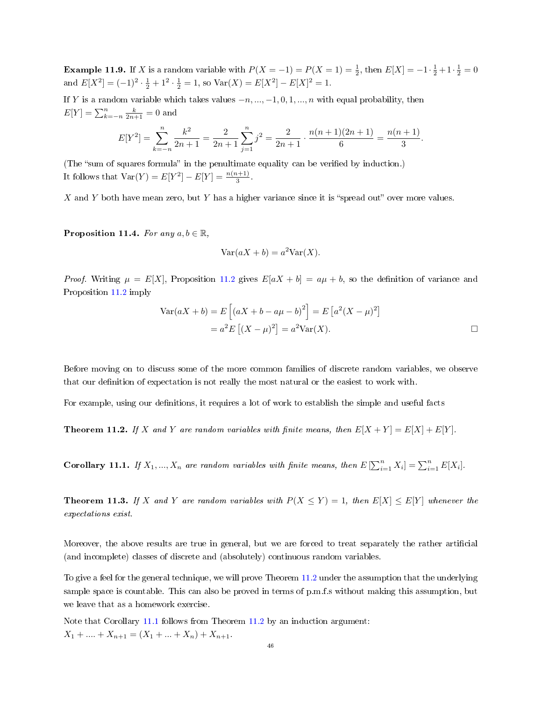**Example 11.9.** If X is a random variable with  $P(X = -1) = P(X = 1) = \frac{1}{2}$ , then  $E[X] = -1 \cdot \frac{1}{2} + 1 \cdot \frac{1}{2} = 0$ and  $E[X^2] = (-1)^2 \cdot \frac{1}{2} + 1^2 \cdot \frac{1}{2} = 1$ , so  $Var(X) = E[X^2] - E[X]^2 = 1$ .

If Y is a random variable which takes values  $-n, ..., -1, 0, 1, ..., n$  with equal probability, then  $E[Y] = \sum_{k=-n}^{n} \frac{k}{2n+1} = 0$  and

$$
E[Y^{2}] = \sum_{k=-n}^{n} \frac{k^{2}}{2n+1} = \frac{2}{2n+1} \sum_{j=1}^{n} j^{2} = \frac{2}{2n+1} \cdot \frac{n(n+1)(2n+1)}{6} = \frac{n(n+1)}{3}.
$$

(The "sum of squares formula" in the penultimate equality can be verified by induction.) It follows that  $Var(Y) = E[Y^2] - E[Y] = \frac{n(n+1)}{3}$ .

X and Y both have mean zero, but Y has a higher variance since it is "spread out" over more values.

Proposition 11.4. For any  $a, b \in \mathbb{R}$ ,

$$
Var(aX + b) = a^2 Var(X).
$$

*Proof.* Writing  $\mu = E[X]$ , Proposition [11.2](#page-44-0) gives  $E[aX + b] = a\mu + b$ , so the definition of variance and Proposition [11.2](#page-44-0) imply

$$
\operatorname{Var}(aX + b) = E\left[ (aX + b - a\mu - b)^2 \right] = E\left[ a^2(X - \mu)^2 \right]
$$

$$
= a^2 E\left[ (X - \mu)^2 \right] = a^2 \operatorname{Var}(X).
$$

Before moving on to discuss some of the more common families of discrete random variables, we observe that our definition of expectation is not really the most natural or the easiest to work with.

For example, using our definitions, it requires a lot of work to establish the simple and useful facts

<span id="page-45-0"></span>**Theorem 11.2.** If X and Y are random variables with finite means, then  $E[X+Y] = E[X] + E[Y]$ .

<span id="page-45-1"></span>**Corollary 11.1.** If  $X_1, ..., X_n$  are random variables with finite means, then  $E\left[\sum_{i=1}^n X_i\right] = \sum_{i=1}^n E[X_i]$ .

<span id="page-45-2"></span>**Theorem 11.3.** If X and Y are random variables with  $P(X \le Y) = 1$ , then  $E[X] \le E[Y]$  whenever the expectations exist.

Moreover, the above results are true in general, but we are forced to treat separately the rather articial (and incomplete) classes of discrete and (absolutely) continuous random variables.

To give a feel for the general technique, we will prove Theorem [11.2](#page-45-0) under the assumption that the underlying sample space is countable. This can also be proved in terms of p.m.f.s without making this assumption, but we leave that as a homework exercise.

Note that Corollary [11.1](#page-45-1) follows from Theorem [11.2](#page-45-0) by an induction argument:  $X_1 + \ldots + X_{n+1} = (X_1 + \ldots + X_n) + X_{n+1}.$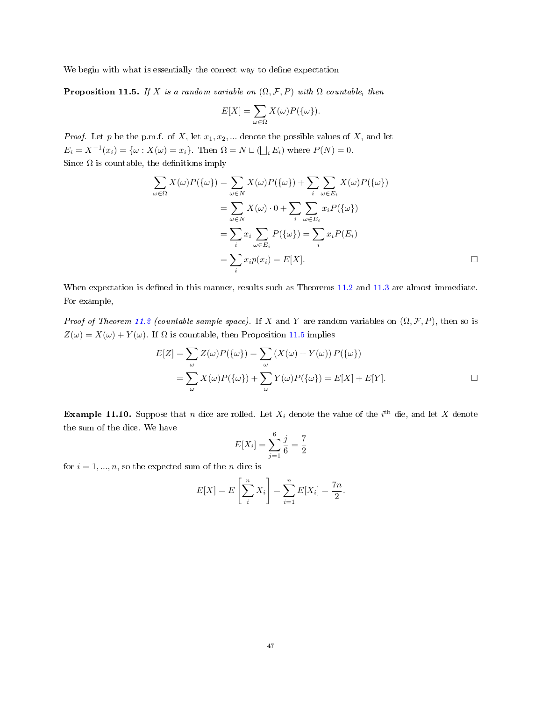We begin with what is essentially the correct way to define expectation

<span id="page-46-0"></span>**Proposition 11.5.** If X is a random variable on  $(\Omega, \mathcal{F}, P)$  with  $\Omega$  countable, then

$$
E[X] = \sum_{\omega \in \Omega} X(\omega) P(\{\omega\}).
$$

*Proof.* Let p be the p.m.f. of X, let  $x_1, x_2, ...$  denote the possible values of X, and let  $E_i = X^{-1}(x_i) = \{\omega : X(\omega) = x_i\}.$  Then  $\Omega = N \sqcup (\bigsqcup_i E_i)$  where  $P(N) = 0.$ Since  $\Omega$  is countable, the definitions imply

$$
\sum_{\omega \in \Omega} X(\omega) P(\{\omega\}) = \sum_{\omega \in N} X(\omega) P(\{\omega\}) + \sum_{i} \sum_{\omega \in E_i} X(\omega) P(\{\omega\})
$$

$$
= \sum_{\omega \in N} X(\omega) \cdot 0 + \sum_{i} \sum_{\omega \in E_i} x_i P(\{\omega\})
$$

$$
= \sum_{i} x_i \sum_{\omega \in E_i} P(\{\omega\}) = \sum_{i} x_i P(E_i)
$$

$$
= \sum_{i} x_i p(x_i) = E[X]. \qquad \Box
$$

When expectation is defined in this manner, results such as Theorems [11.2](#page-45-0) and [11.3](#page-45-2) are almost immediate. For example,

*Proof of Theorem [11.2](#page-45-0) (countable sample space).* If X and Y are random variables on  $(\Omega, \mathcal{F}, P)$ , then so is  $Z(\omega) = X(\omega) + Y(\omega)$ . If  $\Omega$  is countable, then Proposition [11.5](#page-46-0) implies

$$
E[Z] = \sum_{\omega} Z(\omega)P(\{\omega\}) = \sum_{\omega} (X(\omega) + Y(\omega)) P(\{\omega\})
$$
  
= 
$$
\sum_{\omega} X(\omega)P(\{\omega\}) + \sum_{\omega} Y(\omega)P(\{\omega\}) = E[X] + E[Y].
$$

**Example 11.10.** Suppose that n dice are rolled. Let  $X_i$  denote the value of the i<sup>th</sup> die, and let X denote the sum of the dice. We have

$$
E[X_i] = \sum_{j=1}^{6} \frac{j}{6} = \frac{7}{2}
$$

for  $i = 1, ..., n$ , so the expected sum of the *n* dice is

$$
E[X] = E\left[\sum_{i=1}^{n} X_i\right] = \sum_{i=1}^{n} E[X_i] = \frac{7n}{2}.
$$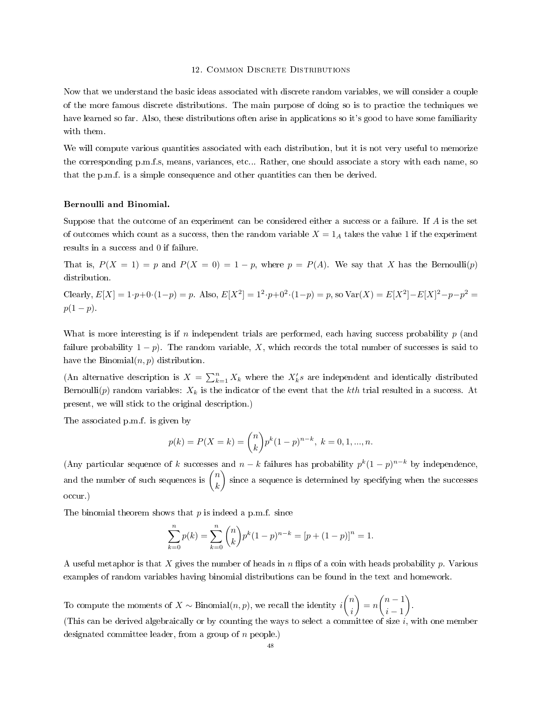#### 12. Common Discrete Distributions

Now that we understand the basic ideas associated with discrete random variables, we will consider a couple of the more famous discrete distributions. The main purpose of doing so is to practice the techniques we have learned so far. Also, these distributions often arise in applications so it's good to have some familiarity with them.

We will compute various quantities associated with each distribution, but it is not very useful to memorize the corresponding p.m.f.s, means, variances, etc... Rather, one should associate a story with each name, so that the p.m.f. is a simple consequence and other quantities can then be derived.

# Bernoulli and Binomial.

Suppose that the outcome of an experiment can be considered either a success or a failure. If A is the set of outcomes which count as a success, then the random variable  $X = 1_A$  takes the value 1 if the experiment results in a success and 0 if failure.

That is,  $P(X = 1) = p$  and  $P(X = 0) = 1 - p$ , where  $p = P(A)$ . We say that X has the Bernoulli(p) distribution.

Clearly,  $E[X] = 1 \cdot p + 0 \cdot (1-p) = p$ . Also,  $E[X^2] = 1^2 \cdot p + 0^2 \cdot (1-p) = p$ , so  $Var(X) = E[X^2] - E[X]^2 - p - p^2 = 0$  $p(1-p)$ .

What is more interesting is if n independent trials are performed, each having success probability  $p$  (and failure probability  $1 - p$ ). The random variable, X, which records the total number of successes is said to have the Binomial $(n, p)$  distribution.

(An alternative description is  $X = \sum_{k=1}^{n} X_k$  where the  $X'_k s$  are independent and identically distributed Bernoulli(p) random variables:  $X_k$  is the indicator of the event that the kth trial resulted in a success. At present, we will stick to the original description.)

The associated p.m.f. is given by

$$
p(k) = P(X = k) = {n \choose k} p^{k} (1-p)^{n-k}, \ k = 0, 1, ..., n.
$$

(Any particular sequence of k successes and  $n - k$  failures has probability  $p^k(1-p)^{n-k}$  by independence, and the number of such sequences is  $\binom{n}{k}$ k since a sequence is determined by specifying when the successes occur.)

The binomial theorem shows that  $p$  is indeed a p.m.f. since

$$
\sum_{k=0}^{n} p(k) = \sum_{k=0}^{n} {n \choose k} p^{k} (1-p)^{n-k} = [p + (1-p)]^{n} = 1.
$$

A useful metaphor is that  $X$  gives the number of heads in  $n$  flips of a coin with heads probability  $p$ . Various examples of random variables having binomial distributions can be found in the text and homework.

To compute the moments of  $X \sim \text{Binomial}(n, p),$  we recall the identity  $i\binom{n}{k}$ i  $\bigg) = n \binom{n-1}{n}$  $i - 1$  . (This can be derived algebraically or by counting the ways to select a committee of size i, with one member designated committee leader, from a group of n people.)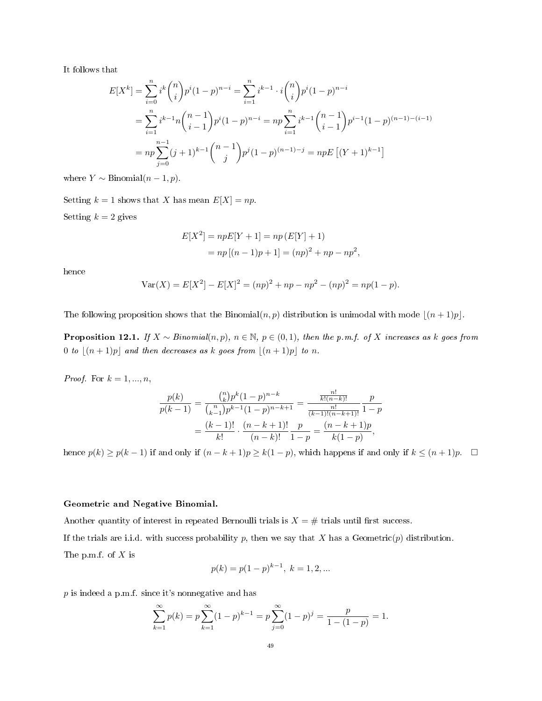It follows that

$$
E[X^{k}] = \sum_{i=0}^{n} i^{k} {n \choose i} p^{i} (1-p)^{n-i} = \sum_{i=1}^{n} i^{k-1} \cdot i {n \choose i} p^{i} (1-p)^{n-i}
$$
  
= 
$$
\sum_{i=1}^{n} i^{k-1} n {n-1 \choose i-1} p^{i} (1-p)^{n-i} = np \sum_{i=1}^{n} i^{k-1} {n-1 \choose i-1} p^{i-1} (1-p)^{(n-1)-(i-1)}
$$
  
= 
$$
np \sum_{j=0}^{n-1} (j+1)^{k-1} {n-1 \choose j} p^{j} (1-p)^{(n-1)-j} = npE [(Y+1)^{k-1}]
$$

where  $Y \sim \text{Binomial}(n-1, p)$ .

Setting  $k = 1$  shows that X has mean  $E[X] = np$ . Setting  $k = 2$  gives

$$
E[X2] = npE[Y + 1] = np(E[Y] + 1)
$$
  
= np[(n - 1)p + 1] = (np)<sup>2</sup> + np - np<sup>2</sup>,

hence

$$
Var(X) = E[X2] - E[X]2 = (np)2 + np - np2 - (np)2 = np(1 - p).
$$

The following proposition shows that the Binomial $(n, p)$  distribution is unimodal with mode  $\lfloor (n + 1)p \rfloor$ .

**Proposition 12.1.** If  $X \sim Binomial(n, p)$ ,  $n \in \mathbb{N}$ ,  $p \in (0, 1)$ , then the p.m.f. of X increases as k goes from 0 to  $\lfloor (n+1)p \rfloor$  and then decreases as k goes from  $\lfloor (n+1)p \rfloor$  to n.

*Proof.* For  $k = 1, ..., n$ ,

$$
\frac{p(k)}{p(k-1)} = \frac{\binom{n}{k}p^k(1-p)^{n-k}}{\binom{n}{k-1}p^{k-1}(1-p)^{n-k+1}} = \frac{\frac{n!}{k!(n-k)!}}{\frac{n!}{(k-1)!(n-k+1)!}}\frac{p}{1-p}
$$

$$
= \frac{(k-1)!}{k!} \cdot \frac{(n-k+1)!}{(n-k)!}\frac{p}{1-p} = \frac{(n-k+1)p}{k(1-p)},
$$

hence  $p(k) \ge p(k-1)$  if and only if  $(n-k+1)p \ge k(1-p)$ , which happens if and only if  $k \le (n+1)p$ . □

### Geometric and Negative Binomial.

Another quantity of interest in repeated Bernoulli trials is  $X = #$  trials until first success.

If the trials are i.i.d. with success probability p, then we say that X has a Geometric $(p)$  distribution. The p.m.f. of  $X$  is

$$
p(k) = p(1-p)^{k-1}, \ k = 1, 2, \dots
$$

 $p$  is indeed a p.m.f. since it's nonnegative and has

$$
\sum_{k=1}^{\infty} p(k) = p \sum_{k=1}^{\infty} (1-p)^{k-1} = p \sum_{j=0}^{\infty} (1-p)^j = \frac{p}{1 - (1-p)} = 1.
$$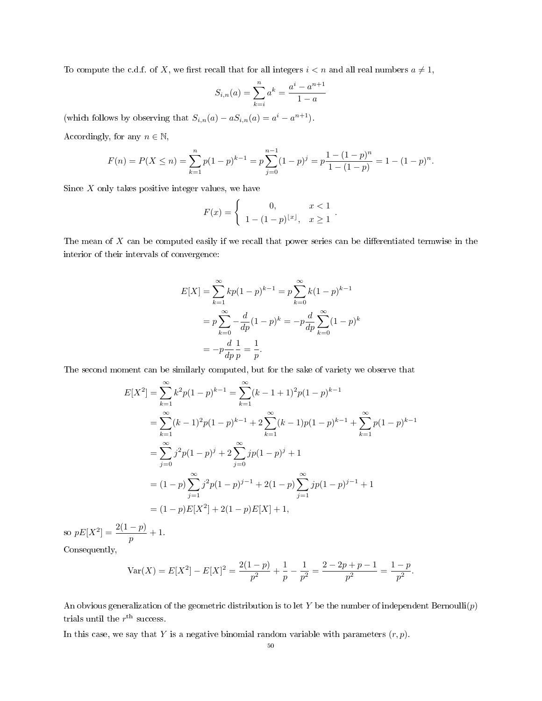To compute the c.d.f. of X, we first recall that for all integers  $i < n$  and all real numbers  $a \neq 1$ ,

$$
S_{i,n}(a) = \sum_{k=i}^{n} a^k = \frac{a^i - a^{n+1}}{1 - a}
$$

(which follows by observing that  $S_{i,n}(a) - aS_{i,n}(a) = a^{i} - a^{n+1}$ ).

Accordingly, for any  $n \in \mathbb{N}$ ,

$$
F(n) = P(X \le n) = \sum_{k=1}^{n} p(1-p)^{k-1} = p \sum_{j=0}^{n-1} (1-p)^j = p \frac{1 - (1-p)^n}{1 - (1-p)} = 1 - (1-p)^n.
$$

Since  $X$  only takes positive integer values, we have

$$
F(x) = \begin{cases} 0, & x < 1 \\ 1 - (1 - p)^{\lfloor x \rfloor}, & x \ge 1 \end{cases}.
$$

The mean of  $X$  can be computed easily if we recall that power series can be differentiated termwise in the interior of their intervals of convergence:

$$
E[X] = \sum_{k=1}^{\infty} k p (1-p)^{k-1} = p \sum_{k=0}^{\infty} k (1-p)^{k-1}
$$
  
=  $p \sum_{k=0}^{\infty} -\frac{d}{dp} (1-p)^k = -p \frac{d}{dp} \sum_{k=0}^{\infty} (1-p)^k$   
=  $-p \frac{d}{dp} \frac{1}{p} = \frac{1}{p}.$ 

The second moment can be similarly computed, but for the sake of variety we observe that

$$
E[X^2] = \sum_{k=1}^{\infty} k^2 p (1-p)^{k-1} = \sum_{k=1}^{\infty} (k-1+1)^2 p (1-p)^{k-1}
$$
  
= 
$$
\sum_{k=1}^{\infty} (k-1)^2 p (1-p)^{k-1} + 2 \sum_{k=1}^{\infty} (k-1) p (1-p)^{k-1} + \sum_{k=1}^{\infty} p (1-p)^{k-1}
$$
  
= 
$$
\sum_{j=0}^{\infty} j^2 p (1-p)^j + 2 \sum_{j=0}^{\infty} j p (1-p)^j + 1
$$
  
= 
$$
(1-p) \sum_{j=1}^{\infty} j^2 p (1-p)^{j-1} + 2(1-p) \sum_{j=1}^{\infty} j p (1-p)^{j-1} + 1
$$
  
= 
$$
(1-p)E[X^2] + 2(1-p)E[X] + 1,
$$

so  $pE[X^2] = \frac{2(1-p)}{p} + 1.$ Consequently,

$$
\text{Var}(X) = E[X^2] - E[X]^2 = \frac{2(1-p)}{p^2} + \frac{1}{p} - \frac{1}{p^2} = \frac{2-2p+p-1}{p^2} = \frac{1-p}{p^2}.
$$

An obvious generalization of the geometric distribution is to let Y be the number of independent Bernoulli $(p)$ trials until the  $r<sup>th</sup>$  success.

In this case, we say that Y is a negative binomial random variable with parameters  $(r, p)$ .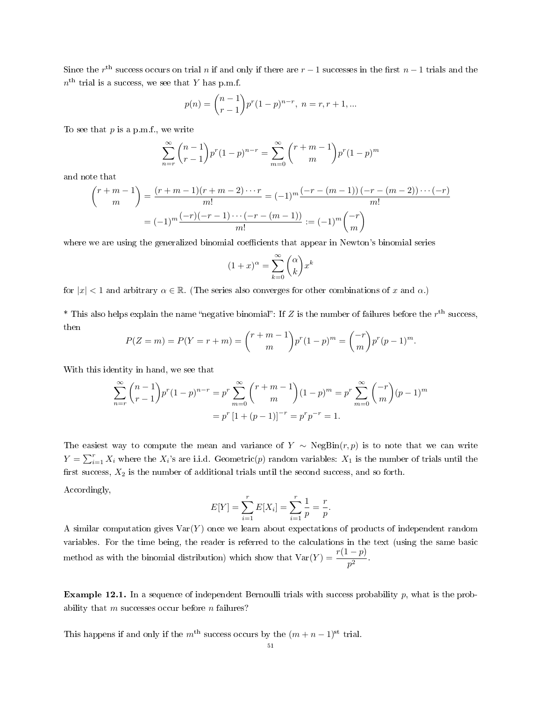Since the  $r^{\text{th}}$  success occurs on trial n if and only if there are  $r-1$  successes in the first  $n-1$  trials and the  $n<sup>th</sup>$  trial is a success, we see that Y has p.m.f.

$$
p(n) = {n-1 \choose r-1} p^r (1-p)^{n-r}, \ n = r, r+1, \dots
$$

To see that  $p$  is a p.m.f., we write

$$
\sum_{n=r}^{\infty} {n-1 \choose r-1} p^r (1-p)^{n-r} = \sum_{m=0}^{\infty} {r+m-1 \choose m} p^r (1-p)^m
$$

and note that

$$
\binom{r+m-1}{m} = \frac{(r+m-1)(r+m-2)\cdots r}{m!} = (-1)^m \frac{(-r-(m-1))(-r-(m-2))\cdots (-r)}{m!}
$$

$$
= (-1)^m \frac{(-r)(-r-1)\cdots (-r-(m-1))}{m!} := (-1)^m \binom{-r}{m}
$$

where we are using the generalized binomial coefficients that appear in Newton's binomial series

$$
(1+x)^\alpha = \sum_{k=0}^\infty \binom{\alpha}{k} x^k
$$

for  $|x| < 1$  and arbitrary  $\alpha \in \mathbb{R}$ . (The series also converges for other combinations of x and  $\alpha$ .)

\* This also helps explain the name "negative binomial": If Z is the number of failures before the  $r<sup>th</sup>$  success, then

$$
P(Z = m) = P(Y = r + m) = {r + m - 1 \choose m} p^r (1 - p)^m = { -r \choose m} p^r (p - 1)^m.
$$

With this identity in hand, we see that

$$
\sum_{n=r}^{\infty} {n-1 \choose r-1} p^r (1-p)^{n-r} = p^r \sum_{m=0}^{\infty} {r+m-1 \choose m} (1-p)^m = p^r \sum_{m=0}^{\infty} {r \choose m} (p-1)^m
$$

$$
= p^r [1+(p-1)]^{-r} = p^r p^{-r} = 1.
$$

The easiest way to compute the mean and variance of Y  $\sim$  NegBin $(r, p)$  is to note that we can write  $Y = \sum_{i=1}^{r} X_i$  where the  $X_i$ 's are i.i.d. Geometric $(p)$  random variables:  $X_1$  is the number of trials until the first success,  $X_2$  is the number of additional trials until the second success, and so forth. Accordingly,

$$
E[Y] = \sum_{i=1}^{r} E[X_i] = \sum_{i=1}^{r} \frac{1}{p} = \frac{r}{p}.
$$

A similar computation gives  $\text{Var}(Y)$  once we learn about expectations of products of independent random variables. For the time being, the reader is referred to the calculations in the text (using the same basic method as with the binomial distribution) which show that  $Var(Y) = \frac{r(1-p)}{p^2}$ .

Example 12.1. In a sequence of independent Bernoulli trials with success probability p, what is the probability that  $m$  successes occur before  $n$  failures?

This happens if and only if the  $m^{\text{th}}$  success occurs by the  $(m + n - 1)^{\text{st}}$  trial.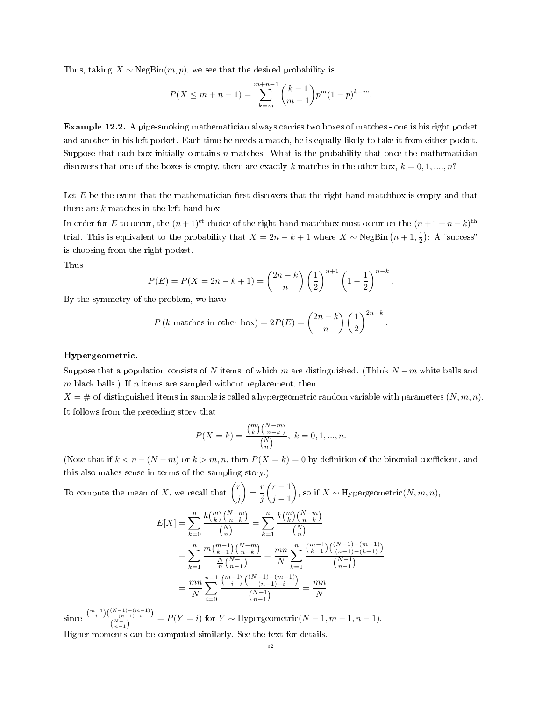Thus, taking  $X \sim \text{NegBin}(m, p)$ , we see that the desired probability is

$$
P(X \le m + n - 1) = \sum_{k=m}^{m+n-1} {k-1 \choose m-1} p^{m} (1-p)^{k-m}.
$$

Example 12.2. A pipe-smoking mathematician always carries two boxes of matches - one is his right pocket and another in his left pocket. Each time he needs a match, he is equally likely to take it from either pocket. Suppose that each box initially contains  $n$  matches. What is the probability that once the mathematician discovers that one of the boxes is empty, there are exactly k matches in the other box,  $k = 0, 1, ..., n$ ?

Let  $E$  be the event that the mathematician first discovers that the right-hand matchbox is empty and that there are  $k$  matches in the left-hand box.

In order for E to occur, the  $(n+1)$ <sup>st</sup> choice of the right-hand matchbox must occur on the  $(n+1+n-k)$ <sup>th</sup> trial. This is equivalent to the probability that  $X = 2n - k + 1$  where  $X \sim \text{NegBin}(n + 1, \frac{1}{2})$ : A "success" is choosing from the right pocket.

Thus

$$
P(E) = P(X = 2n - k + 1) = {2n - k \choose n} \left(\frac{1}{2}\right)^{n+1} \left(1 - \frac{1}{2}\right)^{n-k}.
$$

By the symmetry of the problem, we have

$$
P(k \text{ matches in other box}) = 2P(E) = {2n-k \choose n} \left(\frac{1}{2}\right)^{2n-k}.
$$

## Hypergeometric.

Suppose that a population consists of N items, of which m are distinguished. (Think  $N-m$  white balls and  $m$  black balls.) If  $n$  items are sampled without replacement, then

 $X = #$  of distinguished items in sample is called a hypergeometric random variable with parameters  $(N, m, n)$ . It follows from the preceding story that

$$
P(X = k) = \frac{\binom{m}{k} \binom{N-m}{n-k}}{\binom{N}{n}}, \ k = 0, 1, ..., n.
$$

(Note that if  $k < n - (N - m)$  or  $k > m, n$ , then  $P(X = k) = 0$  by definition of the binomial coefficient, and this also makes sense in terms of the sampling story.)

To compute the mean of X, we recall that 
$$
\binom{r}{j} = \frac{r}{j} \binom{r-1}{j-1}
$$
, so if  $X \sim \text{Hypergeometric}(N, m, n)$ ,  
\n
$$
E[X] = \sum_{k=0}^{n} \frac{k \binom{m}{k} \binom{N-m}{n-k}}{\binom{N}{n}} = \sum_{k=1}^{n} \frac{k \binom{m}{k} \binom{N-m}{n-k}}{\binom{N}{n}}
$$
\n
$$
= \sum_{k=1}^{n} \frac{m \binom{m-1}{k-1} \binom{N-m}{n-k}}{\frac{N}{n} \binom{N-1}{n-1}} = \frac{mn}{N} \sum_{k=1}^{n} \frac{\binom{m-1}{k-1} \binom{(N-1)-(m-1)}{(n-1)-(k-1)}}{\binom{N-1}{n-1}}
$$
\n
$$
= \frac{mn}{N} \sum_{i=0}^{n-1} \frac{\binom{m-1}{i} \binom{(N-1)-(m-1)}{(n-1)-i}}{\binom{N-1}{n-1}} = \frac{mn}{N}
$$
\nsince  $\binom{m-1}{i} \binom{(N-1)-(m-1)}{(n-1)-i} = P(V-i)$  for  $V \sim \text{Hypergeometric}(N-1, m-1, n-1)$ .

since (  $\binom{N-1}{n-1}$  $= P(Y = i)$  for  $Y \sim$  Hypergeometric( $N - 1, m - 1, n - 1$ ). Higher moments can be computed similarly. See the text for details.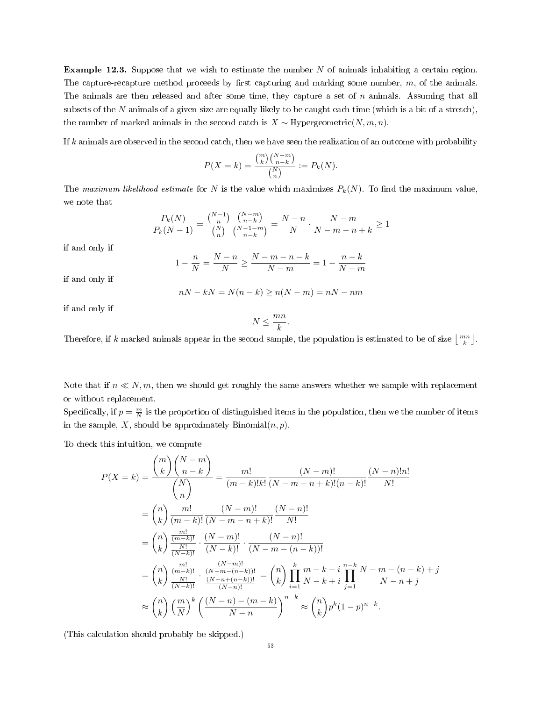**Example 12.3.** Suppose that we wish to estimate the number N of animals inhabiting a certain region. The capture-recapture method proceeds by first capturing and marking some number,  $m$ , of the animals. The animals are then released and after some time, they capture a set of  $n$  animals. Assuming that all subsets of the  $N$  animals of a given size are equally likely to be caught each time (which is a bit of a stretch). the number of marked animals in the second catch is  $X \sim \text{Hypergeometric}(N, m, n)$ .

If  $k$  animals are observed in the second catch, then we have seen the realization of an outcome with probability

$$
P(X = k) = \frac{\binom{m}{k} \binom{N-m}{n-k}}{\binom{N}{n}} := P_k(N).
$$

The maximum likelihood estimate for N is the value which maximizes  $P_k(N)$ . To find the maximum value, we note that

$$
\frac{P_k(N)}{P_k(N-1)} = \frac{\binom{N-1}{n}}{\binom{N}{n}} \frac{\binom{N-m}{n-k}}{\binom{N-1-m}{n-k}} = \frac{N-n}{N} \cdot \frac{N-m}{N-m-n+k} \ge 1
$$

if and only if

$$
1 - \frac{n}{N} = \frac{N - n}{N} \ge \frac{N - m - n - k}{N - m} = 1 - \frac{n - k}{N - m}
$$

if and only if

$$
nN - kN = N(n - k) \ge n(N - m) = nN - nm
$$

if and only if

$$
N\leq \frac{mn}{k}.
$$

Therefore, if k marked animals appear in the second sample, the population is estimated to be of size  $\lfloor \frac{mn}{k} \rfloor$ .

Note that if  $n \ll N, m$ , then we should get roughly the same answers whether we sample with replacement or without replacement.

Specifically, if  $p = \frac{m}{N}$  is the proportion of distinguished items in the population, then we the number of items in the sample, X, should be approximately Binomial $(n, p)$ .

To check this intuition, we compute

$$
P(X = k) = \frac{\binom{m}{k}\binom{N-m}{n-k}}{\binom{N}{n}} = \frac{m!}{(m-k)!k!} \frac{(N-m)!}{(N-m-n+k)!(n-k)!} \frac{(N-n)!n!}{N!}
$$
  
\n
$$
= \binom{n}{k} \frac{m!}{(m-k)!} \frac{(N-m)!}{(N-m-n+k)!} \frac{(N-n)!}{N!}
$$
  
\n
$$
= \binom{n}{k} \frac{\frac{m!}{(m-k)!}}{\frac{N!}{(N-k)!}} \cdot \frac{(N-m)!}{(N-k)!} \cdot \frac{(N-n)!}{(N-m-(n-k))!}
$$
  
\n
$$
= \binom{n}{k} \frac{\frac{m!}{(m-k)!}}{\frac{(N-n)!}{(N-n)(m-k)!}} = \binom{n}{k} \prod_{i=1}^{k} \frac{m-k+i}{N-k+i} \prod_{j=1}^{n-k} \frac{N-m-(n-k)+j}{N-n+j}
$$
  
\n
$$
\approx \binom{n}{k} \left(\frac{m}{N}\right)^{k} \left(\frac{(N-n)-(m-k)}{N-n}\right)^{n-k} \approx \binom{n}{k} p^{k} (1-p)^{n-k}.
$$

(This calculation should probably be skipped.)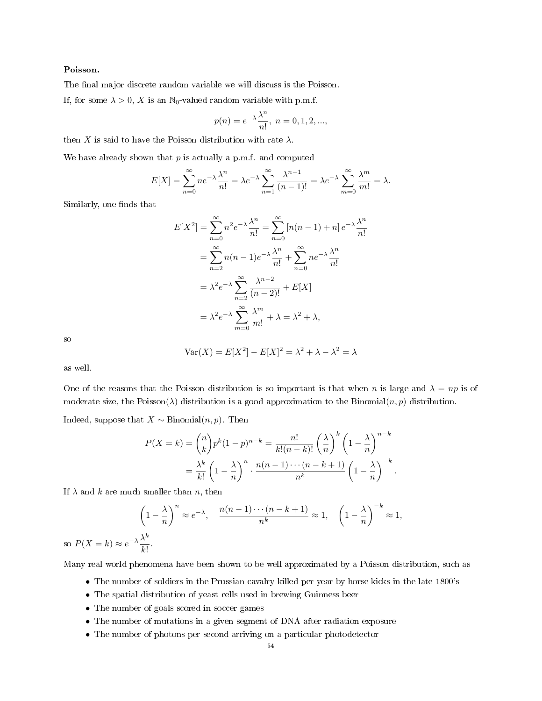### Poisson.

The final major discrete random variable we will discuss is the Poisson. If, for some  $\lambda > 0$ , X is an N<sub>0</sub>-valued random variable with p.m.f.

$$
p(n) = e^{-\lambda} \frac{\lambda^n}{n!}, \ n = 0, 1, 2, \dots,
$$

then X is said to have the Poisson distribution with rate  $\lambda$ .

We have already shown that  $p$  is actually a p.m.f. and computed

$$
E[X] = \sum_{n=0}^{\infty} n e^{-\lambda} \frac{\lambda^n}{n!} = \lambda e^{-\lambda} \sum_{n=1}^{\infty} \frac{\lambda^{n-1}}{(n-1)!} = \lambda e^{-\lambda} \sum_{m=0}^{\infty} \frac{\lambda^m}{m!} = \lambda.
$$

Similarly, one finds that

$$
E[X^2] = \sum_{n=0}^{\infty} n^2 e^{-\lambda} \frac{\lambda^n}{n!} = \sum_{n=0}^{\infty} [n(n-1) + n] e^{-\lambda} \frac{\lambda^n}{n!}
$$
  
= 
$$
\sum_{n=2}^{\infty} n(n-1) e^{-\lambda} \frac{\lambda^n}{n!} + \sum_{n=0}^{\infty} n e^{-\lambda} \frac{\lambda^n}{n!}
$$
  
= 
$$
\lambda^2 e^{-\lambda} \sum_{n=2}^{\infty} \frac{\lambda^{n-2}}{(n-2)!} + E[X]
$$
  
= 
$$
\lambda^2 e^{-\lambda} \sum_{m=0}^{\infty} \frac{\lambda^m}{m!} + \lambda = \lambda^2 + \lambda,
$$

so

$$
Var(X) = E[X^2] - E[X]^2 = \lambda^2 + \lambda - \lambda^2 = \lambda
$$

as well.

One of the reasons that the Poisson distribution is so important is that when n is large and  $\lambda = np$  is of moderate size, the Poisson( $\lambda$ ) distribution is a good approximation to the Binomial $(n, p)$  distribution.

Indeed, suppose that  $X \sim \text{Binomial}(n, p)$ . Then

$$
P(X = k) = {n \choose k} p^k (1-p)^{n-k} = \frac{n!}{k!(n-k)!} \left(\frac{\lambda}{n}\right)^k \left(1 - \frac{\lambda}{n}\right)^{n-k}
$$

$$
= \frac{\lambda^k}{k!} \left(1 - \frac{\lambda}{n}\right)^n \cdot \frac{n(n-1)\cdots(n-k+1)}{n^k} \left(1 - \frac{\lambda}{n}\right)^{-k}.
$$

If  $\lambda$  and k are much smaller than n, then

$$
\left(1 - \frac{\lambda}{n}\right)^n \approx e^{-\lambda}, \quad \frac{n(n-1)\cdots(n-k+1)}{n^k} \approx 1, \quad \left(1 - \frac{\lambda}{n}\right)^{-k} \approx 1,
$$

so  $P(X = k) \approx e^{-\lambda} \frac{\lambda^k}{k!}$  $\frac{k!}{k!}$ .

Many real world phenomena have been shown to be well approximated by a Poisson distribution, such as

- The number of soldiers in the Prussian cavalry killed per year by horse kicks in the late 1800's
- The spatial distribution of yeast cells used in brewing Guinness beer
- The number of goals scored in soccer games
- The number of mutations in a given segment of DNA after radiation exposure
- The number of photons per second arriving on a particular photodetector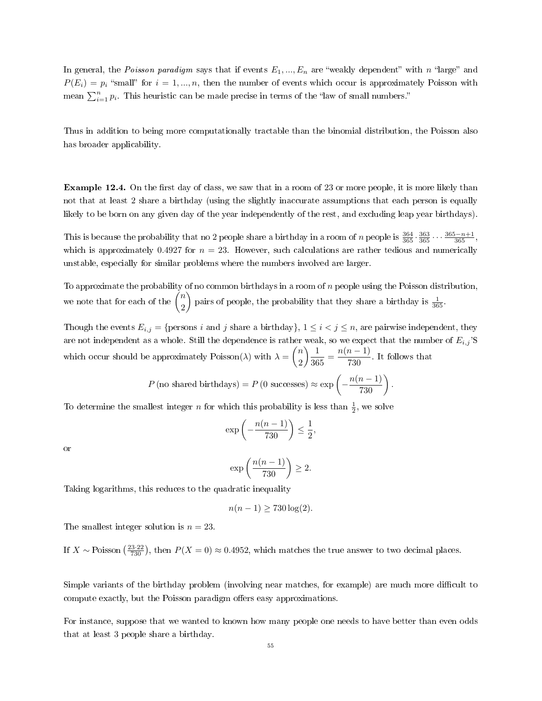In general, the Poisson paradigm says that if events  $E_1, ..., E_n$  are "weakly dependent" with n "large" and  $P(E_i) = p_i$  "small" for  $i = 1, ..., n$ , then the number of events which occur is approximately Poisson with mean  $\sum_{i=1}^{n} p_i$ . This heuristic can be made precise in terms of the "law of small numbers."

Thus in addition to being more computationally tractable than the binomial distribution, the Poisson also has broader applicability.

**Example 12.4.** On the first day of class, we saw that in a room of 23 or more people, it is more likely than not that at least 2 share a birthday (using the slightly inaccurate assumptions that each person is equally likely to be born on any given day of the year independently of the rest, and excluding leap year birthdays).

This is because the probability that no 2 people share a birthday in a room of n people is  $\frac{364}{365} \cdot \frac{363}{365} \cdots \frac{365-n+1}{365}$ , which is approximately 0.4927 for  $n = 23$ . However, such calculations are rather tedious and numerically unstable, especially for similar problems where the numbers involved are larger.

To approximate the probability of no common birthdays in a room of n people using the Poisson distribution, we note that for each of the  $\binom{n}{2}$ 2 ) pairs of people, the probability that they share a birthday is  $\frac{1}{365}$ .

Though the events  $E_{i,j} = \{\text{persons } i \text{ and } j \text{ share a birthday}\}, 1 \leq i < j \leq n$ , are pairwise independent, they are not independent as a whole. Still the dependence is rather weak, so we expect that the number of  $E_{i,j}$ 'S which occur should be approximately Poisson( $\lambda$ ) with  $\lambda = \begin{pmatrix} n \\ n \end{pmatrix}$ 2  $\setminus$  1  $rac{1}{365} = \frac{n(n-1)}{730}$  $\frac{1}{730}$ . It follows that

$$
P\left(\text{no shared birthdays}\right) = P\left(0 \text{ successes}\right) \approx \exp\left(-\frac{n(n-1)}{730}\right)
$$

.

To determine the smallest integer *n* for which this probability is less than  $\frac{1}{2}$ , we solve

$$
\exp\left(-\frac{n(n-1)}{730}\right) \le \frac{1}{2},
$$

or

$$
\exp\left(\frac{n(n-1)}{730}\right) \ge 2.
$$

Taking logarithms, this reduces to the quadratic inequality

$$
n(n-1) \ge 730 \log(2).
$$

The smallest integer solution is  $n = 23$ .

If  $X \sim \text{Poisson} \left( \frac{23.22}{730} \right)$ , then  $P(X = 0) \approx 0.4952$ , which matches the true answer to two decimal places.

Simple variants of the birthday problem (involving near matches, for example) are much more difficult to compute exactly, but the Poisson paradigm offers easy approximations.

For instance, suppose that we wanted to known how many people one needs to have better than even odds that at least 3 people share a birthday.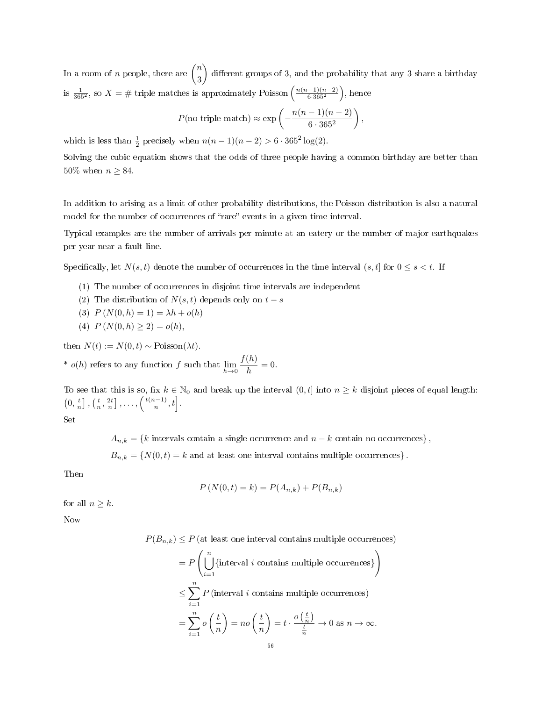In a room of *n* people, there are  $\binom{n}{2}$ 3 different groups of 3, and the probability that any 3 share a birthday is  $\frac{1}{365^2}$ , so  $X = \#$  triple matches is approximately Poisson  $\left(\frac{n(n-1)(n-2)}{6\cdot 365^2}\right)$ , hence

$$
P(\text{no triple match}) \approx \exp\left(-\frac{n(n-1)(n-2)}{6 \cdot 365^2}\right),\,
$$

which is less than  $\frac{1}{2}$  precisely when  $n(n-1)(n-2) > 6 \cdot 365^2 \log(2)$ .

Solving the cubic equation shows that the odds of three people having a common birthday are better than 50% when  $n \geq 84$ .

In addition to arising as a limit of other probability distributions, the Poisson distribution is also a natural model for the number of occurrences of "rare" events in a given time interval.

Typical examples are the number of arrivals per minute at an eatery or the number of major earthquakes per year near a fault line.

Specifically, let  $N(s,t)$  denote the number of occurrences in the time interval  $(s,t]$  for  $0 \le s < t$ . If

- (1) The number of occurrences in disjoint time intervals are independent
- (2) The distribution of  $N(s,t)$  depends only on  $t-s$
- (3)  $P(N(0, h) = 1) = \lambda h + o(h)$
- (4)  $P(N(0,h) \geq 2) = o(h),$

then  $N(t) := N(0, t) \sim \text{Poisson}(\lambda t)$ .

\*  $o(h)$  refers to any function f such that  $\lim_{h\to 0}$  $f(h)$  $\frac{\partial u}{\partial t} = 0.$ 

To see that this is so, fix  $k \in \mathbb{N}_0$  and break up the interval  $(0, t]$  into  $n \geq k$  disjoint pieces of equal length:  $\left(0, \frac{t}{n}\right], \left(\frac{t}{n}, \frac{2t}{n}\right], \ldots, \left(\frac{t(n-1)}{n}\right)$  $\left[\frac{n-1}{n},t\right].$ 

Set

 $A_{n,k} = \{k \text{ intervals contain a single occurrence and } n-k \text{ contain no occurrences}\},$ 

 $B_{n,k} = \{N(0,t) = k \text{ and at least one interval contains multiple occurrences}\}.$ 

Then

$$
P(N(0,t) = k) = P(A_{n,k}) + P(B_{n,k})
$$

for all  $n \geq k$ .

Now

 $P(B_{n,k}) \leq P$  (at least one interval contains multiple occurrences)

$$
= P\left(\bigcup_{i=1}^{n} \{\text{interval } i \text{ contains multiple occurrences}\}\right)
$$

$$
\leq \sum_{i=1}^{n} P\left(\text{interval } i \text{ contains multiple occurrences}\right)
$$

$$
= \sum_{i=1}^{n} o\left(\frac{t}{n}\right) = n o\left(\frac{t}{n}\right) = t \cdot \frac{o\left(\frac{t}{n}\right)}{\frac{t}{n}} \to 0 \text{ as } n \to \infty.
$$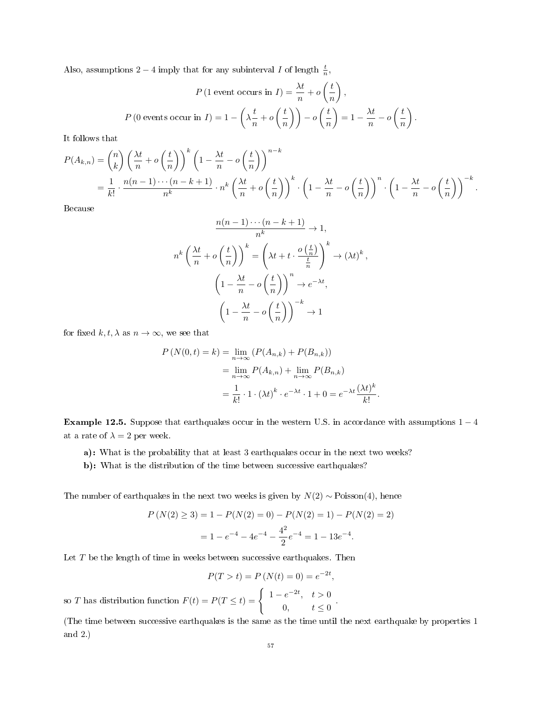Also, assumptions 2 – 4 imply that for any subinterval I of length  $\frac{t}{n}$ ,

$$
P\left(1 \text{ event occurs in } I\right) = \frac{\lambda t}{n} + o\left(\frac{t}{n}\right),
$$

$$
P\left(0 \text{ events occur in } I\right) = 1 - \left(\lambda \frac{t}{n} + o\left(\frac{t}{n}\right)\right) - o\left(\frac{t}{n}\right) = 1 - \frac{\lambda t}{n} - o\left(\frac{t}{n}\right)
$$

.

,

It follows that

$$
P(A_{k,n}) = {n \choose k} \left(\frac{\lambda t}{n} + o\left(\frac{t}{n}\right)\right)^k \left(1 - \frac{\lambda t}{n} - o\left(\frac{t}{n}\right)\right)^{n-k}
$$
  
=  $\frac{1}{k!} \cdot \frac{n(n-1)\cdots(n-k+1)}{n^k} \cdot n^k \left(\frac{\lambda t}{n} + o\left(\frac{t}{n}\right)\right)^k \cdot \left(1 - \frac{\lambda t}{n} - o\left(\frac{t}{n}\right)\right)^n \cdot \left(1 - \frac{\lambda t}{n} - o\left(\frac{t}{n}\right)\right)^{-k}.$ 

Because

$$
\frac{n(n-1)\cdots(n-k+1)}{n^k} \to 1,
$$
  

$$
n^k \left(\frac{\lambda t}{n} + o\left(\frac{t}{n}\right)\right)^k = \left(\lambda t + t \cdot \frac{o\left(\frac{t}{n}\right)}{\frac{t}{n}}\right)^k \to (\lambda t)^k
$$
  

$$
\left(1 - \frac{\lambda t}{n} - o\left(\frac{t}{n}\right)\right)^n \to e^{-\lambda t},
$$
  

$$
\left(1 - \frac{\lambda t}{n} - o\left(\frac{t}{n}\right)\right)^{-k} \to 1
$$

for fixed  $k, t, \lambda$  as  $n \to \infty$ , we see that

$$
P(N(0,t) = k) = \lim_{n \to \infty} (P(A_{n,k}) + P(B_{n,k}))
$$
  
= 
$$
\lim_{n \to \infty} P(A_{k,n}) + \lim_{n \to \infty} P(B_{n,k})
$$
  
= 
$$
\frac{1}{k!} \cdot 1 \cdot (\lambda t)^k \cdot e^{-\lambda t} \cdot 1 + 0 = e^{-\lambda t} \frac{(\lambda t)^k}{k!}.
$$

Example 12.5. Suppose that earthquakes occur in the western U.S. in accordance with assumptions  $1 - 4$ at a rate of  $\lambda = 2$  per week.

- a): What is the probability that at least 3 earthquakes occur in the next two weeks?
- b): What is the distribution of the time between successive earthquakes?

The number of earthquakes in the next two weeks is given by  $N(2) \sim \text{Poisson}(4)$ , hence

$$
P(N(2) \ge 3) = 1 - P(N(2) = 0) - P(N(2) = 1) - P(N(2) = 2)
$$

$$
= 1 - e^{-4} - 4e^{-4} - \frac{4^2}{2}e^{-4} = 1 - 13e^{-4}.
$$

Let  $T$  be the length of time in weeks between successive earthquakes. Then

$$
P(T > t) = P(N(t) = 0) = e^{-2t},
$$

so T has distribution function  $F(t) = P(T \le t) = \begin{cases} 1 - e^{-2t}, & t > 0 \\ 0, & t > 0 \end{cases}$  $\begin{array}{cc} 0, & t \leq 0 \\ 0, & t \leq 0 \end{array}$ 

(The time between successive earthquakes is the same as the time until the next earthquake by properties 1 and 2.)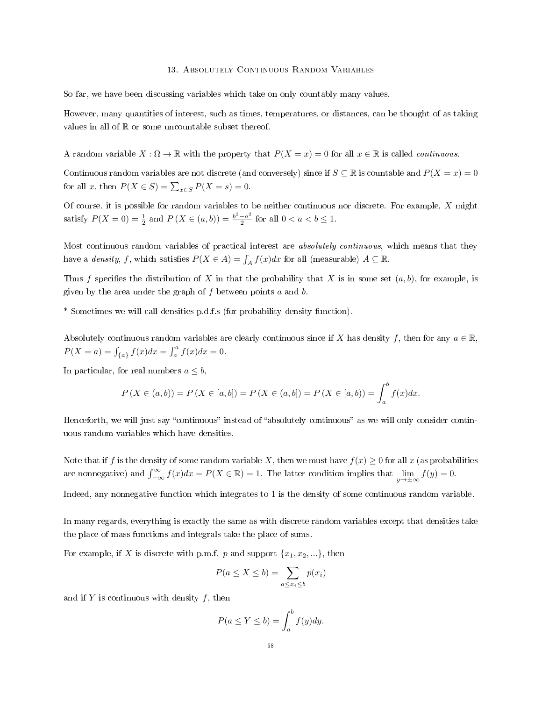### 13. Absolutely Continuous Random Variables

So far, we have been discussing variables which take on only countably many values.

However, many quantities of interest, such as times, temperatures, or distances, can be thought of as taking values in all of R or some uncountable subset thereof.

A random variable  $X : \Omega \to \mathbb{R}$  with the property that  $P(X = x) = 0$  for all  $x \in \mathbb{R}$  is called *continuous*.

Continuous random variables are not discrete (and conversely) since if  $S \subseteq \mathbb{R}$  is countable and  $P(X = x) = 0$ for all x, then  $P(X \in S) = \sum_{x \in S} P(X = s) = 0$ .

Of course, it is possible for random variables to be neither continuous nor discrete. For example,  $X$  might satisfy  $P(X = 0) = \frac{1}{2}$  and  $P(X \in (a, b)) = \frac{b^2 - a^2}{2}$  $\frac{-a^2}{2}$  for all  $0 < a < b \leq 1$ .

Most continuous random variables of practical interest are *absolutely continuous*, which means that they have a *density*, f, which satisfies  $P(X \in A) = \int_A f(x)dx$  for all (measurable)  $A \subseteq \mathbb{R}$ .

Thus f specifies the distribution of X in that the probability that X is in some set  $(a, b)$ , for example, is given by the area under the graph of  $f$  between points  $a$  and  $b$ .

\* Sometimes we will call densities p.d.f.s (for probability density function).

Absolutely continuous random variables are clearly continuous since if X has density f, then for any  $a \in \mathbb{R}$ ,  $P(X = a) = \int_{\{a\}} f(x)dx = \int_{a}^{a} f(x)dx = 0.$ 

In particular, for real numbers  $a \leq b$ ,

$$
P(X \in (a, b)) = P(X \in [a, b]) = P(X \in (a, b]) = P(X \in [a, b)) = \int_{a}^{b} f(x)dx.
$$

Henceforth, we will just say "continuous" instead of "absolutely continuous" as we will only consider continuous random variables which have densities.

Note that if f is the density of some random variable X, then we must have  $f(x) \geq 0$  for all x (as probabilities are nonnegative) and  $\int_{-\infty}^{\infty} f(x)dx = P(X \in \mathbb{R}) = 1$ . The latter condition implies that  $\lim_{y \to \pm \infty} f(y) = 0$ .

Indeed, any nonnegative function which integrates to 1 is the density of some continuous random variable.

In many regards, everything is exactly the same as with discrete random variables except that densities take the place of mass functions and integrals take the place of sums.

For example, if X is discrete with p.m.f. p and support  $\{x_1, x_2, ...\}$ , then

$$
P(a \le X \le b) = \sum_{a \le x_i \le b} p(x_i)
$$

and if Y is continuous with density  $f$ , then

$$
P(a \le Y \le b) = \int_{a}^{b} f(y) dy.
$$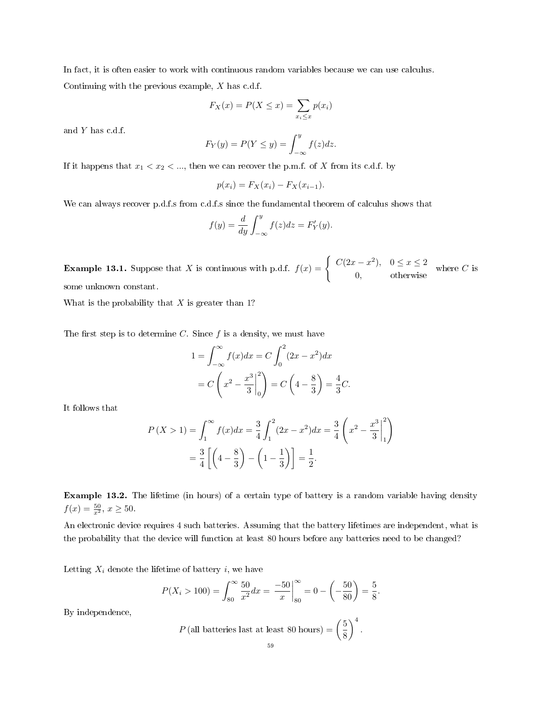In fact, it is often easier to work with continuous random variables because we can use calculus. Continuing with the previous example,  $X$  has c.d.f.

$$
F_X(x) = P(X \le x) = \sum_{x_i \le x} p(x_i)
$$

and Y has c.d.f.

$$
F_Y(y) = P(Y \le y) = \int_{-\infty}^y f(z)dz.
$$

If it happens that  $x_1 < x_2 < ...$ , then we can recover the p.m.f. of X from its c.d.f. by

$$
p(x_i) = F_X(x_i) - F_X(x_{i-1}).
$$

We can always recover p.d.f.s from c.d.f.s since the fundamental theorem of calculus shows that

$$
f(y) = \frac{d}{dy} \int_{-\infty}^{y} f(z)dz = F'_Y(y).
$$

**Example 13.1.** Suppose that X is continuous with p.d.f.  $f(x) = \begin{cases} C(2x - x^2), & 0 \le x \le 2 \end{cases}$  $\begin{array}{c}\n\ldots \\
\ldots \\
\ldots\n\end{array}$   $\begin{array}{c}\n\ldots \\
\ldots \\
\ldots\n\end{array}$   $\begin{array}{c}\n\ldots \\
\ldots \\
\ldots\n\end{array}$  where C is some unknown constant.

What is the probability that  $X$  is greater than 1?

The first step is to determine C. Since  $f$  is a density, we must have

$$
1 = \int_{-\infty}^{\infty} f(x)dx = C \int_{0}^{2} (2x - x^{2})dx
$$
  
=  $C \left(x^{2} - \frac{x^{3}}{3}\Big|_{0}^{2}\right) = C \left(4 - \frac{8}{3}\right) = \frac{4}{3}C.$ 

It follows that

$$
P(X > 1) = \int_{1}^{\infty} f(x)dx = \frac{3}{4} \int_{1}^{2} (2x - x^{2})dx = \frac{3}{4} \left(x^{2} - \frac{x^{3}}{3}\Big|_{1}^{2}\right)
$$

$$
= \frac{3}{4} \left[\left(4 - \frac{8}{3}\right) - \left(1 - \frac{1}{3}\right)\right] = \frac{1}{2}.
$$

Example 13.2. The lifetime (in hours) of a certain type of battery is a random variable having density  $f(x) = \frac{50}{x^2}, x \ge 50.$ 

An electronic device requires 4 such batteries. Assuming that the battery lifetimes are independent, what is the probability that the device will function at least 80 hours before any batteries need to be changed?

Letting  $X_i$  denote the lifetime of battery  $i$ , we have

$$
P(X_i > 100) = \int_{80}^{\infty} \frac{50}{x^2} dx = \left. \frac{-50}{x} \right|_{80}^{\infty} = 0 - \left( -\frac{50}{80} \right) = \frac{5}{8}.
$$

By independence,

P (all batteries last at least 80 hours) =  $\left(\frac{5}{8}\right)$ 8  $\bigg)$ <sup>4</sup>.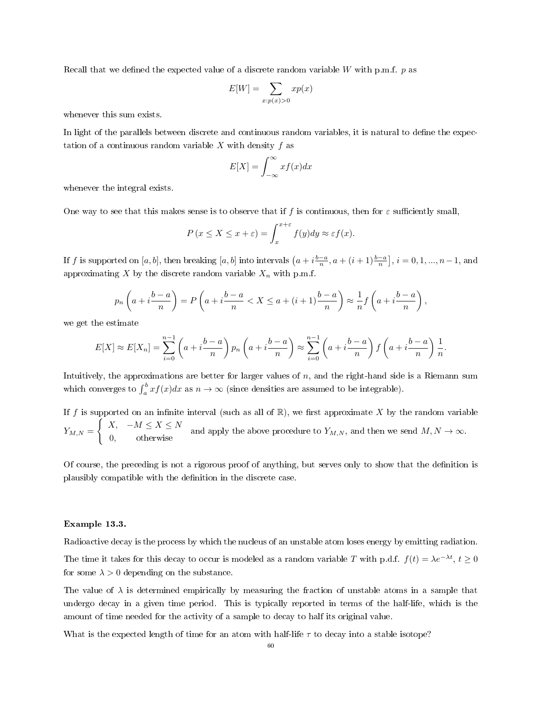Recall that we defined the expected value of a discrete random variable W with p.m.f.  $p$  as

$$
E[W] = \sum_{x:p(x)>0} xp(x)
$$

whenever this sum exists.

In light of the parallels between discrete and continuous random variables, it is natural to define the expectation of a continuous random variable  $X$  with density  $f$  as

$$
E[X] = \int_{-\infty}^{\infty} x f(x) dx
$$

whenever the integral exists.

One way to see that this makes sense is to observe that if f is continuous, then for  $\varepsilon$  sufficiently small,

$$
P(x \le X \le x + \varepsilon) = \int_{x}^{x + \varepsilon} f(y) dy \approx \varepsilon f(x).
$$

If f is supported on  $[a, b]$ , then breaking  $[a, b]$  into intervals  $\left(a + i\frac{b-a}{n}, a + (i+1)\frac{b-a}{n}\right]$ ,  $i = 0, 1, ..., n-1$ , and approximating X by the discrete random variable  $X_n$  with p.m.f.

$$
p_n\left(a+i\frac{b-a}{n}\right) = P\left(a+i\frac{b-a}{n} < X \le a+(i+1)\frac{b-a}{n}\right) \approx \frac{1}{n}f\left(a+i\frac{b-a}{n}\right),
$$

we get the estimate

$$
E[X] \approx E[X_n] = \sum_{i=0}^{n-1} \left( a + i \frac{b-a}{n} \right) p_n \left( a + i \frac{b-a}{n} \right) \approx \sum_{i=0}^{n-1} \left( a + i \frac{b-a}{n} \right) f \left( a + i \frac{b-a}{n} \right) \frac{1}{n}.
$$

Intuitively, the approximations are better for larger values of  $n$ , and the right-hand side is a Riemann sum which converges to  $\int_a^b x f(x) dx$  as  $n \to \infty$  (since densities are assumed to be integrable).

If f is supported on an infinite interval (such as all of  $\mathbb{R}$ ), we first approximate X by the random variable  $Y_{M,N} =$  $\begin{cases} X, & -M \leq X \leq N \end{cases}$ and apply the above procedure to  $Y_{M,N}$ , and then we send  $M, N \to \infty$ .<br>  $0, \quad \text{otherwise}$ 

Of course, the preceding is not a rigorous proof of anything, but serves only to show that the denition is plausibly compatible with the denition in the discrete case.

### Example 13.3.

Radioactive decay is the process by which the nucleus of an unstable atom loses energy by emitting radiation.

The time it takes for this decay to occur is modeled as a random variable T with p.d.f.  $f(t) = \lambda e^{-\lambda t}$ ,  $t \ge 0$ for some  $\lambda > 0$  depending on the substance.

The value of  $\lambda$  is determined empirically by measuring the fraction of unstable atoms in a sample that undergo decay in a given time period. This is typically reported in terms of the half-life, which is the amount of time needed for the activity of a sample to decay to half its original value.

What is the expected length of time for an atom with half-life  $\tau$  to decay into a stable isotope?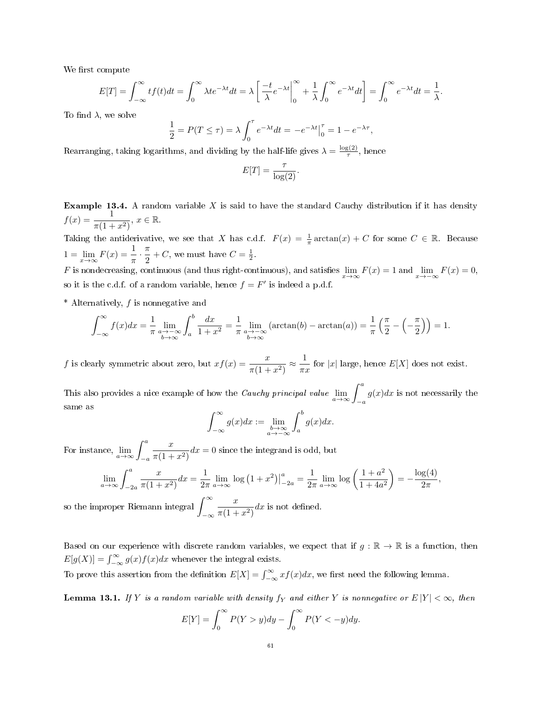We first compute

$$
E[T] = \int_{-\infty}^{\infty} tf(t)dt = \int_{0}^{\infty} \lambda t e^{-\lambda t} dt = \lambda \left[ \left. \frac{-t}{\lambda} e^{-\lambda t} \right|_{0}^{\infty} + \frac{1}{\lambda} \int_{0}^{\infty} e^{-\lambda t} dt \right] = \int_{0}^{\infty} e^{-\lambda t} dt = \frac{1}{\lambda}.
$$

To find  $\lambda$ , we solve

$$
\frac{1}{2} = P(T \le \tau) = \lambda \int_0^{\tau} e^{-\lambda t} dt = -e^{-\lambda t} \Big|_0^{\tau} = 1 - e^{-\lambda \tau},
$$

Rearranging, taking logarithms, and dividing by the half-life gives  $\lambda = \frac{\log(2)}{\tau}$  $\frac{g(2)}{\tau}$ , hence

$$
E[T] = \frac{\tau}{\log(2)}.
$$

**Example 13.4.** A random variable  $X$  is said to have the standard Cauchy distribution if it has density  $f(x) = \frac{1}{\pi(1+x^2)}, x \in \mathbb{R}.$ 

Taking the antiderivative, we see that X has c.d.f.  $F(x) = \frac{1}{\pi} \arctan(x) + C$  for some  $C \in \mathbb{R}$ . Because  $1 = \lim_{x \to \infty} F(x) = \frac{1}{\pi} \cdot \frac{\pi}{2}$  $\frac{\pi}{2} + C$ , we must have  $C = \frac{1}{2}$ .

F is nondecreasing, continuous (and thus right-continuous), and satisfies  $\lim_{x\to\infty} F(x) = 1$  and  $\lim_{x\to-\infty} F(x) = 0$ , so it is the c.d.f. of a random variable, hence  $f = F'$  is indeed a p.d.f.

 $*$  Alternatively,  $f$  is nonnegative and

$$
\int_{-\infty}^{\infty} f(x)dx = \frac{1}{\pi} \lim_{\substack{a \to -\infty \\ b \to \infty}} \int_{a}^{b} \frac{dx}{1+x^2} = \frac{1}{\pi} \lim_{\substack{a \to -\infty \\ b \to \infty}} (\arctan(b) - \arctan(a)) = \frac{1}{\pi} \left( \frac{\pi}{2} - \left( -\frac{\pi}{2} \right) \right) = 1.
$$

f is clearly symmetric about zero, but  $xf(x) = \frac{x}{\pi(1 + x^2)} \approx \frac{1}{\pi x}$  $\frac{1}{\pi x}$  for |x| large, hence  $E[X]$  does not exist.

This also provides a nice example of how the *Cauchy principal value*  $\lim_{a\to\infty}\int_{-a}^a$  $g(x)dx$  is not necessarily the same as

$$
\int_{-\infty}^{\infty} g(x)dx := \lim_{\substack{b \to \infty \\ a \to -\infty}} \int_{a}^{b} g(x)dx.
$$

For instance,  $\lim_{a \to \infty} \int_{-a}^{a}$  $\boldsymbol{x}$  $\frac{x}{\pi(1+x^2)}dx=0$  since the integrand is odd, but

$$
\lim_{a \to \infty} \int_{-2a}^{a} \frac{x}{\pi (1 + x^2)} dx = \frac{1}{2\pi} \lim_{a \to \infty} \log (1 + x^2) \Big|_{-2a}^{a} = \frac{1}{2\pi} \lim_{a \to \infty} \log \left( \frac{1 + a^2}{1 + 4a^2} \right) = -\frac{\log(4)}{2\pi},
$$

so the improper Riemann integral  $\int^\infty$  $-\infty$  $\boldsymbol{x}$  $\frac{x}{\pi(1+x^2)}dx$  is not defined.

Based on our experience with discrete random variables, we expect that if  $g : \mathbb{R} \to \mathbb{R}$  is a function, then  $E[g(X)] = \int_{-\infty}^{\infty} g(x)f(x)dx$  whenever the integral exists.

To prove this assertion from the definition  $E[X] = \int_{-\infty}^{\infty} x f(x) dx$ , we first need the following lemma.

<span id="page-60-0"></span>**Lemma 13.1.** If Y is a random variable with density  $f_Y$  and either Y is nonnegative or  $E|Y| < \infty$ , then

$$
E[Y] = \int_0^\infty P(Y > y) dy - \int_0^\infty P(Y < -y) dy.
$$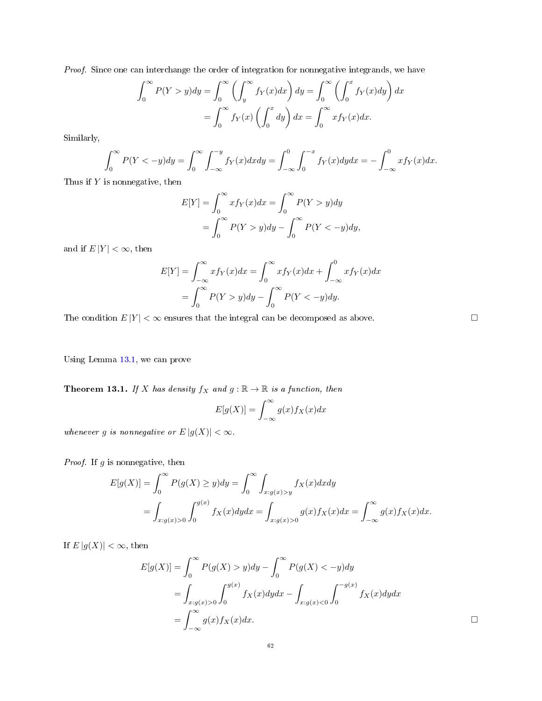Proof. Since one can interchange the order of integration for nonnegative integrands, we have

$$
\int_0^\infty P(Y > y) dy = \int_0^\infty \left( \int_y^\infty f_Y(x) dx \right) dy = \int_0^\infty \left( \int_0^x f_Y(x) dy \right) dx
$$

$$
= \int_0^\infty f_Y(x) \left( \int_0^x dy \right) dx = \int_0^\infty x f_Y(x) dx.
$$

Similarly,

$$
\int_0^{\infty} P(Y < -y) dy = \int_0^{\infty} \int_{-\infty}^{-y} f_Y(x) dx dy = \int_{-\infty}^0 \int_0^{-x} f_Y(x) dy dx = -\int_{-\infty}^0 x f_Y(x) dx.
$$

Thus if  $Y$  is nonnegative, then

$$
E[Y] = \int_0^\infty x f_Y(x) dx = \int_0^\infty P(Y > y) dy
$$
  
= 
$$
\int_0^\infty P(Y > y) dy - \int_0^\infty P(Y < -y) dy,
$$

and if  $E|Y| < \infty$ , then

$$
E[Y] = \int_{-\infty}^{\infty} x f_Y(x) dx = \int_0^{\infty} x f_Y(x) dx + \int_{-\infty}^0 x f_Y(x) dx
$$

$$
= \int_0^{\infty} P(Y > y) dy - \int_0^{\infty} P(Y < -y) dy.
$$

The condition  $E|Y| < \infty$  ensures that the integral can be decomposed as above.  $\Box$ 

Using Lemma [13.1,](#page-60-0) we can prove

**Theorem 13.1.** If X has density  $f_X$  and  $g : \mathbb{R} \to \mathbb{R}$  is a function, then

$$
E[g(X)] = \int_{-\infty}^{\infty} g(x) f_X(x) dx
$$

whenever g is nonnegative or  $E |g(X)| < \infty$ .

*Proof.* If  $g$  is nonnegative, then

$$
E[g(X)] = \int_0^\infty P(g(X) \ge y) dy = \int_0^\infty \int_{x:g(x)>y} f_X(x) dx dy
$$
  
= 
$$
\int_{x:g(x)>0} \int_0^{g(x)} f_X(x) dy dx = \int_{x:g(x)>0} g(x) f_X(x) dx = \int_{-\infty}^\infty g(x) f_X(x) dx.
$$

If  $E |g(X)| < \infty$ , then

$$
E[g(X)] = \int_0^\infty P(g(X) > y) dy - \int_0^\infty P(g(X) < -y) dy
$$
  
= 
$$
\int_{x:g(x)>0} \int_0^{g(x)} f_X(x) dy dx - \int_{x:g(x)<0} \int_0^{-g(x)} f_X(x) dy dx
$$
  
= 
$$
\int_{-\infty}^\infty g(x) f_X(x) dx.
$$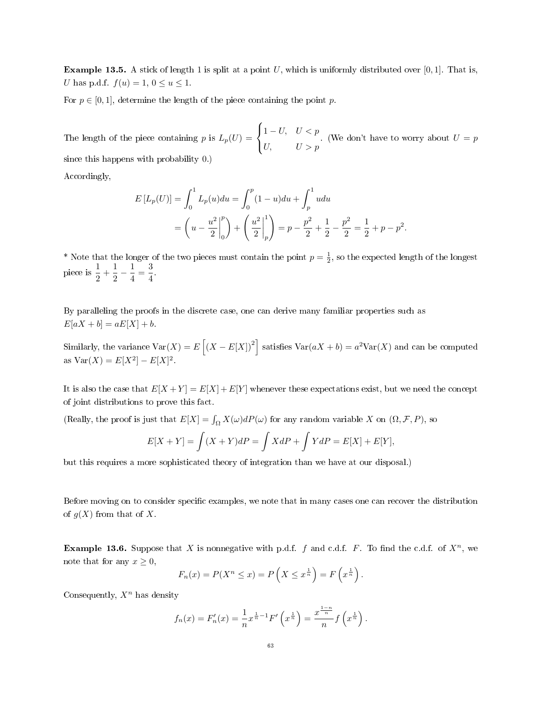**Example 13.5.** A stick of length 1 is split at a point U, which is uniformly distributed over [0,1]. That is, U has p.d.f.  $f(u) = 1, 0 \le u \le 1$ .

For  $p \in [0, 1]$ , determine the length of the piece containing the point p.

The length of the piece containing p is  $L_p(U) =$  $\sqrt{ }$ J  $\mathcal{L}$  $1-U$ ,  $U < p$ U,  $U > p$ . (We don't have to worry about  $U = p$ since this happens with probability 0.)

Accordingly,

$$
E[L_p(U)] = \int_0^1 L_p(u) du = \int_0^p (1-u) du + \int_p^1 u du
$$
  
=  $\left(u - \frac{u^2}{2}\Big|_0^p\right) + \left(\frac{u^2}{2}\Big|_p^1\right) = p - \frac{p^2}{2} + \frac{1}{2} - \frac{p^2}{2} = \frac{1}{2} + p - p^2.$ 

\* Note that the longer of the two pieces must contain the point  $p = \frac{1}{2}$ , so the expected length of the longest piece is  $\frac{1}{2}$  $\frac{1}{2} + \frac{1}{2}$  $\frac{1}{2} - \frac{1}{4}$  $\frac{1}{4} = \frac{3}{4}$  $\frac{5}{4}$ .

By paralleling the proofs in the discrete case, one can derive many familiar properties such as  $E[aX + b] = aE[X] + b.$ 

Similarly, the variance  $Var(X) = E\left[ (X - E[X])^2 \right]$  satisfies  $Var(aX + b) = a^2Var(X)$  and can be computed as  $Var(X) = E[X^2] - E[X]^2$ .

It is also the case that  $E[X+Y] = E[X] + E[Y]$  whenever these expectations exist, but we need the concept of joint distributions to prove this fact.

(Really, the proof is just that  $E[X] = \int_{\Omega} X(\omega) dP(\omega)$  for any random variable X on  $(\Omega, \mathcal{F}, P)$ , so

$$
E[X+Y] = \int (X+Y)dP = \int XdP + \int YdP = E[X] + E[Y],
$$

but this requires a more sophisticated theory of integration than we have at our disposal.)

Before moving on to consider specific examples, we note that in many cases one can recover the distribution of  $g(X)$  from that of X.

**Example 13.6.** Suppose that X is nonnegative with p.d.f. f and c.d.f. F. To find the c.d.f. of  $X<sup>n</sup>$ , we note that for any  $x \geq 0$ ,

$$
F_n(x) = P(X^n \le x) = P\left(X \le x^{\frac{1}{n}}\right) = F\left(x^{\frac{1}{n}}\right).
$$

Consequently,  $X^n$  has density

$$
f_n(x) = F'_n(x) = \frac{1}{n} x^{\frac{1}{n}-1} F'\left(x^{\frac{1}{n}}\right) = \frac{x^{\frac{1-n}{n}}}{n} f\left(x^{\frac{1}{n}}\right).
$$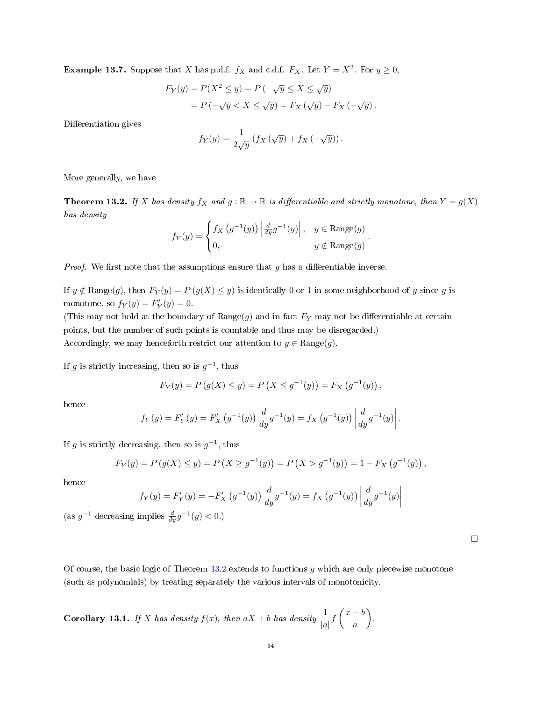**Example 13.7.** Suppose that X has p.d.f.  $f_X$  and c.d.f.  $F_X$ . Let  $Y = X^2$ . For  $y \ge 0$ ,

$$
F_Y(y) = P(X^2 \le y) = P(-\sqrt{y} \le X \le \sqrt{y})
$$
  
= 
$$
P(-\sqrt{y} < X \le \sqrt{y}) = F_X(\sqrt{y}) - F_X(-\sqrt{y}).
$$

Differentiation gives

$$
f_Y(y) = \frac{1}{2\sqrt{y}} \left( f_X \left( \sqrt{y} \right) + f_X \left( -\sqrt{y} \right) \right).
$$

More generally, we have

<span id="page-63-0"></span>**Theorem 13.2.** If X has density  $f_X$  and  $g : \mathbb{R} \to \mathbb{R}$  is differentiable and strictly monotone, then  $Y = g(X)$ has density

$$
f_Y(y) = \begin{cases} f_X(g^{-1}(y)) \left| \frac{d}{dy} g^{-1}(y) \right|, & y \in \text{Range}(g) \\ 0, & y \notin \text{Range}(g) \end{cases}.
$$

*Proof.* We first note that the assumptions ensure that  $g$  has a differentiable inverse.

If  $y \notin \text{Range}(g)$ , then  $F_Y(y) = P(g(X) \le y)$  is identically 0 or 1 in some neighborhood of y since g is monotone, so  $f_Y(y) = F'_Y(y) = 0$ .

(This may not hold at the boundary of Range(g) and in fact  $F<sub>Y</sub>$  may not be differentiable at certain points, but the number of such points is countable and thus may be disregarded.) Accordingly, we may henceforth restrict our attention to  $y \in \text{Range}(g)$ .

If g is strictly increasing, then so is  $g^{-1}$ , thus

$$
F_Y(y) = P(g(X) \le y) = P(X \le g^{-1}(y)) = F_X(g^{-1}(y)),
$$

hence

$$
f_Y(y) = F'_Y(y) = F'_X(g^{-1}(y)) \frac{d}{dy} g^{-1}(y) = f_X(g^{-1}(y)) \left| \frac{d}{dy} g^{-1}(y) \right|.
$$

If g is strictly decreasing, then so is  $g^{-1}$ , thus

$$
F_Y(y) = P(g(X) \le y) = P(X \ge g^{-1}(y)) = P(X > g^{-1}(y)) = 1 - F_X(g^{-1}(y)),
$$

hence

$$
f_Y(y) = F'_Y(y) = -F'_X(g^{-1}(y)) \frac{d}{dy} g^{-1}(y) = f_X(g^{-1}(y)) \left| \frac{d}{dy} g^{-1}(y) \right|
$$

(as  $g^{-1}$  decreasing implies  $\frac{d}{dy}g^{-1}(y) < 0.$ )

| Of course, the basic logic of Theorem 13.2 extends to functions $g$ which are only piecewise monotone |  |  |
|-------------------------------------------------------------------------------------------------------|--|--|
| (such as polynomials) by treating separately the various intervals of monotonicity.                   |  |  |

**Corollary 13.1.** If X has density  $f(x)$ , then  $aX + b$  has density  $\frac{1}{|a|} f\left(\frac{x-b}{a}\right)$ a . □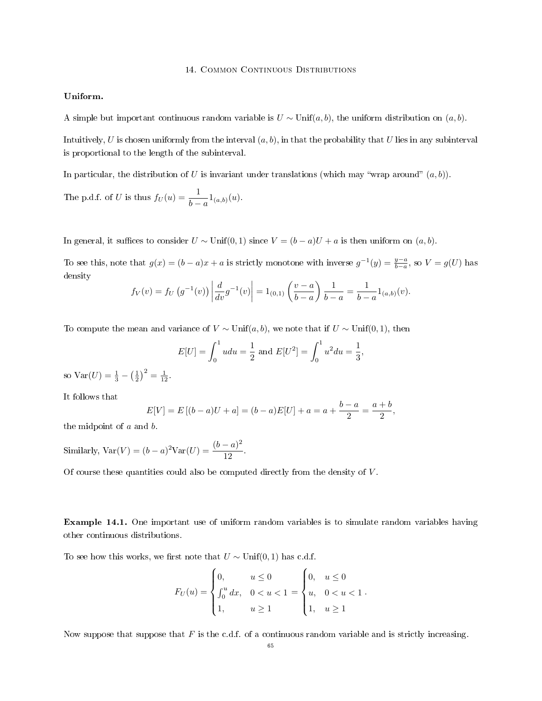#### 14. COMMON CONTINUOUS DISTRIBUTIONS

## Uniform.

A simple but important continuous random variable is  $U \sim \text{Unif}(a, b)$ , the uniform distribution on  $(a, b)$ .

Intuitively, U is chosen uniformly from the interval  $(a, b)$ , in that the probability that U lies in any subinterval is proportional to the length of the subinterval.

In particular, the distribution of U is invariant under translations (which may "wrap around"  $(a, b)$ ).

The p.d.f. of U is thus 
$$
f_U(u) = \frac{1}{b-a} 1_{(a,b)}(u)
$$
.

In general, it suffices to consider  $U \sim \text{Unif}(0, 1)$  since  $V = (b - a)U + a$  is then uniform on  $(a, b)$ .

To see this, note that  $g(x) = (b - a)x + a$  is strictly monotone with inverse  $g^{-1}(y) = \frac{y-a}{b-a}$ , so  $V = g(U)$  has density

$$
f_V(v) = f_U(g^{-1}(v)) \left| \frac{d}{dv} g^{-1}(v) \right| = 1_{(0,1)} \left( \frac{v-a}{b-a} \right) \frac{1}{b-a} = \frac{1}{b-a} 1_{(a,b)}(v).
$$

To compute the mean and variance of  $V \sim \text{Unif}(a, b)$ , we note that if  $U \sim \text{Unif}(0, 1)$ , then

$$
E[U] = \int_0^1 u du = \frac{1}{2} \text{ and } E[U^2] = \int_0^1 u^2 du = \frac{1}{3},
$$

so Var $(U) = \frac{1}{3} - \left(\frac{1}{2}\right)^2 = \frac{1}{12}$ .

It follows that

$$
E[V] = E[(b-a)U + a] = (b-a)E[U] + a = a + \frac{b-a}{2} = \frac{a+b}{2},
$$

the midpoint of a and b.

Similarly, Var(V) =  $(b-a)^2$ Var(U) =  $\frac{(b-a)^2}{10}$  $\frac{a}{12}$ .

Of course these quantities could also be computed directly from the density of  $V$ .

Example 14.1. One important use of uniform random variables is to simulate random variables having other continuous distributions.

To see how this works, we first note that  $U \sim \text{Unif}(0, 1)$  has c.d.f.

$$
F_U(u) = \begin{cases} 0, & u \le 0 \\ \int_0^u dx, & 0 < u < 1 \\ 1, & u \ge 1 \end{cases} = \begin{cases} 0, & u \le 0 \\ u, & 0 < u < 1 \\ 1, & u \ge 1 \end{cases}.
$$

Now suppose that suppose that  $F$  is the c.d.f. of a continuous random variable and is strictly increasing.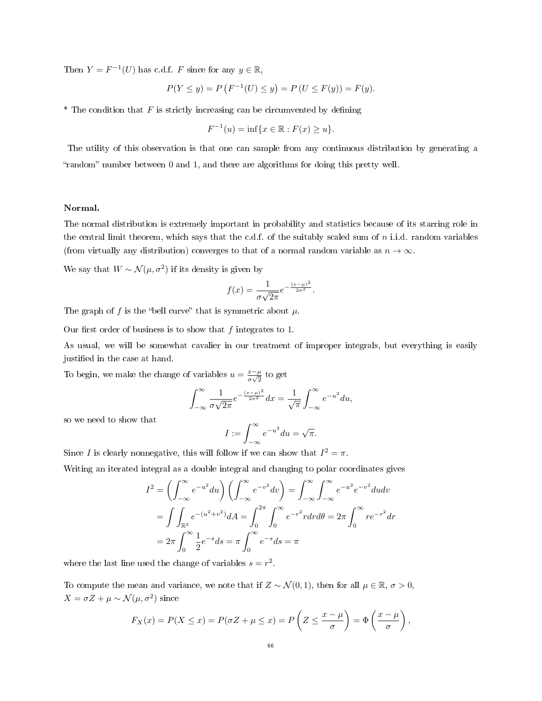Then  $Y = F^{-1}(U)$  has c.d.f. F since for any  $y \in \mathbb{R}$ ,

$$
P(Y \le y) = P(F^{-1}(U) \le y) = P(U \le F(y)) = F(y).
$$

\* The condition that  $F$  is strictly increasing can be circumvented by defining

$$
F^{-1}(u) = \inf \{ x \in \mathbb{R} : F(x) \ge u \}.
$$

The utility of this observation is that one can sample from any continuous distribution by generating a "random" number between 0 and 1, and there are algorithms for doing this pretty well.

# Normal.

The normal distribution is extremely important in probability and statistics because of its starring role in the central limit theorem, which says that the c.d.f. of the suitably scaled sum of n i.i.d. random variables (from virtually any distribution) converges to that of a normal random variable as  $n \to \infty$ .

We say that  $W \sim \mathcal{N}(\mu, \sigma^2)$  if its density is given by

$$
f(x) = \frac{1}{\sigma\sqrt{2\pi}}e^{-\frac{(x-\mu)^2}{2\sigma^2}}.
$$

The graph of f is the "bell curve" that is symmetric about  $\mu$ .

Our first order of business is to show that  $f$  integrates to 1.

As usual, we will be somewhat cavalier in our treatment of improper integrals, but everything is easily justified in the case at hand.

To begin, we make the change of variables  $u = \frac{x-\mu}{x\sqrt{2}}$  $\frac{x-\mu}{\sigma\sqrt{2}}$  to get

$$
\int_{-\infty}^{\infty} \frac{1}{\sigma\sqrt{2\pi}} e^{-\frac{(x-\mu)^2}{2\sigma^2}} dx = \frac{1}{\sqrt{\pi}} \int_{-\infty}^{\infty} e^{-u^2} du,
$$

so we need to show that

$$
I := \int_{-\infty}^{\infty} e^{-u^2} du = \sqrt{\pi}.
$$

Since *I* is clearly nonnegative, this will follow if we can show that  $I^2 = \pi$ .

Writing an iterated integral as a double integral and changing to polar coordinates gives

$$
I^{2} = \left(\int_{-\infty}^{\infty} e^{-u^{2}} du\right) \left(\int_{-\infty}^{\infty} e^{-v^{2}} dv\right) = \int_{-\infty}^{\infty} \int_{-\infty}^{\infty} e^{-u^{2}} e^{-v^{2}} du dv
$$
  
=  $\int \int_{\mathbb{R}^{2}} e^{-(u^{2}+v^{2})} dA = \int_{0}^{2\pi} \int_{0}^{\infty} e^{-r^{2}} r dr d\theta = 2\pi \int_{0}^{\infty} r e^{-r^{2}} dr$   
=  $2\pi \int_{0}^{\infty} \frac{1}{2} e^{-s} ds = \pi \int_{0}^{\infty} e^{-s} ds = \pi$ 

where the last line used the change of variables  $s = r^2$ .

To compute the mean and variance, we note that if  $Z \sim \mathcal{N}(0, 1)$ , then for all  $\mu \in \mathbb{R}$ ,  $\sigma > 0$ ,  $X = \sigma Z + \mu \sim \mathcal{N}(\mu, \sigma^2)$  since

$$
F_X(x) = P(X \le x) = P(\sigma Z + \mu \le x) = P\left(Z \le \frac{x - \mu}{\sigma}\right) = \Phi\left(\frac{x - \mu}{\sigma}\right),
$$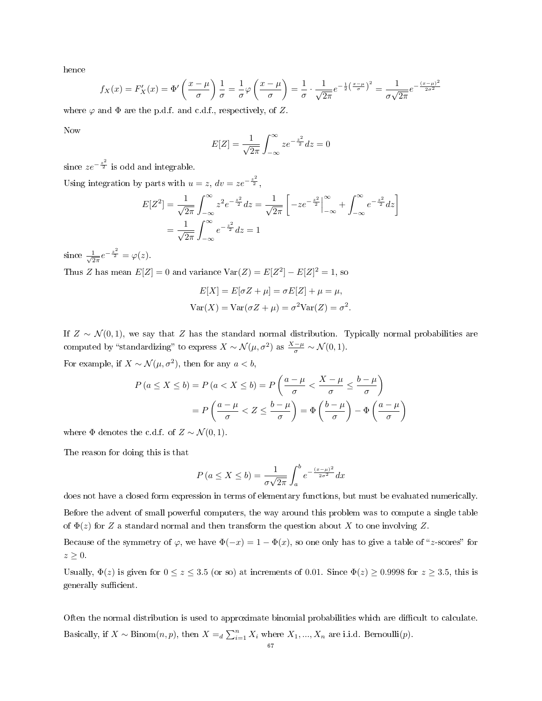hence

$$
f_X(x) = F'_X(x) = \Phi'\left(\frac{x-\mu}{\sigma}\right)\frac{1}{\sigma} = \frac{1}{\sigma}\varphi\left(\frac{x-\mu}{\sigma}\right) = \frac{1}{\sigma}\cdot\frac{1}{\sqrt{2\pi}}e^{-\frac{1}{2}\left(\frac{x-\mu}{\sigma}\right)^2} = \frac{1}{\sigma\sqrt{2\pi}}e^{-\frac{(x-\mu)^2}{2\sigma^2}}
$$

where  $\varphi$  and  $\Phi$  are the p.d.f. and c.d.f., respectively, of Z.

Now

$$
E[Z] = \frac{1}{\sqrt{2\pi}} \int_{-\infty}^{\infty} z e^{-\frac{z^2}{2}} dz = 0
$$

since  $ze^{-\frac{z^2}{2}}$  is odd and integrable.

Using integration by parts with  $u = z$ ,  $dv = ze^{-\frac{z^2}{2}}$ ,

$$
E[Z^2] = \frac{1}{\sqrt{2\pi}} \int_{-\infty}^{\infty} z^2 e^{-\frac{z^2}{2}} dz = \frac{1}{\sqrt{2\pi}} \left[ -ze^{-\frac{z^2}{2}} \Big|_{-\infty}^{\infty} + \int_{-\infty}^{\infty} e^{-\frac{z^2}{2}} dz \right]
$$
  
=  $\frac{1}{\sqrt{2\pi}} \int_{-\infty}^{\infty} e^{-\frac{z^2}{2}} dz = 1$ 

since  $\frac{1}{\sqrt{2}}$  $\frac{1}{2\pi}e^{-\frac{z^2}{2}} = \varphi(z).$ 

Thus Z has mean  $E[Z] = 0$  and variance  $Var(Z) = E[Z^2] - E[Z]^2 = 1$ , so

$$
E[X] = E[\sigma Z + \mu] = \sigma E[Z] + \mu = \mu,
$$
  
Var(X) = Var(\sigma Z + \mu) = \sigma^2 Var(Z) = \sigma^2.

If  $Z \sim \mathcal{N}(0, 1)$ , we say that Z has the standard normal distribution. Typically normal probabilities are computed by "standardizing" to express  $X \sim \mathcal{N}(\mu, \sigma^2)$  as  $\frac{X-\mu}{\sigma} \sim \mathcal{N}(0, 1)$ .

For example, if  $X \sim \mathcal{N}(\mu, \sigma^2)$ , then for any  $a < b$ ,

$$
P(a \le X \le b) = P(a < X \le b) = P\left(\frac{a - \mu}{\sigma} < \frac{X - \mu}{\sigma} \le \frac{b - \mu}{\sigma}\right)
$$
\n
$$
= P\left(\frac{a - \mu}{\sigma} < Z \le \frac{b - \mu}{\sigma}\right) = \Phi\left(\frac{b - \mu}{\sigma}\right) - \Phi\left(\frac{a - \mu}{\sigma}\right)
$$

where  $\Phi$  denotes the c.d.f. of  $Z \sim \mathcal{N}(0, 1)$ .

The reason for doing this is that

$$
P\left(a \le X \le b\right) = \frac{1}{\sigma\sqrt{2\pi}} \int_{a}^{b} e^{-\frac{(x-\mu)^2}{2\sigma^2}} dx
$$

does not have a closed form expression in terms of elementary functions, but must be evaluated numerically. Before the advent of small powerful computers, the way around this problem was to compute a single table of  $\Phi(z)$  for Z a standard normal and then transform the question about X to one involving Z.

Because of the symmetry of  $\varphi$ , we have  $\Phi(-x) = 1 - \Phi(x)$ , so one only has to give a table of "z-scores" for  $z \geq 0$ .

Usually,  $\Phi(z)$  is given for  $0 \le z \le 3.5$  (or so) at increments of 0.01. Since  $\Phi(z) \ge 0.9998$  for  $z \ge 3.5$ , this is generally sufficient.

Often the normal distribution is used to approximate binomial probabilities which are difficult to calculate. Basically, if  $X \sim \text{Binom}(n, p)$ , then  $X =_d \sum_{i=1}^n X_i$  where  $X_1, ..., X_n$  are i.i.d. Bernoulli $(p)$ .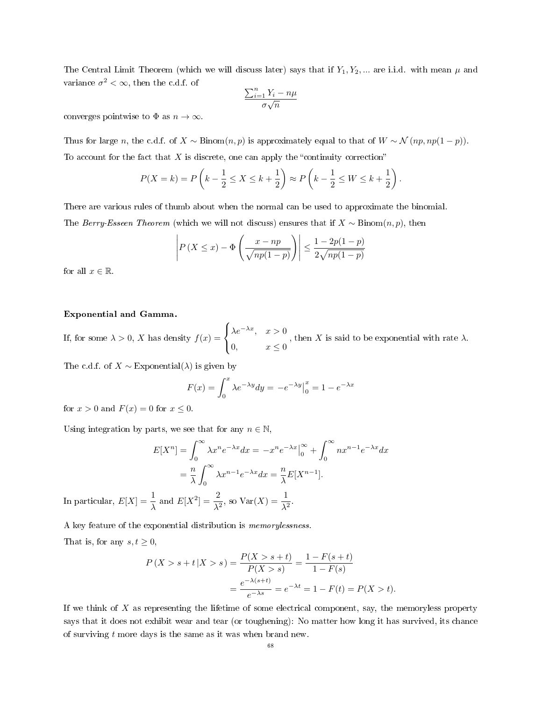The Central Limit Theorem (which we will discuss later) says that if  $Y_1, Y_2, ...$  are i.i.d. with mean  $\mu$  and variance  $\sigma^2 < \infty$ , then the c.d.f. of

$$
\frac{\sum_{i=1}^{n} Y_i - n\mu}{\sigma\sqrt{n}}
$$

converges pointwise to  $\Phi$  as  $n \to \infty$ .

Thus for large n, the c.d.f. of  $X \sim \text{Binom}(n, p)$  is approximately equal to that of  $W \sim \mathcal{N}(np, np(1-p))$ . To account for the fact that  $X$  is discrete, one can apply the "continuity correction"

$$
P(X = k) = P\left(k - \frac{1}{2} \le X \le k + \frac{1}{2}\right) \approx P\left(k - \frac{1}{2} \le W \le k + \frac{1}{2}\right).
$$

There are various rules of thumb about when the normal can be used to approximate the binomial. The Berry-Esseen Theorem (which we will not discuss) ensures that if  $X \sim \text{Binom}(n, p)$ , then

$$
\left| P\left(X \leq x\right) - \Phi\left(\frac{x - np}{\sqrt{np(1 - p)}}\right) \right| \leq \frac{1 - 2p(1 - p)}{2\sqrt{np(1 - p)}}
$$

for all  $x \in \mathbb{R}$ .

## Exponential and Gamma.

If, for some  $\lambda > 0$ , X has density  $f(x) =$  $\sqrt{ }$ J  $\mathcal{L}$  $\lambda e^{-\lambda x}, \quad x > 0$ 0,  $x \leq 0$ , then X is said to be exponential with rate  $\lambda$ .

The c.d.f. of  $X \sim \text{Exponential}(\lambda)$  is given by

$$
F(x) = \int_0^x \lambda e^{-\lambda y} dy = -e^{-\lambda y} \Big|_0^x = 1 - e^{-\lambda x}
$$

for  $x > 0$  and  $F(x) = 0$  for  $x \leq 0$ .

Using integration by parts, we see that for any  $n \in \mathbb{N}$ ,

$$
E[X^n] = \int_0^\infty \lambda x^n e^{-\lambda x} dx = -x^n e^{-\lambda x} \Big|_0^\infty + \int_0^\infty n x^{n-1} e^{-\lambda x} dx
$$

$$
= \frac{n}{\lambda} \int_0^\infty \lambda x^{n-1} e^{-\lambda x} dx = \frac{n}{\lambda} E[X^{n-1}].
$$

$$
= \frac{1}{\lambda} \text{ and } E[X^2] = \frac{2}{\lambda^2}, \text{ so } \text{Var}(X) = \frac{1}{\lambda^2}.
$$

In particular,  $E[X]$ 

A key feature of the exponential distribution is memorylessness.

That is, for any  $s, t \geq 0$ ,

$$
P(X > s + t | X > s) = \frac{P(X > s + t)}{P(X > s)} = \frac{1 - F(s + t)}{1 - F(s)}
$$
  
= 
$$
\frac{e^{-\lambda(s+t)}}{e^{-\lambda s}} = e^{-\lambda t} = 1 - F(t) = P(X > t).
$$

If we think of  $X$  as representing the lifetime of some electrical component, say, the memoryless property says that it does not exhibit wear and tear (or toughening): No matter how long it has survived, its chance of surviving  $t$  more days is the same as it was when brand new.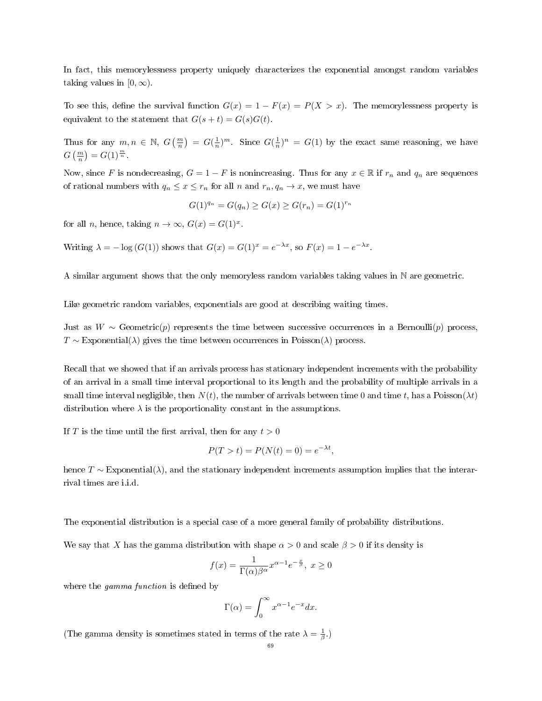In fact, this memorylessness property uniquely characterizes the exponential amongst random variables taking values in  $[0, \infty)$ .

To see this, define the survival function  $G(x) = 1 - F(x) = P(X > x)$ . The memorylessness property is equivalent to the statement that  $G(s + t) = G(s)G(t)$ .

Thus for any  $m, n \in \mathbb{N}$ ,  $G\left(\frac{m}{n}\right) = G(\frac{1}{n})^m$ . Since  $G(\frac{1}{n})^n = G(1)$  by the exact same reasoning, we have  $G\left(\frac{m}{n}\right) = G(1)^{\frac{m}{n}}$ .

Now, since F is nondecreasing,  $G = 1 - F$  is nonincreasing. Thus for any  $x \in \mathbb{R}$  if  $r_n$  and  $q_n$  are sequences of rational numbers with  $q_n \leq x \leq r_n$  for all n and  $r_n, q_n \to x$ , we must have

$$
G(1)^{q_n} = G(q_n) \ge G(x) \ge G(r_n) = G(1)^{r_n}
$$

for all *n*, hence, taking  $n \to \infty$ ,  $G(x) = G(1)^x$ .

Writing  $\lambda = -\log(G(1))$  shows that  $G(x) = G(1)^x = e^{-\lambda x}$ , so  $F(x) = 1 - e^{-\lambda x}$ .

A similar argument shows that the only memoryless random variables taking values in N are geometric.

Like geometric random variables, exponentials are good at describing waiting times.

Just as  $W \sim$  Geometric(p) represents the time between successive occurrences in a Bernoulli(p) process,  $T \sim$  Exponential( $\lambda$ ) gives the time between occurrences in Poisson( $\lambda$ ) process.

Recall that we showed that if an arrivals process has stationary independent increments with the probability of an arrival in a small time interval proportional to its length and the probability of multiple arrivals in a small time interval negligible, then  $N(t)$ , the number of arrivals between time 0 and time t, has a Poisson( $\lambda t$ ) distribution where  $\lambda$  is the proportionality constant in the assumptions.

If T is the time until the first arrival, then for any  $t > 0$ 

$$
P(T > t) = P(N(t) = 0) = e^{-\lambda t},
$$

hence T ∼ Exponential( $\lambda$ ), and the stationary independent increments assumption implies that the interarrival times are i.i.d.

The exponential distribution is a special case of a more general family of probability distributions.

We say that X has the gamma distribution with shape  $\alpha > 0$  and scale  $\beta > 0$  if its density is

$$
f(x) = \frac{1}{\Gamma(\alpha)\beta^{\alpha}} x^{\alpha - 1} e^{-\frac{x}{\beta}}, \ x \ge 0
$$

where the *gamma function* is defined by

$$
\Gamma(\alpha) = \int_0^\infty x^{\alpha - 1} e^{-x} dx.
$$

(The gamma density is sometimes stated in terms of the rate  $\lambda = \frac{1}{\beta}$ .)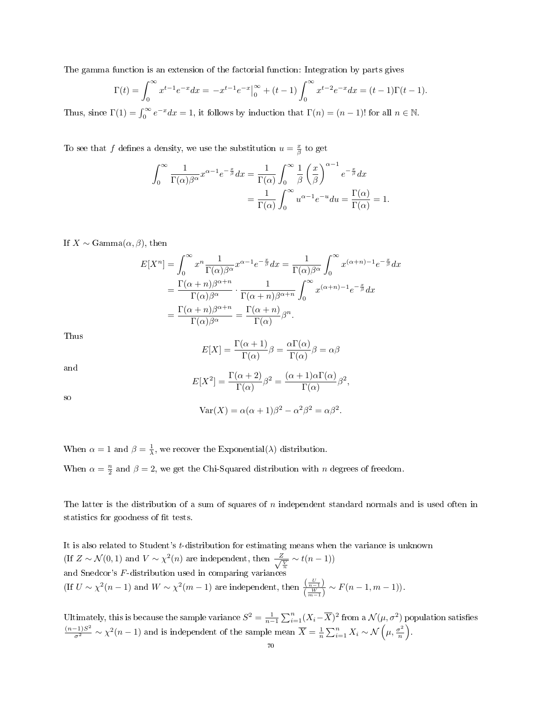The gamma function is an extension of the factorial function: Integration by parts gives

$$
\Gamma(t) = \int_0^\infty x^{t-1} e^{-x} dx = -x^{t-1} e^{-x} \Big|_0^\infty + (t-1) \int_0^\infty x^{t-2} e^{-x} dx = (t-1) \Gamma(t-1).
$$

Thus, since  $\Gamma(1) = \int_0^\infty e^{-x} dx = 1$ , it follows by induction that  $\Gamma(n) = (n-1)!$  for all  $n \in \mathbb{N}$ .

To see that f defines a density, we use the substitution  $u = \frac{x}{\beta}$  to get

$$
\int_0^\infty \frac{1}{\Gamma(\alpha)\beta^{\alpha}} x^{\alpha-1} e^{-\frac{x}{\beta}} dx = \frac{1}{\Gamma(\alpha)} \int_0^\infty \frac{1}{\beta} \left(\frac{x}{\beta}\right)^{\alpha-1} e^{-\frac{x}{\beta}} dx
$$
  
= 
$$
\frac{1}{\Gamma(\alpha)} \int_0^\infty u^{\alpha-1} e^{-u} du = \frac{\Gamma(\alpha)}{\Gamma(\alpha)} = 1.
$$

If  $X \sim \text{Gamma}(\alpha, \beta)$ , then

$$
E[X^{n}] = \int_{0}^{\infty} x^{n} \frac{1}{\Gamma(\alpha)\beta^{\alpha}} x^{\alpha-1} e^{-\frac{x}{\beta}} dx = \frac{1}{\Gamma(\alpha)\beta^{\alpha}} \int_{0}^{\infty} x^{(\alpha+n)-1} e^{-\frac{x}{\beta}} dx
$$
  
= 
$$
\frac{\Gamma(\alpha+n)\beta^{\alpha+n}}{\Gamma(\alpha)\beta^{\alpha}} \cdot \frac{1}{\Gamma(\alpha+n)\beta^{\alpha+n}} \int_{0}^{\infty} x^{(\alpha+n)-1} e^{-\frac{x}{\beta}} dx
$$
  
= 
$$
\frac{\Gamma(\alpha+n)\beta^{\alpha+n}}{\Gamma(\alpha)\beta^{\alpha}} = \frac{\Gamma(\alpha+n)}{\Gamma(\alpha)} \beta^{n}.
$$

Thus

$$
E[X] = \frac{\Gamma(\alpha + 1)}{\Gamma(\alpha)} \beta = \frac{\alpha \Gamma(\alpha)}{\Gamma(\alpha)} \beta = \alpha \beta
$$

and

$$
E[X^2] = \frac{\Gamma(\alpha+2)}{\Gamma(\alpha)} \beta^2 = \frac{(\alpha+1)\alpha\Gamma(\alpha)}{\Gamma(\alpha)} \beta^2,
$$

so

$$
Var(X) = \alpha(\alpha + 1)\beta^2 - \alpha^2\beta^2 = \alpha\beta^2.
$$

When  $\alpha = 1$  and  $\beta = \frac{1}{\lambda}$ , we recover the Exponential( $\lambda$ ) distribution.

When  $\alpha = \frac{n}{2}$  and  $\beta = 2$ , we get the Chi-Squared distribution with n degrees of freedom.

The latter is the distribution of a sum of squares of n independent standard normals and is used often in statistics for goodness of fit tests.

It is also related to Student's t-distribution for estimating means when the variance is unknown (If  $Z \sim \mathcal{N}(0, 1)$  and  $V \sim \chi^2(n)$  are independent, then  $\frac{Z}{\sqrt{\frac{V}{n}}} \sim t(n-1)$ ) and Snedcor's F-distribution used in comparing variances (If  $U \sim \chi^2(n-1)$  and  $W \sim \chi^2(m-1)$  are independent, then  $\frac{\left(\frac{U}{n-1}\right)}{\sqrt{W}}$ )  $\frac{\frac{\binom{n}{n-1}}{\binom{w}{m-1}}}{\binom{w}{m-1}} \sim F(n-1,m-1)).$ 

Ultimately, this is because the sample variance  $S^2 = \frac{1}{n-1} \sum_{i=1}^n (X_i - \overline{X})^2$  from a  $\mathcal{N}(\mu, \sigma^2)$  population satisfies  $\frac{(n-1)S^2}{\sigma^2} \sim \chi^2(n-1)$  and is independent of the sample mean  $\overline{X} = \frac{1}{n} \sum_{i=1}^n X_i \sim \mathcal{N}\left(\mu, \frac{\sigma^2}{n}\right)$  $\left(\frac{\sigma^2}{n}\right)$ .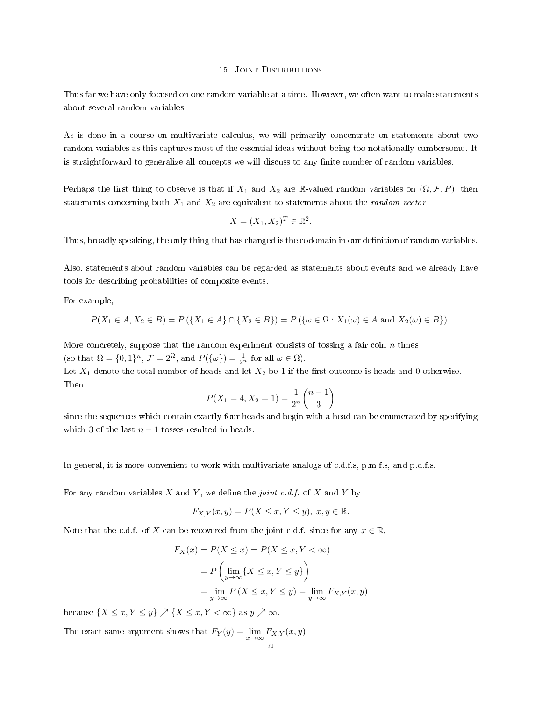### 15. Joint Distributions

Thus far we have only focused on one random variable at a time. However, we often want to make statements about several random variables.

As is done in a course on multivariate calculus, we will primarily concentrate on statements about two random variables as this captures most of the essential ideas without being too notationally cumbersome. It is straightforward to generalize all concepts we will discuss to any finite number of random variables.

Perhaps the first thing to observe is that if  $X_1$  and  $X_2$  are R-valued random variables on  $(\Omega, \mathcal{F}, P)$ , then statements concerning both  $X_1$  and  $X_2$  are equivalent to statements about the *random vector* 

$$
X = (X_1, X_2)^T \in \mathbb{R}^2.
$$

Thus, broadly speaking, the only thing that has changed is the codomain in our definition of random variables.

Also, statements about random variables can be regarded as statements about events and we already have tools for describing probabilities of composite events.

For example,

$$
P(X_1 \in A, X_2 \in B) = P(\{X_1 \in A\} \cap \{X_2 \in B\}) = P(\{\omega \in \Omega : X_1(\omega) \in A \text{ and } X_2(\omega) \in B\}).
$$

More concretely, suppose that the random experiment consists of tossing a fair coin  $n$  times (so that  $\Omega = \{0, 1\}^n$ ,  $\mathcal{F} = 2^{\Omega}$ , and  $P(\{\omega\}) = \frac{1}{2^n}$  for all  $\omega \in \Omega$ ).

Let  $X_1$  denote the total number of heads and let  $X_2$  be 1 if the first outcome is heads and 0 otherwise. Then

$$
P(X_1 = 4, X_2 = 1) = \frac{1}{2^n} \binom{n-1}{3}
$$

since the sequences which contain exactly four heads and begin with a head can be enumerated by specifying which 3 of the last  $n-1$  tosses resulted in heads.

In general, it is more convenient to work with multivariate analogs of c.d.f.s, p.m.f.s, and p.d.f.s.

For any random variables  $X$  and  $Y$ , we define the *joint c.d.f.* of  $X$  and  $Y$  by

$$
F_{X,Y}(x,y) = P(X \le x, Y \le y), \ x, y \in \mathbb{R}.
$$

Note that the c.d.f. of X can be recovered from the joint c.d.f. since for any  $x \in \mathbb{R}$ ,

$$
F_X(x) = P(X \le x) = P(X \le x, Y < \infty)
$$
\n
$$
= P\left(\lim_{y \to \infty} \{X \le x, Y \le y\}\right)
$$
\n
$$
= \lim_{y \to \infty} P(X \le x, Y \le y) = \lim_{y \to \infty} F_{X,Y}(x, y)
$$

because  $\{X \le x, Y \le y\} \nearrow \{X \le x, Y < \infty\}$  as  $y \nearrow \infty$ .

The exact same argument shows that  $F_Y(y) = \lim_{x \to \infty} F_{X,Y}(x, y)$ .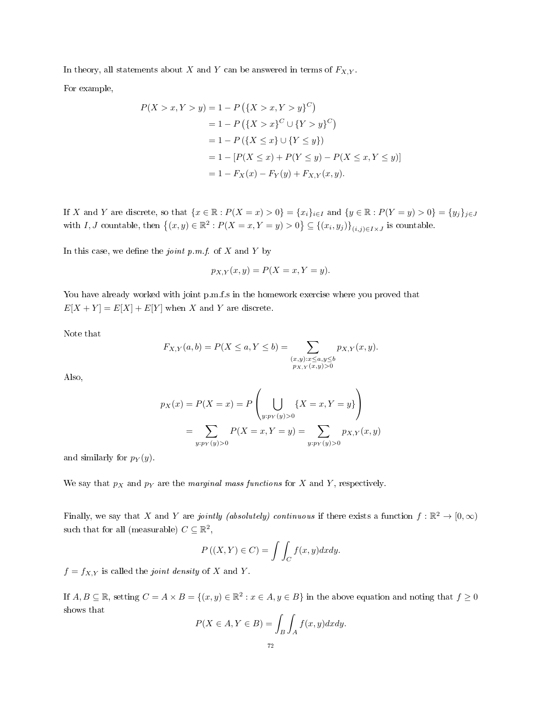In theory, all statements about  $X$  and  $Y$  can be answered in terms of  $F_{X,Y}$ .

For example,

$$
P(X > x, Y > y) = 1 - P(\lbrace X > x, Y > y \rbrace^{C})
$$
  
= 1 - P(\lbrace X > x \rbrace^{C} \cup \lbrace Y > y \rbrace^{C})  
= 1 - P(\lbrace X \le x \rbrace \cup \lbrace Y \le y \rbrace)  
= 1 - [P(X \le x) + P(Y \le y) - P(X \le x, Y \le y)]  
= 1 - F\_X(x) - F\_Y(y) + F\_{X,Y}(x, y).

If X and Y are discrete, so that  $\{x \in \mathbb{R} : P(X = x) > 0\} = \{x_i\}_{i \in I}$  and  $\{y \in \mathbb{R} : P(Y = y) > 0\} = \{y_j\}_{j \in J}$ with I, J countable, then  $\{(x,y)\in\mathbb{R}^2 : P(X=x, Y=y) > 0\} \subseteq \{(x_i,y_j)\}_{(i,j)\in I\times J}$  is countable.

In this case, we define the *joint*  $p.m.f.$  of  $X$  and  $Y$  by

$$
p_{X,Y}(x,y) = P(X = x, Y = y).
$$

You have already worked with joint p.m.f.s in the homework exercise where you proved that  $E[X + Y] = E[X] + E[Y]$  when X and Y are discrete.

Note that

$$
F_{X,Y}(a,b) = P(X \le a, Y \le b) = \sum_{\substack{(x,y):x \le a,y \le b \\ p_{X,Y}(x,y) > 0}} p_{X,Y}(x,y).
$$

Also,

$$
p_X(x) = P(X = x) = P\left(\bigcup_{y: p_Y(y) > 0} \{X = x, Y = y\}\right)
$$
  
= 
$$
\sum_{y: p_Y(y) > 0} P(X = x, Y = y) = \sum_{y: p_Y(y) > 0} p_{X,Y}(x, y)
$$

and similarly for  $p_Y(y)$ .

We say that  $p_X$  and  $p_Y$  are the *marginal mass functions* for X and Y, respectively.

Finally, we say that X and Y are jointly (absolutely) continuous if there exists a function  $f : \mathbb{R}^2 \to [0, \infty)$ such that for all (measurable)  $C \subseteq \mathbb{R}^2$ ,

$$
P((X,Y) \in C) = \int \int_C f(x,y)dxdy.
$$

 $f = f_{X,Y}$  is called the *joint density* of X and Y.

If  $A, B \subseteq \mathbb{R}$ , setting  $C = A \times B = \{(x, y) \in \mathbb{R}^2 : x \in A, y \in B\}$  in the above equation and noting that  $f \ge 0$ shows that

$$
P(X \in A, Y \in B) = \int_{B} \int_{A} f(x, y) dx dy.
$$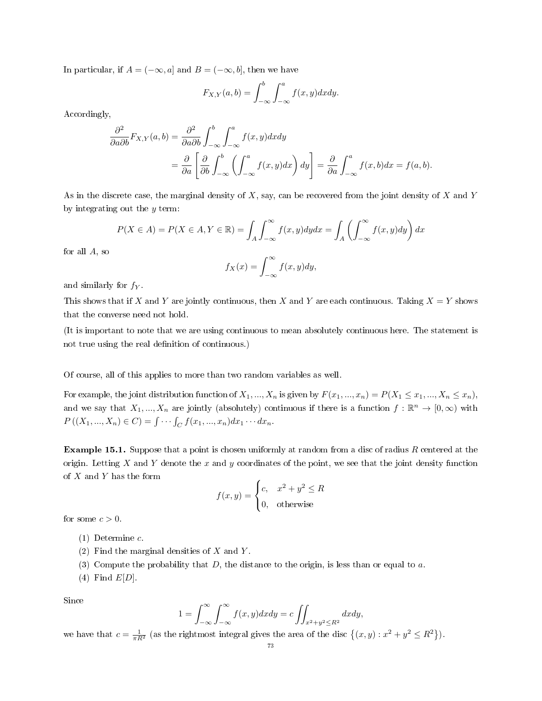In particular, if  $A = (-\infty, a]$  and  $B = (-\infty, b]$ , then we have

$$
F_{X,Y}(a,b) = \int_{-\infty}^{b} \int_{-\infty}^{a} f(x,y) dx dy.
$$

Accordingly,

$$
\frac{\partial^2}{\partial a \partial b} F_{X,Y}(a,b) = \frac{\partial^2}{\partial a \partial b} \int_{-\infty}^b \int_{-\infty}^a f(x,y) dx dy
$$
  
= 
$$
\frac{\partial}{\partial a} \left[ \frac{\partial}{\partial b} \int_{-\infty}^b \left( \int_{-\infty}^a f(x,y) dx \right) dy \right] = \frac{\partial}{\partial a} \int_{-\infty}^a f(x,b) dx = f(a,b).
$$

As in the discrete case, the marginal density of  $X$ , say, can be recovered from the joint density of  $X$  and  $Y$ by integrating out the  $y$  term:

$$
P(X \in A) = P(X \in A, Y \in \mathbb{R}) = \int_A \int_{-\infty}^{\infty} f(x, y) dy dx = \int_A \left( \int_{-\infty}^{\infty} f(x, y) dy \right) dx
$$

for all  $A$ , so

$$
f_X(x) = \int_{-\infty}^{\infty} f(x, y) dy,
$$

and similarly for  $f_Y$ .

This shows that if X and Y are jointly continuous, then X and Y are each continuous. Taking  $X = Y$  shows that the converse need not hold.

(It is important to note that we are using continuous to mean absolutely continuous here. The statement is not true using the real definition of continuous.)

Of course, all of this applies to more than two random variables as well.

For example, the joint distribution function of  $X_1, ..., X_n$  is given by  $F(x_1, ..., x_n) = P(X_1 \leq x_1, ..., X_n \leq x_n)$ . and we say that  $X_1, ..., X_n$  are jointly (absolutely) continuous if there is a function  $f : \mathbb{R}^n \to [0, \infty)$  with  $P((X_1, ..., X_n) \in C) = \int \cdots \int_C f(x_1, ..., x_n) dx_1 \cdots dx_n.$ 

Example 15.1. Suppose that a point is chosen uniformly at random from a disc of radius R centered at the origin. Letting X and Y denote the x and y coordinates of the point, we see that the joint density function of  $X$  and  $Y$  has the form

$$
f(x,y) = \begin{cases} c, & x^2 + y^2 \le R \\ 0, & \text{otherwise} \end{cases}
$$

for some  $c > 0$ .

- (1) Determine c.
- (2) Find the marginal densities of  $X$  and  $Y$ .
- (3) Compute the probability that  $D$ , the distance to the origin, is less than or equal to  $a$ .
- (4) Find  $E[D]$ .

Since

$$
1 = \int_{-\infty}^{\infty} \int_{-\infty}^{\infty} f(x, y) dx dy = c \iint_{x^2 + y^2 \le R^2} dx dy,
$$

we have that  $c = \frac{1}{\pi R^2}$  (as the rightmost integral gives the area of the disc  $\{(x, y) : x^2 + y^2 \le R^2\}$ ).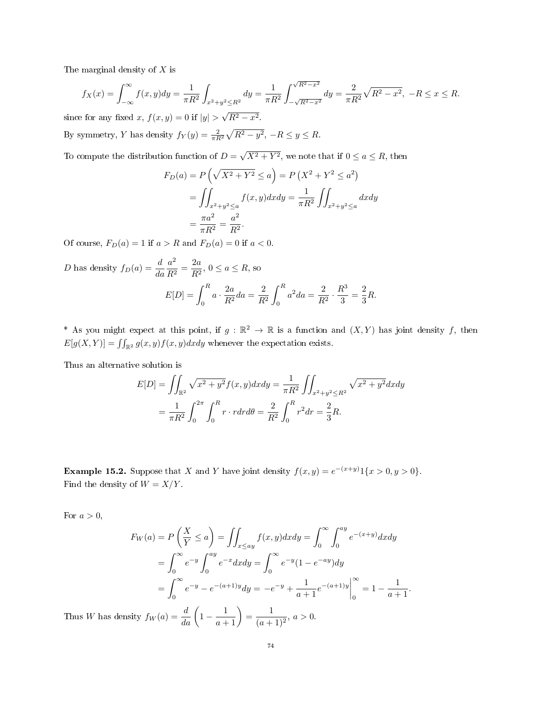The marginal density of X is

$$
f_X(x) = \int_{-\infty}^{\infty} f(x, y) dy = \frac{1}{\pi R^2} \int_{x^2 + y^2 \le R^2} dy = \frac{1}{\pi R^2} \int_{-\sqrt{R^2 - x^2}}^{\sqrt{R^2 - x^2}} dy = \frac{2}{\pi R^2} \sqrt{R^2 - x^2}, \ -R \le x \le R.
$$

since for any fixed x,  $f(x, y) = 0$  if  $|y| >$  $\sqrt{R^2-x^2}$ .

By symmetry, Y has density  $f_Y(y) = \frac{2}{\pi R^2} \sqrt{R^2 - y^2}$ ,  $-R \le y \le R$ .

To compute the distribution function of  $D =$  $\sqrt{X^2 + Y^2}$ , we note that if  $0 \le a \le R$ , then

$$
F_D(a) = P\left(\sqrt{X^2 + Y^2} \le a\right) = P\left(X^2 + Y^2 \le a^2\right)
$$
  
= 
$$
\iint_{x^2 + y^2 \le a} f(x, y) dx dy = \frac{1}{\pi R^2} \iint_{x^2 + y^2 \le a} dx dy
$$
  
= 
$$
\frac{\pi a^2}{\pi R^2} = \frac{a^2}{R^2}.
$$

Of course,  $F_D(a) = 1$  if  $a > R$  and  $F_D(a) = 0$  if  $a < 0$ .

*D* has density  $f_D(a) = \frac{d}{da}$  $a^2$  $\frac{a^2}{R^2} = \frac{2a}{R^2}$  $\frac{2a}{R^2}$ ,  $0 \le a \le R$ , so  $E[D] = \int^R$ 0  $a \cdot \frac{2a}{\sqrt{2}}$  $\frac{2a}{R^2}da = \frac{2}{R}$  $R^2$  $\int^R$ 0  $a^2 da = \frac{2}{R}$  $\frac{2}{R^2} \cdot \frac{R^3}{3}$  $rac{7^3}{3} = \frac{2}{3}$  $\frac{5}{3}R$ .

\* As you might expect at this point, if  $g : \mathbb{R}^2 \to \mathbb{R}$  is a function and  $(X, Y)$  has joint density f, then  $E[g(X,Y)] = \iint_{\mathbb{R}^2} g(x,y)f(x,y)dxdy$  whenever the expectation exists.

Thus an alternative solution is

$$
E[D] = \iint_{\mathbb{R}^2} \sqrt{x^2 + y^2} f(x, y) dx dy = \frac{1}{\pi R^2} \iint_{x^2 + y^2 \le R^2} \sqrt{x^2 + y^2} dx dy
$$
  
=  $\frac{1}{\pi R^2} \int_0^{2\pi} \int_0^R r \cdot r dr d\theta = \frac{2}{R^2} \int_0^R r^2 dr = \frac{2}{3} R.$ 

**Example 15.2.** Suppose that X and Y have joint density  $f(x, y) = e^{-(x+y)}1\{x > 0, y > 0\}$ . Find the density of  $W = X/Y$ .

For  $a > 0$ ,

$$
F_W(a) = P\left(\frac{X}{Y} \le a\right) = \iint_{x \le ay} f(x, y) dx dy = \int_0^\infty \int_0^{ay} e^{-(x+y)} dx dy
$$
  
= 
$$
\int_0^\infty e^{-y} \int_0^{ay} e^{-x} dx dy = \int_0^\infty e^{-y} (1 - e^{-ay}) dy
$$
  
= 
$$
\int_0^\infty e^{-y} - e^{-(a+1)y} dy = -e^{-y} + \frac{1}{a+1} e^{-(a+1)y} \Big|_0^\infty = 1 - \frac{1}{a+1}
$$

.

Thus W has density  $f_W(a) = \frac{d}{da} \left( 1 - \frac{1}{a+1} \right) = \frac{1}{(a+1)}$  $\frac{1}{(a+1)^2}$ ,  $a > 0$ .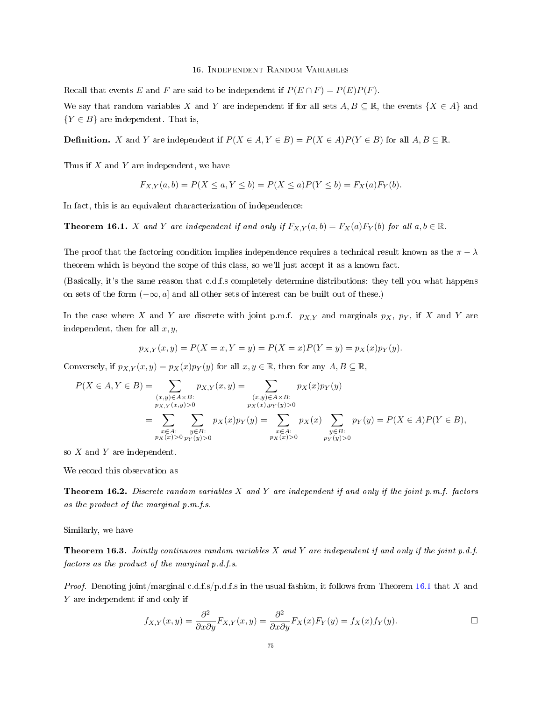## 16. Independent Random Variables

Recall that events E and F are said to be independent if  $P(E \cap F) = P(E)P(F)$ . We say that random variables X and Y are independent if for all sets  $A, B \subseteq \mathbb{R}$ , the events  $\{X \in A\}$  and

**Definition.** X and Y are independent if  $P(X \in A, Y \in B) = P(X \in A)P(Y \in B)$  for all  $A, B \subseteq \mathbb{R}$ .

Thus if  $X$  and  $Y$  are independent, we have

 ${Y \in B}$  are independent. That is,

$$
F_{X,Y}(a,b) = P(X \le a, Y \le b) = P(X \le a)P(Y \le b) = F_X(a)F_Y(b).
$$

In fact, this is an equivalent characterization of independence:

<span id="page-74-0"></span>**Theorem 16.1.** X and Y are independent if and only if  $F_{X,Y}(a, b) = F_X(a)F_Y(b)$  for all  $a, b \in \mathbb{R}$ .

The proof that the factoring condition implies independence requires a technical result known as the  $\pi - \lambda$ theorem which is beyond the scope of this class, so we'll just accept it as a known fact.

(Basically, it's the same reason that c.d.f.s completely determine distributions: they tell you what happens on sets of the form  $(-\infty, a]$  and all other sets of interest can be built out of these.)

In the case where X and Y are discrete with joint p.m.f.  $p_{X,Y}$  and marginals  $p_X$ ,  $p_Y$ , if X and Y are independent, then for all  $x, y$ ,

$$
p_{X,Y}(x,y) = P(X = x, Y = y) = P(X = x)P(Y = y) = p_X(x)p_Y(y).
$$

Conversely, if  $p_{X,Y}(x, y) = p_X(x)p_Y(y)$  for all  $x, y \in \mathbb{R}$ , then for any  $A, B \subseteq \mathbb{R}$ ,

$$
P(X \in A, Y \in B) = \sum_{\substack{(x,y) \in A \times B:\\p_{X,Y}(x,y)>0}} p_{X,Y}(x,y) = \sum_{\substack{(x,y) \in A \times B:\\p_X(x,y)>0}} p_X(x)p_Y(y)
$$
  
= 
$$
\sum_{\substack{x \in A:\\p_X(x)>0}} \sum_{\substack{y \in B:\\p_Y(y)>0}} p_X(x)p_Y(y) = \sum_{\substack{x \in A:\\p_X(x)>0}} p_X(x) \sum_{\substack{y \in B:\\p_Y(y)>0}} p_Y(y) = P(X \in A)P(Y \in B),
$$

so  $X$  and  $Y$  are independent.

We record this observation as

**Theorem 16.2.** Discrete random variables X and Y are independent if and only if the joint p.m.f. factors as the product of the marginal p.m.f.s.

Similarly, we have

<span id="page-74-1"></span>**Theorem 16.3.** Jointly continuous random variables X and Y are independent if and only if the joint p.d.f. factors as the product of the marginal p.d.f.s.

*Proof.* Denoting joint/marginal c.d.f.s/p.d.f.s in the usual fashion, it follows from Theorem [16.1](#page-74-0) that X and Y are independent if and only if

$$
f_{X,Y}(x,y) = \frac{\partial^2}{\partial x \partial y} F_{X,Y}(x,y) = \frac{\partial^2}{\partial x \partial y} F_X(x) F_Y(y) = f_X(x) f_Y(y).
$$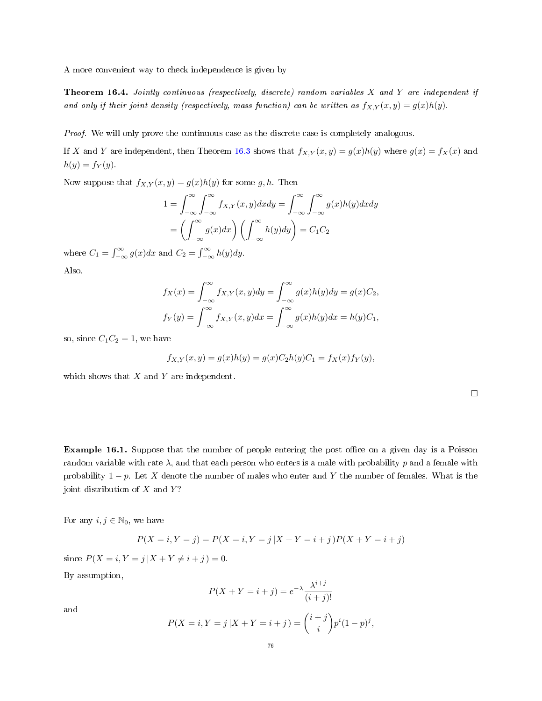A more convenient way to check independence is given by

**Theorem 16.4.** Jointly continuous (respectively, discrete) random variables  $X$  and  $Y$  are independent if and only if their joint density (respectively, mass function) can be written as  $f_{X,Y}(x, y) = g(x)h(y)$ .

Proof. We will only prove the continuous case as the discrete case is completely analogous.

If X and Y are independent, then Theorem [16.3](#page-74-1) shows that  $f_{X,Y}(x, y) = g(x)h(y)$  where  $g(x) = f_X(x)$  and  $h(y) = f_Y(y).$ 

Now suppose that  $f_{X,Y}(x, y) = g(x)h(y)$  for some g, h. Then

$$
1 = \int_{-\infty}^{\infty} \int_{-\infty}^{\infty} f_{X,Y}(x,y) dx dy = \int_{-\infty}^{\infty} \int_{-\infty}^{\infty} g(x)h(y) dx dy
$$

$$
= \left( \int_{-\infty}^{\infty} g(x) dx \right) \left( \int_{-\infty}^{\infty} h(y) dy \right) = C_1 C_2
$$

where  $C_1 = \int_{-\infty}^{\infty} g(x)dx$  and  $C_2 = \int_{-\infty}^{\infty} h(y)dy$ . Also,

$$
f_X(x) = \int_{-\infty}^{\infty} f_{X,Y}(x, y) dy = \int_{-\infty}^{\infty} g(x)h(y) dy = g(x)C_2,
$$
  

$$
f_Y(y) = \int_{-\infty}^{\infty} f_{X,Y}(x, y) dx = \int_{-\infty}^{\infty} g(x)h(y) dx = h(y)C_1,
$$

so, since  $C_1C_2=1$ , we have

$$
f_{X,Y}(x,y) = g(x)h(y) = g(x)C_2h(y)C_1 = f_X(x)f_Y(y),
$$

which shows that  $X$  and  $Y$  are independent.

**Example 16.1.** Suppose that the number of people entering the post office on a given day is a Poisson random variable with rate  $\lambda$ , and that each person who enters is a male with probability p and a female with probability  $1 - p$ . Let X denote the number of males who enter and Y the number of females. What is the joint distribution of  $X$  and  $Y$ ?

For any  $i, j \in \mathbb{N}_0$ , we have

$$
P(X = i, Y = j) = P(X = i, Y = j | X + Y = i + j)P(X + Y = i + j)
$$

since  $P(X = i, Y = j | X + Y \neq i + j) = 0$ . By assumption,

$$
P(X + Y = i + j) = e^{-\lambda} \frac{\lambda^{i+j}}{(i+j)!}
$$

and

$$
P(X = i, Y = j | X + Y = i + j) = {i + j \choose i} p^{i} (1-p)^{j},
$$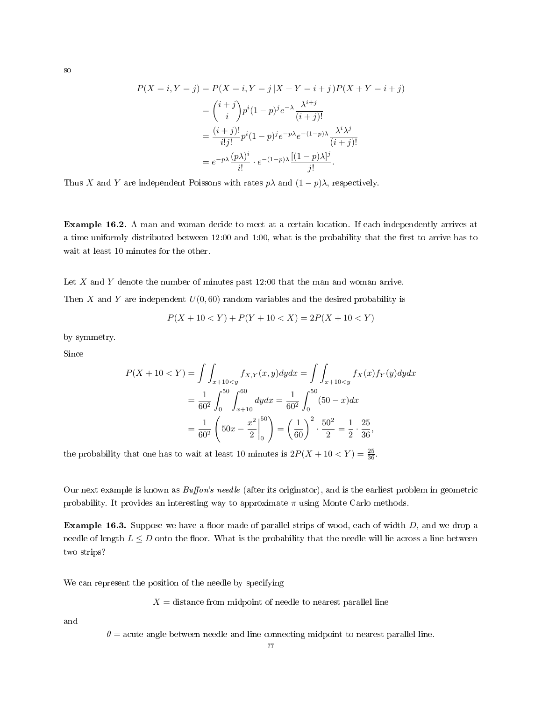$$
P(X = i, Y = j) = P(X = i, Y = j | X + Y = i + j)P(X + Y = i + j)
$$
  
=  $\binom{i+j}{i} p^i (1-p)^j e^{-\lambda} \frac{\lambda^{i+j}}{(i+j)!}$   
=  $\frac{(i+j)!}{i!j!} p^i (1-p)^j e^{-p\lambda} e^{-(1-p)\lambda} \frac{\lambda^i \lambda^j}{(i+j)!}$   
=  $e^{-p\lambda} \frac{(p\lambda)^i}{i!} \cdot e^{-(1-p)\lambda} \frac{[(1-p)\lambda]^j}{j!}.$ 

Thus X and Y are independent Poissons with rates  $p\lambda$  and  $(1-p)\lambda$ , respectively.

Example 16.2. A man and woman decide to meet at a certain location. If each independently arrives at a time uniformly distributed between 12:00 and 1:00, what is the probability that the first to arrive has to wait at least 10 minutes for the other.

Let  $X$  and  $Y$  denote the number of minutes past  $12:00$  that the man and woman arrive. Then X and Y are independent  $U(0, 60)$  random variables and the desired probability is

$$
P(X + 10 < Y) + P(Y + 10 < X) = 2P(X + 10 < Y)
$$

by symmetry.

Since

$$
P(X + 10 < Y) = \int \int_{x+10 < y} f_{X,Y}(x, y) dy dx = \int \int_{x+10 < y} f_X(x) f_Y(y) dy dx
$$
  
=  $\frac{1}{60^2} \int_0^{50} \int_{x+10}^{60} dy dx = \frac{1}{60^2} \int_0^{50} (50 - x) dx$   
=  $\frac{1}{60^2} \left( 50x - \frac{x^2}{2} \Big|_0^{50} \right) = \left( \frac{1}{60} \right)^2 \cdot \frac{50^2}{2} = \frac{1}{2} \cdot \frac{25}{36},$ 

the probability that one has to wait at least 10 minutes is  $2P(X + 10 < Y) = \frac{25}{36}$ .

Our next example is known as *Buffon's needle* (after its originator), and is the earliest problem in geometric probability. It provides an interesting way to approximate  $\pi$  using Monte Carlo methods.

**Example 16.3.** Suppose we have a floor made of parallel strips of wood, each of width  $D$ , and we drop a needle of length  $L \leq D$  onto the floor. What is the probability that the needle will lie across a line between two strips?

We can represent the position of the needle by specifying

 $X =$  distance from midpoint of needle to nearest parallel line

and

 $\theta$  = acute angle between needle and line connecting midpoint to nearest parallel line.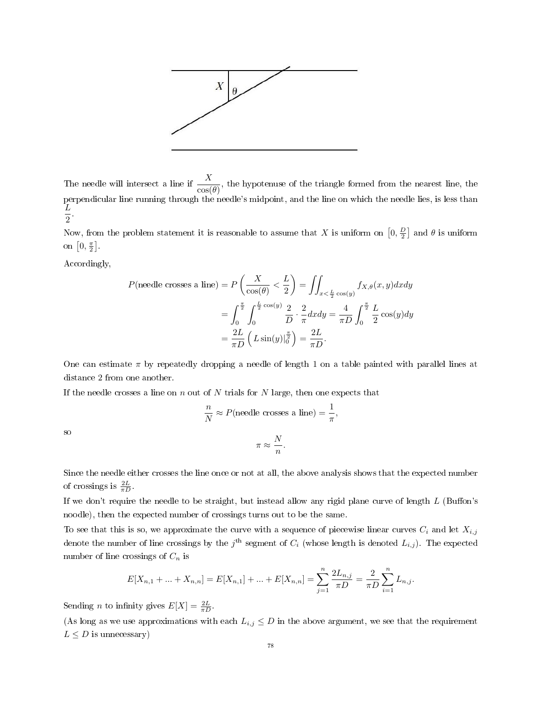

The needle will intersect a line if  $\frac{X}{\cos(\theta)}$ , the hypotenuse of the triangle formed from the nearest line, the perpendicular line running through the needle's midpoint, and the line on which the needle lies, is less than L  $\frac{2}{2}$ .

Now, from the problem statement it is reasonable to assume that X is uniform on  $\left[0, \frac{D}{2}\right]$  and  $\theta$  is uniform on  $\left[0, \frac{\pi}{2}\right]$ .

Accordingly,

$$
P(\text{needle crosses a line}) = P\left(\frac{X}{\cos(\theta)} < \frac{L}{2}\right) = \iint_{x < \frac{L}{2}\cos(y)} f_{X,\theta}(x,y) dx dy
$$
\n
$$
= \int_0^{\frac{\pi}{2}} \int_0^{\frac{L}{2}\cos(y)} \frac{2}{D} \cdot \frac{2}{\pi} dx dy = \frac{4}{\pi D} \int_0^{\frac{\pi}{2}} \frac{L}{2} \cos(y) dy
$$
\n
$$
= \frac{2L}{\pi D} \left(L \sin(y) \Big|_0^{\frac{\pi}{2}}\right) = \frac{2L}{\pi D}.
$$

One can estimate  $\pi$  by repeatedly dropping a needle of length 1 on a table painted with parallel lines at distance 2 from one another.

If the needle crosses a line on n out of  $N$  trials for  $N$  large, then one expects that

$$
\frac{n}{N} \approx P(\text{needle crosses a line}) = \frac{1}{\pi},
$$

so

$$
\pi \approx \frac{N}{n}.
$$

Since the needle either crosses the line once or not at all, the above analysis shows that the expected number of crossings is  $\frac{2L}{\pi D}$ .

If we don't require the needle to be straight, but instead allow any rigid plane curve of length  $L$  (Buffon's noodle), then the expected number of crossings turns out to be the same.

To see that this is so, we approximate the curve with a sequence of piecewise linear curves  $C_i$  and let  $X_{i,j}$ denote the number of line crossings by the  $j^{\text{th}}$  segment of  $C_i$  (whose length is denoted  $L_{i,j}$ ). The expected number of line crossings of  $C_n$  is

$$
E[X_{n,1} + \ldots + X_{n,n}] = E[X_{n,1}] + \ldots + E[X_{n,n}] = \sum_{j=1}^{n} \frac{2L_{n,j}}{\pi D} = \frac{2}{\pi D} \sum_{i=1}^{n} L_{n,j}.
$$

Sending *n* to infinity gives  $E[X] = \frac{2L}{\pi D}$ .

(As long as we use approximations with each  $L_{i,j} \leq D$  in the above argument, we see that the requirement  $L \leq D$  is unnecessary)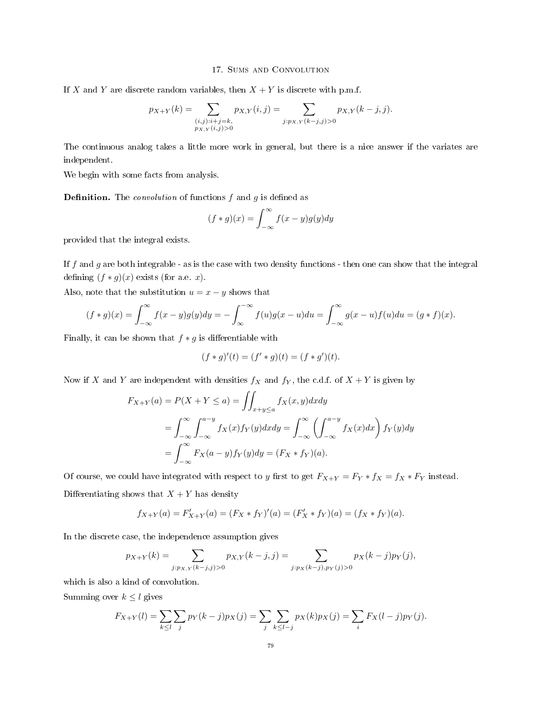## 17. Sums and Convolution

If X and Y are discrete random variables, then  $X + Y$  is discrete with p.m.f.

$$
p_{X+Y}(k) = \sum_{\substack{(i,j): i+j=k, \\ p_{X,Y}(i,j) > 0}} p_{X,Y}(i,j) = \sum_{j: p_{X,Y}(k-j,j) > 0} p_{X,Y}(k-j,j).
$$

The continuous analog takes a little more work in general, but there is a nice answer if the variates are independent.

We begin with some facts from analysis.

**Definition.** The *convolution* of functions  $f$  and  $g$  is defined as

$$
(f * g)(x) = \int_{-\infty}^{\infty} f(x - y)g(y)dy
$$

provided that the integral exists.

If f and g are both integrable - as is the case with two density functions - then one can show that the integral defining  $(f * g)(x)$  exists (for a.e. x).

Also, note that the substitution  $u = x - y$  shows that

$$
(f * g)(x) = \int_{-\infty}^{\infty} f(x - y)g(y)dy = -\int_{-\infty}^{\infty} f(u)g(x - u)du = \int_{-\infty}^{\infty} g(x - u)f(u)du = (g * f)(x).
$$

Finally, it can be shown that  $f * g$  is differentiable with

$$
(f * g)'(t) = (f' * g)(t) = (f * g')(t).
$$

Now if X and Y are independent with densities  $f_X$  and  $f_Y$ , the c.d.f. of  $X + Y$  is given by

$$
F_{X+Y}(a) = P(X+Y \le a) = \iint_{x+y\le a} f_X(x,y) dx dy
$$
  
= 
$$
\int_{-\infty}^{\infty} \int_{-\infty}^{a-y} f_X(x) f_Y(y) dx dy = \int_{-\infty}^{\infty} \left( \int_{-\infty}^{a-y} f_X(x) dx \right) f_Y(y) dy
$$
  
= 
$$
\int_{-\infty}^{\infty} F_X(a-y) f_Y(y) dy = (F_X * f_Y)(a).
$$

Of course, we could have integrated with respect to y first to get  $F_{X+Y} = F_Y * f_X = f_X * F_Y$  instead. Differentiating shows that  $X + Y$  has density

$$
f_{X+Y}(a) = F'_{X+Y}(a) = (F_X * f_Y)'(a) = (F'_X * f_Y)(a) = (f_X * f_Y)(a).
$$

In the discrete case, the independence assumption gives

$$
p_{X+Y}(k) = \sum_{j:p_{X,Y}(k-j,j)>0} p_{X,Y}(k-j,j) = \sum_{j:p_X(k-j),p_Y(j)>0} p_X(k-j)p_Y(j),
$$

which is also a kind of convolution.

Summing over  $k \leq l$  gives

$$
F_{X+Y}(l) = \sum_{k \le l} \sum_j p_Y(k-j) p_X(j) = \sum_j \sum_{k \le l-j} p_X(k) p_X(j) = \sum_i F_X(l-j) p_Y(j).
$$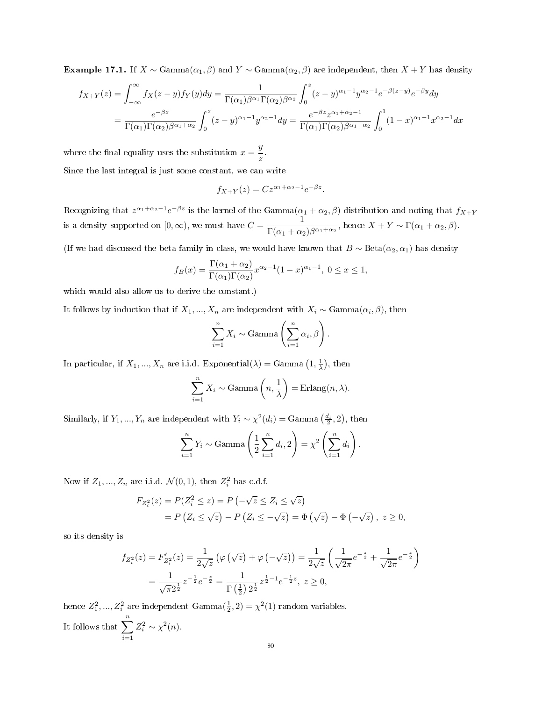Example 17.1. If  $X \sim \text{Gamma}(\alpha_1, \beta)$  and  $Y \sim \text{Gamma}(\alpha_2, \beta)$  are independent, then  $X + Y$  has density

$$
f_{X+Y}(z) = \int_{-\infty}^{\infty} f_X(z-y) f_Y(y) dy = \frac{1}{\Gamma(\alpha_1) \beta^{\alpha_1} \Gamma(\alpha_2) \beta^{\alpha_2}} \int_0^z (z-y)^{\alpha_1-1} y^{\alpha_2-1} e^{-\beta(z-y)} e^{-\beta y} dy
$$
  
= 
$$
\frac{e^{-\beta z}}{\Gamma(\alpha_1) \Gamma(\alpha_2) \beta^{\alpha_1+\alpha_2}} \int_0^z (z-y)^{\alpha_1-1} y^{\alpha_2-1} dy = \frac{e^{-\beta z} z^{\alpha_1+\alpha_2-1}}{\Gamma(\alpha_1) \Gamma(\alpha_2) \beta^{\alpha_1+\alpha_2}} \int_0^1 (1-x)^{\alpha_1-1} x^{\alpha_2-1} dx
$$

where the final equality uses the substitution  $x = \frac{y}{x}$  $\frac{9}{z}$ .

Since the last integral is just some constant, we can write

$$
f_{X+Y}(z) = C z^{\alpha_1 + \alpha_2 - 1} e^{-\beta z}.
$$

Recognizing that  $z^{\alpha_1+\alpha_2-1}e^{-\beta z}$  is the kernel of the Gamma $(\alpha_1+\alpha_2,\beta)$  distribution and noting that  $f_{X+Y}$ is a density supported on  $[0, \infty)$ , we must have  $C = \frac{1}{D}$  $\frac{1}{\Gamma(\alpha_1 + \alpha_2)\beta^{\alpha_1 + \alpha_2}}$ , hence  $X + Y \sim \Gamma(\alpha_1 + \alpha_2, \beta)$ .

(If we had discussed the beta family in class, we would have known that  $B \sim \text{Beta}(\alpha_2, \alpha_1)$  has density

$$
f_B(x) = \frac{\Gamma(\alpha_1 + \alpha_2)}{\Gamma(\alpha_1)\Gamma(\alpha_2)} x^{\alpha_2 - 1} (1 - x)^{\alpha_1 - 1}, \ 0 \le x \le 1,
$$

which would also allow us to derive the constant.)

It follows by induction that if  $X_1,...,X_n$  are independent with  $X_i \sim \mathrm{Gamma}(\alpha_i, \beta),$  then

$$
\sum_{i=1}^{n} X_i \sim \text{Gamma}\left(\sum_{i=1}^{n} \alpha_i, \beta\right).
$$

In particular, if  $X_1, ..., X_n$  are i.i.d. Exponential( $\lambda$ ) = Gamma  $(1, \frac{1}{\lambda})$ , then

$$
\sum_{i=1}^{n} X_i \sim \text{Gamma}\left(n, \frac{1}{\lambda}\right) = \text{Erlang}(n, \lambda).
$$

Similarly, if  $Y_1, ..., Y_n$  are independent with  $Y_i \sim \chi^2(d_i) = \text{Gamma}(\frac{d_i}{2}, 2)$ , then

$$
\sum_{i=1}^{n} Y_i \sim \text{Gamma}\left(\frac{1}{2}\sum_{i=1}^{n} d_i, 2\right) = \chi^2\left(\sum_{i=1}^{n} d_i\right).
$$

Now if  $Z_1, ..., Z_n$  are i.i.d.  $\mathcal{N}(0, 1)$ , then  $Z_i^2$  has c.d.f.

$$
F_{Z_i^2}(z) = P(Z_i^2 \le z) = P\left(-\sqrt{z} \le Z_i \le \sqrt{z}\right)
$$
  
= 
$$
P\left(Z_i \le \sqrt{z}\right) - P\left(Z_i \le -\sqrt{z}\right) = \Phi\left(\sqrt{z}\right) - \Phi\left(-\sqrt{z}\right), z \ge 0,
$$

so its density is

$$
f_{Z_i^2}(z) = F'_{Z_i^2}(z) = \frac{1}{2\sqrt{z}} \left( \varphi\left(\sqrt{z}\right) + \varphi\left(-\sqrt{z}\right) \right) = \frac{1}{2\sqrt{z}} \left( \frac{1}{\sqrt{2\pi}} e^{-\frac{z}{2}} + \frac{1}{\sqrt{2\pi}} e^{-\frac{z}{2}} \right)
$$
  
=  $\frac{1}{\sqrt{\pi} 2^{\frac{1}{2}}} z^{-\frac{1}{2}} e^{-\frac{z}{2}} = \frac{1}{\Gamma\left(\frac{1}{2}\right) 2^{\frac{1}{2}}} z^{\frac{1}{2} - 1} e^{-\frac{1}{2}z}, \ z \ge 0,$ 

hence  $Z_1^2, ..., Z_i^2$  are independent  $\text{Gamma}(\frac{1}{2}, 2) = \chi^2(1)$  random variables. It follows that  $\sum_{n=1}^n$  $i=1$  $Z_i^2 \sim \chi^2(n)$ .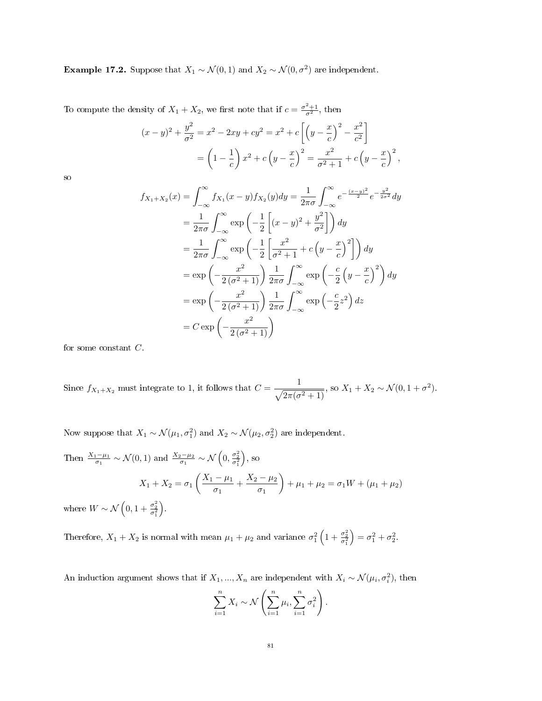**Example 17.2.** Suppose that  $X_1 \sim \mathcal{N}(0, 1)$  and  $X_2 \sim \mathcal{N}(0, \sigma^2)$  are independent.

To compute the density of  $X_1 + X_2$ , we first note that if  $c = \frac{\sigma^2 + 1}{\sigma^2}$ , then

$$
(x - y)^2 + \frac{y^2}{\sigma^2} = x^2 - 2xy + cy^2 = x^2 + c \left[ \left( y - \frac{x}{c} \right)^2 - \frac{x^2}{c^2} \right]
$$
  
=  $\left( 1 - \frac{1}{c} \right) x^2 + c \left( y - \frac{x}{c} \right)^2 = \frac{x^2}{\sigma^2 + 1} + c \left( y - \frac{x}{c} \right)^2,$ 

so

$$
f_{X_1+X_2}(x) = \int_{-\infty}^{\infty} f_{X_1}(x-y) f_{X_2}(y) dy = \frac{1}{2\pi\sigma} \int_{-\infty}^{\infty} e^{-\frac{(x-y)^2}{2}} e^{-\frac{y^2}{2\sigma^2}} dy
$$
  
\n
$$
= \frac{1}{2\pi\sigma} \int_{-\infty}^{\infty} \exp\left(-\frac{1}{2}\left[ (x-y)^2 + \frac{y^2}{\sigma^2} \right] \right) dy
$$
  
\n
$$
= \frac{1}{2\pi\sigma} \int_{-\infty}^{\infty} \exp\left(-\frac{1}{2}\left[ \frac{x^2}{\sigma^2+1} + c\left(y-\frac{x}{c}\right)^2 \right] \right) dy
$$
  
\n
$$
= \exp\left(-\frac{x^2}{2(\sigma^2+1)}\right) \frac{1}{2\pi\sigma} \int_{-\infty}^{\infty} \exp\left(-\frac{c}{2}\left(y-\frac{x}{c}\right)^2\right) dy
$$
  
\n
$$
= \exp\left(-\frac{x^2}{2(\sigma^2+1)}\right) \frac{1}{2\pi\sigma} \int_{-\infty}^{\infty} \exp\left(-\frac{c}{2}z^2\right) dz
$$
  
\n
$$
= C \exp\left(-\frac{x^2}{2(\sigma^2+1)}\right)
$$

for some constant C.

Since  $f_{X_1+X_2}$  must integrate to 1, it follows that  $C=\frac{1}{\sqrt{2\pi}}$  $\frac{1}{\sqrt{2\pi(\sigma^2+1)}}$ , so  $X_1 + X_2 \sim \mathcal{N}(0, 1+\sigma^2)$ .

Now suppose that  $X_1 \sim \mathcal{N}(\mu_1, \sigma_1^2)$  and  $X_2 \sim \mathcal{N}(\mu_2, \sigma_2^2)$  are independent. Then  $\frac{X_1-\mu_1}{\sigma_1} \sim \mathcal{N}(0, 1)$  and  $\frac{X_2-\mu_2}{\sigma_1} \sim \mathcal{N}\left(0, \frac{\sigma_2^2}{\sigma_1^2}\right)$  $\big)$ , so  $X_1 + X_2 = \sigma_1 \left( \frac{X_1 - \mu_1}{\sigma_1} \right)$  $\frac{-\mu_1}{\sigma_1} + \frac{X_2 - \mu_2}{\sigma_1}$  $\sigma_1$  $+ \mu_1 + \mu_2 = \sigma_1 W + (\mu_1 + \mu_2)$ where  $W \sim \mathcal{N}\left(0, 1 + \frac{\sigma_2^2}{\sigma_1^2}\right)$ .

Therefore,  $X_1 + X_2$  is normal with mean  $\mu_1 + \mu_2$  and variance  $\sigma_1^2 \left(1 + \frac{\sigma_2^2}{\sigma_1^2}\right)$  $= \sigma_1^2 + \sigma_2^2.$ 

An induction argument shows that if  $X_1, ..., X_n$  are independent with  $X_i \sim \mathcal{N}(\mu_i, \sigma_i^2)$ , then

$$
\sum_{i=1}^{n} X_i \sim \mathcal{N}\left(\sum_{i=1}^{n} \mu_i, \sum_{i=1}^{n} \sigma_i^2\right).
$$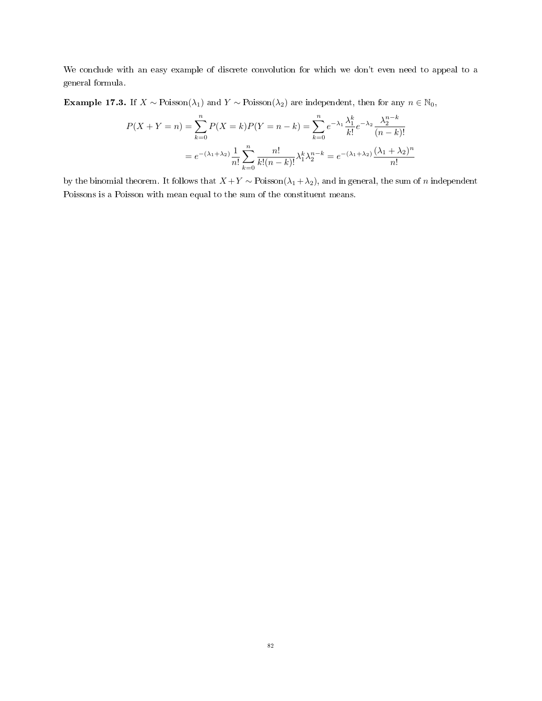We conclude with an easy example of discrete convolution for which we don't even need to appeal to a general formula.

<span id="page-81-0"></span>**Example 17.3.** If  $X \sim \text{Poisson}(\lambda_1)$  and  $Y \sim \text{Poisson}(\lambda_2)$  are independent, then for any  $n \in \mathbb{N}_0$ ,

$$
P(X + Y = n) = \sum_{k=0}^{n} P(X = k)P(Y = n - k) = \sum_{k=0}^{n} e^{-\lambda_1} \frac{\lambda_1^k}{k!} e^{-\lambda_2} \frac{\lambda_2^{n-k}}{(n-k)!}
$$

$$
= e^{-(\lambda_1 + \lambda_2)} \frac{1}{n!} \sum_{k=0}^{n} \frac{n!}{k!(n-k)!} \lambda_1^k \lambda_2^{n-k} = e^{-(\lambda_1 + \lambda_2)} \frac{(\lambda_1 + \lambda_2)^n}{n!}
$$

by the binomial theorem. It follows that  $X + Y \sim \text{Poisson}(\lambda_1 + \lambda_2)$ , and in general, the sum of n independent Poissons is a Poisson with mean equal to the sum of the constituent means.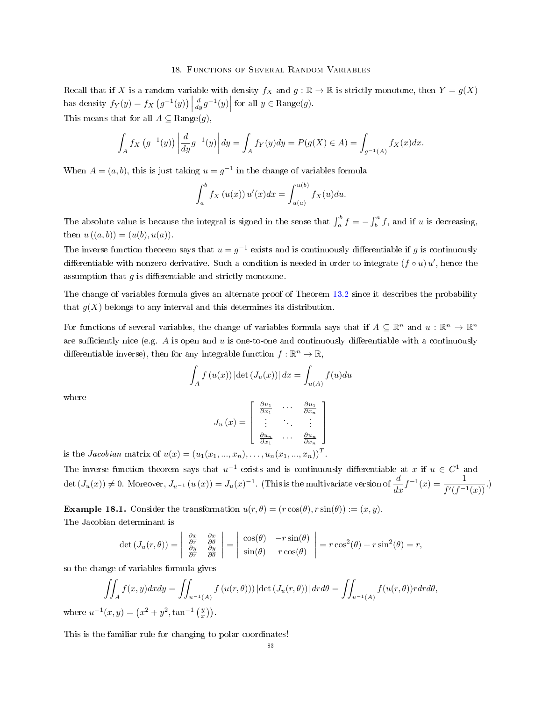Recall that if X is a random variable with density  $f_X$  and  $g : \mathbb{R} \to \mathbb{R}$  is strictly monotone, then  $Y = g(X)$ has density  $f_Y(y) = f_X(g^{-1}(y))$  $\frac{d}{dy}g^{-1}(y)\Big|$  for all  $y \in \text{Range}(g)$ . This means that for all  $A \subseteq \text{Range}(g)$ ,

$$
\int_{A} f_X(g^{-1}(y)) \left| \frac{d}{dy} g^{-1}(y) \right| dy = \int_{A} f_Y(y) dy = P(g(X) \in A) = \int_{g^{-1}(A)} f_X(x) dx.
$$

When  $A = (a, b)$ , this is just taking  $u = g^{-1}$  in the change of variables formula

$$
\int_{a}^{b} f_X(u(x)) u'(x) dx = \int_{u(a)}^{u(b)} f_X(u) du.
$$

The absolute value is because the integral is signed in the sense that  $\int_a^b f = -\int_b^a f$ , and if u is decreasing, then  $u((a, b)) = (u(b), u(a)).$ 

The inverse function theorem says that  $u = g^{-1}$  exists and is continuously differentiable if g is continuously differentiable with nonzero derivative. Such a condition is needed in order to integrate  $(f \circ u) u'$ , hence the assumption that  $g$  is differentiable and strictly monotone.

The change of variables formula gives an alternate proof of Theorem [13.2](#page-63-0) since it describes the probability that  $g(X)$  belongs to any interval and this determines its distribution.

For functions of several variables, the change of variables formula says that if  $A \subseteq \mathbb{R}^n$  and  $u : \mathbb{R}^n \to \mathbb{R}^n$ are sufficiently nice (e.g.  $A$  is open and  $u$  is one-to-one and continuously differentiable with a continuously differentiable inverse), then for any integrable function  $f : \mathbb{R}^n \to \mathbb{R}$ ,

$$
\int_A f(u(x)) |\det (J_u(x))| dx = \int_{u(A)} f(u) du
$$

where

where

$$
J_u(x) = \begin{bmatrix} \frac{\partial u_1}{\partial x_1} & \cdots & \frac{\partial u_1}{\partial x_n} \\ \vdots & \vdots & \ddots & \vdots \\ \frac{\partial u_n}{\partial x_1} & \cdots & \frac{\partial u_n}{\partial x_n} \end{bmatrix}
$$

is the *Jacobian* matrix of  $u(x) = (u_1(x_1, ..., x_n), ..., u_n(x_1, ..., x_n))^T$ .

The inverse function theorem says that  $u^{-1}$  exists and is continuously differentiable at x if  $u \in C^1$  and  $\det\left(J_u(x)\right)\neq 0.$  Moreover,  $J_{u^{-1}}\left(u\left(x\right)\right)=J_u(x)^{-1}$ . (This is the multivariate version of  $\frac{d}{dx}f^{-1}(x)=\frac{1}{f'\left(f^{-1}(x)\right)}$ .)

**Example 18.1.** Consider the transformation  $u(r, \theta) = (r \cos(\theta), r \sin(\theta)) := (x, y)$ . The Jacobian determinant is

$$
\det\left(J_u(r,\theta)\right) = \begin{vmatrix} \frac{\partial x}{\partial r} & \frac{\partial x}{\partial \theta} \\ \frac{\partial y}{\partial r} & \frac{\partial y}{\partial \theta} \end{vmatrix} = \begin{vmatrix} \cos(\theta) & -r\sin(\theta) \\ \sin(\theta) & r\cos(\theta) \end{vmatrix} = r\cos^2(\theta) + r\sin^2(\theta) = r,
$$

so the change of variables formula gives

$$
\iint_A f(x, y) dx dy = \iint_{u^{-1}(A)} f(u(r, \theta)) |\det(J_u(r, \theta))| dr d\theta = \iint_{u^{-1}(A)} f(u(r, \theta)) r dr d\theta,
$$
  

$$
u^{-1}(x, y) = (x^2 + y^2, \tan^{-1}(\frac{y}{x})).
$$

This is the familiar rule for changing to polar coordinates!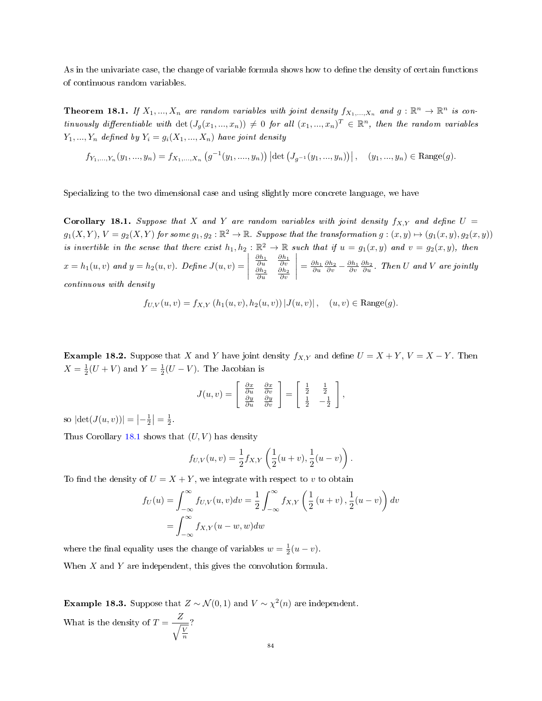As in the univariate case, the change of variable formula shows how to define the density of certain functions of continuous random variables.

**Theorem 18.1.** If  $X_1, ..., X_n$  are random variables with joint density  $f_{X_1,...,X_n}$  and  $g: \mathbb{R}^n \to \mathbb{R}^n$  is continuously differentiable with  $\det(J_g(x_1,...,x_n)) \neq 0$  for all  $(x_1,...,x_n)^T \in \mathbb{R}^n$ , then the random variables  $Y_1, ..., Y_n$  defined by  $Y_i = g_i(X_1, ..., X_n)$  have joint density

$$
f_{Y_1,\ldots,Y_n}(y_1,\ldots,y_n)=f_{X_1,\ldots,X_n}\left(g^{-1}(y_1,\ldots,y_n)\right)\left|\det\left(J_{g^{-1}}(y_1,\ldots,y_n)\right)\right|,\quad (y_1,\ldots,y_n)\in\text{Range}(g).
$$

Specializing to the two dimensional case and using slightly more concrete language, we have

<span id="page-83-0"></span>Corollary 18.1. Suppose that X and Y are random variables with joint density  $f_{X,Y}$  and define  $U =$  $g_1(X,Y)$ ,  $V = g_2(X,Y)$  for some  $g_1, g_2 : \mathbb{R}^2 \to \mathbb{R}$ . Suppose that the transformation  $g : (x,y) \mapsto (g_1(x,y), g_2(x,y))$ is invertible in the sense that there exist  $h_1, h_2 : \mathbb{R}^2 \to \mathbb{R}$  such that if  $u = g_1(x, y)$  and  $v = g_2(x, y)$ , then  $x = h_1(u, v)$  and  $y = h_2(u, v)$ . Define  $J(u, v) =$  $\begin{array}{c} \hline \end{array}$  $\begin{array}{cc} \frac{\partial h_1}{\partial u} & \frac{\partial h_1}{\partial v} \\ \frac{\partial h_2}{\partial u} & \frac{\partial h_2}{\partial v} \end{array}$  $\begin{array}{c} \hline \end{array}$  $=\frac{\partial h_1}{\partial u}\frac{\partial h_2}{\partial v}-\frac{\partial h_1}{\partial v}\frac{\partial h_2}{\partial u}$ . Then U and V are jointly continuous with density

$$
f_{U,V}(u, v) = f_{X,Y} (h_1(u, v), h_2(u, v)) |J(u, v)|
$$
,  $(u, v) \in \text{Range}(g)$ .

**Example 18.2.** Suppose that X and Y have joint density  $f_{X,Y}$  and define  $U = X + Y$ ,  $V = X - Y$ . Then  $X = \frac{1}{2}(U + V)$  and  $Y = \frac{1}{2}(U - V)$ . The Jacobian is

$$
J(u, v) = \begin{bmatrix} \frac{\partial x}{\partial u} & \frac{\partial x}{\partial v} \\ \frac{\partial y}{\partial u} & \frac{\partial y}{\partial v} \end{bmatrix} = \begin{bmatrix} \frac{1}{2} & \frac{1}{2} \\ \frac{1}{2} & -\frac{1}{2} \end{bmatrix},
$$

so  $|\det(J(u, v))| = \left| -\frac{1}{2} \right| = \frac{1}{2}$ .

Thus Corollary [18.1](#page-83-0) shows that  $(U, V)$  has density

$$
f_{U,V}(u,v) = \frac{1}{2} f_{X,Y}\left(\frac{1}{2}(u+v), \frac{1}{2}(u-v)\right).
$$

To find the density of  $U = X + Y$ , we integrate with respect to v to obtain

$$
f_U(u) = \int_{-\infty}^{\infty} f_{U,V}(u,v)dv = \frac{1}{2} \int_{-\infty}^{\infty} f_{X,Y}\left(\frac{1}{2}(u+v), \frac{1}{2}(u-v)\right)dv
$$
  
= 
$$
\int_{-\infty}^{\infty} f_{X,Y}(u-w,w)dw
$$

where the final equality uses the change of variables  $w = \frac{1}{2}(u - v)$ .

When  $X$  and  $Y$  are independent, this gives the convolution formula.

**Example 18.3.** Suppose that  $Z \sim \mathcal{N}(0, 1)$  and  $V \sim \chi^2(n)$  are independent. What is the density of  $T = -\frac{Z}{\sqrt{Z}}$  $\sqrt{\frac{V}{n}}$ ?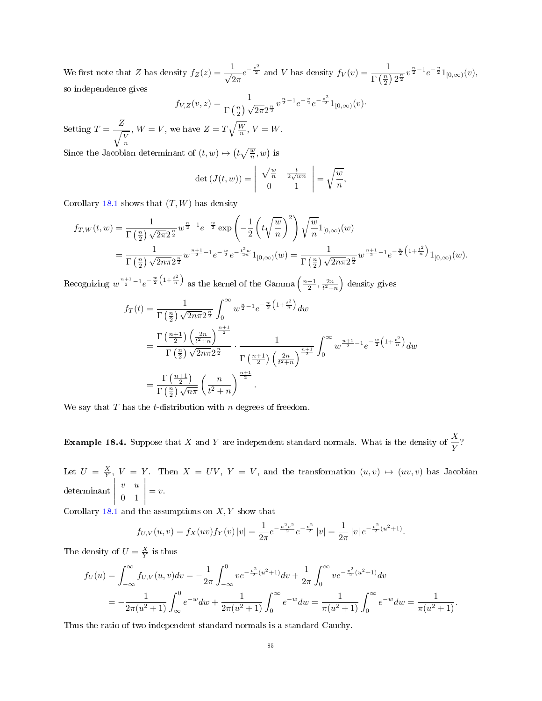We first note that Z has density  $f_Z(z) = \frac{1}{\sqrt{2\pi}}$  $\frac{1}{2\pi}e^{-\frac{z^2}{2}}$  and V has density  $f_V(v) = \frac{1}{\Gamma(\frac{n}{2}) 2^{\frac{n}{2}}} v^{\frac{n}{2}-1} e^{-\frac{v}{2}} 1_{[0,\infty)}(v)$ , so independence gives

$$
f_{V,Z}(v, z) = \frac{1}{\Gamma(\frac{n}{2})\sqrt{2\pi}2^{\frac{n}{2}}}v^{\frac{n}{2}-1}e^{-\frac{v}{2}}e^{-\frac{z^2}{2}}1_{[0,\infty)}(v).
$$

Setting  $T = \frac{Z}{\sqrt{Z}}$  $\sqrt{\frac{V}{n}}$ ,  $W = V$ , we have  $Z = T\sqrt{\frac{W}{n}}$ ,  $V = W$ .

Since the Jacobian determinant of  $(t, w) \mapsto \left(t\sqrt{\frac{w}{n}}, w\right)$  is

$$
\det\left(J(t,w)\right) = \left| \begin{array}{cc} \sqrt{\frac{w}{n}} & \frac{t}{2\sqrt{wn}} \\ 0 & 1 \end{array} \right| = \sqrt{\frac{w}{n}},
$$

Corollary [18.1](#page-83-0) shows that  $(T, W)$  has density

$$
f_{T,W}(t,w) = \frac{1}{\Gamma(\frac{n}{2})\sqrt{2\pi}2^{\frac{n}{2}}}w^{\frac{n}{2}-1}e^{-\frac{w}{2}}\exp\left(-\frac{1}{2}\left(t\sqrt{\frac{w}{n}}\right)^2\right)\sqrt{\frac{w}{n}}1_{[0,\infty)}(w)
$$
  
= 
$$
\frac{1}{\Gamma(\frac{n}{2})\sqrt{2n\pi}2^{\frac{n}{2}}}w^{\frac{n+1}{2}-1}e^{-\frac{w}{2}}e^{-\frac{t^2w}{2n}}1_{[0,\infty)}(w) = \frac{1}{\Gamma(\frac{n}{2})\sqrt{2n\pi}2^{\frac{n}{2}}}w^{\frac{n+1}{2}-1}e^{-\frac{w}{2}\left(1+\frac{t^2}{n}\right)}1_{[0,\infty)}(w).
$$

Recognizing  $w^{\frac{n+1}{2}-1}e^{-\frac{w}{2}\left(1+\frac{t^2}{n}\right)}$  as the kernel of the Gamma  $\left(\frac{n+1}{2},\frac{2n}{t^2+n}\right)$  density gives

$$
f_T(t) = \frac{1}{\Gamma\left(\frac{n}{2}\right)\sqrt{2n\pi}2^{\frac{n}{2}}} \int_0^\infty w^{\frac{n}{2}-1} e^{-\frac{w}{2}\left(1+\frac{t^2}{n}\right)} dw
$$
  
\n
$$
= \frac{\Gamma\left(\frac{n+1}{2}\right)\left(\frac{2n}{t^2+n}\right)^{\frac{n+1}{2}}}{\Gamma\left(\frac{n}{2}\right)\sqrt{2n\pi}2^{\frac{n}{2}}} \cdot \frac{1}{\Gamma\left(\frac{n+1}{2}\right)\left(\frac{2n}{t^2+n}\right)^{\frac{n+1}{2}}} \int_0^\infty w^{\frac{n+1}{2}-1} e^{-\frac{w}{2}\left(1+\frac{t^2}{n}\right)} dw
$$
  
\n
$$
= \frac{\Gamma\left(\frac{n+1}{2}\right)}{\Gamma\left(\frac{n}{2}\right)\sqrt{n\pi}} \left(\frac{n}{t^2+n}\right)^{\frac{n+1}{2}}.
$$

We say that  $T$  has the  $t$ -distribution with  $n$  degrees of freedom.

**Example 18.4.** Suppose that X and Y are independent standard normals. What is the density of  $\frac{X}{Y}$ ?

Let  $U = \frac{X}{Y}$ ,  $V = Y$ . Then  $X = UV$ ,  $Y = V$ , and the transformation  $(u, v) \mapsto (uv, v)$  has Jacobian determinant v u 0 1  $= v.$ 

Corollary  $18.1$  and the assumptions on  $X, Y$  show that

$$
f_{U,V}(u,v) = f_X(uv) f_Y(v) |v| = \frac{1}{2\pi} e^{-\frac{u^2v^2}{2}} e^{-\frac{v^2}{2}} |v| = \frac{1}{2\pi} |v| e^{-\frac{v^2}{2}(u^2+1)}.
$$

The density of  $U = \frac{X}{Y}$  is thus

$$
f_U(u) = \int_{-\infty}^{\infty} f_{U,V}(u,v) dv = -\frac{1}{2\pi} \int_{-\infty}^{0} v e^{-\frac{v^2}{2}(u^2+1)} dv + \frac{1}{2\pi} \int_{0}^{\infty} v e^{-\frac{v^2}{2}(u^2+1)} dv
$$
  
=  $-\frac{1}{2\pi(u^2+1)} \int_{\infty}^{0} e^{-w} dw + \frac{1}{2\pi(u^2+1)} \int_{0}^{\infty} e^{-w} dw = \frac{1}{\pi(u^2+1)} \int_{0}^{\infty} e^{-w} dw = \frac{1}{\pi(u^2+1)}.$ 

Thus the ratio of two independent standard normals is a standard Cauchy.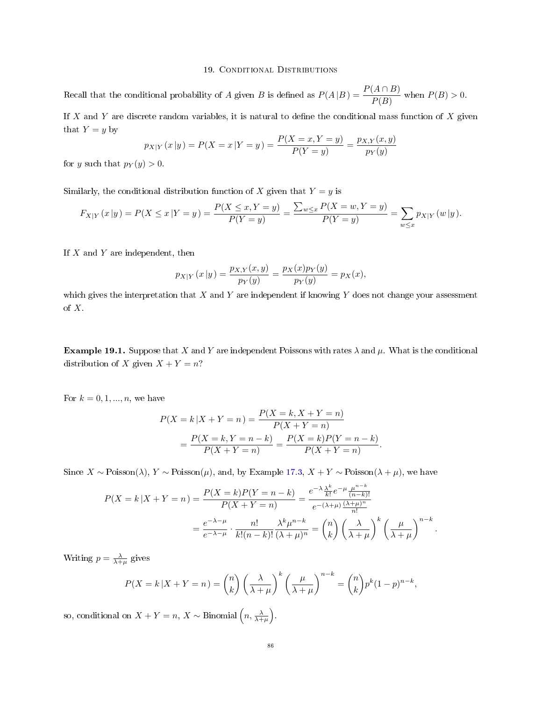## 19. Conditional Distributions

Recall that the conditional probability of A given B is defined as  $P(A|B) = \frac{P(A \cap B)}{P(B)}$  when  $P(B) > 0$ .

If  $X$  and  $Y$  are discrete random variables, it is natural to define the conditional mass function of  $X$  given that  $Y = y$  by

$$
p_{X|Y}(x|y) = P(X = x|Y = y) = \frac{P(X = x, Y = y)}{P(Y = y)} = \frac{p_{X,Y}(x,y)}{p_Y(y)}
$$

for y such that  $p_Y(y) > 0$ .

Similarly, the conditional distribution function of X given that  $Y = y$  is

$$
F_{X|Y}(x|y) = P(X \le x|Y = y) = \frac{P(X \le x, Y = y)}{P(Y = y)} = \frac{\sum_{w \le x} P(X = w, Y = y)}{P(Y = y)} = \sum_{w \le x} p_{X|Y}(w|y).
$$

If  $X$  and  $Y$  are independent, then

$$
p_{X|Y}(x|y) = \frac{p_{X,Y}(x,y)}{p_Y(y)} = \frac{p_X(x)p_Y(y)}{p_Y(y)} = p_X(x),
$$

which gives the interpretation that  $X$  and  $Y$  are independent if knowing  $Y$  does not change your assessment of X.

**Example 19.1.** Suppose that X and Y are independent Poissons with rates  $\lambda$  and  $\mu$ . What is the conditional distribution of X given  $X + Y = n$ ?

For  $k = 0, 1, ..., n$ , we have

$$
P(X = k | X + Y = n) = \frac{P(X = k, X + Y = n)}{P(X + Y = n)}
$$
  
= 
$$
\frac{P(X = k, Y = n - k)}{P(X + Y = n)} = \frac{P(X = k)P(Y = n - k)}{P(X + Y = n)}.
$$

Since  $X \sim \text{Poisson}(\lambda)$ ,  $Y \sim \text{Poisson}(\mu)$ , and, by Example [17.3,](#page-81-0)  $X + Y \sim \text{Poisson}(\lambda + \mu)$ , we have

$$
P(X = k | X + Y = n) = \frac{P(X = k)P(Y = n - k)}{P(X + Y = n)} = \frac{e^{-\lambda} \frac{\lambda^k}{k!} e^{-\mu} \frac{\mu^{n-k}}{(n-k)!}}{e^{-(\lambda + \mu)} \frac{(\lambda + \mu)^n}{n!}} = \frac{e^{-\lambda - \mu}}{e^{-\lambda - \mu}} \cdot \frac{n!}{k!(n-k)!} \frac{\lambda^k \mu^{n-k}}{(\lambda + \mu)^n} = {n \choose k} \left(\frac{\lambda}{\lambda + \mu}\right)^k \left(\frac{\mu}{\lambda + \mu}\right)^{n-k}.
$$

Writing  $p = \frac{\lambda}{\lambda + \mu}$  gives

$$
P(X = k | X + Y = n) = {n \choose k} \left(\frac{\lambda}{\lambda + \mu}\right)^k \left(\frac{\mu}{\lambda + \mu}\right)^{n-k} = {n \choose k} p^k (1-p)^{n-k},
$$

so, conditional on  $X + Y = n$ ,  $X \sim \text{Binomial}\left(n, \frac{\lambda}{\lambda + \mu}\right)$ .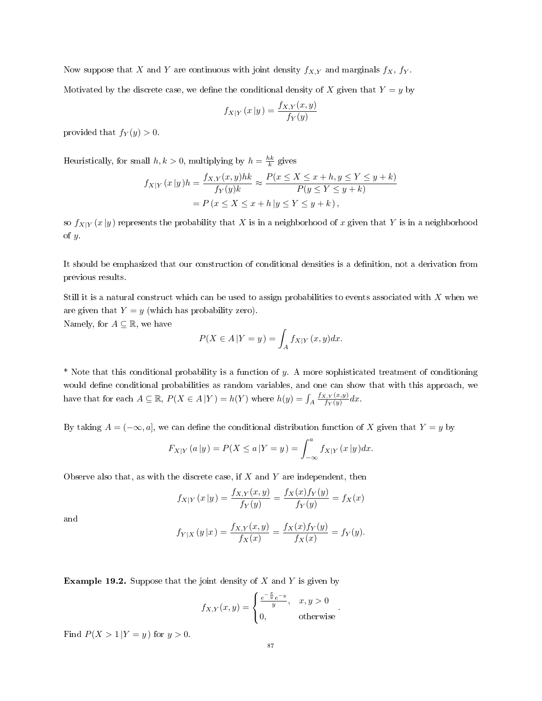Now suppose that X and Y are continuous with joint density  $f_{X,Y}$  and marginals  $f_X$ ,  $f_Y$ .

Motivated by the discrete case, we define the conditional density of X given that  $Y = y$  by

$$
f_{X|Y}(x|y) = \frac{f_{X,Y}(x,y)}{f_Y(y)}
$$

provided that  $f_Y(y) > 0$ .

Heuristically, for small  $h, k > 0$ , multiplying by  $h = \frac{hk}{k}$  gives

$$
f_{X|Y}(x|y)h = \frac{f_{X,Y}(x,y)hk}{f_Y(y)k} \approx \frac{P(x \le X \le x + h, y \le Y \le y + k)}{P(y \le Y \le y + k)}
$$

$$
= P(x \le X \le x + h|y \le Y \le y + k),
$$

so  $f_{X|Y}(x|y)$  represents the probability that X is in a neighborhood of x given that Y is in a neighborhood of  $y$ .

It should be emphasized that our construction of conditional densities is a denition, not a derivation from previous results.

Still it is a natural construct which can be used to assign probabilities to events associated with  $X$  when we are given that  $Y = y$  (which has probability zero). Namely, for  $A \subseteq \mathbb{R}$ , we have

$$
P(X \in A | Y = y) = \int_A f_{X|Y}(x, y) dx.
$$

 $*$  Note that this conditional probability is a function of y. A more sophisticated treatment of conditioning would define conditional probabilities as random variables, and one can show that with this approach, we have that for each  $A \subseteq \mathbb{R}$ ,  $P(X \in A | Y) = h(Y)$  where  $h(y) = \int_A$  $f_{X,Y}(x,y)$  $\frac{f(Y(x,y))}{f(Y(y))}dx.$ 

By taking  $A = (-\infty, a]$ , we can define the conditional distribution function of X given that  $Y = y$  by

$$
F_{X|Y}(a|y) = P(X \le a|Y = y) = \int_{-\infty}^{a} f_{X|Y}(x|y) dx.
$$

Observe also that, as with the discrete case, if  $X$  and  $Y$  are independent, then

$$
f_{X|Y}(x|y) = \frac{f_{X,Y}(x,y)}{f_Y(y)} = \frac{f_X(x)f_Y(y)}{f_Y(y)} = f_X(x)
$$

and

$$
f_{Y|X}(y|x) = \frac{f_{X,Y}(x,y)}{f_X(x)} = \frac{f_X(x)f_Y(y)}{f_X(x)} = f_Y(y).
$$

**Example 19.2.** Suppose that the joint density of  $X$  and  $Y$  is given by

$$
f_{X,Y}(x,y) = \begin{cases} \frac{e^{-\frac{x}{y}}e^{-y}}{y}, & x, y > 0\\ 0, & \text{otherwise} \end{cases}.
$$

Find  $P(X > 1 | Y = y)$  for  $y > 0$ .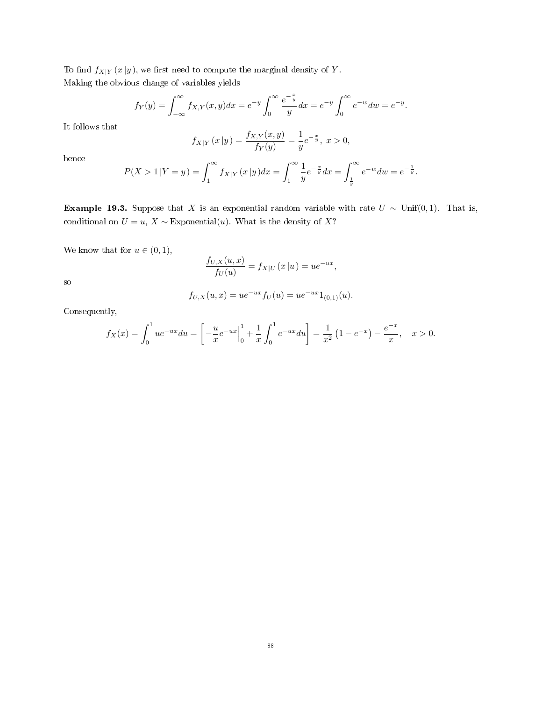To find  $f_{X|Y}(x|y)$ , we first need to compute the marginal density of Y. Making the obvious change of variables yields

$$
f_Y(y) = \int_{-\infty}^{\infty} f_{X,Y}(x, y) dx = e^{-y} \int_{0}^{\infty} \frac{e^{-\frac{x}{y}}}{y} dx = e^{-y} \int_{0}^{\infty} e^{-w} dw = e^{-y}.
$$

It follows that

$$
f_{X|Y}(x|y) = \frac{f_{X,Y}(x,y)}{f_Y(y)} = \frac{1}{y}e^{-\frac{x}{y}}, \ x > 0,
$$

hence

$$
P(X > 1 | Y = y) = \int_{1}^{\infty} f_{X|Y}(x | y) dx = \int_{1}^{\infty} \frac{1}{y} e^{-\frac{x}{y}} dx = \int_{\frac{1}{y}}^{\infty} e^{-w} dw = e^{-\frac{1}{y}}.
$$

Example 19.3. Suppose that X is an exponential random variable with rate  $U \sim \text{Unif}(0, 1)$ . That is, conditional on  $U = u$ ,  $X \sim$  Exponential(u). What is the density of X?

We know that for  $u \in (0,1)$ ,

$$
\frac{f_{U,X}(u,x)}{f_U(u)} = f_{X|U}(x|u) = ue^{-ux},
$$

so

$$
f_{U,X}(u,x) = ue^{-ux} f_U(u) = ue^{-ux} 1_{(0,1)}(u).
$$

Consequently,

$$
f_X(x) = \int_0^1 ue^{-ux} du = \left[ -\frac{u}{x} e^{-ux} \Big|_0^1 + \frac{1}{x} \int_0^1 e^{-ux} du \right] = \frac{1}{x^2} \left( 1 - e^{-x} \right) - \frac{e^{-x}}{x}, \quad x > 0.
$$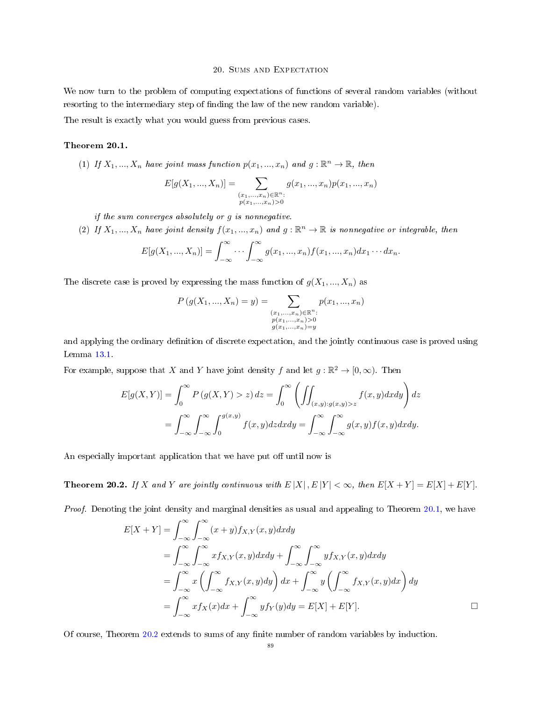# 20. Sums and Expectation

We now turn to the problem of computing expectations of functions of several random variables (without resorting to the intermediary step of finding the law of the new random variable).

The result is exactly what you would guess from previous cases.

# <span id="page-88-0"></span>Theorem 20.1.

(1) If  $X_1, ..., X_n$  have joint mass function  $p(x_1, ..., x_n)$  and  $g : \mathbb{R}^n \to \mathbb{R}$ , then

$$
E[g(X_1, ..., X_n)] = \sum_{\substack{(x_1, ..., x_n) \in \mathbb{R}^n:\\p(x_1, ..., x_n) > 0}} g(x_1, ..., x_n) p(x_1, ..., x_n)
$$

if the sum converges absolutely or g is nonnegative.

(2) If  $X_1, ..., X_n$  have joint density  $f(x_1, ..., x_n)$  and  $g : \mathbb{R}^n \to \mathbb{R}$  is nonnegative or integrable, then

$$
E[g(X_1,...,X_n)] = \int_{-\infty}^{\infty} \cdots \int_{-\infty}^{\infty} g(x_1,...,x_n) f(x_1,...,x_n) dx_1 \cdots dx_n.
$$

The discrete case is proved by expressing the mass function of  $g(X_1, ..., X_n)$  as

$$
P(g(X_1, ..., X_n) = y) = \sum_{\substack{(x_1, ..., x_n) \in \mathbb{R}^n:\\p(x_1, ..., x_n) > 0\\g(x_1, ..., x_n) = y}} p(x_1, ..., x_n)
$$

and applying the ordinary definition of discrete expectation, and the jointly continuous case is proved using Lemma [13.1.](#page-60-0)

For example, suppose that X and Y have joint density f and let  $g : \mathbb{R}^2 \to [0, \infty)$ . Then

$$
E[g(X,Y)] = \int_0^\infty P(g(X,Y) > z) dz = \int_0^\infty \left( \iint_{(x,y):g(x,y)>z} f(x,y) dxdy \right) dz
$$
  
= 
$$
\int_{-\infty}^\infty \int_{-\infty}^\infty \int_0^{g(x,y)} f(x,y) dz dx dy = \int_{-\infty}^\infty \int_{-\infty}^\infty g(x,y) f(x,y) dxdy.
$$

An especially important application that we have put off until now is

<span id="page-88-1"></span>**Theorem 20.2.** If X and Y are jointly continuous with  $E[X], E[Y] < \infty$ , then  $E[X+Y] = E[X]+E[Y]$ .

Proof. Denoting the joint density and marginal densities as usual and appealing to Theorem [20.1,](#page-88-0) we have

$$
E[X+Y] = \int_{-\infty}^{\infty} \int_{-\infty}^{\infty} (x+y) f_{X,Y}(x,y) dx dy
$$
  
\n
$$
= \int_{-\infty}^{\infty} \int_{-\infty}^{\infty} x f_{X,Y}(x,y) dx dy + \int_{-\infty}^{\infty} \int_{-\infty}^{\infty} y f_{X,Y}(x,y) dx dy
$$
  
\n
$$
= \int_{-\infty}^{\infty} x \left( \int_{-\infty}^{\infty} f_{X,Y}(x,y) dy \right) dx + \int_{-\infty}^{\infty} y \left( \int_{-\infty}^{\infty} f_{X,Y}(x,y) dx \right) dy
$$
  
\n
$$
= \int_{-\infty}^{\infty} x f_X(x) dx + \int_{-\infty}^{\infty} y f_Y(y) dy = E[X] + E[Y].
$$

Of course, Theorem [20.2](#page-88-1) extends to sums of any finite number of random variables by induction.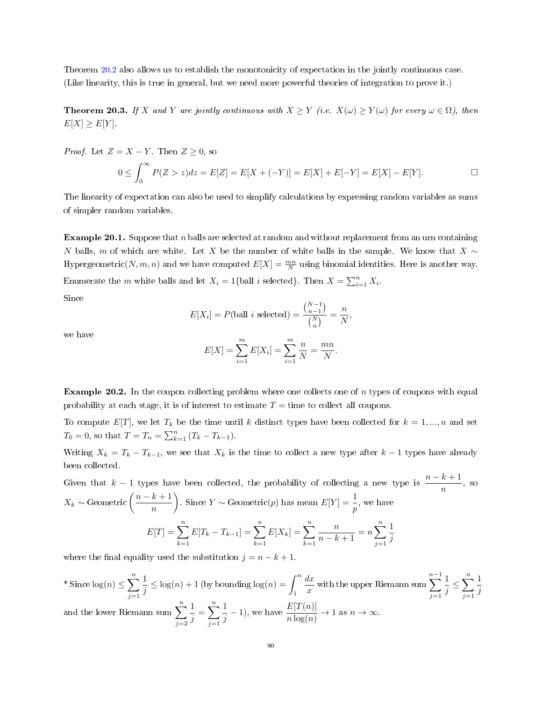Theorem [20.2](#page-88-1) also allows us to establish the monotonicity of expectation in the jointly continuous case. (Like linearity, this is true in general, but we need more powerful theories of integration to prove it.)

**Theorem 20.3.** If X and Y are jointly continuous with  $X \geq Y$  (i.e.  $X(\omega) \geq Y(\omega)$  for every  $\omega \in \Omega$ ), then  $E[X] \geq E[Y]$ 

*Proof.* Let  $Z = X - Y$ . Then  $Z \geq 0$ , so

$$
0 \le \int_0^\infty P(Z > z) dz = E[Z] = E[X + (-Y)] = E[X] + E[-Y] = E[X] - E[Y].
$$

The linearity of expectation can also be used to simplify calculations by expressing random variables as sums of simpler random variables.

<span id="page-89-0"></span>**Example 20.1.** Suppose that n balls are selected at random and without replacement from an urn containing N balls, m of which are white. Let X be the number of white balls in the sample. We know that  $X \sim$ Hypergeometric $(N, m, n)$  and we have computed  $E[X] = \frac{mn}{N}$  using binomial identities. Here is another way. Enumerate the m white balls and let  $X_i = 1$ {ball i selected}. Then  $X = \sum_{i=1}^{n} X_i$ .

Since

$$
E[X_i] = P(\text{ball } i \text{ selected}) = \frac{\binom{N-1}{n-1}}{\binom{N}{n}} = \frac{n}{N},
$$

we have

$$
E[X] = \sum_{i=1}^{m} E[X_i] = \sum_{i=1}^{m} \frac{n}{N} = \frac{mn}{N}.
$$

**Example 20.2.** In the coupon collecting problem where one collects one of n types of coupons with equal probability at each stage, it is of interest to estimate  $T =$  time to collect all coupons.

To compute  $E[T]$ , we let  $T_k$  be the time until k distinct types have been collected for  $k = 1, ..., n$  and set  $T_0 = 0$ , so that  $T = T_n = \sum_{k=1}^n (T_k - T_{k-1}).$ 

Writing  $X_k = T_k - T_{k-1}$ , we see that  $X_k$  is the time to collect a new type after  $k-1$  types have already been collected.

Given that  $k-1$  types have been collected, the probability of collecting a new type is  $\frac{n-k+1}{n}$ , so  $X_k \sim \text{Geometric}\left(\frac{n-k+1}{n}\right)$ n ). Since *Y* ∼ Geometric(*p*) has mean  $E[Y] = \frac{1}{p}$ , we have  $E[T] = \sum_{n=1}^{n}$  $k=1$  $E[T_k - T_{k-1}] = \sum_{k=1}^{n}$  $k=1$  $E[X_k] = \sum_{n=1}^{n}$  $k=1$ n  $\frac{n}{n-k+1} = n \sum_{i=1}^{n}$  $j=1$ 1 j

where the final equality used the substitution  $j = n - k + 1$ .

\* Since 
$$
\log(n) \le \sum_{j=1}^n \frac{1}{j} \le \log(n) + 1
$$
 (by bounding  $\log(n) = \int_1^n \frac{dx}{x}$  with the upper Riemann sum  $\sum_{j=1}^{n-1} \frac{1}{j} \le \sum_{j=1}^n \frac{1}{j}$   
and the lower Riemann sum  $\sum_{j=2}^n \frac{1}{j} = \sum_{j=1}^n \frac{1}{j} - 1$ ), we have  $\frac{E[T(n)]}{n \log(n)} \to 1$  as  $n \to \infty$ .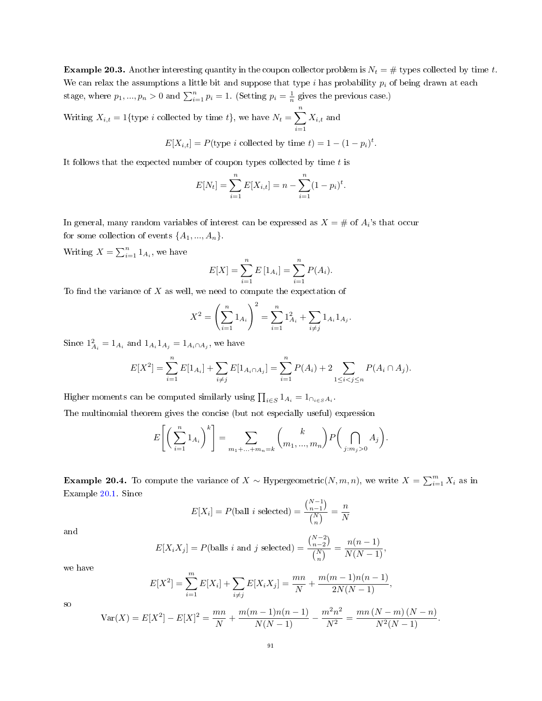**Example 20.3.** Another interesting quantity in the coupon collector problem is  $N_t = #$  types collected by time t. We can relax the assumptions a little bit and suppose that type  $i$  has probability  $p_i$  of being drawn at each stage, where  $p_1, ..., p_n > 0$  and  $\sum_{i=1}^n p_i = 1$ . (Setting  $p_i = \frac{1}{n}$  gives the previous case.)

Writing  $X_{i,t} = 1$ {type *i* collected by time *t*}, we have  $N_t = \sum_{i=1}^{n}$  $i=1$  $X_{i,t}$  and

 $E[X_{i,t}] = P(\text{type } i \text{ collected by time } t) = 1 - (1 - p_i)^t.$ 

It follows that the expected number of coupon types collected by time  $t$  is

$$
E[N_t] = \sum_{i=1}^{n} E[X_{i,t}] = n - \sum_{i=1}^{n} (1 - p_i)^t.
$$

In general, many random variables of interest can be expressed as  $X = \#$  of  $A_i$ 's that occur for some collection of events  $\{A_1, ..., A_n\}.$ 

Writing  $X = \sum_{i=1}^{n} 1_{A_i}$ , we have

$$
E[X] = \sum_{i=1}^{n} E\left[1_{A_i}\right] = \sum_{i=1}^{n} P(A_i).
$$

To find the variance of  $X$  as well, we need to compute the expectation of

$$
X^{2} = \left(\sum_{i=1}^{n} 1_{A_{i}}\right)^{2} = \sum_{i=1}^{n} 1_{A_{i}}^{2} + \sum_{i \neq j} 1_{A_{i}} 1_{A_{j}}.
$$

Since  $1_{A_i}^2 = 1_{A_i}$  and  $1_{A_i}1_{A_j} = 1_{A_i \cap A_j}$ , we have

$$
E[X^2] = \sum_{i=1}^n E[1_{A_i}] + \sum_{i \neq j} E[1_{A_i \cap A_j}] = \sum_{i=1}^n P(A_i) + 2 \sum_{1 \leq i < j \leq n} P(A_i \cap A_j).
$$

Higher moments can be computed similarly using  $\prod_{i \in S} 1_{A_i} = 1_{\bigcap_{i \in S} A_i}$ .

The multinomial theorem gives the concise (but not especially useful) expression

$$
E\left[\left(\sum_{i=1}^{n} 1_{A_{i}}\right)^{k}\right] = \sum_{m_{1}+\ldots+m_{n}=k} {k \choose m_{1}, \ldots, m_{n}} P\left(\bigcap_{j:m_{j}>0} A_{j}\right).
$$

**Example 20.4.** To compute the variance of  $X \sim \text{Hypergeometric}(N, m, n)$ , we write  $X = \sum_{i=1}^{m} X_i$  as in Example [20.1.](#page-89-0) Since

$$
E[X_i] = P(\text{ball } i \text{ selected}) = \frac{\binom{N-1}{n-1}}{\binom{N}{n}} = \frac{n}{N}
$$

and

$$
E[X_i X_j] = P(\text{balls } i \text{ and } j \text{ selected}) = \frac{\binom{N-2}{n-2}}{\binom{N}{n}} = \frac{n(n-1)}{N(N-1)},
$$

we have

$$
E[X2] = \sum_{i=1}^{m} E[X_i] + \sum_{i \neq j} E[X_i X_j] = \frac{mn}{N} + \frac{m(m-1)n(n-1)}{2N(N-1)},
$$

so

$$
\text{Var}(X) = E[X^2] - E[X]^2 = \frac{mn}{N} + \frac{m(m-1)n(n-1)}{N(N-1)} - \frac{m^2n^2}{N^2} = \frac{mn(N-m)(N-n)}{N^2(N-1)}.
$$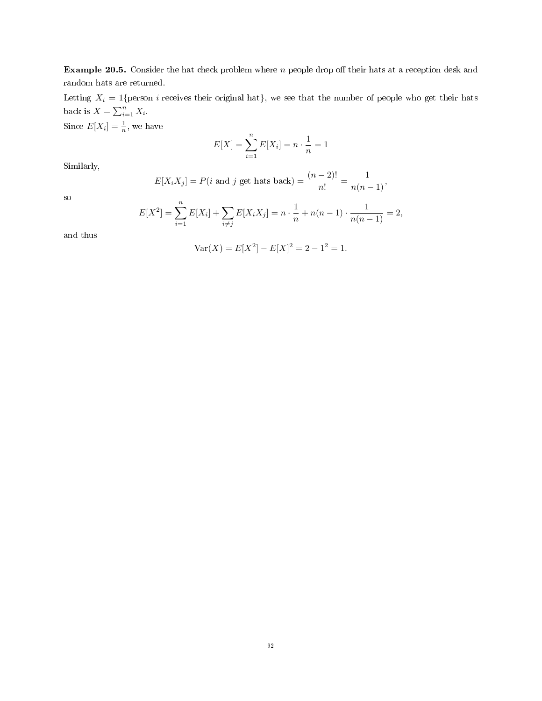Example 20.5. Consider the hat check problem where  $n$  people drop off their hats at a reception desk and random hats are returned.

Letting  $X_i = 1$ {person *i* receives their original hat}, we see that the number of people who get their hats back is  $X = \sum_{i=1}^{n} X_i$ .

Since  $E[X_i] = \frac{1}{n}$ , we have

$$
E[X] = \sum_{i=1}^{n} E[X_i] = n \cdot \frac{1}{n} = 1
$$

Similarly,

$$
E[X_i X_j] = P(i \text{ and } j \text{ get hats back}) = \frac{(n-2)!}{n!} = \frac{1}{n(n-1)},
$$

so

$$
E[X^2] = \sum_{i=1}^n E[X_i] + \sum_{i \neq j} E[X_i X_j] = n \cdot \frac{1}{n} + n(n-1) \cdot \frac{1}{n(n-1)} = 2,
$$

and thus

$$
Var(X) = E[X2] - E[X]2 = 2 - 12 = 1.
$$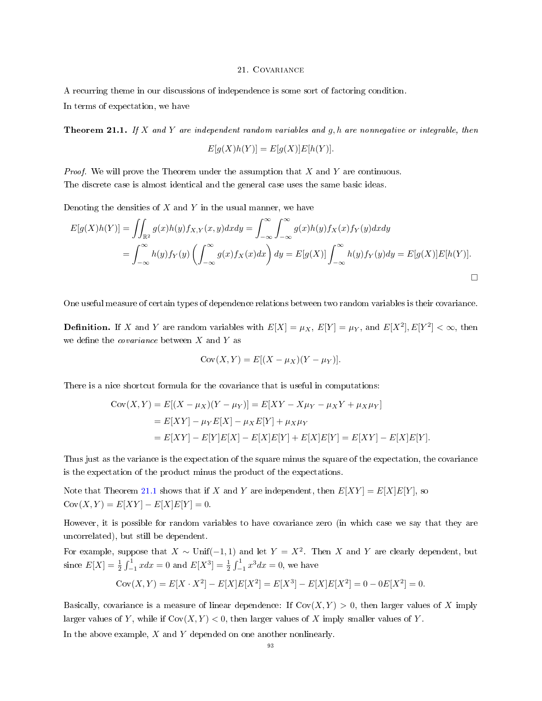## 21. Covariance

A recurring theme in our discussions of independence is some sort of factoring condition.

In terms of expectation, we have

<span id="page-92-0"></span>**Theorem 21.1.** If X and Y are independent random variables and  $g$ ,  $h$  are nonnegative or integrable, then

$$
E[g(X)h(Y)] = E[g(X)]E[h(Y)].
$$

*Proof.* We will prove the Theorem under the assumption that  $X$  and  $Y$  are continuous. The discrete case is almost identical and the general case uses the same basic ideas.

Denoting the densities of X and Y in the usual manner, we have

$$
E[g(X)h(Y)] = \iint_{\mathbb{R}^2} g(x)h(y)f_{X,Y}(x,y)dxdy = \int_{-\infty}^{\infty} \int_{-\infty}^{\infty} g(x)h(y)f_X(x)f_Y(y)dxdy
$$
  
= 
$$
\int_{-\infty}^{\infty} h(y)f_Y(y) \left( \int_{-\infty}^{\infty} g(x)f_X(x)dx \right) dy = E[g(X)] \int_{-\infty}^{\infty} h(y)f_Y(y)dy = E[g(X)]E[h(Y)].
$$

One useful measure of certain types of dependence relations between two random variables is their covariance.

**Definition.** If X and Y are random variables with  $E[X] = \mu_X$ ,  $E[Y] = \mu_Y$ , and  $E[X^2]$ ,  $E[Y^2] < \infty$ , then we define the *covariance* between  $X$  and  $Y$  as

$$
Cov(X, Y) = E[(X - \mu_X)(Y - \mu_Y)].
$$

There is a nice shortcut formula for the covariance that is useful in computations:

$$
Cov(X, Y) = E[(X - \mu_X)(Y - \mu_Y)] = E[XY - X\mu_Y - \mu_X Y + \mu_X \mu_Y]
$$
  
=  $E[XY] - \mu_Y E[X] - \mu_X E[Y] + \mu_X \mu_Y$   
=  $E[XY] - E[Y]E[X] - E[X]E[Y] + E[X]E[Y] = E[XY] - E[X]E[Y].$ 

Thus just as the variance is the expectation of the square minus the square of the expectation, the covariance is the expectation of the product minus the product of the expectations.

Note that Theorem [21.1](#page-92-0) shows that if X and Y are independent, then  $E[XY] = E[X]E[Y]$ , so  $Cov(X, Y) = E[XY] - E[X]E[Y] = 0.$ 

However, it is possible for random variables to have covariance zero (in which case we say that they are uncorrelated), but still be dependent.

For example, suppose that  $X \sim \text{Unif}(-1,1)$  and let  $Y = X^2$ . Then X and Y are clearly dependent, but since  $E[X] = \frac{1}{2} \int_{-1}^{1} x dx = 0$  and  $E[X^3] = \frac{1}{2} \int_{-1}^{1} x^3 dx = 0$ , we have

$$
Cov(X,Y) = E[X \cdot X^2] - E[X]E[X^2] = E[X^3] - E[X]E[X^2] = 0 - 0E[X^2] = 0.
$$

Basically, covariance is a measure of linear dependence: If  $Cov(X, Y) > 0$ , then larger values of X imply larger values of Y, while if  $Cov(X, Y) < 0$ , then larger values of X imply smaller values of Y.

In the above example,  $X$  and  $Y$  depended on one another nonlinearly.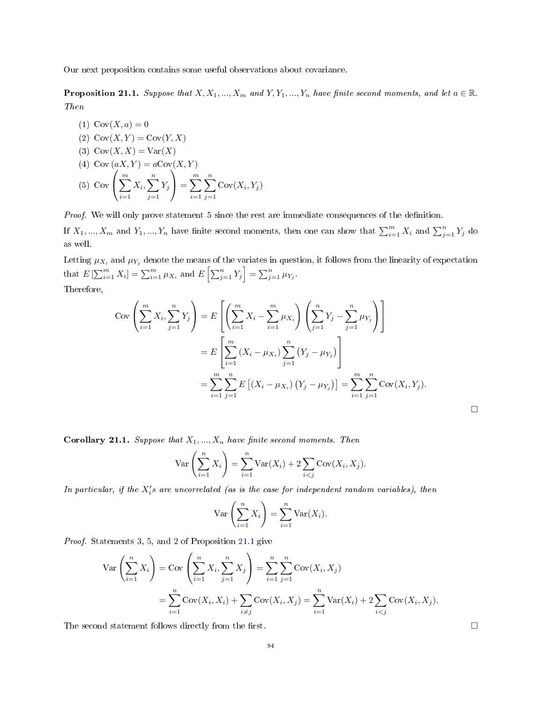Our next proposition contains some useful observations about covariance.

<span id="page-93-0"></span>**Proposition 21.1.** Suppose that  $X, X_1, ..., X_m$  and  $Y, Y_1, ..., Y_n$  have finite second moments, and let  $a \in \mathbb{R}$ . Then

- (1)  $Cov(X, a) = 0$
- (2)  $Cov(X, Y) = Cov(Y, X)$
- (3)  $Cov(X, X) = Var(X)$

(4) Cov 
$$
(aX, Y) = aCov(X, Y)
$$
  
(5) Cov  $\left(\sum_{i=1}^{m} X_i, \sum_{j=1}^{n} Y_j\right) = \sum_{i=1}^{m} \sum_{j=1}^{n} Cov(X_i, Y_j)$ 

Proof. We will only prove statement 5 since the rest are immediate consequences of the definition.

If  $X_1, ..., X_m$  and  $Y_1, ..., Y_n$  have finite second moments, then one can show that  $\sum_{i=1}^m X_i$  and  $\sum_{j=1}^n Y_j$  do as well.

Letting  $\mu_{X_i}$  and  $\mu_{Y_j}$  denote the means of the variates in question, it follows from the linearity of expectation that  $E\left[\sum_{i=1}^{m} X_i\right] = \sum_{i=1}^{m} \mu_{X_i}$  and  $E\left[\sum_{j=1}^{n} Y_j\right] = \sum_{j=1}^{n} \mu_{Y_j}$ .

Therefore,

$$
\text{Cov}\left(\sum_{i=1}^{m} X_i, \sum_{j=1}^{n} Y_j\right) = E\left[\left(\sum_{i=1}^{m} X_i - \sum_{i=1}^{m} \mu_{X_i}\right) \left(\sum_{j=1}^{n} Y_j - \sum_{j=1}^{n} \mu_{Y_j}\right)\right]
$$
  
= 
$$
E\left[\sum_{i=1}^{m} (X_i - \mu_{X_i}) \sum_{j=1}^{n} (Y_j - \mu_{Y_j})\right]
$$
  
= 
$$
\sum_{i=1}^{m} \sum_{j=1}^{n} E\left[(X_i - \mu_{X_i}) (Y_j - \mu_{Y_j})\right] = \sum_{i=1}^{m} \sum_{j=1}^{n} \text{Cov}(X_i, Y_j).
$$

Corollary 21.1. Suppose that  $X_1, ..., X_n$  have finite second moments. Then

$$
\operatorname{Var}\left(\sum_{i=1}^{n} X_i\right) = \sum_{i=1}^{n} \operatorname{Var}(X_i) + 2\sum_{i < j} \operatorname{Cov}(X_i, X_j).
$$

In particular, if the  $X_i$ 's are uncorrelated (as is the case for independent random variables), then

$$
\operatorname{Var}\left(\sum_{i=1}^{n} X_i\right) = \sum_{i=1}^{n} \operatorname{Var}(X_i).
$$

Proof. Statements 3, 5, and 2 of Proposition [21.1](#page-93-0) give

$$
\operatorname{Var}\left(\sum_{i=1}^{n} X_i\right) = \operatorname{Cov}\left(\sum_{i=1}^{n} X_i, \sum_{j=1}^{n} X_j\right) = \sum_{i=1}^{n} \sum_{j=1}^{n} \operatorname{Cov}(X_i, X_j)
$$
  
= 
$$
\sum_{i=1}^{n} \operatorname{Cov}(X_i, X_i) + \sum_{i \neq j} \operatorname{Cov}(X_i, X_j) = \sum_{i=1}^{n} \operatorname{Var}(X_i) + 2 \sum_{i < j} \operatorname{Cov}(X_i, X_j).
$$

The second statement follows directly from the first.  $\Box$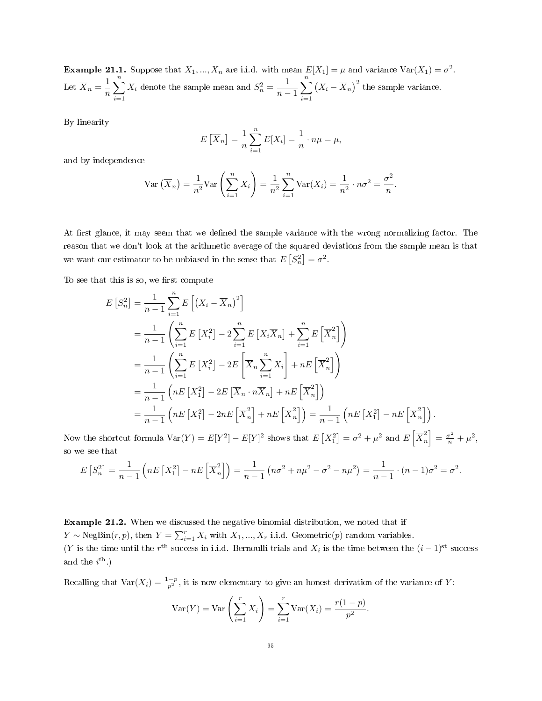**Example 21.1.** Suppose that  $X_1, ..., X_n$  are i.i.d. with mean  $E[X_1] = \mu$  and variance  $Var(X_1) = \sigma^2$ . Let  $\overline{X}_n = \frac{1}{n}$ n  $\sum_{n=1}^{\infty}$  $i=1$  $X_i$  denote the sample mean and  $S_n^2 = \frac{1}{n}$  $n-1$  $\sum_{n=1}^{\infty}$  $i=1$  $(X_i - \overline{X}_n)^2$  the sample variance.

By linearity

$$
E\left[\overline{X}_n\right] = \frac{1}{n} \sum_{i=1}^n E[X_i] = \frac{1}{n} \cdot n\mu = \mu,
$$

and by independence

$$
\operatorname{Var}\left(\overline{X}_n\right) = \frac{1}{n^2} \operatorname{Var}\left(\sum_{i=1}^n X_i\right) = \frac{1}{n^2} \sum_{i=1}^n \operatorname{Var}(X_i) = \frac{1}{n^2} \cdot n\sigma^2 = \frac{\sigma^2}{n}.
$$

At first glance, it may seem that we defined the sample variance with the wrong normalizing factor. The reason that we don't look at the arithmetic average of the squared deviations from the sample mean is that we want our estimator to be unbiased in the sense that  $E[S_n^2] = \sigma^2$ .

To see that this is so, we first compute

$$
E\left[S_n^2\right] = \frac{1}{n-1} \sum_{i=1}^n E\left[\left(X_i - \overline{X}_n\right)^2\right]
$$
  
\n
$$
= \frac{1}{n-1} \left(\sum_{i=1}^n E\left[X_i^2\right] - 2 \sum_{i=1}^n E\left[X_i\overline{X}_n\right] + \sum_{i=1}^n E\left[\overline{X}_n^2\right]\right)
$$
  
\n
$$
= \frac{1}{n-1} \left(\sum_{i=1}^n E\left[X_i^2\right] - 2E\left[\overline{X}_n \sum_{i=1}^n X_i\right] + nE\left[\overline{X}_n^2\right]\right)
$$
  
\n
$$
= \frac{1}{n-1} \left(nE\left[X_1^2\right] - 2E\left[\overline{X}_n \cdot n\overline{X}_n\right] + nE\left[\overline{X}_n^2\right]\right)
$$
  
\n
$$
= \frac{1}{n-1} \left(nE\left[X_1^2\right] - 2nE\left[\overline{X}_n^2\right] + nE\left[\overline{X}_n^2\right]\right)
$$
  
\n
$$
= \frac{1}{n-1} \left(nE\left[X_1^2\right] - 2nE\left[\overline{X}_n^2\right] + nE\left[\overline{X}_n^2\right]\right) = \frac{1}{n-1} \left(nE\left[X_1^2\right] - nE\left[\overline{X}_n^2\right]\right).
$$

Now the shortcut formula  $\text{Var}(Y) = E[Y^2] - E[Y]^2$  shows that  $E\left[X_1^2\right] = \sigma^2 + \mu^2$  and  $E\left[\overline{X}_n^2\right]$  $\left[ \frac{a}{n} \right] = \frac{\sigma^2}{n} + \mu^2,$ so we see that

$$
E[S_n^2] = \frac{1}{n-1} \left( nE \left[ X_1^2 \right] - nE \left[ \overline{X}_n^2 \right] \right) = \frac{1}{n-1} \left( n\sigma^2 + n\mu^2 - \sigma^2 - n\mu^2 \right) = \frac{1}{n-1} \cdot (n-1)\sigma^2 = \sigma^2.
$$

Example 21.2. When we discussed the negative binomial distribution, we noted that if  $Y \sim \text{NegBin}(r, p)$ , then  $Y = \sum_{i=1}^{r} X_i$  with  $X_1, ..., X_r$  i.i.d. Geometric $(p)$  random variables. (Y is the time until the r<sup>th</sup> success in i.i.d. Bernoulli trials and  $X_i$  is the time between the  $(i-1)$ <sup>st</sup> success and the  $i^{\text{th}}$ .)

Recalling that  $Var(X_i) = \frac{1-p}{p^2}$ , it is now elementary to give an honest derivation of the variance of Y:

Var(Y) = Var 
$$
\left(\sum_{i=1}^{r} X_i\right)
$$
 =  $\sum_{i=1}^{r} Var(X_i) = \frac{r(1-p)}{p^2}$ .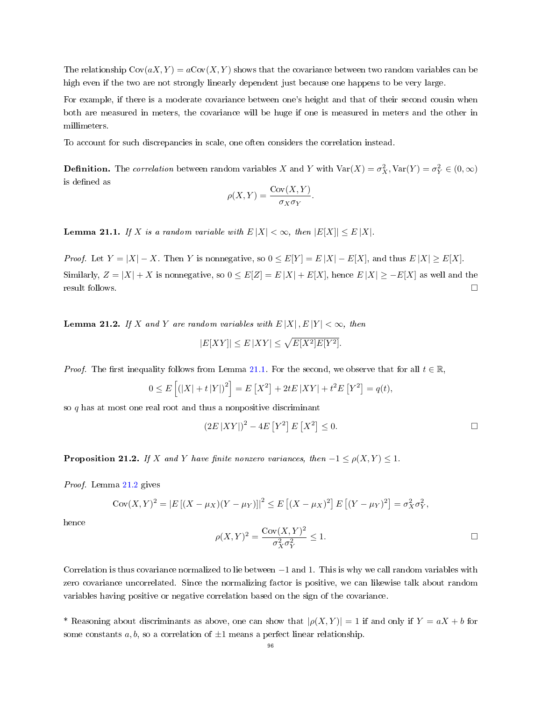The relationship  $Cov(aX, Y) = aCov(X, Y)$  shows that the covariance between two random variables can be high even if the two are not strongly linearly dependent just because one happens to be very large.

For example, if there is a moderate covariance between one's height and that of their second cousin when both are measured in meters, the covariance will be huge if one is measured in meters and the other in millimeters.

To account for such discrepancies in scale, one often considers the correlation instead.

**Definition.** The correlation between random variables X and Y with  $Var(X) = \sigma_X^2$ ,  $Var(Y) = \sigma_Y^2 \in (0, \infty)$ is defined as

$$
\rho(X, Y) = \frac{\text{Cov}(X, Y)}{\sigma_X \sigma_Y}.
$$

<span id="page-95-0"></span>**Lemma 21.1.** If X is a random variable with  $E|X| < \infty$ , then  $|E[X]| \leq E|X|$ .

*Proof.* Let  $Y = |X| - X$ . Then Y is nonnegative, so  $0 \le E[Y] = E(X) - E[X]$ , and thus  $E(X) \ge E[X]$ . Similarly,  $Z = |X| + X$  is nonnegative, so  $0 \le E[Z] = E|X| + E[X]$ , hence  $E|X| \ge -E[X]$  as well and the result follows. □

<span id="page-95-1"></span>**Lemma 21.2.** If X and Y are random variables with  $E[X], E[Y] < \infty$ , then

$$
|E[XY]| \le E|XY| \le \sqrt{E[X^2]E[Y^2]}.
$$

*Proof.* The first inequality follows from Lemma [21.1.](#page-95-0) For the second, we observe that for all  $t \in \mathbb{R}$ ,

$$
0 \le E\left[ (|X| + t |Y|)^2 \right] = E\left[ X^2 \right] + 2t E\left[ XY \right] + t^2 E\left[ Y^2 \right] = q(t),
$$

so  $q$  has at most one real root and thus a nonpositive discriminant

$$
(2E|XY|)^{2} - 4E[Y^{2}]E[X^{2}] \le 0.
$$

**Proposition 21.2.** If X and Y have finite nonzero variances, then  $-1 \leq \rho(X, Y) \leq 1$ .

Proof. Lemma [21.2](#page-95-1) gives

$$
Cov(X,Y)^{2} = |E[(X - \mu_{X})(Y - \mu_{Y})]|^{2} \leq E[(X - \mu_{X})^{2}] E[(Y - \mu_{Y})^{2}] = \sigma_{X}^{2} \sigma_{Y}^{2},
$$

hence

$$
\rho(X,Y)^2 = \frac{\text{Cov}(X,Y)^2}{\sigma_X^2 \sigma_Y^2} \le 1.
$$

Correlation is thus covariance normalized to lie between −1 and 1. This is why we call random variables with zero covariance uncorrelated. Since the normalizing factor is positive, we can likewise talk about random variables having positive or negative correlation based on the sign of the covariance.

\* Reasoning about discriminants as above, one can show that  $|\rho(X, Y)| = 1$  if and only if  $Y = aX + b$  for some constants  $a, b$ , so a correlation of  $\pm 1$  means a perfect linear relationship.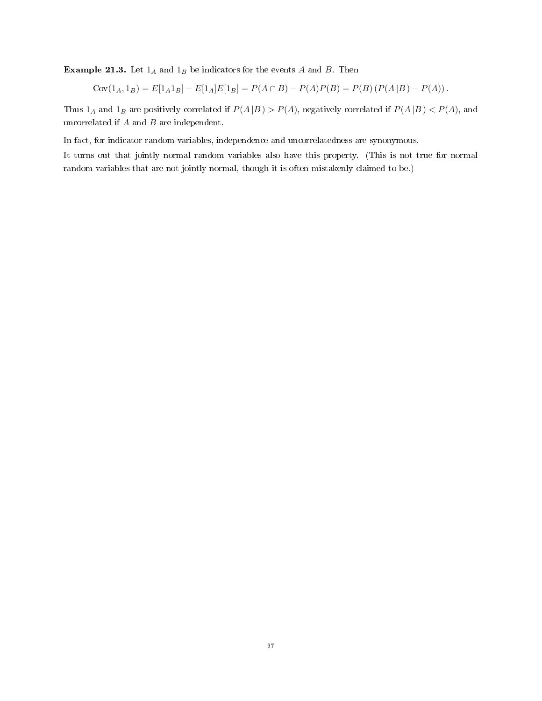**Example 21.3.** Let  $1_A$  and  $1_B$  be indicators for the events A and B. Then

$$
Cov(1_A, 1_B) = E[1_A 1_B] - E[1_A]E[1_B] = P(A \cap B) - P(A)P(B) = P(B) (P(A|B) - P(A)).
$$

Thus  $1_A$  and  $1_B$  are positively correlated if  $P(A|B) > P(A)$ , negatively correlated if  $P(A|B) < P(A)$ , and uncorrelated if  $A$  and  $B$  are independent.

In fact, for indicator random variables, independence and uncorrelatedness are synonymous.

It turns out that jointly normal random variables also have this property. (This is not true for normal random variables that are not jointly normal, though it is often mistakenly claimed to be.)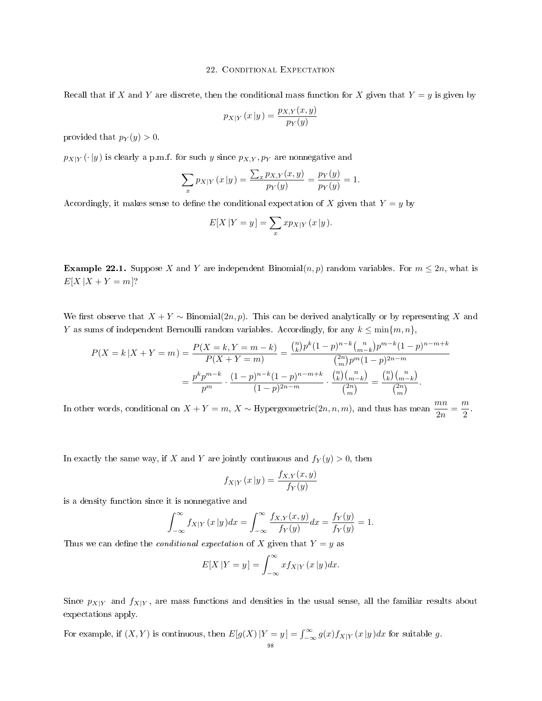# 22. CONDITIONAL EXPECTATION

Recall that if X and Y are discrete, then the conditional mass function for X given that  $Y = y$  is given by

$$
p_{X|Y}(x|y) = \frac{p_{X,Y}(x,y)}{p_Y(y)}
$$

provided that  $p_Y(y) > 0$ .

 $p_{X|Y}(\cdot | y)$  is clearly a p.m.f. for such y since  $p_{X,Y}, p_Y$  are nonnegative and

$$
\sum_{x} p_{X|Y}(x|y) = \frac{\sum_{x} p_{X,Y}(x,y)}{p_Y(y)} = \frac{p_Y(y)}{p_Y(y)} = 1.
$$

Accordingly, it makes sense to define the conditional expectation of X given that  $Y = y$  by

$$
E[X|Y=y] = \sum_{x} x p_{X|Y}(x|y).
$$

**Example 22.1.** Suppose X and Y are independent Binomial $(n, p)$  random variables. For  $m \leq 2n$ , what is  $E[X | X + Y = m]$ ?

We first observe that  $X + Y \sim Binomial(2n, p)$ . This can be derived analytically or by representing X and Y as sums of independent Bernoulli random variables. Accordingly, for any  $k \leq \min\{m, n\}$ ,

$$
P(X = k | X + Y = m) = \frac{P(X = k, Y = m - k)}{P(X + Y = m)} = \frac{\binom{n}{k} p^k (1 - p)^{n - k} \binom{n}{m - k} p^{m - k} (1 - p)^{n - m + k}}{\binom{2n}{m} p^m (1 - p)^{2n - m}}
$$

$$
= \frac{p^k p^{m - k}}{p^m} \cdot \frac{(1 - p)^{n - k} (1 - p)^{n - m + k}}{(1 - p)^{2n - m}} \cdot \frac{\binom{n}{k} \binom{n}{m - k}}{\binom{2n}{m}} = \frac{\binom{n}{k} \binom{n}{m - k}}{\binom{2n}{m}}.
$$

In other words, conditional on  $X + Y = m$ ,  $X \sim$  Hypergeometric $(2n, n, m)$ , and thus has mean  $\frac{mn}{2n} = \frac{m}{2}$  $\frac{n}{2}$ .

In exactly the same way, if X and Y are jointly continuous and  $f_Y(y) > 0$ , then

$$
f_{X|Y}(x|y) = \frac{f_{X,Y}(x,y)}{f_Y(y)}
$$

is a density function since it is nonnegative and

$$
\int_{-\infty}^{\infty} f_{X|Y}(x|y) dx = \int_{-\infty}^{\infty} \frac{f_{X,Y}(x,y)}{f_Y(y)} dx = \frac{f_Y(y)}{f_Y(y)} = 1.
$$

Thus we can define the *conditional expectation* of X given that  $Y = y$  as

$$
E[X|Y=y] = \int_{-\infty}^{\infty} x f_{X|Y}(x|y) dx.
$$

Since  $p_{X|Y}$  and  $f_{X|Y}$ , are mass functions and densities in the usual sense, all the familiar results about expectations apply.

For example, if  $(X, Y)$  is continuous, then  $E[g(X)|Y=y] = \int_{-\infty}^{\infty} g(x) f_{X|Y}(x|y) dx$  for suitable g.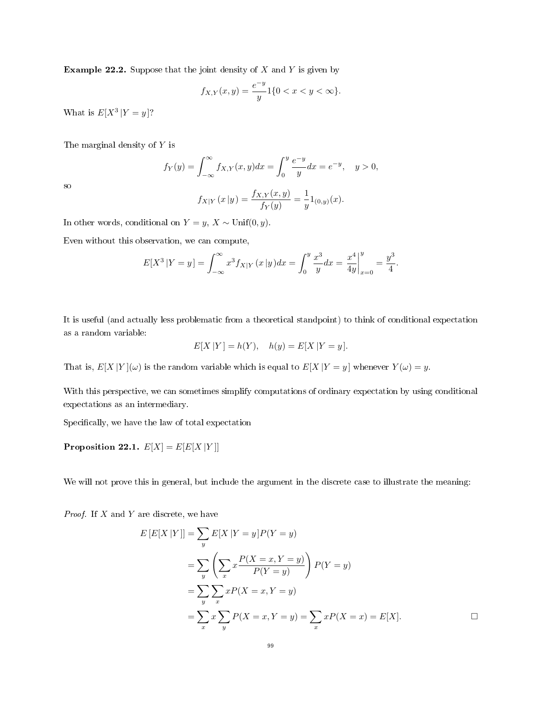**Example 22.2.** Suppose that the joint density of  $X$  and  $Y$  is given by

$$
f_{X,Y}(x,y) = \frac{e^{-y}}{y} 1\{0 < x < y < \infty\}.
$$

What is  $E[X^3 | Y = y]$ ?

The marginal density of Y is

$$
f_Y(y) = \int_{-\infty}^{\infty} f_{X,Y}(x, y) dx = \int_0^y \frac{e^{-y}}{y} dx = e^{-y}, \quad y > 0,
$$

so

$$
f_{X|Y}(x|y) = \frac{f_{X,Y}(x,y)}{f_Y(y)} = \frac{1}{y}1_{(0,y)}(x).
$$

In other words, conditional on  $Y = y$ ,  $X \sim \text{Unif}(0, y)$ .

Even without this observation, we can compute,

$$
E[X^3 | Y = y] = \int_{-\infty}^{\infty} x^3 f_{X|Y}(x|y) dx = \int_0^y \frac{x^3}{y} dx = \frac{x^4}{4y} \Big|_{x=0}^y = \frac{y^3}{4}.
$$

It is useful (and actually less problematic from a theoretical standpoint) to think of conditional expectation as a random variable:

$$
E[X | Y] = h(Y), \quad h(y) = E[X | Y = y].
$$

That is,  $E[X|Y](\omega)$  is the random variable which is equal to  $E[X|Y=y]$  whenever  $Y(\omega)=y$ .

With this perspective, we can sometimes simplify computations of ordinary expectation by using conditional expectations as an intermediary.

Specifically, we have the law of total expectation

<span id="page-98-0"></span>Proposition 22.1.  $E[X] = E[E[X|Y]]$ 

We will not prove this in general, but include the argument in the discrete case to illustrate the meaning:

*Proof.* If  $X$  and  $Y$  are discrete, we have

$$
E\left[E[X|Y]\right] = \sum_{y} E[X|Y=y]P(Y=y)
$$
  
= 
$$
\sum_{y} \left(\sum_{x} x \frac{P(X=x, Y=y)}{P(Y=y)}\right) P(Y=y)
$$
  
= 
$$
\sum_{y} \sum_{x} x P(X=x, Y=y)
$$
  
= 
$$
\sum_{x} x \sum_{y} P(X=x, Y=y) = \sum_{x} x P(X=x) = E[X].
$$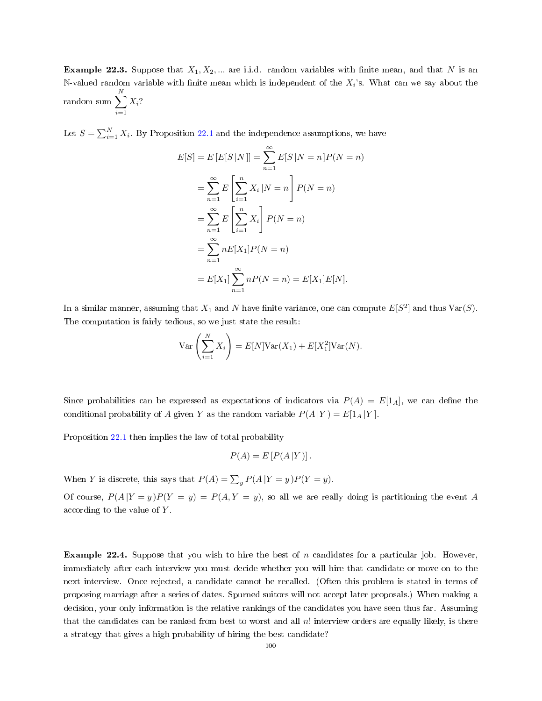**Example 22.3.** Suppose that  $X_1, X_2, ...$  are i.i.d. random variables with finite mean, and that N is an N-valued random variable with finite mean which is independent of the  $X_i$ 's. What can we say about the random sum  $\sum_{n=1}^{N}$  $X_i?$ 

Let  $S = \sum_{i=1}^{N} X_i$ . By Proposition [22.1](#page-98-0) and the independence assumptions, we have

 $i=1$ 

$$
E[S] = E [E[S|N]] = \sum_{n=1}^{\infty} E[S|N=n]P(N=n)
$$
  
= 
$$
\sum_{n=1}^{\infty} E\left[\sum_{i=1}^{n} X_i | N=n\right] P(N=n)
$$
  
= 
$$
\sum_{n=1}^{\infty} E\left[\sum_{i=1}^{n} X_i\right] P(N=n)
$$
  
= 
$$
\sum_{n=1}^{\infty} nE[X_1]P(N=n)
$$
  
= 
$$
E[X_1] \sum_{n=1}^{\infty} nP(N=n) = E[X_1]E[N].
$$

In a similar manner, assuming that  $X_1$  and N have finite variance, one can compute  $E[S^2]$  and thus  $Var(S)$ . The computation is fairly tedious, so we just state the result:

$$
\operatorname{Var}\left(\sum_{i=1}^{N} X_i\right) = E[N]\operatorname{Var}(X_1) + E[X_1^2]\operatorname{Var}(N).
$$

Since probabilities can be expressed as expectations of indicators via  $P(A) = E[1_A]$ , we can define the conditional probability of A given Y as the random variable  $P(A|Y) = E[1_A|Y]$ .

Proposition [22.1](#page-98-0) then implies the law of total probability

$$
P(A) = E\left[P(A|Y)\right].
$$

When Y is discrete, this says that  $P(A) = \sum_{y} P(A | Y = y) P(Y = y)$ .

Of course,  $P(A|Y=y)P(Y=y) = P(A,Y=y)$ , so all we are really doing is partitioning the event A according to the value of  $Y$ .

**Example 22.4.** Suppose that you wish to hire the best of n candidates for a particular job. However, immediately after each interview you must decide whether you will hire that candidate or move on to the next interview. Once rejected, a candidate cannot be recalled. (Often this problem is stated in terms of proposing marriage after a series of dates. Spurned suitors will not accept later proposals.) When making a decision, your only information is the relative rankings of the candidates you have seen thus far. Assuming that the candidates can be ranked from best to worst and all n! interview orders are equally likely, is there a strategy that gives a high probability of hiring the best candidate?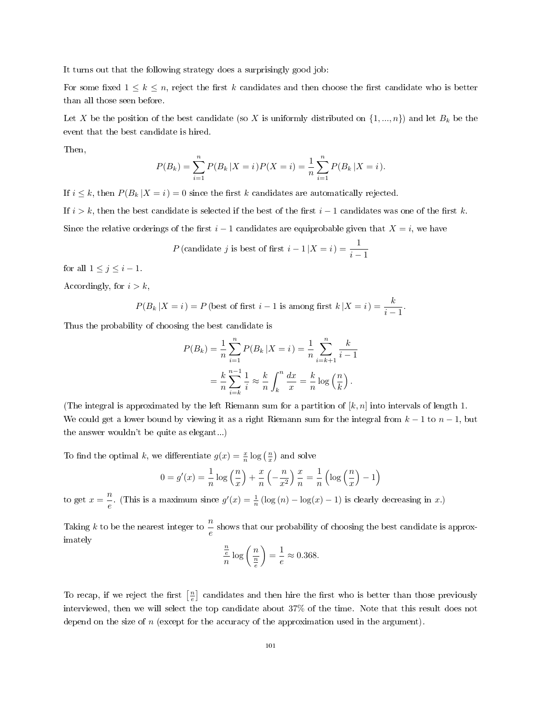It turns out that the following strategy does a surprisingly good job:

For some fixed  $1 \leq k \leq n$ , reject the first k candidates and then choose the first candidate who is better than all those seen before.

Let X be the position of the best candidate (so X is uniformly distributed on  $\{1, ..., n\}$ ) and let  $B_k$  be the event that the best candidate is hired.

Then,

$$
P(B_k) = \sum_{i=1}^{n} P(B_k | X = i) P(X = i) = \frac{1}{n} \sum_{i=1}^{n} P(B_k | X = i).
$$

If  $i \leq k$ , then  $P(B_k | X = i) = 0$  since the first k candidates are automatically rejected.

If  $i > k$ , then the best candidate is selected if the best of the first  $i - 1$  candidates was one of the first k.

Since the relative orderings of the first  $i - 1$  candidates are equiprobable given that  $X = i$ , we have

$$
P(\text{candidate } j \text{ is best of first } i - 1 | X = i) = \frac{1}{i - 1}
$$

for all  $1 \leq j \leq i-1$ .

Accordingly, for  $i > k$ ,

$$
P(B_k | X = i) = P \text{ (best of first } i - 1 \text{ is among first } k | X = i) = \frac{k}{i - 1}
$$

.

Thus the probability of choosing the best candidate is

$$
P(B_k) = \frac{1}{n} \sum_{i=1}^{n} P(B_k | X = i) = \frac{1}{n} \sum_{i=k+1}^{n} \frac{k}{i-1}
$$
  
= 
$$
\frac{k}{n} \sum_{i=k}^{n-1} \frac{1}{i} \approx \frac{k}{n} \int_{k}^{n} \frac{dx}{x} = \frac{k}{n} \log\left(\frac{n}{k}\right).
$$

(The integral is approximated by the left Riemann sum for a partition of  $[k, n]$  into intervals of length 1. We could get a lower bound by viewing it as a right Riemann sum for the integral from  $k - 1$  to  $n - 1$ , but the answer wouldn't be quite as elegant...)

To find the optimal k, we differentiate  $g(x) = \frac{x}{n} \log\left(\frac{n}{x}\right)$  and solve

$$
0 = g'(x) = \frac{1}{n} \log\left(\frac{n}{x}\right) + \frac{x}{n} \left(-\frac{n}{x^2}\right) \frac{x}{n} = \frac{1}{n} \left(\log\left(\frac{n}{x}\right) - 1\right)
$$

to get  $x = \frac{n}{x}$  $\frac{h}{e}$ . (This is a maximum since  $g'(x) = \frac{1}{n} (\log(n) - \log(x) - 1)$  is clearly decreasing in x.)

Taking k to be the nearest integer to  $\frac{n}{e}$  shows that our probability of choosing the best candidate is approximately

$$
\frac{\frac{n}{e}}{n}\log\left(\frac{n}{\frac{n}{e}}\right) = \frac{1}{e} \approx 0.368.
$$

To recap, if we reject the first  $\left[\frac{n}{e}\right]$  candidates and then hire the first who is better than those previously interviewed, then we will select the top candidate about 37% of the time. Note that this result does not depend on the size of  $n$  (except for the accuracy of the approximation used in the argument).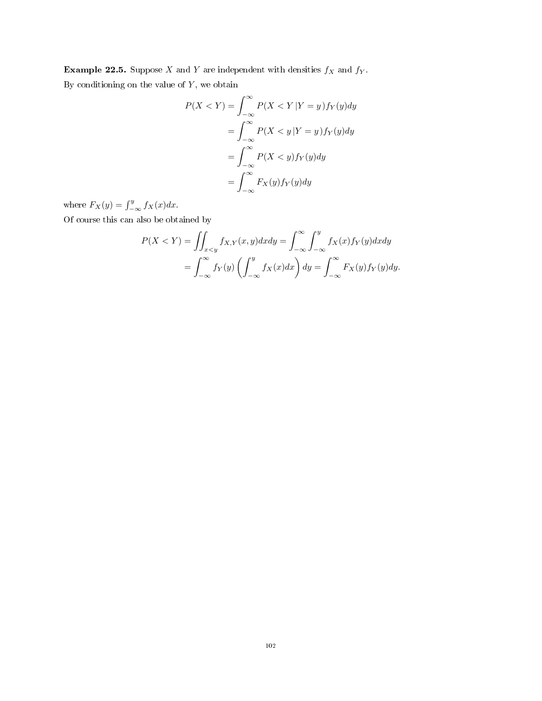**Example 22.5.** Suppose X and Y are independent with densities  $f_X$  and  $f_Y$ . By conditioning on the value of  $Y$ , we obtain

$$
P(X < Y) = \int_{-\infty}^{\infty} P(X < Y | Y = y) f_Y(y) dy
$$
  
= 
$$
\int_{-\infty}^{\infty} P(X < y | Y = y) f_Y(y) dy
$$
  
= 
$$
\int_{-\infty}^{\infty} P(X < y) f_Y(y) dy
$$
  
= 
$$
\int_{-\infty}^{\infty} F_X(y) f_Y(y) dy
$$

where  $F_X(y) = \int_{-\infty}^{y} f_X(x) dx$ .

Of course this can also be obtained by

$$
P(X < Y) = \iint_{x < y} f_{X,Y}(x, y) dx dy = \int_{-\infty}^{\infty} \int_{-\infty}^{y} f_X(x) f_Y(y) dx dy
$$
  
= 
$$
\int_{-\infty}^{\infty} f_Y(y) \left( \int_{-\infty}^{y} f_X(x) dx \right) dy = \int_{-\infty}^{\infty} F_X(y) f_Y(y) dy.
$$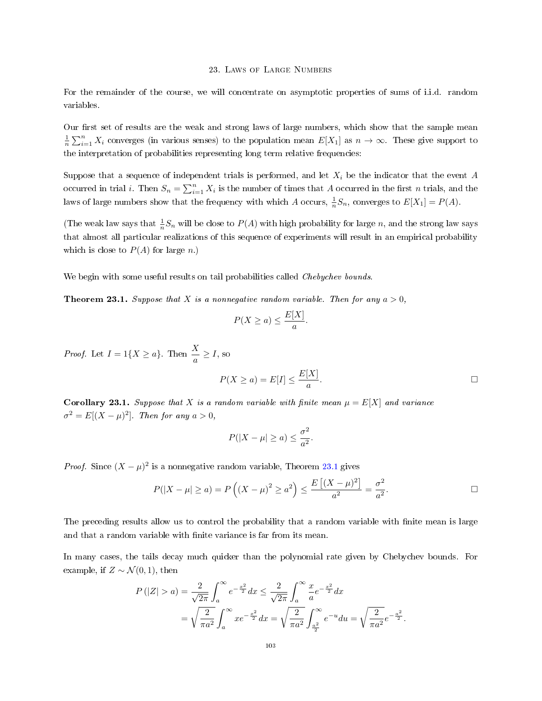#### 23. Laws of Large Numbers

For the remainder of the course, we will concentrate on asymptotic properties of sums of i.i.d. random variables.

Our first set of results are the weak and strong laws of large numbers, which show that the sample mean  $\frac{1}{n}\sum_{i=1}^n X_i$  converges (in various senses) to the population mean  $E[X_1]$  as  $n \to \infty$ . These give support to the interpretation of probabilities representing long term relative frequencies:

Suppose that a sequence of independent trials is performed, and let  $X_i$  be the indicator that the event A occurred in trial *i*. Then  $S_n = \sum_{i=1}^n X_i$  is the number of times that A occurred in the first *n* trials, and the laws of large numbers show that the frequency with which A occurs,  $\frac{1}{n}S_n$ , converges to  $E[X_1] = P(A)$ .

(The weak law says that  $\frac{1}{n}S_n$  will be close to  $P(A)$  with high probability for large n, and the strong law says that almost all particular realizations of this sequence of experiments will result in an empirical probability which is close to  $P(A)$  for large n.)

We begin with some useful results on tail probabilities called *Chebychev bounds*.

<span id="page-102-0"></span>**Theorem 23.1.** Suppose that X is a nonnegative random variable. Then for any  $a > 0$ ,

$$
P(X \ge a) \le \frac{E[X]}{a}.
$$

*Proof.* Let  $I = 1\{X \ge a\}$ . Then  $\frac{X}{a} \ge I$ , so

$$
P(X \ge a) = E[I] \le \frac{E[X]}{a}.
$$

**Corollary 23.1.** Suppose that X is a random variable with finite mean  $\mu = E[X]$  and variance  $\sigma^2 = E[(X - \mu)^2]$ . Then for any  $a > 0$ ,

$$
P(|X - \mu| \ge a) \le \frac{\sigma^2}{a^2}.
$$

*Proof.* Since  $(X - \mu)^2$  is a nonnegative random variable, Theorem [23.1](#page-102-0) gives

$$
P(|X - \mu| \ge a) = P\left((X - \mu)^2 \ge a^2\right) \le \frac{E\left[(X - \mu)^2\right]}{a^2} = \frac{\sigma^2}{a^2}.
$$

The preceding results allow us to control the probability that a random variable with finite mean is large and that a random variable with finite variance is far from its mean.

In many cases, the tails decay much quicker than the polynomial rate given by Chebychev bounds. For example, if  $Z \sim \mathcal{N}(0, 1)$ , then

$$
P(|Z| > a) = \frac{2}{\sqrt{2\pi}} \int_{a}^{\infty} e^{-\frac{x^{2}}{2}} dx \le \frac{2}{\sqrt{2\pi}} \int_{a}^{\infty} \frac{x}{a} e^{-\frac{x^{2}}{2}} dx
$$
  
=  $\sqrt{\frac{2}{\pi a^{2}}} \int_{a}^{\infty} x e^{-\frac{x^{2}}{2}} dx = \sqrt{\frac{2}{\pi a^{2}}} \int_{\frac{a^{2}}{2}}^{\infty} e^{-u} du = \sqrt{\frac{2}{\pi a^{2}}} e^{-\frac{a^{2}}{2}}.$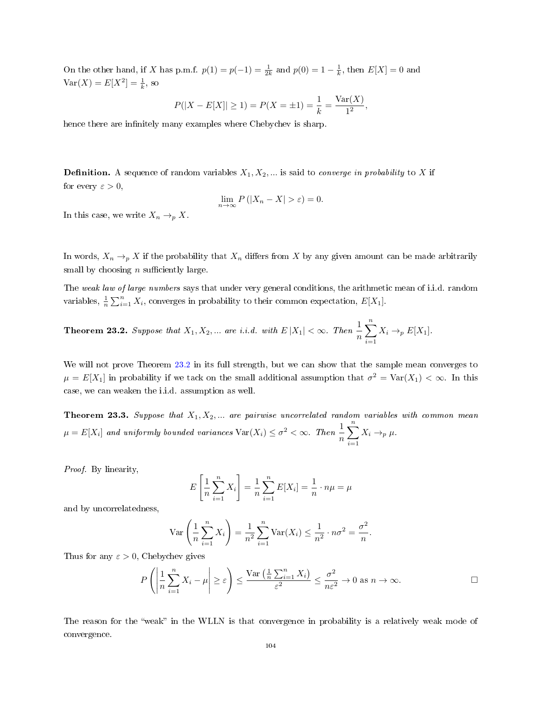On the other hand, if X has p.m.f.  $p(1) = p(-1) = \frac{1}{2k}$  and  $p(0) = 1 - \frac{1}{k}$ , then  $E[X] = 0$  and  $Var(X) = E[X^2] = \frac{1}{k}$ , so

$$
P(|X - E[X]| \ge 1) = P(X = \pm 1) = \frac{1}{k} = \frac{\text{Var}(X)}{1^2},
$$

hence there are infinitely many examples where Chebychev is sharp.

**Definition.** A sequence of random variables  $X_1, X_2, \ldots$  is said to *converge in probability* to X if for every  $\varepsilon > 0$ ,

$$
\lim_{n \to \infty} P(|X_n - X| > \varepsilon) = 0.
$$

In this case, we write  $X_n \to_p X$ .

In words,  $X_n \to_p X$  if the probability that  $X_n$  differs from X by any given amount can be made arbitrarily small by choosing  $n$  sufficiently large.

The weak law of large numbers says that under very general conditions, the arithmetic mean of i.i.d. random variables,  $\frac{1}{n} \sum_{i=1}^{n} X_i$ , converges in probability to their common expectation,  $E[X_1]$ .

<span id="page-103-0"></span>**Theorem 23.2.** Suppose that  $X_1, X_2, ...$  are i.i.d. with  $E|X_1| < \infty$ . Then  $\frac{1}{n}$  $\sum_{n=1}^{\infty}$  $i=1$  $X_i \rightarrow_p E[X_1].$ 

We will not prove Theorem [23.2](#page-103-0) in its full strength, but we can show that the sample mean converges to  $\mu = E[X_1]$  in probability if we tack on the small additional assumption that  $\sigma^2 = \text{Var}(X_1) < \infty$ . In this case, we can weaken the i.i.d. assumption as well.

**Theorem 23.3.** Suppose that  $X_1, X_2, ...$  are pairwise uncorrelated random variables with common mean  $\mu = E[X_i]$  and uniformly bounded variances  $\text{Var}(X_i) \leq \sigma^2 < \infty$ . Then  $\frac{1}{n}$  $\sum_{n=1}^{\infty}$  $i=1$  $X_i \rightarrow_p \mu$ .

Proof. By linearity,

$$
E\left[\frac{1}{n}\sum_{i=1}^{n}X_{i}\right] = \frac{1}{n}\sum_{i=1}^{n}E[X_{i}] = \frac{1}{n}\cdot n\mu = \mu
$$

and by uncorrelatedness,

$$
\operatorname{Var}\left(\frac{1}{n}\sum_{i=1}^n X_i\right) = \frac{1}{n^2}\sum_{i=1}^n \operatorname{Var}(X_i) \le \frac{1}{n^2} \cdot n\sigma^2 = \frac{\sigma^2}{n}.
$$

Thus for any  $\varepsilon > 0$ , Chebychev gives

$$
P\left(\left|\frac{1}{n}\sum_{i=1}^{n}X_{i}-\mu\right|\geq\varepsilon\right)\leq\frac{\text{Var}\left(\frac{1}{n}\sum_{i=1}^{n}X_{i}\right)}{\varepsilon^{2}}\leq\frac{\sigma^{2}}{n\varepsilon^{2}}\to 0\text{ as }n\to\infty.\qquad \Box
$$

The reason for the "weak" in the WLLN is that convergence in probability is a relatively weak mode of convergence.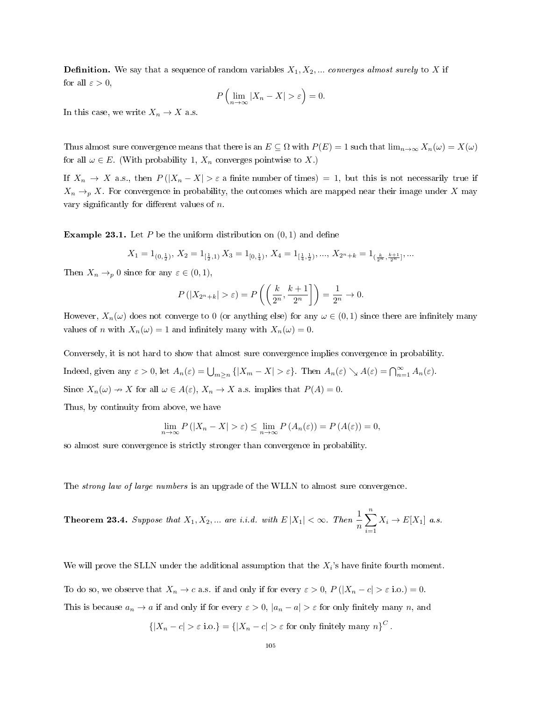**Definition.** We say that a sequence of random variables  $X_1, X_2, ...$  converges almost surely to X if for all  $\varepsilon > 0$ ,

$$
P\left(\lim_{n\to\infty}|X_n - X| > \varepsilon\right) = 0.
$$

In this case, we write  $X_n \to X$  a.s.

Thus almost sure convergence means that there is an  $E \subseteq \Omega$  with  $P(E) = 1$  such that  $\lim_{n \to \infty} X_n(\omega) = X(\omega)$ for all  $\omega \in E$ . (With probability 1,  $X_n$  converges pointwise to X.)

If  $X_n \to X$  a.s., then  $P(|X_n - X| > \varepsilon$  a finite number of times) = 1, but this is not necessarily true if  $X_n \to_p X$ . For convergence in probability, the outcomes which are mapped near their image under X may vary significantly for different values of  $n$ .

**Example 23.1.** Let P be the uniform distribution on  $(0, 1)$  and define

$$
X_1=1_{(0,\frac{1}{2})},\,X_2=1_{[\frac{1}{2},1)}\,X_3=1_{[0,\frac{1}{4})},\,X_4=1_{[\frac{1}{4},\frac{1}{2})},...,\,X_{2^n+k}=1_{(\frac{k}{2^n},\frac{k+1}{2^n}]},...
$$

Then  $X_n \to_p 0$  since for any  $\varepsilon \in (0,1)$ ,

$$
P(|X_{2^n+k}| > \varepsilon) = P\left(\left(\frac{k}{2^n}, \frac{k+1}{2^n}\right)\right) = \frac{1}{2^n} \to 0.
$$

However,  $X_n(\omega)$  does not converge to 0 (or anything else) for any  $\omega \in (0,1)$  since there are infinitely many values of n with  $X_n(\omega) = 1$  and infinitely many with  $X_n(\omega) = 0$ .

Conversely, it is not hard to show that almost sure convergence implies convergence in probability. Indeed, given any  $\varepsilon > 0$ , let  $A_n(\varepsilon) = \bigcup_{m \geq n} \{ |X_m - X| > \varepsilon \}$ . Then  $A_n(\varepsilon) \searrow A(\varepsilon) = \bigcap_{n=1}^{\infty} A_n(\varepsilon)$ . Since  $X_n(\omega) \to X$  for all  $\omega \in A(\varepsilon)$ ,  $X_n \to X$  a.s. implies that  $P(A) = 0$ .

Thus, by continuity from above, we have

$$
\lim_{n \to \infty} P(|X_n - X| > \varepsilon) \le \lim_{n \to \infty} P(A_n(\varepsilon)) = P(A(\varepsilon)) = 0,
$$

so almost sure convergence is strictly stronger than convergence in probability.

The strong law of large numbers is an upgrade of the WLLN to almost sure convergence.

**Theorem 23.4.** Suppose that 
$$
X_1, X_2, \ldots
$$
 are i.i.d. with  $E|X_1| < \infty$ . Then  $\frac{1}{n} \sum_{i=1}^n X_i \to E[X_1]$  a.s.

We will prove the SLLN under the additional assumption that the  $X_i$ 's have finite fourth moment.

To do so, we observe that  $X_n \to c$  a.s. if and only if for every  $\varepsilon > 0$ ,  $P(|X_n - c| > \varepsilon)$  i.o.) = 0.

This is because  $a_n \to a$  if and only if for every  $\varepsilon > 0$ ,  $|a_n - a| > \varepsilon$  for only finitely many n, and

$$
\{|X_n - c| > \varepsilon \text{ i.o.}\} = \{|X_n - c| > \varepsilon \text{ for only finitely many } n\}^C.
$$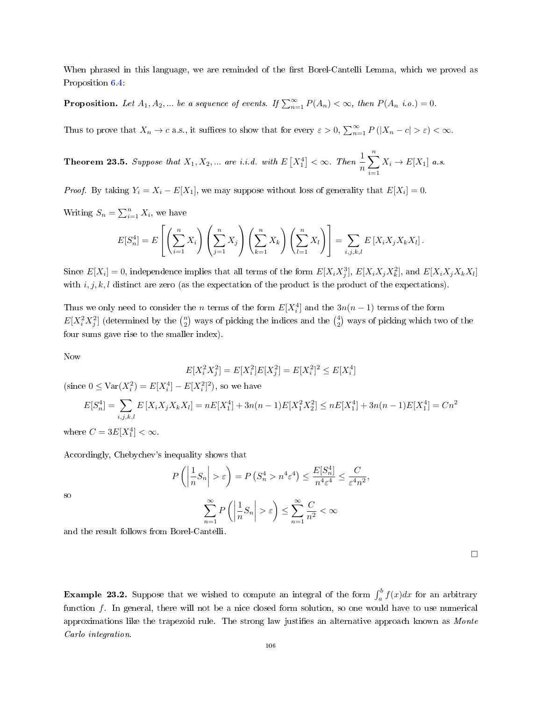When phrased in this language, we are reminded of the first Borel-Cantelli Lemma, which we proved as Proposition [6.4:](#page-23-0)

**Proposition.** Let  $A_1, A_2, ...$  be a sequence of events. If  $\sum_{n=1}^{\infty} P(A_n) < \infty$ , then  $P(A_n \text{ i.o.}) = 0$ .

Thus to prove that  $X_n \to c$  a.s., it suffices to show that for every  $\varepsilon > 0$ ,  $\sum_{n=1}^{\infty} P(|X_n - c| > \varepsilon) < \infty$ .

**Theorem 23.5.** Suppose that  $X_1, X_2, ...$  are i.i.d. with  $E\left[X_1^4\right] < \infty$ . Then  $\frac{1}{n}$  $\sum_{n=1}^{\infty}$  $i=1$  $X_i \to E[X_1]$  a.s.

*Proof.* By taking  $Y_i = X_i - E[X_1]$ , we may suppose without loss of generality that  $E[X_i] = 0$ .

Writing  $S_n = \sum_{i=1}^n X_i$ , we have

$$
E[S_n^4] = E\left[\left(\sum_{i=1}^n X_i\right)\left(\sum_{j=1}^n X_j\right)\left(\sum_{k=1}^n X_k\right)\left(\sum_{l=1}^n X_l\right)\right] = \sum_{i,j,k,l} E\left[X_i X_j X_k X_l\right].
$$

Since  $E[X_i] = 0$ , independence implies that all terms of the form  $E[X_i X_j^3]$ ,  $E[X_i X_j X_k^2]$ , and  $E[X_i X_j X_k X_l]$ with i, j, k, l distinct are zero (as the expectation of the product is the product of the expectations).

Thus we only need to consider the n terms of the form  $E[X_i^4]$  and the  $3n(n-1)$  terms of the form  $E[X_i^2 X_j^2]$  (determined by the  $\binom{n}{2}$  ways of picking the indices and the  $\binom{4}{2}$  ways of picking which two of the four sums gave rise to the smaller index).

Now

$$
E[X_i^2 X_j^2] = E[X_i^2]E[X_j^2] = E[X_i^2]^2 \le E[X_i^4]
$$

(since  $0 \leq \text{Var}(X_i^2) = E[X_i^4] - E[X_i^2]^2$ ), so we have

$$
E[S_n^4] = \sum_{i,j,k,l} E[X_i X_j X_k X_l] = nE[X_1^4] + 3n(n-1)E[X_1^2 X_2^2] \le nE[X_1^4] + 3n(n-1)E[X_1^4] = Cn^2
$$

where  $C = 3E[X_1^4] < \infty$ .

Accordingly, Chebychev's inequality shows that

$$
P\left(\left|\frac{1}{n}S_n\right| > \varepsilon\right) = P\left(S_n^4 > n^4\varepsilon^4\right) \le \frac{E[S_n^4]}{n^4\varepsilon^4} \le \frac{C}{\varepsilon^4 n^2},
$$

$$
\sum_{n=1}^{\infty} P\left(\left|\frac{1}{n}S_n\right| > \varepsilon\right) \le \sum_{n=1}^{\infty} \frac{C}{n^2} < \infty
$$

so

and the result follows from Borel-Cantelli.

**Example 23.2.** Suppose that we wished to compute an integral of the form  $\int_a^b f(x)dx$  for an arbitrary function  $f$ . In general, there will not be a nice closed form solution, so one would have to use numerical approximations like the trapezoid rule. The strong law justifies an alternative approach known as *Monte* Carlo integration.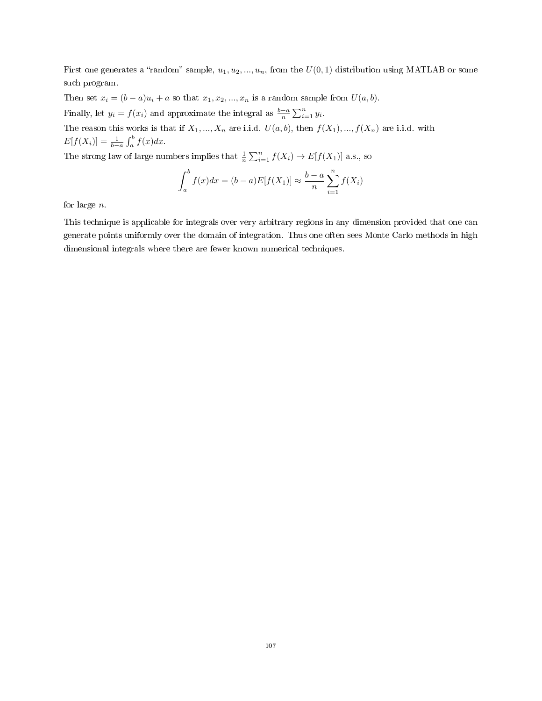First one generates a "random" sample,  $u_1, u_2, ..., u_n$ , from the  $U(0, 1)$  distribution using MATLAB or some such program.

Then set  $x_i = (b - a)u_i + a$  so that  $x_1, x_2, ..., x_n$  is a random sample from  $U(a, b)$ .

Finally, let  $y_i = f(x_i)$  and approximate the integral as  $\frac{b-a}{n} \sum_{i=1}^{n} y_i$ .

The reason this works is that if  $X_1, ..., X_n$  are i.i.d.  $U(a, b)$ , then  $f(X_1), ..., f(X_n)$  are i.i.d. with  $E[f(X_i)] = \frac{1}{b-a} \int_a^b f(x) dx$ .

The strong law of large numbers implies that  $\frac{1}{n} \sum_{i=1}^{n} f(X_i) \to E[f(X_1)]$  a.s., so

$$
\int_{a}^{b} f(x)dx = (b - a)E[f(X_1)] \approx \frac{b - a}{n} \sum_{i=1}^{n} f(X_i)
$$

for large  $n$ .

This technique is applicable for integrals over very arbitrary regions in any dimension provided that one can generate points uniformly over the domain of integration. Thus one often sees Monte Carlo methods in high dimensional integrals where there are fewer known numerical techniques.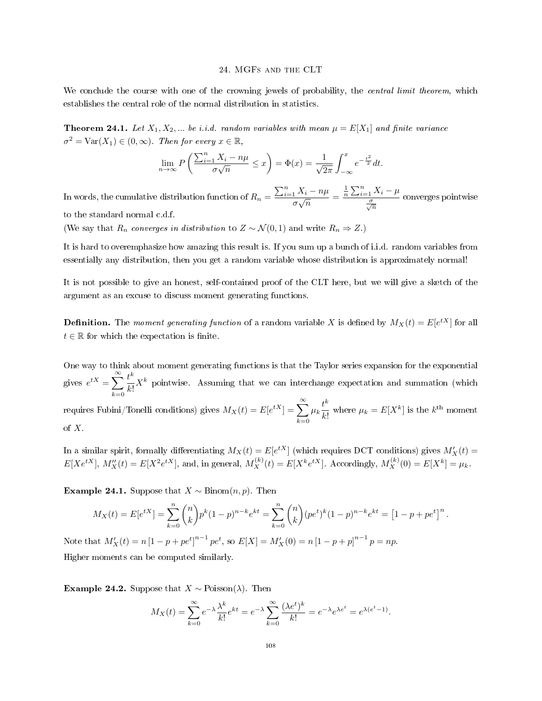### 24. MGFs and the CLT

We conclude the course with one of the crowning jewels of probability, the *central limit theorem*, which establishes the central role of the normal distribution in statistics.

**Theorem 24.1.** Let  $X_1, X_2, ...$  be i.i.d. random variables with mean  $\mu = E[X_1]$  and finite variance  $\sigma^2 = \text{Var}(X_1) \in (0, \infty)$ . Then for every  $x \in \mathbb{R}$ ,

$$
\lim_{n \to \infty} P\left(\frac{\sum_{i=1}^n X_i - n\mu}{\sigma\sqrt{n}} \le x\right) = \Phi(x) = \frac{1}{\sqrt{2\pi}} \int_{-\infty}^x e^{-\frac{t^2}{2}} dt.
$$

In words, the cumulative distribution function of  $R_n =$  $\sum_{i=1}^n X_i - n\mu$  $rac{1}{\sigma\sqrt{n}}\frac{n\mu}{n}$  =  $\frac{1}{n}\sum_{i=1}^n X_i - \mu$  $\frac{\sigma}{\sqrt{n}}$ converges pointwise to the standard normal c.d.f.

(We say that  $R_n$  converges in distribution to  $Z \sim \mathcal{N}(0, 1)$  and write  $R_n \Rightarrow Z$ .)

It is hard to overemphasize how amazing this result is. If you sum up a bunch of i.i.d. random variables from essentially any distribution, then you get a random variable whose distribution is approximately normal!

It is not possible to give an honest, self-contained proof of the CLT here, but we will give a sketch of the argument as an excuse to discuss moment generating functions.

**Definition.** The moment generating function of a random variable X is defined by  $M_X(t) = E[e^{tX}]$  for all  $t \in \mathbb{R}$  for which the expectation is finite.

One way to think about moment generating functions is that the Taylor series expansion for the exponential gives  $e^{tX} = \sum_{n=1}^{\infty} \frac{t^k}{n!}$  $k=0$  $\frac{k}{k!}X^k$  pointwise. Assuming that we can interchange expectation and summation (which

requires Fubini/Tonelli conditions) gives  $M_X(t) = E[e^{tX}] = \sum_{n=0}^{\infty}$  $k=0$  $\mu_k \frac{t^k}{1}$  $\frac{k^*}{k!}$  where  $\mu_k = E[X^k]$  is the  $k^{\text{th}}$  moment of X.

In a similar spirit, formally differentiating  $M_X(t) = E[e^{tX}]$  (which requires DCT conditions) gives  $M'_X(t) =$  $E[Xe^{tX}], M''_X(t) = E[X^2e^{tX}],$  and, in general,  $M_X^{(k)}(t) = E[X^k e^{tX}].$  Accordingly,  $M_X^{(k)}(0) = E[X^k] = \mu_k$ .

Example 24.1. Suppose that  $X \sim \text{Binom}(n, p)$ . Then

$$
M_X(t) = E[e^{tX}] = \sum_{k=0}^{n} {n \choose k} p^k (1-p)^{n-k} e^{kt} = \sum_{k=0}^{n} {n \choose k} (pe^t)^k (1-p)^{n-k} e^{kt} = [1-p+pe^t]^n.
$$

Note that  $M'_X(t) = n [1 - p + p e^t]^{n-1} p e^t$ , so  $E[X] = M'_X(0) = n [1 - p + p]^{n-1} p = np$ . Higher moments can be computed similarly.

Example 24.2. Suppose that  $X \sim \text{Poisson}(\lambda)$ . Then

$$
M_X(t) = \sum_{k=0}^{\infty} e^{-\lambda} \frac{\lambda^k}{k!} e^{kt} = e^{-\lambda} \sum_{k=0}^{\infty} \frac{(\lambda e^t)^k}{k!} = e^{-\lambda} e^{\lambda e^t} = e^{\lambda (e^t - 1)}.
$$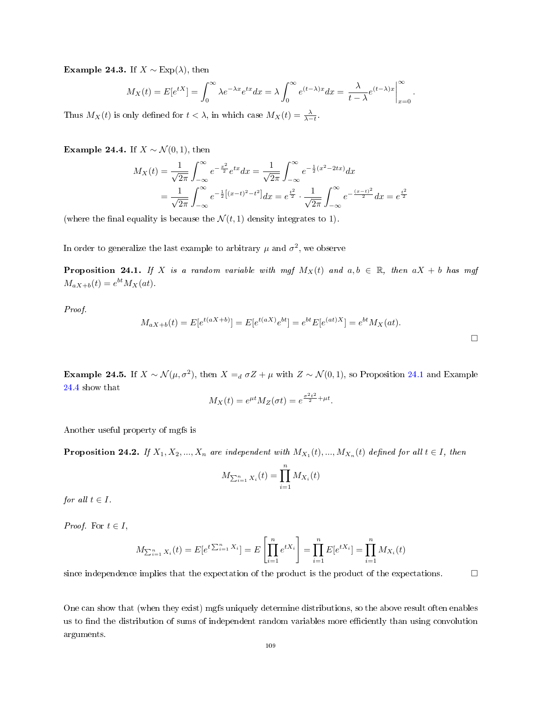Example 24.3. If  $X \sim \text{Exp}(\lambda)$ , then

$$
M_X(t) = E[e^{tX}] = \int_0^\infty \lambda e^{-\lambda x} e^{tx} dx = \lambda \int_0^\infty e^{(t-\lambda)x} dx = \frac{\lambda}{t-\lambda} e^{(t-\lambda)x} \Big|_{x=0}^\infty.
$$

Thus  $M_X(t)$  is only defined for  $t < \lambda$ , in which case  $M_X(t) = \frac{\lambda}{\lambda - t}$ .

<span id="page-108-1"></span>Example 24.4. If  $X \sim \mathcal{N}(0, 1)$ , then

$$
M_X(t) = \frac{1}{\sqrt{2\pi}} \int_{-\infty}^{\infty} e^{-\frac{x^2}{2}} e^{tx} dx = \frac{1}{\sqrt{2\pi}} \int_{-\infty}^{\infty} e^{-\frac{1}{2}(x^2 - 2tx)} dx
$$
  
=  $\frac{1}{\sqrt{2\pi}} \int_{-\infty}^{\infty} e^{-\frac{1}{2}[(x-t)^2 - t^2]} dx = e^{\frac{t^2}{2}} \cdot \frac{1}{\sqrt{2\pi}} \int_{-\infty}^{\infty} e^{-\frac{(x-t)^2}{2}} dx = e^{\frac{t^2}{2}}$ 

(where the final equality is because the  $\mathcal{N}(t, 1)$  density integrates to 1).

In order to generalize the last example to arbitrary  $\mu$  and  $\sigma^2,$  we observe

<span id="page-108-0"></span>**Proposition 24.1.** If X is a random variable with mgf  $M_X(t)$  and  $a, b \in \mathbb{R}$ , then  $aX + b$  has mgf  $M_{aX+b}(t) = e^{bt} M_X(at).$ 

Proof.

$$
M_{aX+b}(t) = E[e^{t(aX+b)}] = E[e^{t(aX)}e^{bt}] = e^{bt}E[e^{(at)X}] = e^{bt}M_X(at).
$$

**Example 24.5.** If  $X \sim \mathcal{N}(\mu, \sigma^2)$ , then  $X =_d \sigma Z + \mu$  with  $Z \sim \mathcal{N}(0, 1)$ , so Proposition [24.1](#page-108-0) and Example [24.4](#page-108-1) show that

$$
M_X(t) = e^{\mu t} M_Z(\sigma t) = e^{\frac{\sigma^2 t^2}{2} + \mu t}.
$$

Another useful property of mgfs is

<span id="page-108-2"></span>**Proposition 24.2.** If  $X_1, X_2, ..., X_n$  are independent with  $M_{X_1}(t), ..., M_{X_n}(t)$  defined for all  $t \in I$ , then

$$
M_{\sum_{i=1}^{n} X_i}(t) = \prod_{i=1}^{n} M_{X_i}(t)
$$

for all  $t \in I$ .

*Proof.* For  $t \in I$ ,

$$
M_{\sum_{i=1}^{n} X_i}(t) = E[e^{t \sum_{i=1}^{n} X_i}] = E\left[\prod_{i=1}^{n} e^{tX_i}\right] = \prod_{i=1}^{n} E[e^{tX_i}] = \prod_{i=1}^{n} M_{X_i}(t)
$$

since independence implies that the expectation of the product is the product of the expectations.  $\Box$ 

One can show that (when they exist) mgfs uniquely determine distributions, so the above result often enables us to find the distribution of sums of independent random variables more efficiently than using convolution arguments.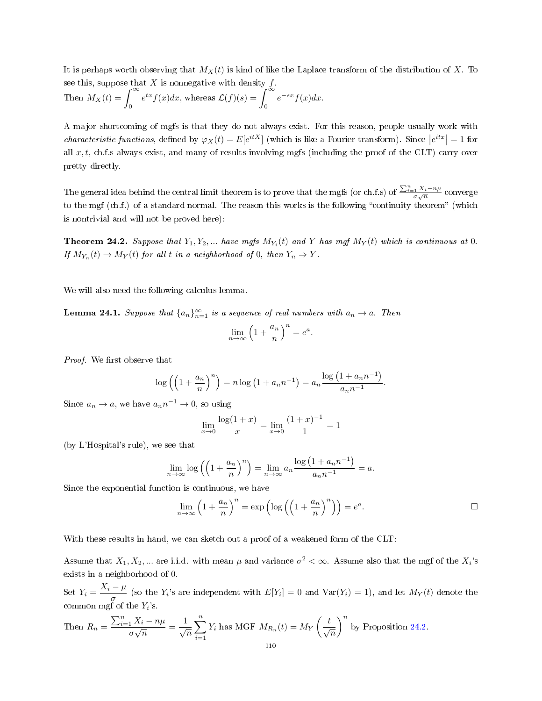It is perhaps worth observing that  $M_X(t)$  is kind of like the Laplace transform of the distribution of X. To see this, suppose that  $X$  is nonnegative with density  $f$ .

Then 
$$
M_X(t) = \int_0^\infty e^{tx} f(x) dx
$$
, whereas  $\mathcal{L}(f)(s) = \int_0^\infty e^{-sx} f(x) dx$ .

A major shortcoming of mgfs is that they do not always exist. For this reason, people usually work with characteristic functions, defined by  $\varphi_X(t) = E[e^{itX}]$  (which is like a Fourier transform). Since  $|e^{itx}| = 1$  for all  $x, t$ , ch.f.s always exist, and many of results involving mgfs (including the proof of the CLT) carry over pretty directly.

The general idea behind the central limit theorem is to prove that the mgfs (or ch.f.s) of  $\frac{\sum_{i=1}^{n} X_i - n\mu}{\sigma\sqrt{n}}$  converge to the mgf (ch.f.) of a standard normal. The reason this works is the following "continuity theorem" (which is nontrivial and will not be proved here):

<span id="page-109-1"></span>**Theorem 24.2.** Suppose that  $Y_1, Y_2, ...$  have mgfs  $M_{Y_i}(t)$  and Y has mgf  $M_Y(t)$  which is continuous at 0. If  $M_{Y_n}(t) \to M_Y(t)$  for all t in a neighborhood of 0, then  $Y_n \Rightarrow Y$ .

We will also need the following calculus lemma.

<span id="page-109-0"></span>**Lemma 24.1.** Suppose that  $\{a_n\}_{n=1}^{\infty}$  is a sequence of real numbers with  $a_n \to a$ . Then

$$
\lim_{n \to \infty} \left( 1 + \frac{a_n}{n} \right)^n = e^a
$$

.

Proof. We first observe that

$$
\log \left( \left( 1 + \frac{a_n}{n} \right)^n \right) = n \log \left( 1 + a_n n^{-1} \right) = a_n \frac{\log \left( 1 + a_n n^{-1} \right)}{a_n n^{-1}}.
$$

Since  $a_n \to a$ , we have  $a_n n^{-1} \to 0$ , so using

$$
\lim_{x \to 0} \frac{\log(1+x)}{x} = \lim_{x \to 0} \frac{(1+x)^{-1}}{1} = 1
$$

(by L'Hospital's rule), we see that

$$
\lim_{n \to \infty} \log \left( \left( 1 + \frac{a_n}{n} \right)^n \right) = \lim_{n \to \infty} a_n \frac{\log \left( 1 + a_n n^{-1} \right)}{a_n n^{-1}} = a.
$$

Since the exponential function is continuous, we have

$$
\lim_{n \to \infty} \left( 1 + \frac{a_n}{n} \right)^n = \exp\left( \log\left( \left( 1 + \frac{a_n}{n} \right)^n \right) \right) = e^a.
$$

With these results in hand, we can sketch out a proof of a weakened form of the CLT:

Assume that  $X_1, X_2, ...$  are i.i.d. with mean  $\mu$  and variance  $\sigma^2 < \infty$ . Assume also that the mgf of the  $X_i$ 's exists in a neighborhood of 0.

Set  $Y_i = \frac{X_i - \mu}{\sigma}$  $\frac{P}{\sigma}$  (so the  $Y_i$ 's are independent with  $E[Y_i] = 0$  and  $Var(Y_i) = 1$ ), and let  $M_Y(t)$  denote the common mgf of the  $Y_i$ 's.

Then 
$$
R_n = \frac{\sum_{i=1}^n X_i - n\mu}{\sigma\sqrt{n}} = \frac{1}{\sqrt{n}} \sum_{i=1}^n Y_i
$$
 has MGF  $M_{R_n}(t) = M_Y \left(\frac{t}{\sqrt{n}}\right)^n$  by Proposition 24.2.